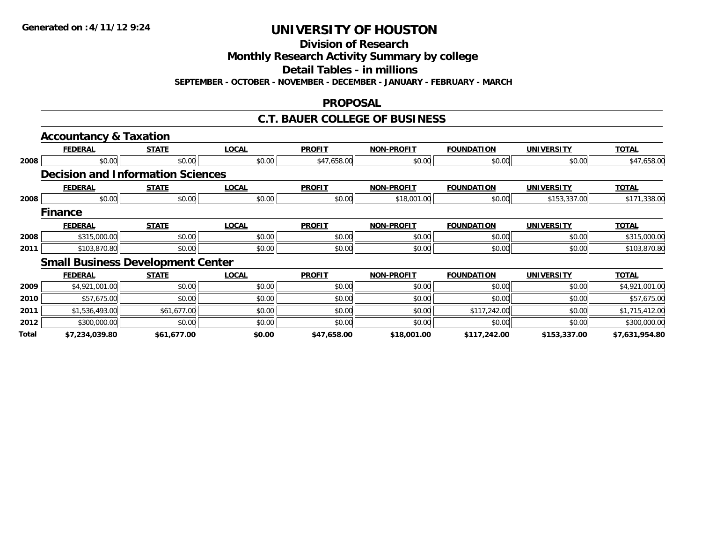**Division of Research**

**Monthly Research Activity Summary by college**

**Detail Tables - in millions**

**SEPTEMBER - OCTOBER - NOVEMBER - DECEMBER - JANUARY - FEBRUARY - MARCH**

### **PROPOSAL**

### **C.T. BAUER COLLEGE OF BUSINESS**

|       | <b>Accountancy &amp; Taxation</b>        |              |              |               |                   |                   |                   |                |
|-------|------------------------------------------|--------------|--------------|---------------|-------------------|-------------------|-------------------|----------------|
|       | <b>FEDERAL</b>                           | <b>STATE</b> | <b>LOCAL</b> | <b>PROFIT</b> | <b>NON-PROFIT</b> | <b>FOUNDATION</b> | <b>UNIVERSITY</b> | <b>TOTAL</b>   |
| 2008  | \$0.00                                   | \$0.00       | \$0.00       | \$47,658.00   | \$0.00            | \$0.00            | \$0.00            | \$47,658.00    |
|       | <b>Decision and Information Sciences</b> |              |              |               |                   |                   |                   |                |
|       | <b>FEDERAL</b>                           | <b>STATE</b> | <b>LOCAL</b> | <b>PROFIT</b> | <b>NON-PROFIT</b> | <b>FOUNDATION</b> | <b>UNIVERSITY</b> | <b>TOTAL</b>   |
| 2008  | \$0.00                                   | \$0.00       | \$0.00       | \$0.00        | \$18,001.00       | \$0.00            | \$153,337.00      | \$171,338.00   |
|       | <b>Finance</b>                           |              |              |               |                   |                   |                   |                |
|       | <b>FEDERAL</b>                           | <b>STATE</b> | <b>LOCAL</b> | <b>PROFIT</b> | <b>NON-PROFIT</b> | <b>FOUNDATION</b> | <b>UNIVERSITY</b> | <b>TOTAL</b>   |
| 2008  | \$315,000.00                             | \$0.00       | \$0.00       | \$0.00        | \$0.00            | \$0.00            | \$0.00            | \$315,000.00   |
| 2011  | \$103,870.80                             | \$0.00       | \$0.00       | \$0.00        | \$0.00            | \$0.00            | \$0.00            | \$103,870.80   |
|       | <b>Small Business Development Center</b> |              |              |               |                   |                   |                   |                |
|       | <b>FEDERAL</b>                           | <b>STATE</b> | <b>LOCAL</b> | <b>PROFIT</b> | <b>NON-PROFIT</b> | <b>FOUNDATION</b> | <b>UNIVERSITY</b> | <b>TOTAL</b>   |
| 2009  | \$4,921,001.00                           | \$0.00       | \$0.00       | \$0.00        | \$0.00            | \$0.00            | \$0.00            | \$4,921,001.00 |
| 2010  | \$57,675.00                              | \$0.00       | \$0.00       | \$0.00        | \$0.00            | \$0.00            | \$0.00            | \$57,675.00    |
| 2011  | \$1,536,493.00                           | \$61,677.00  | \$0.00       | \$0.00        | \$0.00            | \$117,242.00      | \$0.00            | \$1,715,412.00 |
| 2012  | \$300,000.00                             | \$0.00       | \$0.00       | \$0.00        | \$0.00            | \$0.00            | \$0.00            | \$300,000.00   |
| Total | \$7,234,039.80                           | \$61,677.00  | \$0.00       | \$47,658.00   | \$18,001.00       | \$117,242.00      | \$153,337.00      | \$7,631,954.80 |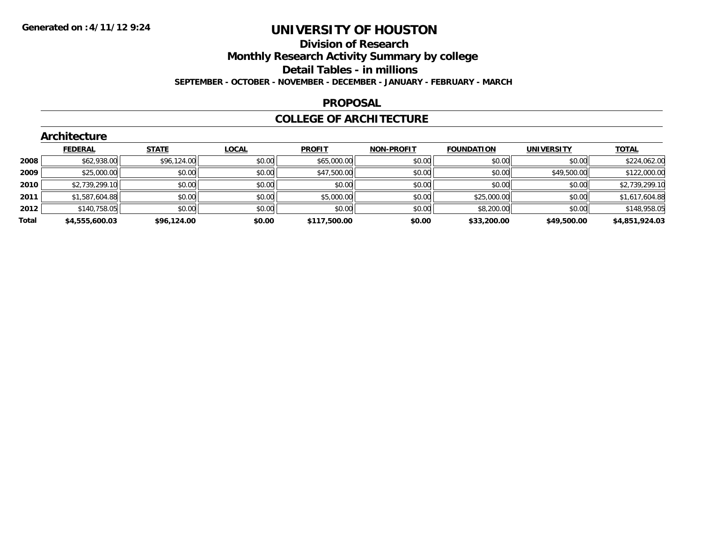### **Division of Research Monthly Research Activity Summary by college Detail Tables - in millions SEPTEMBER - OCTOBER - NOVEMBER - DECEMBER - JANUARY - FEBRUARY - MARCH**

#### **PROPOSAL**

### **COLLEGE OF ARCHITECTURE**

|       | Architecture   |              |              |               |                   |                   |                   |                |
|-------|----------------|--------------|--------------|---------------|-------------------|-------------------|-------------------|----------------|
|       | <b>FEDERAL</b> | <b>STATE</b> | <b>LOCAL</b> | <b>PROFIT</b> | <b>NON-PROFIT</b> | <b>FOUNDATION</b> | <b>UNIVERSITY</b> | <b>TOTAL</b>   |
| 2008  | \$62,938.00    | \$96,124.00  | \$0.00       | \$65,000.00   | \$0.00            | \$0.00            | \$0.00            | \$224,062.00   |
| 2009  | \$25,000.00    | \$0.00       | \$0.00       | \$47,500.00   | \$0.00            | \$0.00            | \$49,500.00       | \$122,000.00   |
| 2010  | \$2,739,299.10 | \$0.00       | \$0.00       | \$0.00        | \$0.00            | \$0.00            | \$0.00            | \$2,739,299.10 |
| 2011  | \$1,587,604.88 | \$0.00       | \$0.00       | \$5,000.00    | \$0.00            | \$25,000.00       | \$0.00            | \$1,617,604.88 |
| 2012  | \$140,758.05   | \$0.00       | \$0.00       | \$0.00        | \$0.00            | \$8,200.00        | \$0.00            | \$148,958.05   |
| Total | \$4,555,600.03 | \$96,124.00  | \$0.00       | \$117,500.00  | \$0.00            | \$33,200.00       | \$49,500.00       | \$4,851,924.03 |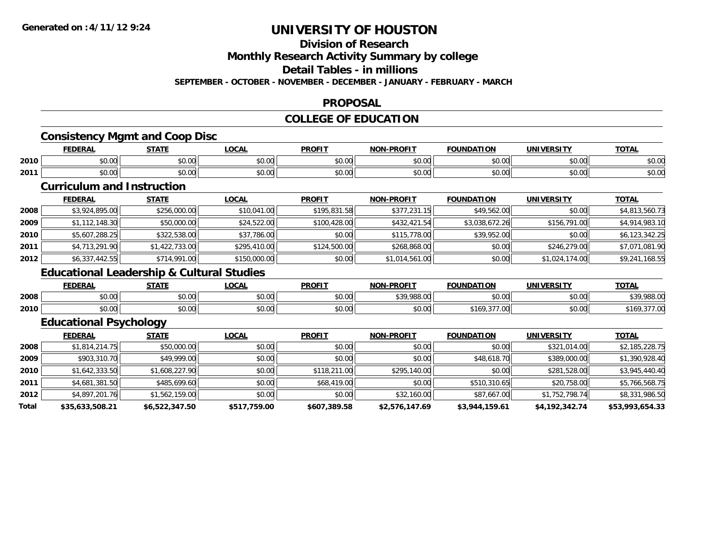# **Division of Research**

**Monthly Research Activity Summary by college**

**Detail Tables - in millions**

**SEPTEMBER - OCTOBER - NOVEMBER - DECEMBER - JANUARY - FEBRUARY - MARCH**

#### **PROPOSAL**

### **COLLEGE OF EDUCATION**

### **Consistency Mgmt and Coop Disc**

|      | <b>FEDERAL</b>                                                            | <b>CTATI</b>                 | $\sim$<br>vu.                                | <b>PROFIT</b>        | <b>PROFIT</b><br><b>NON</b> | ΊΩΝ                      | JNI<br>ne i TV | $T^{\prime}$<br>$U_{\rm L}$ |
|------|---------------------------------------------------------------------------|------------------------------|----------------------------------------------|----------------------|-----------------------------|--------------------------|----------------|-----------------------------|
| 2010 | $\begin{array}{c} \uparrow \\ \uparrow \\ \uparrow \end{array}$<br>,,,,,, | $\sim$ $\sim$ $\sim$<br>JU.U | $\triangle$ $\triangle$ $\triangle$<br>pu.uu | $\sim$ $\sim$<br>υU. | 0000<br>vv.vv               | 0.00                     | 0.001<br>PU.UU | $\sim$ $\sim$<br>⊅∪.∪       |
| 2011 | $\uparrow$<br>וטטוע                                                       | ሖ ^<br>JU.U                  | $\triangle$ $\triangle$ $\triangle$<br>wu.uu | $\sim$<br>JU.UU      | 0000<br>JU.UU               | $\overline{\phantom{a}}$ | nn nn<br>JU.UU | JU.UL                       |

### **Curriculum and Instruction**

|      | <b>FEDERAL</b> | <b>STATE</b>   | <u>LOCAL</u> | <b>PROFIT</b> | <b>NON-PROFIT</b> | <b>FOUNDATION</b> | UNIVERSITY     | <b>TOTAL</b>   |
|------|----------------|----------------|--------------|---------------|-------------------|-------------------|----------------|----------------|
| 2008 | \$3,924,895.00 | \$256,000.00   | \$10,041.00  | \$195,831.58  | \$377,231.15      | \$49,562.00       | \$0.00         | \$4,813,560.73 |
| 2009 | \$1,112,148.30 | \$50,000.00    | \$24,522.00  | \$100,428,00  | \$432,421.54      | \$3,038,672.26    | \$156,791.00   | \$4,914,983.10 |
| 2010 | \$5,607,288.25 | \$322,538.00   | \$37,786.00  | \$0.00        | \$115,778.00      | \$39,952.00       | \$0.00         | \$6,123,342.25 |
| 2011 | \$4,713,291.90 | \$1,422,733.00 | \$295,410.00 | \$124,500.00  | \$268,868.00      | \$0.00            | \$246,279.00   | \$7,071,081.90 |
| 2012 | \$6,337,442.55 | \$714,991.00   | \$150,000.00 | \$0.00        | \$1,014,561.00    | \$0.00            | \$1,024,174.00 | \$9,241,168.55 |

### **Educational Leadership & Cultural Studies**

|      | <b>FEDERAL</b> | <b>CTATE</b><br>эiai              | LOCAI          | <b>PROFIT</b> | -PROFIT<br><b>NON</b> | ΠΟΝ<br><b>COLINDAT.</b>                                  | UNIVERSITY | <b>TOTAL</b> |
|------|----------------|-----------------------------------|----------------|---------------|-----------------------|----------------------------------------------------------|------------|--------------|
| 2008 | 0000<br>pv.uu  | $\sim$ $\sim$<br>งง.งง            | ሶስ ሰሰ<br>J∪.∪∪ | \$0.00        | 0.200000              | \$0.00                                                   | \$0.00     | \$39,988.00  |
| 2010 | 0000<br>ט.טע   | $\overline{a}$<br>$\sim$<br>JU.UU | ሶስ ሰሰ<br>PO.OO | \$0.00        | \$0.00                | $\sim$ $\sim$ $\sim$<br>$\sim$<br>7.OU<br>- 109<br>,,,,, | \$0.00     | 10           |

# **Educational Psychology**

|       | <b>FEDERAL</b>  | <b>STATE</b>   | <b>LOCAL</b> | <b>PROFIT</b> | <b>NON-PROFIT</b> | <b>FOUNDATION</b> | <b>UNIVERSITY</b> | <b>TOTAL</b>    |
|-------|-----------------|----------------|--------------|---------------|-------------------|-------------------|-------------------|-----------------|
| 2008  | \$1,814,214.75  | \$50,000.00    | \$0.00       | \$0.00        | \$0.00            | \$0.00            | \$321,014.00      | \$2,185,228.75  |
| 2009  | \$903,310.70    | \$49,999.00    | \$0.00       | \$0.00        | \$0.00            | \$48,618.70       | \$389,000.00      | \$1,390,928.40  |
| 2010  | \$1,642,333.50  | \$1,608,227.90 | \$0.00       | \$118,211.00  | \$295,140.00      | \$0.00            | \$281,528.00      | \$3,945,440.40  |
| 2011  | \$4,681,381.50  | \$485,699.60   | \$0.00       | \$68,419.00   | \$0.00            | \$510,310.65      | \$20,758.00       | \$5,766,568.75  |
| 2012  | \$4,897,201.76  | \$1,562,159.00 | \$0.00       | \$0.00        | \$32,160.00       | \$87,667.00       | \$1,752,798.74    | \$8,331,986.50  |
| Total | \$35,633,508.21 | \$6,522,347.50 | \$517,759.00 | \$607,389.58  | \$2,576,147.69    | \$3,944,159.61    | \$4,192,342.74    | \$53,993,654.33 |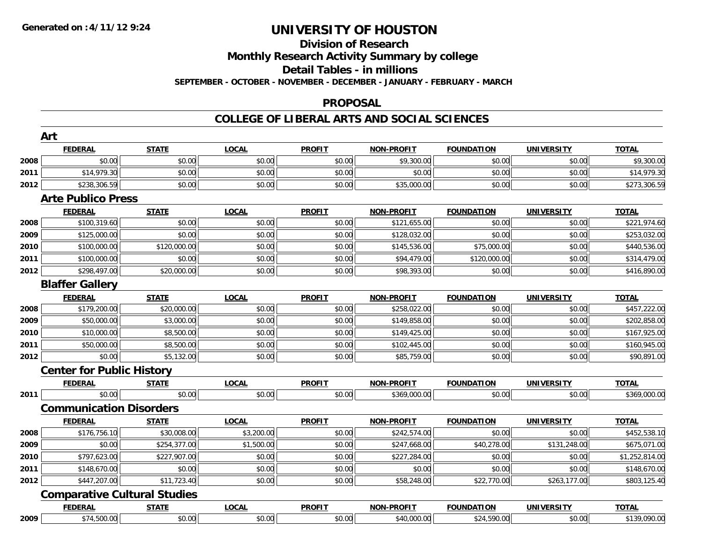### **Division of Research Monthly Research Activity Summary by college Detail Tables - in millions SEPTEMBER - OCTOBER - NOVEMBER - DECEMBER - JANUARY - FEBRUARY - MARCH**

#### **PROPOSAL**

### **COLLEGE OF LIBERAL ARTS AND SOCIAL SCIENCES**

|      | Art                              |                                     |              |               |                   |                   |                   |                |
|------|----------------------------------|-------------------------------------|--------------|---------------|-------------------|-------------------|-------------------|----------------|
|      | <b>FEDERAL</b>                   | <b>STATE</b>                        | <b>LOCAL</b> | <b>PROFIT</b> | <b>NON-PROFIT</b> | <b>FOUNDATION</b> | <b>UNIVERSITY</b> | <b>TOTAL</b>   |
| 2008 | \$0.00                           | \$0.00                              | \$0.00       | \$0.00        | \$9,300.00        | \$0.00            | \$0.00            | \$9,300.00     |
| 2011 | \$14,979.30                      | \$0.00                              | \$0.00       | \$0.00        | \$0.00            | \$0.00            | \$0.00            | \$14,979.30    |
| 2012 | \$238,306.59                     | \$0.00                              | \$0.00       | \$0.00        | \$35,000.00       | \$0.00            | \$0.00            | \$273,306.59   |
|      | <b>Arte Publico Press</b>        |                                     |              |               |                   |                   |                   |                |
|      | <b>FEDERAL</b>                   | <b>STATE</b>                        | <b>LOCAL</b> | <b>PROFIT</b> | <b>NON-PROFIT</b> | <b>FOUNDATION</b> | <b>UNIVERSITY</b> | <b>TOTAL</b>   |
| 2008 | \$100,319.60                     | \$0.00                              | \$0.00       | \$0.00        | \$121,655.00      | \$0.00            | \$0.00            | \$221,974.60   |
| 2009 | \$125,000.00                     | \$0.00                              | \$0.00       | \$0.00        | \$128,032.00      | \$0.00            | \$0.00            | \$253,032.00   |
| 2010 | \$100,000.00                     | \$120,000.00                        | \$0.00       | \$0.00        | \$145,536.00      | \$75,000.00       | \$0.00            | \$440,536.00   |
| 2011 | \$100,000.00                     | \$0.00                              | \$0.00       | \$0.00        | \$94,479.00       | \$120,000.00      | \$0.00            | \$314,479.00   |
| 2012 | \$298,497.00                     | \$20,000.00                         | \$0.00       | \$0.00        | \$98,393.00       | \$0.00            | \$0.00            | \$416,890.00   |
|      | <b>Blaffer Gallery</b>           |                                     |              |               |                   |                   |                   |                |
|      | <b>FEDERAL</b>                   | <b>STATE</b>                        | <b>LOCAL</b> | <b>PROFIT</b> | <b>NON-PROFIT</b> | <b>FOUNDATION</b> | <b>UNIVERSITY</b> | <b>TOTAL</b>   |
| 2008 | \$179,200.00                     | \$20,000.00                         | \$0.00       | \$0.00        | \$258,022.00      | \$0.00            | \$0.00            | \$457,222.00   |
| 2009 | \$50,000.00                      | \$3,000.00                          | \$0.00       | \$0.00        | \$149,858.00      | \$0.00            | \$0.00            | \$202,858.00   |
| 2010 | \$10,000.00                      | \$8,500.00                          | \$0.00       | \$0.00        | \$149,425.00      | \$0.00            | \$0.00            | \$167,925.00   |
| 2011 | \$50,000.00                      | \$8,500.00                          | \$0.00       | \$0.00        | \$102,445.00      | \$0.00            | \$0.00            | \$160,945.00   |
| 2012 | \$0.00                           | \$5,132.00                          | \$0.00       | \$0.00        | \$85,759.00       | \$0.00            | \$0.00            | \$90,891.00    |
|      | <b>Center for Public History</b> |                                     |              |               |                   |                   |                   |                |
|      | <u>FEDERAL</u>                   | <b>STATE</b>                        | <b>LOCAL</b> | <b>PROFIT</b> | NON-PROFIT        | <b>FOUNDATION</b> | <b>UNIVERSITY</b> | <b>TOTAL</b>   |
| 2011 | \$0.00                           | \$0.00                              | \$0.00       | \$0.00        | \$369,000.00      | \$0.00            | \$0.00            | \$369,000.00   |
|      | <b>Communication Disorders</b>   |                                     |              |               |                   |                   |                   |                |
|      | <b>FEDERAL</b>                   | <b>STATE</b>                        | <b>LOCAL</b> | <b>PROFIT</b> | <b>NON-PROFIT</b> | <b>FOUNDATION</b> | <b>UNIVERSITY</b> | <b>TOTAL</b>   |
| 2008 | \$176,756.10                     | \$30,008.00                         | \$3,200.00   | \$0.00        | \$242,574.00      | \$0.00            | \$0.00            | \$452,538.10   |
| 2009 | \$0.00                           | \$254,377.00                        | \$1,500.00   | \$0.00        | \$247,668.00      | \$40,278.00       | \$131,248.00      | \$675,071.00   |
| 2010 | \$797,623.00                     | \$227,907.00                        | \$0.00       | \$0.00        | \$227,284.00      | \$0.00            | \$0.00            | \$1,252,814.00 |
| 2011 | \$148,670.00                     | \$0.00                              | \$0.00       | \$0.00        | \$0.00            | \$0.00            | \$0.00            | \$148,670.00   |
| 2012 | \$447,207.00                     | \$11,723.40                         | \$0.00       | \$0.00        | \$58,248.00       | \$22,770.00       | \$263,177.00      | \$803,125.40   |
|      |                                  | <b>Comparative Cultural Studies</b> |              |               |                   |                   |                   |                |
|      | <b>FEDERAL</b>                   | <b>STATE</b>                        | <b>LOCAL</b> | <b>PROFIT</b> | <b>NON-PROFIT</b> | <b>FOUNDATION</b> | <b>UNIVERSITY</b> | <b>TOTAL</b>   |
| 2009 | \$74,500.00                      | \$0.00                              | \$0.00       | \$0.00        | \$40,000.00       | \$24,590.00       | \$0.00            | \$139,090.00   |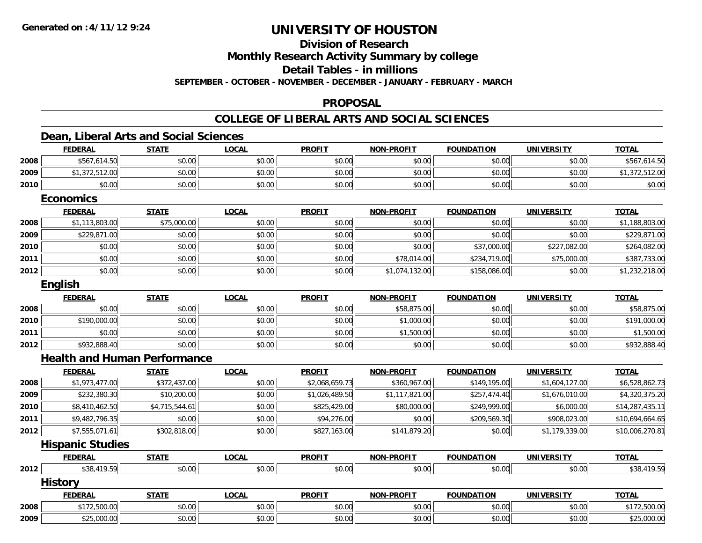# **Division of Research**

**Monthly Research Activity Summary by college**

**Detail Tables - in millions**

**SEPTEMBER - OCTOBER - NOVEMBER - DECEMBER - JANUARY - FEBRUARY - MARCH**

#### **PROPOSAL**

### **COLLEGE OF LIBERAL ARTS AND SOCIAL SCIENCES**

### **Dean, Liberal Arts and Social Sciences**

|      | <b>FEDERAL</b>                      | <b>STATE</b>   | <b>LOCAL</b> | <b>PROFIT</b>  | <b>NON-PROFIT</b> | <b>FOUNDATION</b> | <b>UNIVERSITY</b> | <b>TOTAL</b>    |
|------|-------------------------------------|----------------|--------------|----------------|-------------------|-------------------|-------------------|-----------------|
| 2008 | \$567,614.50                        | \$0.00         | \$0.00       | \$0.00         | \$0.00            | \$0.00            | \$0.00            | \$567,614.50    |
| 2009 | \$1,372,512.00                      | \$0.00         | \$0.00       | \$0.00         | \$0.00            | \$0.00            | \$0.00            | \$1,372,512.00  |
| 2010 | \$0.00                              | \$0.00         | \$0.00       | \$0.00         | \$0.00            | \$0.00            | \$0.00            | \$0.00          |
|      | <b>Economics</b>                    |                |              |                |                   |                   |                   |                 |
|      | <b>FEDERAL</b>                      | <b>STATE</b>   | <b>LOCAL</b> | <b>PROFIT</b>  | <b>NON-PROFIT</b> | <b>FOUNDATION</b> | <b>UNIVERSITY</b> | <b>TOTAL</b>    |
| 2008 | \$1,113,803.00                      | \$75,000.00    | \$0.00       | \$0.00         | \$0.00            | \$0.00            | \$0.00            | \$1,188,803.00  |
| 2009 | \$229,871.00                        | \$0.00         | \$0.00       | \$0.00         | \$0.00            | \$0.00            | \$0.00            | \$229,871.00    |
| 2010 | \$0.00                              | \$0.00         | \$0.00       | \$0.00         | \$0.00            | \$37,000.00       | \$227,082.00      | \$264,082.00    |
| 2011 | \$0.00                              | \$0.00         | \$0.00       | \$0.00         | \$78,014.00       | \$234,719.00      | \$75,000.00       | \$387,733.00    |
| 2012 | \$0.00                              | \$0.00         | \$0.00       | \$0.00         | \$1,074,132.00    | \$158,086.00      | \$0.00            | \$1,232,218.00  |
|      | English                             |                |              |                |                   |                   |                   |                 |
|      | <b>FEDERAL</b>                      | <b>STATE</b>   | <b>LOCAL</b> | <b>PROFIT</b>  | <b>NON-PROFIT</b> | <b>FOUNDATION</b> | <b>UNIVERSITY</b> | <b>TOTAL</b>    |
| 2008 | \$0.00                              | \$0.00         | \$0.00       | \$0.00         | \$58,875.00       | \$0.00            | \$0.00            | \$58,875.00     |
| 2010 | \$190,000.00                        | \$0.00         | \$0.00       | \$0.00         | \$1,000.00        | \$0.00            | \$0.00            | \$191,000.00    |
| 2011 | \$0.00                              | \$0.00         | \$0.00       | \$0.00         | \$1,500.00        | \$0.00            | \$0.00            | \$1,500.00      |
| 2012 | \$932,888.40                        | \$0.00         | \$0.00       | \$0.00         | \$0.00            | \$0.00            | \$0.00            | \$932,888.40    |
|      | <b>Health and Human Performance</b> |                |              |                |                   |                   |                   |                 |
|      | <b>FEDERAL</b>                      | <b>STATE</b>   | <b>LOCAL</b> | <b>PROFIT</b>  | <b>NON-PROFIT</b> | <b>FOUNDATION</b> | <b>UNIVERSITY</b> | <b>TOTAL</b>    |
| 2008 | \$1,973,477.00                      | \$372,437.00   | \$0.00       | \$2,068,659.73 | \$360,967.00      | \$149,195.00      | \$1,604,127.00    | \$6,528,862.73  |
| 2009 | \$232,380.30                        | \$10,200.00    | \$0.00       | \$1,026,489.50 | \$1,117,821.00    | \$257,474.40      | \$1,676,010.00    | \$4,320,375.20  |
| 2010 | \$8,410,462.50                      | \$4,715,544.61 | \$0.00       | \$825,429.00   | \$80,000.00       | \$249,999.00      | \$6,000.00        | \$14,287,435.11 |
| 2011 | \$9,482,796.35                      | \$0.00         | \$0.00       | \$94,276.00    | \$0.00            | \$209,569.30      | \$908,023.00      | \$10,694,664.65 |
| 2012 | \$7,555,071.61                      | \$302,818.00   | \$0.00       | \$827,163.00   | \$141,879.20      | \$0.00            | \$1,179,339.00    | \$10,006,270.81 |
|      | <b>Hispanic Studies</b>             |                |              |                |                   |                   |                   |                 |
|      | <b>FEDERAL</b>                      | <b>STATE</b>   | <b>LOCAL</b> | <b>PROFIT</b>  | <b>NON-PROFIT</b> | <b>FOUNDATION</b> | <b>UNIVERSITY</b> | <b>TOTAL</b>    |
| 2012 | \$38,419.59                         | \$0.00         | \$0.00       | \$0.00         | \$0.00            | \$0.00            | \$0.00            | \$38,419.59     |
|      | <b>History</b>                      |                |              |                |                   |                   |                   |                 |
|      | <b>FEDERAL</b>                      | <b>STATE</b>   | <b>LOCAL</b> | <b>PROFIT</b>  | <b>NON-PROFIT</b> | <b>FOUNDATION</b> | <b>UNIVERSITY</b> | <b>TOTAL</b>    |
| 2008 | \$172,500.00                        | \$0.00         | \$0.00       | \$0.00         | \$0.00            | \$0.00            | \$0.00            | \$172,500.00    |
| 2009 | \$25,000.00                         | \$0.00         | \$0.00       | \$0.00         | \$0.00            | \$0.00            | \$0.00            | \$25,000.00     |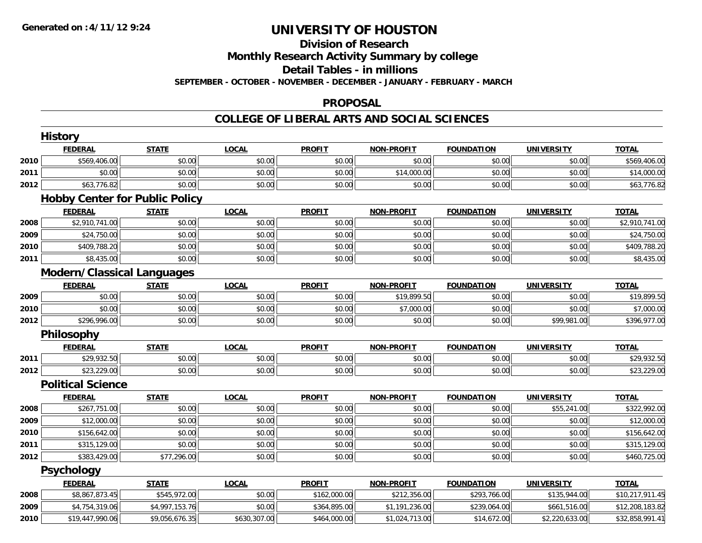# **Division of Research**

**Monthly Research Activity Summary by college**

**Detail Tables - in millions**

**SEPTEMBER - OCTOBER - NOVEMBER - DECEMBER - JANUARY - FEBRUARY - MARCH**

### **PROPOSAL**

### **COLLEGE OF LIBERAL ARTS AND SOCIAL SCIENCES**

|      | <b>History</b>                        |                |              |               |                   |                   |                   |                 |
|------|---------------------------------------|----------------|--------------|---------------|-------------------|-------------------|-------------------|-----------------|
|      | <b>FEDERAL</b>                        | <b>STATE</b>   | <b>LOCAL</b> | <b>PROFIT</b> | <b>NON-PROFIT</b> | <b>FOUNDATION</b> | <b>UNIVERSITY</b> | <b>TOTAL</b>    |
| 2010 | \$569,406.00                          | \$0.00         | \$0.00       | \$0.00        | \$0.00            | \$0.00            | \$0.00            | \$569,406.00    |
| 2011 | \$0.00                                | \$0.00         | \$0.00       | \$0.00        | \$14,000.00       | \$0.00            | \$0.00            | \$14,000.00     |
| 2012 | \$63,776.82                           | \$0.00         | \$0.00       | \$0.00        | \$0.00            | \$0.00            | \$0.00            | \$63,776.82     |
|      | <b>Hobby Center for Public Policy</b> |                |              |               |                   |                   |                   |                 |
|      | <b>FEDERAL</b>                        | <b>STATE</b>   | <b>LOCAL</b> | <b>PROFIT</b> | <b>NON-PROFIT</b> | <b>FOUNDATION</b> | <b>UNIVERSITY</b> | <b>TOTAL</b>    |
| 2008 | \$2,910,741.00                        | \$0.00         | \$0.00       | \$0.00        | \$0.00            | \$0.00            | \$0.00            | \$2,910,741.00  |
| 2009 | \$24,750.00                           | \$0.00         | \$0.00       | \$0.00        | \$0.00            | \$0.00            | \$0.00            | \$24,750.00     |
| 2010 | \$409,788.20                          | \$0.00         | \$0.00       | \$0.00        | \$0.00            | \$0.00            | \$0.00            | \$409,788.20    |
| 2011 | \$8,435.00                            | \$0.00         | \$0.00       | \$0.00        | \$0.00            | \$0.00            | \$0.00            | \$8,435.00      |
|      | <b>Modern/Classical Languages</b>     |                |              |               |                   |                   |                   |                 |
|      | <b>FEDERAL</b>                        | <b>STATE</b>   | <b>LOCAL</b> | <b>PROFIT</b> | <b>NON-PROFIT</b> | <b>FOUNDATION</b> | <b>UNIVERSITY</b> | <b>TOTAL</b>    |
| 2009 | \$0.00                                | \$0.00         | \$0.00       | \$0.00        | \$19,899.50       | \$0.00            | \$0.00            | \$19,899.50     |
| 2010 | \$0.00                                | \$0.00         | \$0.00       | \$0.00        | \$7,000.00        | \$0.00            | \$0.00            | \$7,000.00      |
| 2012 | \$296,996.00                          | \$0.00         | \$0.00       | \$0.00        | \$0.00            | \$0.00            | \$99,981.00       | \$396,977.00    |
|      | <b>Philosophy</b>                     |                |              |               |                   |                   |                   |                 |
|      | <b>FEDERAL</b>                        | <b>STATE</b>   | <b>LOCAL</b> | <b>PROFIT</b> | <b>NON-PROFIT</b> | <b>FOUNDATION</b> | <b>UNIVERSITY</b> | <b>TOTAL</b>    |
| 2011 | \$29,932.50                           | \$0.00         | \$0.00       | \$0.00        | \$0.00            | \$0.00            | \$0.00            | \$29,932.50     |
| 2012 | \$23,229.00                           | \$0.00         | \$0.00       | \$0.00        | \$0.00            | \$0.00            | \$0.00            | \$23,229.00     |
|      | <b>Political Science</b>              |                |              |               |                   |                   |                   |                 |
|      | <b>FEDERAL</b>                        | <b>STATE</b>   | <b>LOCAL</b> | <b>PROFIT</b> | <b>NON-PROFIT</b> | <b>FOUNDATION</b> | <b>UNIVERSITY</b> | <b>TOTAL</b>    |
| 2008 | \$267,751.00                          | \$0.00         | \$0.00       | \$0.00        | \$0.00            | \$0.00            | \$55,241.00       | \$322,992.00    |
| 2009 | \$12,000.00                           | \$0.00         | \$0.00       | \$0.00        | \$0.00            | \$0.00            | \$0.00            | \$12,000.00     |
| 2010 | \$156,642.00                          | \$0.00         | \$0.00       | \$0.00        | \$0.00            | \$0.00            | \$0.00            | \$156,642.00    |
| 2011 | \$315,129.00                          | \$0.00         | \$0.00       | \$0.00        | \$0.00            | \$0.00            | \$0.00            | \$315,129.00    |
| 2012 | \$383,429.00                          | \$77,296.00    | \$0.00       | \$0.00        | \$0.00            | \$0.00            | \$0.00            | \$460,725.00    |
|      | <b>Psychology</b>                     |                |              |               |                   |                   |                   |                 |
|      | <b>FEDERAL</b>                        | <b>STATE</b>   | <b>LOCAL</b> | <b>PROFIT</b> | <b>NON-PROFIT</b> | <b>FOUNDATION</b> | <b>UNIVERSITY</b> | <b>TOTAL</b>    |
| 2008 | \$8,867,873.45                        | \$545,972.00   | \$0.00       | \$162,000.00  | \$212,356.00      | \$293,766.00      | \$135,944.00      | \$10,217,911.45 |
| 2009 | \$4,754,319.06                        | \$4,997,153.76 | \$0.00       | \$364,895.00  | \$1,191,236.00    | \$239,064.00      | \$661,516.00      | \$12,208,183.82 |
| 2010 | \$19,447,990.06                       | \$9,056,676.35 | \$630,307.00 | \$464,000.00  | \$1,024,713.00    | \$14,672.00       | \$2,220,633.00    | \$32,858,991.41 |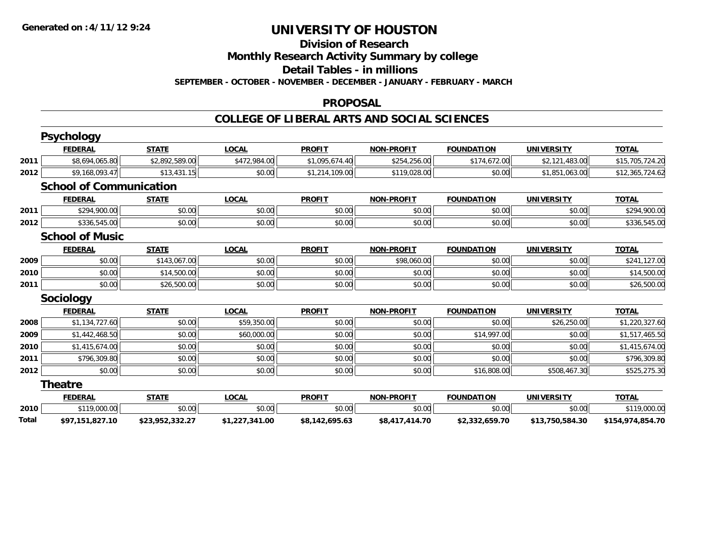# **Division of Research**

**Monthly Research Activity Summary by college**

**Detail Tables - in millions**

**SEPTEMBER - OCTOBER - NOVEMBER - DECEMBER - JANUARY - FEBRUARY - MARCH**

#### **PROPOSAL**

#### **COLLEGE OF LIBERAL ARTS AND SOCIAL SCIENCES**

|       | <b>Psychology</b>              |                 |                |                |                   |                   |                   |                  |
|-------|--------------------------------|-----------------|----------------|----------------|-------------------|-------------------|-------------------|------------------|
|       | <b>FEDERAL</b>                 | <b>STATE</b>    | <b>LOCAL</b>   | <b>PROFIT</b>  | <b>NON-PROFIT</b> | <b>FOUNDATION</b> | <b>UNIVERSITY</b> | <b>TOTAL</b>     |
| 2011  | \$8,694,065.80                 | \$2,892,589.00  | \$472,984.00   | \$1,095,674.40 | \$254,256.00      | \$174,672.00      | \$2,121,483.00    | \$15,705,724.20  |
| 2012  | \$9,168,093.47                 | \$13,431.15     | \$0.00         | \$1,214,109.00 | \$119,028.00      | \$0.00            | \$1,851,063.00    | \$12,365,724.62  |
|       | <b>School of Communication</b> |                 |                |                |                   |                   |                   |                  |
|       | <b>FEDERAL</b>                 | <b>STATE</b>    | <b>LOCAL</b>   | <b>PROFIT</b>  | <b>NON-PROFIT</b> | <b>FOUNDATION</b> | <b>UNIVERSITY</b> | <b>TOTAL</b>     |
| 2011  | \$294,900.00                   | \$0.00          | \$0.00         | \$0.00         | \$0.00            | \$0.00            | \$0.00            | \$294,900.00     |
| 2012  | \$336,545.00                   | \$0.00          | \$0.00         | \$0.00         | \$0.00            | \$0.00            | \$0.00            | \$336,545.00     |
|       | <b>School of Music</b>         |                 |                |                |                   |                   |                   |                  |
|       | <b>FEDERAL</b>                 | <b>STATE</b>    | <b>LOCAL</b>   | <b>PROFIT</b>  | <b>NON-PROFIT</b> | <b>FOUNDATION</b> | <b>UNIVERSITY</b> | <b>TOTAL</b>     |
| 2009  | \$0.00                         | \$143,067.00    | \$0.00         | \$0.00         | \$98,060.00       | \$0.00            | \$0.00            | \$241,127.00     |
| 2010  | \$0.00                         | \$14,500.00     | \$0.00         | \$0.00         | \$0.00            | \$0.00            | \$0.00            | \$14,500.00      |
| 2011  | \$0.00                         | \$26,500.00     | \$0.00         | \$0.00         | \$0.00            | \$0.00            | \$0.00            | \$26,500.00      |
|       | Sociology                      |                 |                |                |                   |                   |                   |                  |
|       | <b>FEDERAL</b>                 | <b>STATE</b>    | <b>LOCAL</b>   | <b>PROFIT</b>  | <b>NON-PROFIT</b> | <b>FOUNDATION</b> | <b>UNIVERSITY</b> | <b>TOTAL</b>     |
| 2008  | \$1,134,727.60                 | \$0.00          | \$59,350.00    | \$0.00         | \$0.00            | \$0.00            | \$26,250.00       | \$1,220,327.60   |
| 2009  | \$1,442,468.50                 | \$0.00          | \$60,000.00    | \$0.00         | \$0.00            | \$14,997.00       | \$0.00            | \$1,517,465.50   |
| 2010  | \$1,415,674.00                 | \$0.00          | \$0.00         | \$0.00         | \$0.00            | \$0.00            | \$0.00            | \$1,415,674.00   |
| 2011  | \$796,309.80                   | \$0.00          | \$0.00         | \$0.00         | \$0.00            | \$0.00            | \$0.00            | \$796,309.80     |
| 2012  | \$0.00                         | \$0.00          | \$0.00         | \$0.00         | \$0.00            | \$16,808.00       | \$508,467.30      | \$525,275.30     |
|       | <b>Theatre</b>                 |                 |                |                |                   |                   |                   |                  |
|       | <b>FEDERAL</b>                 | <b>STATE</b>    | <b>LOCAL</b>   | <b>PROFIT</b>  | <b>NON-PROFIT</b> | <b>FOUNDATION</b> | <b>UNIVERSITY</b> | <b>TOTAL</b>     |
| 2010  | \$119,000.00                   | \$0.00          | \$0.00         | \$0.00         | \$0.00            | \$0.00            | \$0.00            | \$119,000.00     |
| Total | \$97,151,827.10                | \$23,952,332.27 | \$1,227,341.00 | \$8,142,695.63 | \$8,417,414.70    | \$2,332,659.70    | \$13,750,584.30   | \$154,974,854.70 |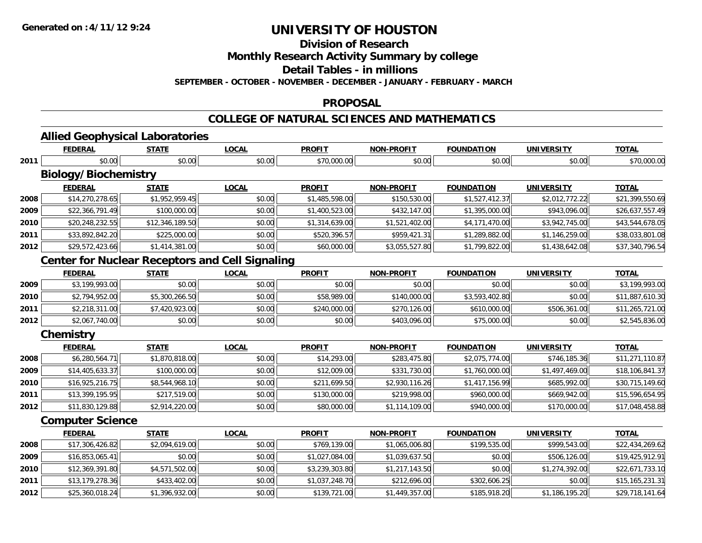**2012**

# **UNIVERSITY OF HOUSTON**

**Division of Research**

**Monthly Research Activity Summary by college**

**Detail Tables - in millions**

**SEPTEMBER - OCTOBER - NOVEMBER - DECEMBER - JANUARY - FEBRUARY - MARCH**

#### **PROPOSAL**

### **COLLEGE OF NATURAL SCIENCES AND MATHEMATICS**

|      | <b>Allied Geophysical Laboratories</b>                 |                 |              |                |                   |                   |                   |                 |
|------|--------------------------------------------------------|-----------------|--------------|----------------|-------------------|-------------------|-------------------|-----------------|
|      | <b>FEDERAL</b>                                         | <b>STATE</b>    | <b>LOCAL</b> | <b>PROFIT</b>  | <b>NON-PROFIT</b> | <b>FOUNDATION</b> | <b>UNIVERSITY</b> | <b>TOTAL</b>    |
| 2011 | \$0.00                                                 | \$0.00          | \$0.00       | \$70,000.00    | \$0.00            | \$0.00            | \$0.00            | \$70,000.00     |
|      | <b>Biology/Biochemistry</b>                            |                 |              |                |                   |                   |                   |                 |
|      | <b>FEDERAL</b>                                         | <b>STATE</b>    | <b>LOCAL</b> | <b>PROFIT</b>  | <b>NON-PROFIT</b> | <b>FOUNDATION</b> | <b>UNIVERSITY</b> | <b>TOTAL</b>    |
| 2008 | \$14,270,278.65                                        | \$1,952,959.45  | \$0.00       | \$1,485,598.00 | \$150,530.00      | \$1,527,412.37    | \$2,012,772.22    | \$21,399,550.69 |
| 2009 | \$22,366,791.49                                        | \$100,000.00    | \$0.00       | \$1,400,523.00 | \$432,147.00      | \$1,395,000.00    | \$943,096.00      | \$26,637,557.49 |
| 2010 | \$20,248,232.55                                        | \$12,346,189.50 | \$0.00       | \$1,314,639.00 | \$1,521,402.00    | \$4,171,470.00    | \$3,942,745.00    | \$43,544,678.05 |
| 2011 | \$33,892,842.20                                        | \$225,000.00    | \$0.00       | \$520,396.57   | \$959,421.31      | \$1,289,882.00    | \$1,146,259.00    | \$38,033,801.08 |
| 2012 | \$29,572,423.66                                        | \$1,414,381.00  | \$0.00       | \$60,000.00    | \$3,055,527.80    | \$1,799,822.00    | \$1,438,642.08    | \$37,340,796.54 |
|      | <b>Center for Nuclear Receptors and Cell Signaling</b> |                 |              |                |                   |                   |                   |                 |
|      | <b>FEDERAL</b>                                         | <b>STATE</b>    | <b>LOCAL</b> | <b>PROFIT</b>  | <b>NON-PROFIT</b> | <b>FOUNDATION</b> | <b>UNIVERSITY</b> | <b>TOTAL</b>    |
| 2009 | \$3,199,993.00                                         | \$0.00          | \$0.00       | \$0.00         | \$0.00            | \$0.00            | \$0.00            | \$3,199,993.00  |
| 2010 | \$2,794,952.00                                         | \$5,300,266.50  | \$0.00       | \$58,989.00    | \$140,000.00      | \$3,593,402.80    | \$0.00            | \$11,887,610.30 |
| 2011 | \$2,218,311.00                                         | \$7,420,923.00  | \$0.00       | \$240,000.00   | \$270,126.00      | \$610,000.00      | \$506,361.00      | \$11,265,721.00 |
| 2012 | \$2,067,740.00                                         | \$0.00          | \$0.00       | \$0.00         | \$403,096.00      | \$75,000.00       | \$0.00            | \$2,545,836.00  |
|      | Chemistry                                              |                 |              |                |                   |                   |                   |                 |
|      | <b>FEDERAL</b>                                         | <b>STATE</b>    | <b>LOCAL</b> | <b>PROFIT</b>  | <b>NON-PROFIT</b> | <b>FOUNDATION</b> | <b>UNIVERSITY</b> | <b>TOTAL</b>    |
| 2008 | \$6,280,564.71                                         | \$1,870,818.00  | \$0.00       | \$14,293.00    | \$283,475.80      | \$2,075,774.00    | \$746,185.36      | \$11,271,110.87 |
| 2009 | \$14,405,633.37                                        | \$100,000.00    | \$0.00       | \$12,009.00    | \$331,730.00      | \$1,760,000.00    | \$1,497,469.00    | \$18,106,841.37 |
| 2010 | \$16,925,216.75                                        | \$8,544,968.10  | \$0.00       | \$211,699.50   | \$2,930,116.26    | \$1,417,156.99    | \$685,992.00      | \$30,715,149.60 |
| 2011 | \$13,399,195.95                                        | \$217,519.00    | \$0.00       | \$130,000.00   | \$219,998.00      | \$960,000.00      | \$669,942.00      | \$15,596,654.95 |
| 2012 | \$11,830,129.88                                        | \$2,914,220.00  | \$0.00       | \$80,000.00    | \$1,114,109.00    | \$940,000.00      | \$170,000.00      | \$17,048,458.88 |
|      | <b>Computer Science</b>                                |                 |              |                |                   |                   |                   |                 |
|      | <b>FEDERAL</b>                                         | <b>STATE</b>    | <b>LOCAL</b> | <b>PROFIT</b>  | <b>NON-PROFIT</b> | <b>FOUNDATION</b> | <b>UNIVERSITY</b> | <b>TOTAL</b>    |
| 2008 | \$17,306,426.82                                        | \$2,094,619.00  | \$0.00       | \$769,139.00   | \$1,065,006.80    | \$199,535.00      | \$999,543.00      | \$22,434,269.62 |
| 2009 | \$16,853,065.41                                        | \$0.00          | \$0.00       | \$1,027,084.00 | \$1,039,637.50    | \$0.00            | \$506,126.00      | \$19,425,912.91 |
| 2010 | \$12,369,391.80                                        | \$4,571,502.00  | \$0.00       | \$3,239,303.80 | \$1,217,143.50    | \$0.00            | \$1,274,392.00    | \$22,671,733.10 |
| 2011 | \$13,179,278.36                                        | \$433,402.00    | \$0.00       | \$1,037,248.70 | \$212,696.00      | \$302,606.25      | \$0.00            | \$15,165,231.31 |

\$25,360,018.24 \$1,396,932.00 \$0.00 \$139,721.00 \$1,449,357.00 \$185,918.20 \$1,186,195.20 \$29,718,141.64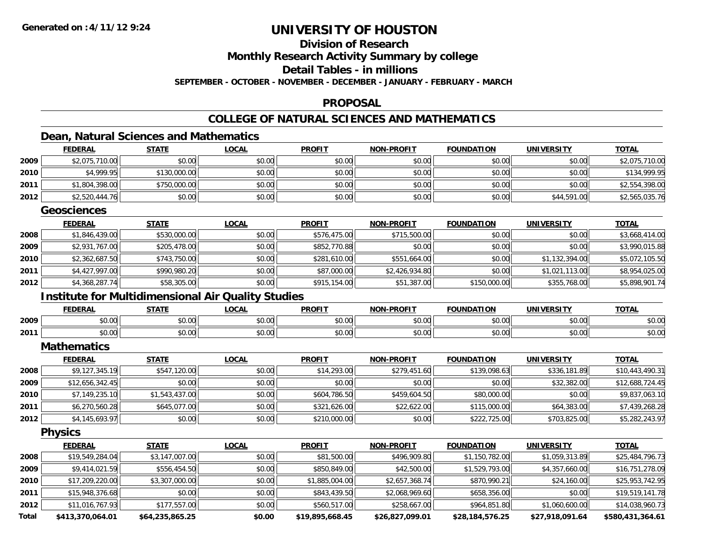# **Division of Research**

**Monthly Research Activity Summary by college**

**Detail Tables - in millions**

**SEPTEMBER - OCTOBER - NOVEMBER - DECEMBER - JANUARY - FEBRUARY - MARCH**

### **PROPOSAL**

### **COLLEGE OF NATURAL SCIENCES AND MATHEMATICS**

### **Dean, Natural Sciences and Mathematics**

|       | <b>FEDERAL</b>                                            | <b>STATE</b>    | <b>LOCAL</b> | <b>PROFIT</b>   | <b>NON-PROFIT</b> | <b>FOUNDATION</b> | <b>UNIVERSITY</b> | <b>TOTAL</b>     |
|-------|-----------------------------------------------------------|-----------------|--------------|-----------------|-------------------|-------------------|-------------------|------------------|
| 2009  | \$2,075,710.00                                            | \$0.00          | \$0.00       | \$0.00          | \$0.00            | \$0.00            | \$0.00            | \$2,075,710.00   |
| 2010  | \$4,999.95                                                | \$130,000.00    | \$0.00       | \$0.00          | \$0.00            | \$0.00            | \$0.00            | \$134,999.95     |
| 2011  | \$1,804,398.00                                            | \$750,000.00    | \$0.00       | \$0.00          | \$0.00            | \$0.00            | \$0.00            | \$2,554,398.00   |
| 2012  | \$2,520,444.76                                            | \$0.00          | \$0.00       | \$0.00          | \$0.00            | \$0.00            | \$44,591.00       | \$2,565,035.76   |
|       | <b>Geosciences</b>                                        |                 |              |                 |                   |                   |                   |                  |
|       | <b>FEDERAL</b>                                            | <b>STATE</b>    | <b>LOCAL</b> | <b>PROFIT</b>   | <b>NON-PROFIT</b> | <b>FOUNDATION</b> | <b>UNIVERSITY</b> | <b>TOTAL</b>     |
| 2008  | \$1,846,439.00                                            | \$530,000.00    | \$0.00       | \$576,475.00    | \$715,500.00      | \$0.00            | \$0.00            | \$3,668,414.00   |
| 2009  | \$2,931,767.00                                            | \$205,478.00    | \$0.00       | \$852,770.88    | \$0.00            | \$0.00            | \$0.00            | \$3,990,015.88   |
| 2010  | \$2,362,687.50                                            | \$743,750.00    | \$0.00       | \$281,610.00    | \$551,664.00      | \$0.00            | \$1,132,394.00    | \$5,072,105.50   |
| 2011  | \$4,427,997.00                                            | \$990,980.20    | \$0.00       | \$87,000.00     | \$2,426,934.80    | \$0.00            | \$1,021,113.00    | \$8,954,025.00   |
| 2012  | \$4,368,287.74                                            | \$58,305.00     | \$0.00       | \$915,154.00    | \$51,387.00       | \$150,000.00      | \$355,768.00      | \$5,898,901.74   |
|       | <b>Institute for Multidimensional Air Quality Studies</b> |                 |              |                 |                   |                   |                   |                  |
|       | <b>FEDERAL</b>                                            | <b>STATE</b>    | <b>LOCAL</b> | <b>PROFIT</b>   | <b>NON-PROFIT</b> | <b>FOUNDATION</b> | <b>UNIVERSITY</b> | <b>TOTAL</b>     |
| 2009  | \$0.00                                                    | \$0.00          | \$0.00       | \$0.00          | \$0.00            | \$0.00            | \$0.00            | \$0.00           |
| 2011  | \$0.00                                                    | \$0.00          | \$0.00       | \$0.00          | \$0.00            | \$0.00            | \$0.00            | \$0.00           |
|       | <b>Mathematics</b>                                        |                 |              |                 |                   |                   |                   |                  |
|       | <b>FEDERAL</b>                                            | <b>STATE</b>    | <b>LOCAL</b> | <b>PROFIT</b>   | <b>NON-PROFIT</b> | <b>FOUNDATION</b> | <b>UNIVERSITY</b> | <b>TOTAL</b>     |
| 2008  | \$9,127,345.19                                            | \$547,120.00    | \$0.00       | \$14,293.00     | \$279,451.60      | \$139,098.63      | \$336,181.89      | \$10,443,490.31  |
| 2009  | \$12,656,342.45                                           | \$0.00          | \$0.00       | \$0.00          | \$0.00            | \$0.00            | \$32,382.00       | \$12,688,724.45  |
| 2010  | \$7,149,235.10                                            | \$1,543,437.00  | \$0.00       | \$604,786.50    | \$459,604.50      | \$80,000.00       | \$0.00            | \$9,837,063.10   |
| 2011  | \$6,270,560.28                                            | \$645,077.00    | \$0.00       | \$321,626.00    | \$22,622.00       | \$115,000.00      | \$64,383.00       | \$7,439,268.28   |
| 2012  | \$4,145,693.97                                            | \$0.00          | \$0.00       | \$210,000.00    | \$0.00            | \$222,725.00      | \$703,825.00      | \$5,282,243.97   |
|       | <b>Physics</b>                                            |                 |              |                 |                   |                   |                   |                  |
|       | <b>FEDERAL</b>                                            | <b>STATE</b>    | <b>LOCAL</b> | <b>PROFIT</b>   | <b>NON-PROFIT</b> | <b>FOUNDATION</b> | <b>UNIVERSITY</b> | <b>TOTAL</b>     |
| 2008  | \$19,549,284.04                                           | \$3,147,007.00  | \$0.00       | \$81,500.00     | \$496,909.80      | \$1,150,782.00    | \$1,059,313.89    | \$25,484,796.73  |
| 2009  | \$9,414,021.59                                            | \$556,454.50    | \$0.00       | \$850,849.00    | \$42,500.00       | \$1,529,793.00    | \$4,357,660.00    | \$16,751,278.09  |
| 2010  | \$17,209,220.00                                           | \$3,307,000.00  | \$0.00       | \$1,885,004.00  | \$2,657,368.74    | \$870,990.21      | \$24,160.00       | \$25,953,742.95  |
| 2011  | \$15,948,376.68                                           | \$0.00          | \$0.00       | \$843,439.50    | \$2,068,969.60    | \$658,356.00      | \$0.00            | \$19,519,141.78  |
| 2012  | \$11,016,767.93                                           | \$177,557.00    | \$0.00       | \$560,517.00    | \$258,667.00      | \$964,851.80      | \$1,060,600.00    | \$14,038,960.73  |
| Total | \$413,370,064.01                                          | \$64,235,865.25 | \$0.00       | \$19,895,668.45 | \$26.827.099.01   | \$28,184,576.25   | \$27.918.091.64   | \$580.431.364.61 |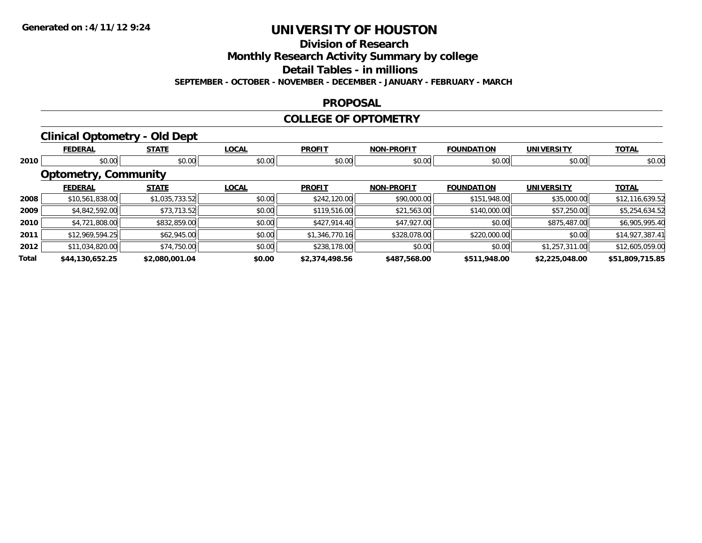# **Division of Research**

**Monthly Research Activity Summary by college**

**Detail Tables - in millions**

**SEPTEMBER - OCTOBER - NOVEMBER - DECEMBER - JANUARY - FEBRUARY - MARCH**

#### **PROPOSAL**

#### **COLLEGE OF OPTOMETRY**

### **Clinical Optometry - Old Dept**

|       | <b>FEDERAL</b>              | <b>STATE</b>   | <b>LOCAL</b>     | <b>PROFIT</b>  | <b>NON-PROFIT</b> | <b>FOUNDATION</b> | <b>UNIVERSITY</b> | <b>TOTAL</b>    |
|-------|-----------------------------|----------------|------------------|----------------|-------------------|-------------------|-------------------|-----------------|
| 2010  | \$0.00                      |                | \$0.00<br>\$0.00 | \$0.00         | \$0.00            | \$0.00            | \$0.00            | \$0.00          |
|       | <b>Optometry, Community</b> |                |                  |                |                   |                   |                   |                 |
|       | <b>FEDERAL</b>              | <b>STATE</b>   | <b>LOCAL</b>     | <b>PROFIT</b>  | <b>NON-PROFIT</b> | <b>FOUNDATION</b> | <b>UNIVERSITY</b> | <b>TOTAL</b>    |
| 2008  | \$10,561,838.00             | \$1,035,733.52 | \$0.00           | \$242,120.00   | \$90,000.00       | \$151,948.00      | \$35,000.00       | \$12,116,639.52 |
| 2009  | \$4,842,592.00              | \$73,713.52    | \$0.00           | \$119,516.00   | \$21,563.00       | \$140,000.00      | \$57,250.00       | \$5,254,634.52  |
| 2010  | \$4,721,808.00              | \$832,859.00   | \$0.00           | \$427,914.40   | \$47,927.00       | \$0.00            | \$875,487.00      | \$6,905,995.40  |
| 2011  | \$12,969,594.25             | \$62,945.00    | \$0.00           | \$1,346,770.16 | \$328,078.00      | \$220,000.00      | \$0.00            | \$14,927,387.41 |
| 2012  | \$11,034,820.00             | \$74,750.00    | \$0.00           | \$238,178.00   | \$0.00            | \$0.00            | \$1,257,311.00    | \$12,605,059.00 |
| Total | \$44,130,652.25             | \$2,080,001.04 | \$0.00           | \$2,374,498.56 | \$487,568.00      | \$511,948.00      | \$2,225,048.00    | \$51,809,715.85 |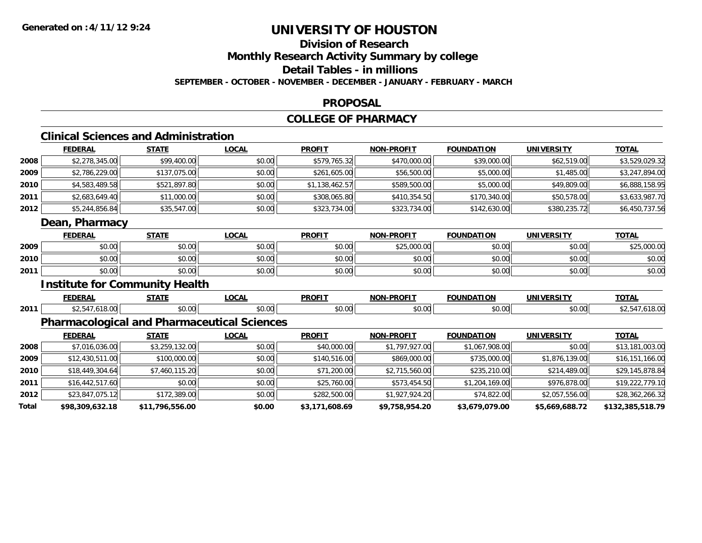**2012**

**Total**

# **UNIVERSITY OF HOUSTON**

### **Division of ResearchMonthly Research Activity Summary by college Detail Tables - in millions SEPTEMBER - OCTOBER - NOVEMBER - DECEMBER - JANUARY - FEBRUARY - MARCH**

#### **PROPOSAL**

#### **COLLEGE OF PHARMACY**

### **Clinical Sciences and Administration**

|      | <b>FEDERAL</b>                                     | <b>STATE</b>   | <b>LOCAL</b> | <b>PROFIT</b>  | <b>NON-PROFIT</b> | <b>FOUNDATION</b> | <b>UNIVERSITY</b> | <b>TOTAL</b>    |
|------|----------------------------------------------------|----------------|--------------|----------------|-------------------|-------------------|-------------------|-----------------|
| 2008 | \$2,278,345.00                                     | \$99,400.00    | \$0.00       | \$579,765.32   | \$470,000.00      | \$39,000.00       | \$62,519.00       | \$3,529,029.32  |
| 2009 | \$2,786,229.00                                     | \$137,075.00   | \$0.00       | \$261,605.00   | \$56,500.00       | \$5,000.00        | \$1,485.00        | \$3,247,894.00  |
| 2010 | \$4,583,489.58                                     | \$521,897.80   | \$0.00       | \$1,138,462.57 | \$589,500.00      | \$5,000.00        | \$49,809.00       | \$6,888,158.95  |
| 2011 | \$2,683,649.40                                     | \$11,000.00    | \$0.00       | \$308,065.80   | \$410,354.50      | \$170,340.00      | \$50,578.00       | \$3,633,987.70  |
| 2012 | \$5,244,856.84                                     | \$35,547.00    | \$0.00       | \$323,734.00   | \$323,734.00      | \$142,630.00      | \$380,235.72      | \$6,450,737.56  |
|      | Dean, Pharmacy                                     |                |              |                |                   |                   |                   |                 |
|      | <b>FEDERAL</b>                                     | <b>STATE</b>   | <b>LOCAL</b> | <b>PROFIT</b>  | <b>NON-PROFIT</b> | <b>FOUNDATION</b> | <b>UNIVERSITY</b> | <b>TOTAL</b>    |
| 2009 | \$0.00                                             | \$0.00         | \$0.00       | \$0.00         | \$25,000.00       | \$0.00            | \$0.00            | \$25,000.00     |
| 2010 | \$0.00                                             | \$0.00         | \$0.00       | \$0.00         | \$0.00            | \$0.00            | \$0.00            | \$0.00          |
| 2011 | \$0.00                                             | \$0.00         | \$0.00       | \$0.00         | \$0.00            | \$0.00            | \$0.00            | \$0.00          |
|      | <b>Institute for Community Health</b>              |                |              |                |                   |                   |                   |                 |
|      | <b>FEDERAL</b>                                     | <b>STATE</b>   | <b>LOCAL</b> | <b>PROFIT</b>  | <b>NON-PROFIT</b> | <b>FOUNDATION</b> | <b>UNIVERSITY</b> | <b>TOTAL</b>    |
| 2011 | \$2,547,618.00                                     | \$0.00         | \$0.00       | \$0.00         | \$0.00            | \$0.00            | \$0.00            | \$2,547,618.00  |
|      | <b>Pharmacological and Pharmaceutical Sciences</b> |                |              |                |                   |                   |                   |                 |
|      | <b>FEDERAL</b>                                     | <b>STATE</b>   | <b>LOCAL</b> | <b>PROFIT</b>  | <b>NON-PROFIT</b> | <b>FOUNDATION</b> | <b>UNIVERSITY</b> | <b>TOTAL</b>    |
| 2008 | \$7,016,036.00                                     | \$3,259,132.00 | \$0.00       | \$40,000.00    | \$1,797,927.00    | \$1,067,908.00    | \$0.00            | \$13,181,003.00 |
| 2009 | \$12,430,511.00                                    | \$100,000.00   | \$0.00       | \$140,516.00   | \$869,000.00      | \$735,000.00      | \$1,876,139.00    | \$16,151,166.00 |
| 2010 | \$18,449,304.64                                    | \$7,460,115.20 | \$0.00       | \$71,200.00    | \$2,715,560.00    | \$235,210.00      | \$214,489.00      | \$29,145,878.84 |
| 2011 | \$16,442,517.60                                    | \$0.00         | \$0.00       | \$25,760.00    | \$573,454.50      | \$1,204,169.00    | \$976,878.00      | \$19,222,779.10 |

\$23,847,075.12 \$172,389.00 \$0.00 \$282,500.00 \$1,927,924.20 \$74,822.00 \$2,057,556.00 \$28,362,266.32

**\$98,309,632.18 \$11,796,556.00 \$0.00 \$3,171,608.69 \$9,758,954.20 \$3,679,079.00 \$5,669,688.72 \$132,385,518.79**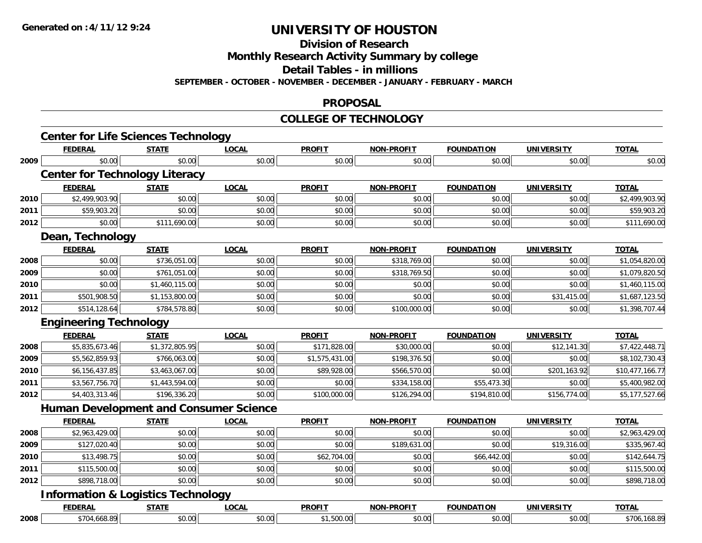**Division of Research**

**Monthly Research Activity Summary by college**

**Detail Tables - in millions**

**SEPTEMBER - OCTOBER - NOVEMBER - DECEMBER - JANUARY - FEBRUARY - MARCH**

#### **PROPOSAL**

#### **COLLEGE OF TECHNOLOGY**

|      | <b>Center for Life Sciences Technology</b>    |                |              |                |                   |                   |                   |                 |
|------|-----------------------------------------------|----------------|--------------|----------------|-------------------|-------------------|-------------------|-----------------|
|      | <b>FEDERAL</b>                                | <b>STATE</b>   | <b>LOCAL</b> | <b>PROFIT</b>  | <b>NON-PROFIT</b> | <b>FOUNDATION</b> | <b>UNIVERSITY</b> | <b>TOTAL</b>    |
| 2009 | \$0.00                                        | \$0.00         | \$0.00       | \$0.00         | \$0.00            | \$0.00            | \$0.00            | \$0.00          |
|      | <b>Center for Technology Literacy</b>         |                |              |                |                   |                   |                   |                 |
|      | <b>FEDERAL</b>                                | <b>STATE</b>   | <b>LOCAL</b> | <b>PROFIT</b>  | <b>NON-PROFIT</b> | <b>FOUNDATION</b> | <b>UNIVERSITY</b> | <b>TOTAL</b>    |
| 2010 | \$2,499,903.90                                | \$0.00         | \$0.00       | \$0.00         | \$0.00            | \$0.00            | \$0.00            | \$2,499,903.90  |
| 2011 | \$59,903.20                                   | \$0.00         | \$0.00       | \$0.00         | \$0.00            | \$0.00            | \$0.00            | \$59,903.20     |
| 2012 | \$0.00                                        | \$111,690.00   | \$0.00       | \$0.00         | \$0.00            | \$0.00            | \$0.00            | \$111,690.00    |
|      | Dean, Technology                              |                |              |                |                   |                   |                   |                 |
|      | <b>FEDERAL</b>                                | <b>STATE</b>   | <b>LOCAL</b> | <b>PROFIT</b>  | <b>NON-PROFIT</b> | <b>FOUNDATION</b> | <b>UNIVERSITY</b> | <b>TOTAL</b>    |
| 2008 | \$0.00                                        | \$736,051.00   | \$0.00       | \$0.00         | \$318,769.00      | \$0.00            | \$0.00            | \$1,054,820.00  |
| 2009 | \$0.00                                        | \$761,051.00   | \$0.00       | \$0.00         | \$318,769.50      | \$0.00            | \$0.00            | \$1,079,820.50  |
| 2010 | \$0.00                                        | \$1,460,115.00 | \$0.00       | \$0.00         | \$0.00            | \$0.00            | \$0.00            | \$1,460,115.00  |
| 2011 | \$501,908.50                                  | \$1,153,800.00 | \$0.00       | \$0.00         | \$0.00            | \$0.00            | \$31,415.00       | \$1,687,123.50  |
| 2012 | \$514,128.64                                  | \$784,578.80   | \$0.00       | \$0.00         | \$100,000.00      | \$0.00            | \$0.00            | \$1,398,707.44  |
|      | <b>Engineering Technology</b>                 |                |              |                |                   |                   |                   |                 |
|      | <b>FEDERAL</b>                                | <b>STATE</b>   | <b>LOCAL</b> | <b>PROFIT</b>  | <b>NON-PROFIT</b> | <b>FOUNDATION</b> | <b>UNIVERSITY</b> | <b>TOTAL</b>    |
| 2008 | \$5,835,673.46                                | \$1,372,805.95 | \$0.00       | \$171,828.00   | \$30,000.00       | \$0.00            | \$12,141.30       | \$7,422,448.71  |
| 2009 | \$5,562,859.93                                | \$766,063.00   | \$0.00       | \$1,575,431.00 | \$198,376.50      | \$0.00            | \$0.00            | \$8,102,730.43  |
| 2010 | \$6,156,437.85                                | \$3,463,067.00 | \$0.00       | \$89,928.00    | \$566,570.00      | \$0.00            | \$201,163.92      | \$10,477,166.77 |
| 2011 | \$3,567,756.70                                | \$1,443,594.00 | \$0.00       | \$0.00         | \$334,158.00      | \$55,473.30       | \$0.00            | \$5,400,982.00  |
| 2012 | \$4,403,313.46                                | \$196,336.20   | \$0.00       | \$100,000.00   | \$126,294.00      | \$194,810.00      | \$156,774.00      | \$5,177,527.66  |
|      | <b>Human Development and Consumer Science</b> |                |              |                |                   |                   |                   |                 |
|      | <b>FEDERAL</b>                                | <b>STATE</b>   | <b>LOCAL</b> | <b>PROFIT</b>  | <b>NON-PROFIT</b> | <b>FOUNDATION</b> | <b>UNIVERSITY</b> | <b>TOTAL</b>    |
| 2008 | \$2,963,429.00                                | \$0.00         | \$0.00       | \$0.00         | \$0.00            | \$0.00            | \$0.00            | \$2,963,429.00  |
| 2009 | \$127,020.40                                  | \$0.00         | \$0.00       | \$0.00         | \$189,631.00      | \$0.00            | \$19,316.00       | \$335,967.40    |
| 2010 | \$13,498.75                                   | \$0.00         | \$0.00       | \$62,704.00    | \$0.00            | \$66,442.00       | \$0.00            | \$142,644.75    |
| 2011 | \$115,500.00                                  | \$0.00         | \$0.00       | \$0.00         | \$0.00            | \$0.00            | \$0.00            | \$115,500.00    |
| 2012 | \$898,718.00                                  | \$0.00         | \$0.00       | \$0.00         | \$0.00            | \$0.00            | \$0.00            | \$898,718.00    |
|      | <b>Information &amp; Logistics Technology</b> |                |              |                |                   |                   |                   |                 |
|      | <b>FEDERAL</b>                                | <b>STATE</b>   | <b>LOCAL</b> | <b>PROFIT</b>  | <b>NON-PROFIT</b> | <b>FOUNDATION</b> | <b>UNIVERSITY</b> | <b>TOTAL</b>    |
| 2008 | \$704,668.89                                  | \$0.00         | \$0.00       | \$1,500.00     | \$0.00            | \$0.00            | \$0.00            | \$706,168.89    |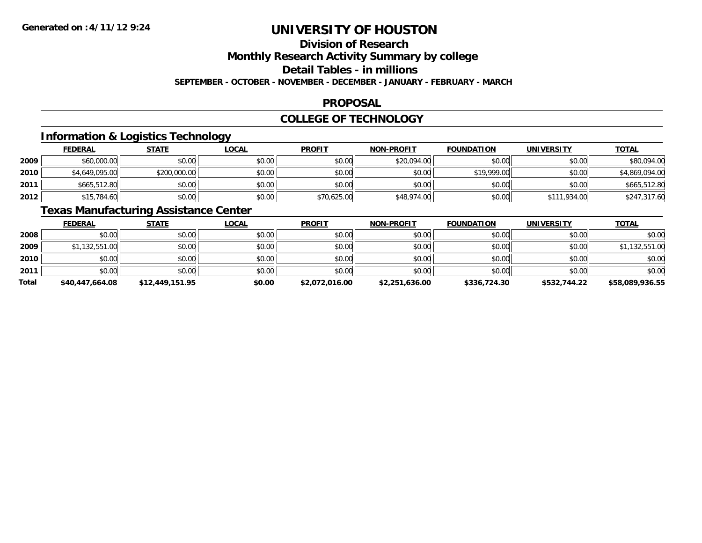# **Division of Research**

**Monthly Research Activity Summary by college**

**Detail Tables - in millions**

**SEPTEMBER - OCTOBER - NOVEMBER - DECEMBER - JANUARY - FEBRUARY - MARCH**

### **PROPOSAL**

### **COLLEGE OF TECHNOLOGY**

### **Information & Logistics Technology**

|      | <b>FEDERAL</b> | <u>STATE</u> | <u>LOCAL</u> | <b>PROFIT</b> | <b>NON-PROFIT</b> | <b>FOUNDATION</b> | <b>UNIVERSITY</b> | <b>TOTAL</b>   |
|------|----------------|--------------|--------------|---------------|-------------------|-------------------|-------------------|----------------|
| 2009 | \$60,000.00    | \$0.00       | \$0.00       | \$0.00        | \$20,094.00       | \$0.00            | \$0.00            | \$80,094.00    |
| 2010 | \$4,649,095.00 | \$200,000.00 | \$0.00       | \$0.00        | \$0.00            | \$19,999.00       | \$0.00            | \$4,869,094.00 |
| 2011 | \$665,512.80   | \$0.00       | \$0.00       | \$0.00        | \$0.00            | \$0.00            | \$0.00            | \$665,512.80   |
| 2012 | \$15,784.60    | \$0.00       | \$0.00       | \$70,625.00   | \$48,974.00       | \$0.00            | \$111,934.00      | \$247,317.60   |

### **Texas Manufacturing Assistance Center**

|              | <b>FEDERAL</b>  | <b>STATE</b>    | <u>LOCAL</u> | <b>PROFIT</b>  | <b>NON-PROFIT</b> | <b>FOUNDATION</b> | UNIVERSITY   | <b>TOTAL</b>    |
|--------------|-----------------|-----------------|--------------|----------------|-------------------|-------------------|--------------|-----------------|
| 2008         | \$0.00          | \$0.00          | \$0.00       | \$0.00         | \$0.00            | \$0.00            | \$0.00       | \$0.00          |
| 2009         | \$1,132,551.00  | \$0.00          | \$0.00       | \$0.00         | \$0.00            | \$0.00            | \$0.00       | \$1,132,551.00  |
| 2010         | \$0.00          | \$0.00          | \$0.00       | \$0.00         | \$0.00            | \$0.00            | \$0.00       | \$0.00          |
| 2011         | \$0.00          | \$0.00          | \$0.00       | \$0.00         | \$0.00            | \$0.00            | \$0.00       | \$0.00          |
| <b>Total</b> | \$40,447,664.08 | \$12,449,151.95 | \$0.00       | \$2,072,016.00 | \$2,251,636.00    | \$336,724.30      | \$532,744.22 | \$58,089,936.55 |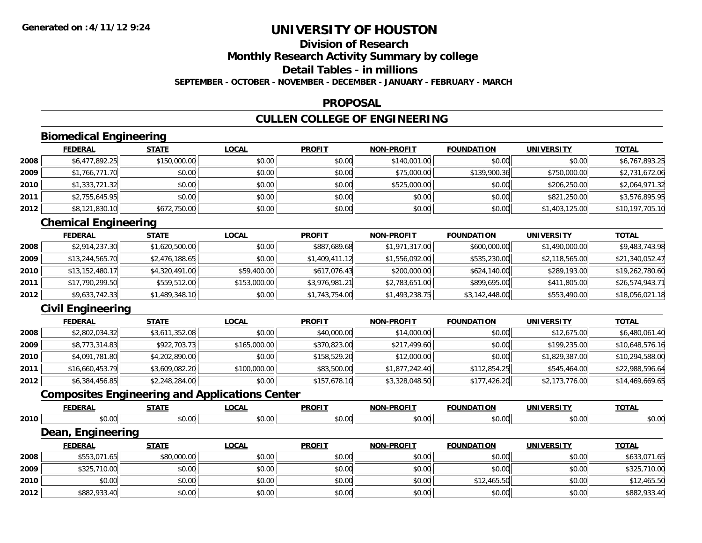# **Division of ResearchMonthly Research Activity Summary by college Detail Tables - in millions**

**SEPTEMBER - OCTOBER - NOVEMBER - DECEMBER - JANUARY - FEBRUARY - MARCH**

### **PROPOSAL**

### **CULLEN COLLEGE OF ENGINEERING**

# **Biomedical Engineering**

|      | <b>FEDERAL</b> | <b>STATE</b> | <b>LOCAL</b> | <b>PROFIT</b> | <b>NON-PROFIT</b> | <b>FOUNDATION</b> | <b>UNIVERSITY</b> | <b>TOTAL</b>    |
|------|----------------|--------------|--------------|---------------|-------------------|-------------------|-------------------|-----------------|
| 2008 | \$6,477,892.25 | \$150,000.00 | \$0.00       | \$0.00        | \$140,001.00      | \$0.00            | \$0.00            | \$6,767,893.25  |
| 2009 | \$1,766,771.70 | \$0.00       | \$0.00       | \$0.00        | \$75,000.00       | \$139,900.36      | \$750,000.00      | \$2,731,672.06  |
| 2010 | \$1,333,721.32 | \$0.00       | \$0.00       | \$0.00        | \$525,000.00      | \$0.00            | \$206,250.00      | \$2,064,971.32  |
| 2011 | \$2,755,645.95 | \$0.00       | \$0.00       | \$0.00        | \$0.00            | \$0.00            | \$821,250.00      | \$3,576,895.95  |
| 2012 | \$8,121,830.10 | \$672,750.00 | \$0.00       | \$0.00        | \$0.00            | \$0.00            | \$1,403,125.00    | \$10,197,705.10 |

### **Chemical Engineering**

|      | <b>FEDERAL</b>  | <b>STATE</b>   | <b>LOCAL</b> | <b>PROFIT</b>  | <b>NON-PROFIT</b> | <b>FOUNDATION</b> | UNIVERSITY     | <u>TOTAL</u>    |
|------|-----------------|----------------|--------------|----------------|-------------------|-------------------|----------------|-----------------|
| 2008 | \$2,914,237.30  | \$1,620,500.00 | \$0.00       | \$887,689.68   | \$1,971,317.00    | \$600,000.00      | \$1,490,000.00 | \$9,483,743.98  |
| 2009 | \$13,244,565.70 | \$2,476,188.65 | \$0.00       | \$1,409,411.12 | \$1,556,092.00    | \$535,230.00      | \$2,118,565.00 | \$21,340,052.47 |
| 2010 | \$13,152,480.17 | \$4,320,491.00 | \$59,400.00  | \$617,076.43   | \$200,000.00      | \$624,140.00      | \$289,193.00   | \$19,262,780.60 |
| 2011 | \$17,790,299.50 | \$559,512.00   | \$153,000.00 | \$3,976,981.21 | \$2,783,651.00    | \$899,695.00      | \$411,805.00   | \$26,574,943.71 |
| 2012 | \$9,633,742.33  | \$1,489,348.10 | \$0.00       | \$1,743,754.00 | \$1,493,238.75    | \$3,142,448.00    | \$553,490.00   | \$18,056,021.18 |

### **Civil Engineering**

|      | <b>FEDERAL</b>  | <u>STATE</u>   | <b>LOCAL</b> | <b>PROFIT</b> | <b>NON-PROFIT</b> | <b>FOUNDATION</b> | <b>UNIVERSITY</b> | <b>TOTAL</b>    |
|------|-----------------|----------------|--------------|---------------|-------------------|-------------------|-------------------|-----------------|
| 2008 | \$2,802,034.32  | \$3,611,352.08 | \$0.00       | \$40,000.00   | \$14,000.00       | \$0.00            | \$12,675.00       | \$6,480,061.40  |
| 2009 | \$8,773,314.83  | \$922,703.73   | \$165,000.00 | \$370,823.00  | \$217,499.60      | \$0.00            | \$199,235.00      | \$10,648,576.16 |
| 2010 | \$4,091,781.80  | \$4,202,890.00 | \$0.00       | \$158,529.20  | \$12,000.00       | \$0.00            | \$1,829,387.00    | \$10,294,588.00 |
| 2011 | \$16,660,453.79 | \$3,609,082.20 | \$100,000.00 | \$83,500.00   | \$1,877,242.40    | \$112,854.25      | \$545,464.00      | \$22,988,596.64 |
| 2012 | \$6,384,456.85  | \$2,248,284.00 | \$0.00       | \$157,678.10  | \$3,328,048.50    | \$177,426.20      | \$2,173,776.00    | \$14,469,669.65 |

### **Composites Engineering and Applications Center**

|      | <b>FEDERAL</b>    | <b>STATE</b> | <b>LOCAL</b> | <b>PROFIT</b> | <b>NON-PROFIT</b> | <b>FOUNDATION</b> | <b>UNIVERSITY</b> | <b>TOTAL</b> |
|------|-------------------|--------------|--------------|---------------|-------------------|-------------------|-------------------|--------------|
| 2010 | \$0.00            | \$0.00       | \$0.00       | \$0.00        | \$0.00            | \$0.00            | \$0.00            | \$0.00       |
|      | Dean, Engineering |              |              |               |                   |                   |                   |              |
|      | <b>FEDERAL</b>    | <b>STATE</b> | LOCAL        | <b>PROFIT</b> | <b>NON-PROFIT</b> | <b>FOUNDATION</b> | <b>UNIVERSITY</b> | <b>TOTAL</b> |
| 2008 | \$553,071.65      | \$80,000.00  | \$0.00       | \$0.00        | \$0.00            | \$0.00            | \$0.00            | \$633,071.65 |
| 2009 | \$325,710.00      | \$0.00       | \$0.00       | \$0.00        | \$0.00            | \$0.00            | \$0.00            | \$325,710.00 |
| 2010 | \$0.00            | \$0.00       | \$0.00       | \$0.00        | \$0.00            | \$12,465.50       | \$0.00            | \$12,465.50  |
| 2012 | \$882,933.40      | \$0.00       | \$0.00       | \$0.00        | \$0.00            | \$0.00            | \$0.00            | \$882,933.40 |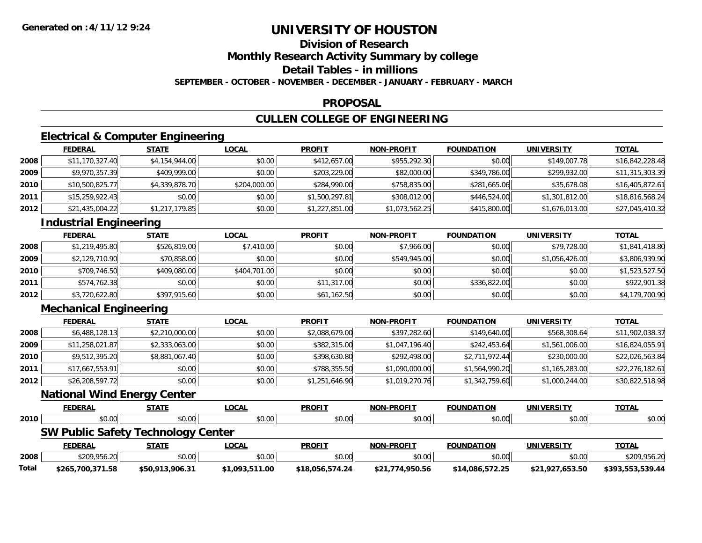# **Division of Research**

**Monthly Research Activity Summary by college**

**Detail Tables - in millions**

**SEPTEMBER - OCTOBER - NOVEMBER - DECEMBER - JANUARY - FEBRUARY - MARCH**

#### **PROPOSAL**

# **CULLEN COLLEGE OF ENGINEERING**

### **Electrical & Computer Engineering**

|      | <b>FEDERAL</b>  | <b>STATE</b>   | <u>LOCAL</u> | <b>PROFIT</b>  | <b>NON-PROFIT</b> | <b>FOUNDATION</b> | <b>UNIVERSITY</b> | <u>TOTAL</u>    |
|------|-----------------|----------------|--------------|----------------|-------------------|-------------------|-------------------|-----------------|
| 2008 | \$11,170,327.40 | \$4,154,944.00 | \$0.00       | \$412,657.00   | \$955,292.30      | \$0.00            | \$149,007.78      | \$16,842,228.48 |
| 2009 | \$9,970,357.39  | \$409,999.00   | \$0.00       | \$203,229.00   | \$82,000.00       | \$349,786.00      | \$299,932.00      | \$11,315,303.39 |
| 2010 | \$10,500,825.77 | \$4,339,878.70 | \$204,000.00 | \$284,990.00   | \$758,835.00      | \$281,665.06      | \$35,678.08       | \$16,405,872.61 |
| 2011 | \$15,259,922.43 | \$0.00         | \$0.00       | \$1,500,297.81 | \$308,012.00      | \$446,524.00      | \$1,301,812.00    | \$18,816,568.24 |
| 2012 | \$21,435,004.22 | \$1,217,179.85 | \$0.00       | \$1,227,851.00 | \$1,073,562.25    | \$415,800.00      | \$1,676,013.00    | \$27,045,410.32 |

### **Industrial Engineering**

|      | <b>FEDERAL</b> | <b>STATE</b> | <u>LOCAL</u> | <b>PROFIT</b> | <b>NON-PROFIT</b> | <b>FOUNDATION</b> | <b>UNIVERSITY</b> | <b>TOTAL</b>   |
|------|----------------|--------------|--------------|---------------|-------------------|-------------------|-------------------|----------------|
| 2008 | \$1,219,495.80 | \$526,819.00 | \$7,410.00   | \$0.00        | \$7,966.00        | \$0.00            | \$79,728.00       | \$1,841,418.80 |
| 2009 | \$2,129,710.90 | \$70,858.00  | \$0.00       | \$0.00        | \$549,945.00      | \$0.00            | \$1,056,426.00    | \$3,806,939.90 |
| 2010 | \$709,746.50   | \$409,080.00 | \$404,701.00 | \$0.00        | \$0.00            | \$0.00            | \$0.00            | \$1,523,527.50 |
| 2011 | \$574,762.38   | \$0.00       | \$0.00       | \$11,317.00   | \$0.00            | \$336,822.00      | \$0.00            | \$922,901.38   |
| 2012 | \$3,720,622.80 | \$397,915.60 | \$0.00       | \$61,162.50   | \$0.00            | \$0.00            | \$0.00            | \$4,179,700.90 |

# **Mechanical Engineering**

|      | <b>FEDERAL</b>  | <u>STATE</u>   | <u>LOCAL</u> | <b>PROFIT</b>  | <b>NON-PROFIT</b> | <b>FOUNDATION</b> | UNIVERSITY     | <u>TOTAL</u>    |
|------|-----------------|----------------|--------------|----------------|-------------------|-------------------|----------------|-----------------|
| 2008 | \$6,488,128.13  | \$2,210,000.00 | \$0.00       | \$2,088,679.00 | \$397,282.60      | \$149,640.00      | \$568,308.64   | \$11,902,038.37 |
| 2009 | \$11,258,021.87 | \$2,333,063.00 | \$0.00       | \$382,315.00   | \$1,047,196.40    | \$242,453.64      | \$1,561,006.00 | \$16,824,055.91 |
| 2010 | \$9,512,395.20  | \$8,881,067.40 | \$0.00       | \$398,630.80   | \$292,498.00      | \$2,711,972.44    | \$230,000.00   | \$22,026,563.84 |
| 2011 | \$17.667.553.91 | \$0.00         | \$0.00       | \$788,355.50   | \$1,090,000.00    | \$1,564,990.20    | \$1,165,283.00 | \$22,276,182.61 |
| 2012 | \$26,208,597.72 | \$0.00         | \$0.00       | \$1,251,646.90 | \$1,019,270.76    | \$1,342,759.60    | \$1,000,244.00 | \$30,822,518.98 |

#### **National Wind Energy Center**

|       | <b>FEDERAL</b>   | <u>STATE</u>                              | <u>LOCAL</u>   | <b>PROFIT</b>   | <b>NON-PROFIT</b> | <b>FOUNDATION</b> | UNIVERSITY      | <b>TOTAL</b>     |
|-------|------------------|-------------------------------------------|----------------|-----------------|-------------------|-------------------|-----------------|------------------|
| 2010  | \$0.00           | \$0.00                                    | \$0.00         | \$0.00          | \$0.00            | \$0.00            | \$0.00          | \$0.00           |
|       |                  | <b>SW Public Safety Technology Center</b> |                |                 |                   |                   |                 |                  |
|       | <b>FEDERAL</b>   | <u>STATE</u>                              | <u>LOCAL</u>   | <b>PROFIT</b>   | <b>NON-PROFIT</b> | <b>FOUNDATION</b> | UNIVERSITY      | <b>TOTAL</b>     |
| 2008  | \$209,956.20     | \$0.00                                    | \$0.00         | \$0.00          | \$0.00            | \$0.00            | \$0.00          | \$209,956.20     |
| Total | \$265,700,371.58 | \$50,913,906.31                           | \$1,093,511.00 | \$18,056,574.24 | \$21,774,950.56   | \$14,086,572.25   | \$21,927,653.50 | \$393,553,539.44 |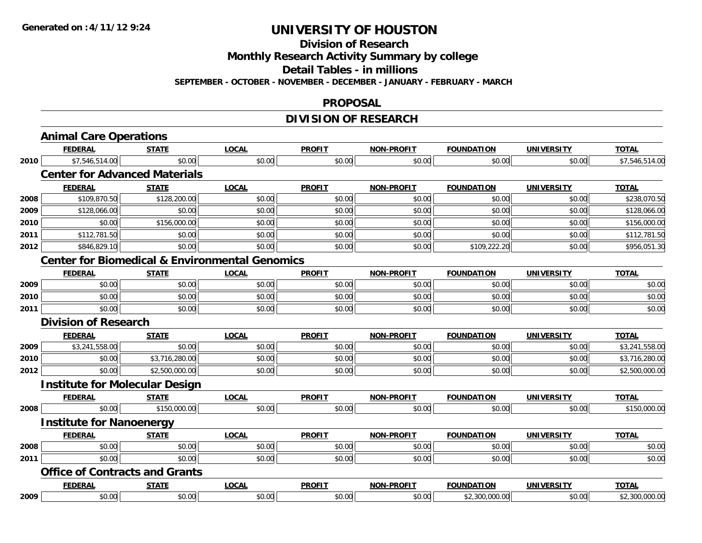**Division of Research**

**Monthly Research Activity Summary by college**

**Detail Tables - in millions**

**SEPTEMBER - OCTOBER - NOVEMBER - DECEMBER - JANUARY - FEBRUARY - MARCH**

#### **PROPOSAL**

# **DIVISION OF RESEARCH**

|      | <b>Animal Care Operations</b>                             |                |              |               |                   |                   |                   |                |
|------|-----------------------------------------------------------|----------------|--------------|---------------|-------------------|-------------------|-------------------|----------------|
|      | <b>FEDERAL</b>                                            | <b>STATE</b>   | <b>LOCAL</b> | <b>PROFIT</b> | <b>NON-PROFIT</b> | <b>FOUNDATION</b> | <b>UNIVERSITY</b> | <b>TOTAL</b>   |
| 2010 | \$7,546,514.00                                            | \$0.00         | \$0.00       | \$0.00        | \$0.00            | \$0.00            | \$0.00            | \$7,546,514.00 |
|      | <b>Center for Advanced Materials</b>                      |                |              |               |                   |                   |                   |                |
|      | <b>FEDERAL</b>                                            | <b>STATE</b>   | <b>LOCAL</b> | <b>PROFIT</b> | NON-PROFIT        | <b>FOUNDATION</b> | <b>UNIVERSITY</b> | <b>TOTAL</b>   |
| 2008 | \$109,870.50                                              | \$128,200.00   | \$0.00       | \$0.00        | \$0.00            | \$0.00            | \$0.00            | \$238,070.50   |
| 2009 | \$128,066.00                                              | \$0.00         | \$0.00       | \$0.00        | \$0.00            | \$0.00            | \$0.00            | \$128,066.00   |
| 2010 | \$0.00                                                    | \$156,000.00   | \$0.00       | \$0.00        | \$0.00            | \$0.00            | \$0.00            | \$156,000.00   |
| 2011 | \$112,781.50                                              | \$0.00         | \$0.00       | \$0.00        | \$0.00            | \$0.00            | \$0.00            | \$112,781.50   |
| 2012 | \$846,829.10                                              | \$0.00         | \$0.00       | \$0.00        | \$0.00            | \$109,222.20      | \$0.00            | \$956,051.30   |
|      | <b>Center for Biomedical &amp; Environmental Genomics</b> |                |              |               |                   |                   |                   |                |
|      | <b>FEDERAL</b>                                            | <b>STATE</b>   | <b>LOCAL</b> | <b>PROFIT</b> | <b>NON-PROFIT</b> | <b>FOUNDATION</b> | <b>UNIVERSITY</b> | <b>TOTAL</b>   |
| 2009 | \$0.00                                                    | \$0.00         | \$0.00       | \$0.00        | \$0.00            | \$0.00            | \$0.00            | \$0.00         |
| 2010 | \$0.00                                                    | \$0.00         | \$0.00       | \$0.00        | \$0.00            | \$0.00            | \$0.00            | \$0.00         |
| 2011 | \$0.00                                                    | \$0.00         | \$0.00       | \$0.00        | \$0.00            | \$0.00            | \$0.00            | \$0.00         |
|      | <b>Division of Research</b>                               |                |              |               |                   |                   |                   |                |
|      | <b>FEDERAL</b>                                            | <b>STATE</b>   | <b>LOCAL</b> | <b>PROFIT</b> | NON-PROFIT        | <b>FOUNDATION</b> | <b>UNIVERSITY</b> | <b>TOTAL</b>   |
| 2009 | \$3,241,558.00                                            | \$0.00         | \$0.00       | \$0.00        | \$0.00            | \$0.00            | \$0.00            | \$3,241,558.00 |
| 2010 | \$0.00                                                    | \$3,716,280.00 | \$0.00       | \$0.00        | \$0.00            | \$0.00            | \$0.00            | \$3,716,280.00 |
| 2012 | \$0.00                                                    | \$2,500,000.00 | \$0.00       | \$0.00        | \$0.00            | \$0.00            | \$0.00            | \$2,500,000.00 |
|      | <b>Institute for Molecular Design</b>                     |                |              |               |                   |                   |                   |                |
|      | <b>FEDERAL</b>                                            | <b>STATE</b>   | <b>LOCAL</b> | <b>PROFIT</b> | <b>NON-PROFIT</b> | <b>FOUNDATION</b> | <b>UNIVERSITY</b> | <b>TOTAL</b>   |
| 2008 | \$0.00                                                    | \$150,000.00   | \$0.00       | \$0.00        | \$0.00            | \$0.00            | \$0.00            | \$150,000.00   |
|      | <b>Institute for Nanoenergy</b>                           |                |              |               |                   |                   |                   |                |
|      | <b>FEDERAL</b>                                            | <b>STATE</b>   | <b>LOCAL</b> | <b>PROFIT</b> | <b>NON-PROFIT</b> | <b>FOUNDATION</b> | <b>UNIVERSITY</b> | <b>TOTAL</b>   |
| 2008 | \$0.00                                                    | \$0.00         | \$0.00       | \$0.00        | \$0.00            | \$0.00            | \$0.00            | \$0.00         |
| 2011 | \$0.00                                                    | \$0.00         | \$0.00       | \$0.00        | \$0.00            | \$0.00            | \$0.00            | \$0.00         |
|      | <b>Office of Contracts and Grants</b>                     |                |              |               |                   |                   |                   |                |
|      | <b>FEDERAL</b>                                            | <b>STATE</b>   | <b>LOCAL</b> | <b>PROFIT</b> | <b>NON-PROFIT</b> | <b>FOUNDATION</b> | <b>UNIVERSITY</b> | <b>TOTAL</b>   |
| 2009 | \$0.00                                                    | \$0.00         | \$0.00       | \$0.00        | \$0.00            | \$2,300,000.00    | \$0.00            | \$2,300,000.00 |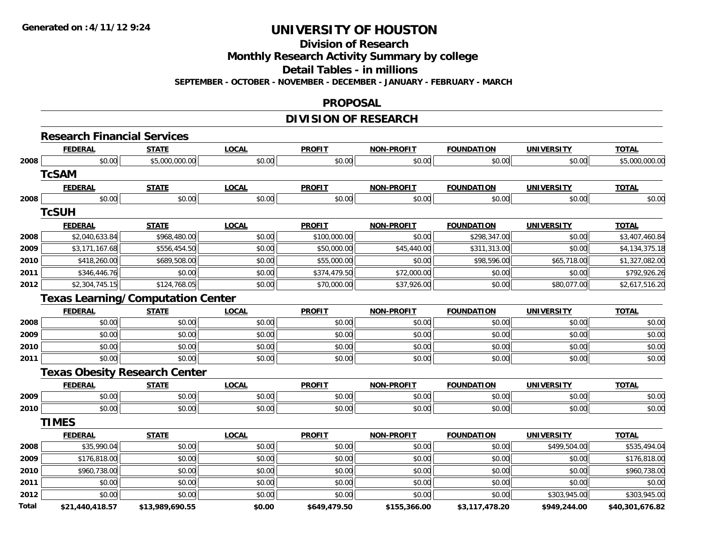**Division of Research**

**Monthly Research Activity Summary by college**

**Detail Tables - in millions**

**SEPTEMBER - OCTOBER - NOVEMBER - DECEMBER - JANUARY - FEBRUARY - MARCH**

### **PROPOSAL**

### **DIVISION OF RESEARCH**

|              | <b>Research Financial Services</b>       |                 |              |               |                   |                   |                   |                 |
|--------------|------------------------------------------|-----------------|--------------|---------------|-------------------|-------------------|-------------------|-----------------|
|              | <b>FEDERAL</b>                           | <b>STATE</b>    | <b>LOCAL</b> | <b>PROFIT</b> | <b>NON-PROFIT</b> | <b>FOUNDATION</b> | <b>UNIVERSITY</b> | <b>TOTAL</b>    |
| 2008         | \$0.00                                   | \$5,000,000.00  | \$0.00       | \$0.00        | \$0.00            | \$0.00            | \$0.00            | \$5,000,000.00  |
|              | <b>TcSAM</b>                             |                 |              |               |                   |                   |                   |                 |
|              | <b>FEDERAL</b>                           | <b>STATE</b>    | <b>LOCAL</b> | <b>PROFIT</b> | <b>NON-PROFIT</b> | <b>FOUNDATION</b> | <b>UNIVERSITY</b> | <b>TOTAL</b>    |
| 2008         | \$0.00                                   | \$0.00          | \$0.00       | \$0.00        | \$0.00            | \$0.00            | \$0.00            | \$0.00          |
|              | <b>TcSUH</b>                             |                 |              |               |                   |                   |                   |                 |
|              | <b>FEDERAL</b>                           | <b>STATE</b>    | <b>LOCAL</b> | <b>PROFIT</b> | <b>NON-PROFIT</b> | <b>FOUNDATION</b> | <b>UNIVERSITY</b> | <b>TOTAL</b>    |
| 2008         | \$2,040,633.84                           | \$968,480.00    | \$0.00       | \$100,000.00  | \$0.00            | \$298,347.00      | \$0.00            | \$3,407,460.84  |
| 2009         | \$3,171,167.68                           | \$556,454.50    | \$0.00       | \$50,000.00   | \$45,440.00       | \$311,313.00      | \$0.00            | \$4,134,375.18  |
| 2010         | \$418,260.00                             | \$689,508.00    | \$0.00       | \$55,000.00   | \$0.00            | \$98,596.00       | \$65,718.00       | \$1,327,082.00  |
| 2011         | \$346,446.76                             | \$0.00          | \$0.00       | \$374,479.50  | \$72,000.00       | \$0.00            | \$0.00            | \$792,926.26    |
| 2012         | \$2,304,745.15                           | \$124,768.05    | \$0.00       | \$70,000.00   | \$37,926.00       | \$0.00            | \$80,077.00       | \$2,617,516.20  |
|              | <b>Texas Learning/Computation Center</b> |                 |              |               |                   |                   |                   |                 |
|              | <b>FEDERAL</b>                           | <b>STATE</b>    | <b>LOCAL</b> | <b>PROFIT</b> | <b>NON-PROFIT</b> | <b>FOUNDATION</b> | <b>UNIVERSITY</b> | <b>TOTAL</b>    |
| 2008         | \$0.00                                   | \$0.00          | \$0.00       | \$0.00        | \$0.00            | \$0.00            | \$0.00            | \$0.00          |
| 2009         | \$0.00                                   | \$0.00          | \$0.00       | \$0.00        | \$0.00            | \$0.00            | \$0.00            | \$0.00          |
| 2010         | \$0.00                                   | \$0.00          | \$0.00       | \$0.00        | \$0.00            | \$0.00            | \$0.00            | \$0.00          |
| 2011         | \$0.00                                   | \$0.00          | \$0.00       | \$0.00        | \$0.00            | \$0.00            | \$0.00            | \$0.00          |
|              | <b>Texas Obesity Research Center</b>     |                 |              |               |                   |                   |                   |                 |
|              | <b>FEDERAL</b>                           | <b>STATE</b>    | <b>LOCAL</b> | <b>PROFIT</b> | <b>NON-PROFIT</b> | <b>FOUNDATION</b> | <b>UNIVERSITY</b> | <b>TOTAL</b>    |
| 2009         | \$0.00                                   | \$0.00          | \$0.00       | \$0.00        | \$0.00            | \$0.00            | \$0.00            | \$0.00          |
| 2010         | \$0.00                                   | \$0.00          | \$0.00       | \$0.00        | \$0.00            | \$0.00            | \$0.00            | \$0.00          |
|              | <b>TIMES</b>                             |                 |              |               |                   |                   |                   |                 |
|              | <b>FEDERAL</b>                           | <b>STATE</b>    | <b>LOCAL</b> | <b>PROFIT</b> | <b>NON-PROFIT</b> | <b>FOUNDATION</b> | <b>UNIVERSITY</b> | <b>TOTAL</b>    |
| 2008         | \$35,990.04                              | \$0.00          | \$0.00       | \$0.00        | \$0.00            | \$0.00            | \$499,504.00      | \$535,494.04    |
| 2009         | \$176,818.00                             | \$0.00          | \$0.00       | \$0.00        | \$0.00            | \$0.00            | \$0.00            | \$176,818.00    |
| 2010         | \$960,738.00                             | \$0.00          | \$0.00       | \$0.00        | \$0.00            | \$0.00            | \$0.00            | \$960,738.00    |
| 2011         | \$0.00                                   | \$0.00          | \$0.00       | \$0.00        | \$0.00            | \$0.00            | \$0.00            | \$0.00          |
| 2012         | \$0.00                                   | \$0.00          | \$0.00       | \$0.00        | \$0.00            | \$0.00            | \$303,945.00      | \$303,945.00    |
| <b>Total</b> | \$21,440,418.57                          | \$13,989,690.55 | \$0.00       | \$649,479.50  | \$155,366.00      | \$3,117,478.20    | \$949,244.00      | \$40,301,676.82 |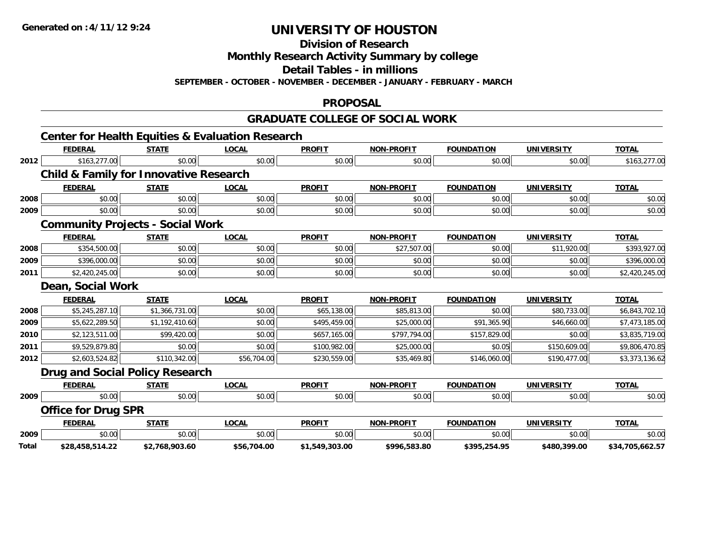**Division of Research**

**Monthly Research Activity Summary by college**

**Detail Tables - in millions**

**SEPTEMBER - OCTOBER - NOVEMBER - DECEMBER - JANUARY - FEBRUARY - MARCH**

#### **PROPOSAL**

### **GRADUATE COLLEGE OF SOCIAL WORK**

|       | <b>Center for Health Equities &amp; Evaluation Research</b> |                |              |                |                   |                   |                   |                 |
|-------|-------------------------------------------------------------|----------------|--------------|----------------|-------------------|-------------------|-------------------|-----------------|
|       | <b>FEDERAL</b>                                              | <b>STATE</b>   | <b>LOCAL</b> | <b>PROFIT</b>  | <b>NON-PROFIT</b> | <b>FOUNDATION</b> | <b>UNIVERSITY</b> | <b>TOTAL</b>    |
| 2012  | \$163,277.00                                                | \$0.00         | \$0.00       | \$0.00         | \$0.00            | \$0.00            | \$0.00            | \$163,277.00    |
|       | <b>Child &amp; Family for Innovative Research</b>           |                |              |                |                   |                   |                   |                 |
|       | <b>FEDERAL</b>                                              | <b>STATE</b>   | <b>LOCAL</b> | <b>PROFIT</b>  | <b>NON-PROFIT</b> | <b>FOUNDATION</b> | <b>UNIVERSITY</b> | <b>TOTAL</b>    |
| 2008  | \$0.00                                                      | \$0.00         | \$0.00       | \$0.00         | \$0.00            | \$0.00            | \$0.00            | \$0.00          |
| 2009  | \$0.00                                                      | \$0.00         | \$0.00       | \$0.00         | \$0.00            | \$0.00            | \$0.00            | \$0.00          |
|       | <b>Community Projects - Social Work</b>                     |                |              |                |                   |                   |                   |                 |
|       | <b>FEDERAL</b>                                              | <b>STATE</b>   | <b>LOCAL</b> | <b>PROFIT</b>  | <b>NON-PROFIT</b> | <b>FOUNDATION</b> | <b>UNIVERSITY</b> | <b>TOTAL</b>    |
| 2008  | \$354,500.00                                                | \$0.00         | \$0.00       | \$0.00         | \$27,507.00       | \$0.00            | \$11,920.00       | \$393,927.00    |
| 2009  | \$396,000.00                                                | \$0.00         | \$0.00       | \$0.00         | \$0.00            | \$0.00            | \$0.00            | \$396,000.00    |
| 2011  | \$2,420,245.00                                              | \$0.00         | \$0.00       | \$0.00         | \$0.00            | \$0.00            | \$0.00            | \$2,420,245.00  |
|       | Dean, Social Work                                           |                |              |                |                   |                   |                   |                 |
|       | <b>FEDERAL</b>                                              | <b>STATE</b>   | <b>LOCAL</b> | <b>PROFIT</b>  | <b>NON-PROFIT</b> | <b>FOUNDATION</b> | <b>UNIVERSITY</b> | <b>TOTAL</b>    |
| 2008  | \$5,245,287.10                                              | \$1,366,731.00 | \$0.00       | \$65,138.00    | \$85,813.00       | \$0.00            | \$80,733.00       | \$6,843,702.10  |
| 2009  | \$5,622,289.50                                              | \$1,192,410.60 | \$0.00       | \$495,459.00   | \$25,000.00       | \$91,365.90       | \$46,660.00       | \$7,473,185.00  |
| 2010  | \$2,123,511.00                                              | \$99,420.00    | \$0.00       | \$657,165.00   | \$797,794.00      | \$157,829.00      | \$0.00            | \$3,835,719.00  |
| 2011  | \$9,529,879.80                                              | \$0.00         | \$0.00       | \$100,982.00   | \$25,000.00       | \$0.05            | \$150,609.00      | \$9,806,470.85  |
| 2012  | \$2,603,524.82                                              | \$110,342.00   | \$56,704.00  | \$230,559.00   | \$35,469.80       | \$146,060.00      | \$190,477.00      | \$3,373,136.62  |
|       | <b>Drug and Social Policy Research</b>                      |                |              |                |                   |                   |                   |                 |
|       | <b>FEDERAL</b>                                              | <b>STATE</b>   | <b>LOCAL</b> | <b>PROFIT</b>  | <b>NON-PROFIT</b> | <b>FOUNDATION</b> | <b>UNIVERSITY</b> | <b>TOTAL</b>    |
| 2009  | \$0.00                                                      | \$0.00         | \$0.00       | \$0.00         | \$0.00            | \$0.00            | \$0.00            | \$0.00          |
|       | <b>Office for Drug SPR</b>                                  |                |              |                |                   |                   |                   |                 |
|       | <b>FEDERAL</b>                                              | <b>STATE</b>   | <b>LOCAL</b> | <b>PROFIT</b>  | <b>NON-PROFIT</b> | <b>FOUNDATION</b> | <b>UNIVERSITY</b> | <b>TOTAL</b>    |
| 2009  | \$0.00                                                      | \$0.00         | \$0.00       | \$0.00         | \$0.00            | \$0.00            | \$0.00            | \$0.00          |
| Total | \$28,458,514.22                                             | \$2,768,903.60 | \$56,704.00  | \$1,549,303.00 | \$996,583.80      | \$395,254.95      | \$480,399.00      | \$34,705,662.57 |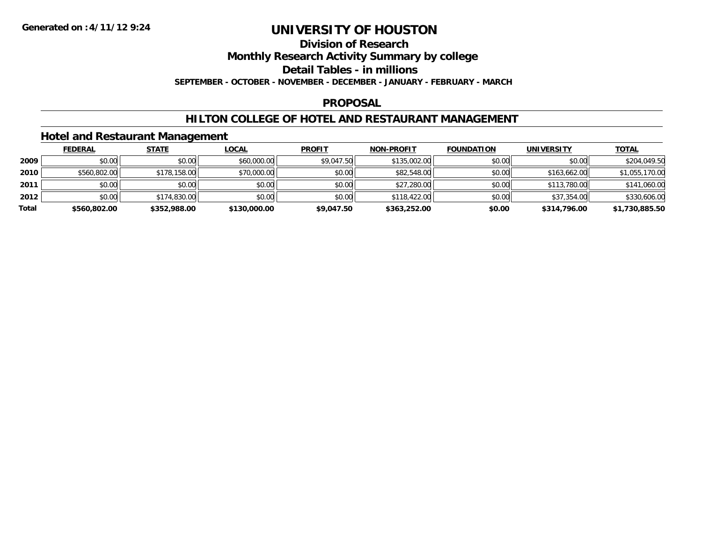#### **Division of Research**

**Monthly Research Activity Summary by college**

**Detail Tables - in millions**

**SEPTEMBER - OCTOBER - NOVEMBER - DECEMBER - JANUARY - FEBRUARY - MARCH**

### **PROPOSAL**

### **HILTON COLLEGE OF HOTEL AND RESTAURANT MANAGEMENT**

### **Hotel and Restaurant Management**

|       | <b>FEDERAL</b> | <b>STATE</b> | <u>LOCAL</u> | <b>PROFIT</b> | <b>NON-PROFIT</b> | <b>FOUNDATION</b> | <b>UNIVERSITY</b> | <b>TOTAL</b>   |
|-------|----------------|--------------|--------------|---------------|-------------------|-------------------|-------------------|----------------|
| 2009  | \$0.00         | \$0.00       | \$60,000.00  | \$9,047.50    | \$135,002.00      | \$0.00            | \$0.00            | \$204,049.50   |
| 2010  | \$560,802.00   | \$178,158.00 | \$70,000.00  | \$0.00        | \$82,548.00       | \$0.00            | \$163,662.00      | \$1,055,170.00 |
| 2011  | \$0.00         | \$0.00       | \$0.00       | \$0.00        | \$27,280.00       | \$0.00            | \$113,780.00      | \$141,060.00   |
| 2012  | \$0.00         | \$174,830.00 | \$0.00       | \$0.00        | \$118,422.00      | \$0.00            | \$37,354.00       | \$330,606.00   |
| Total | \$560,802.00   | \$352,988.00 | \$130,000.00 | \$9,047.50    | \$363,252.00      | \$0.00            | \$314,796.00      | \$1,730,885.50 |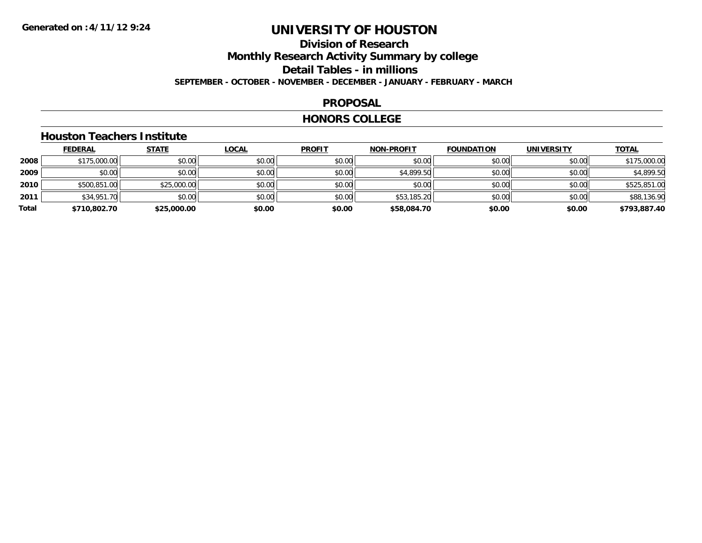### **Division of ResearchMonthly Research Activity Summary by college Detail Tables - in millions SEPTEMBER - OCTOBER - NOVEMBER - DECEMBER - JANUARY - FEBRUARY - MARCH**

#### **PROPOSAL**

#### **HONORS COLLEGE**

### **Houston Teachers Institute**

|       | <b>FEDERAL</b> | <b>STATE</b> | <b>LOCAL</b> | <b>PROFIT</b> | <b>NON-PROFIT</b> | <b>FOUNDATION</b> | <b>UNIVERSITY</b> | <b>TOTAL</b> |
|-------|----------------|--------------|--------------|---------------|-------------------|-------------------|-------------------|--------------|
| 2008  | \$175,000.00   | \$0.00       | \$0.00       | \$0.00        | \$0.00            | \$0.00            | \$0.00            | \$175,000.00 |
| 2009  | \$0.00         | \$0.00       | \$0.00       | \$0.00        | \$4,899.50        | \$0.00            | \$0.00            | \$4,899.50   |
| 2010  | \$500,851.00   | \$25,000.00  | \$0.00       | \$0.00        | \$0.00            | \$0.00            | \$0.00            | \$525,851.00 |
| 2011  | \$34,951.70    | \$0.00       | \$0.00       | \$0.00        | \$53,185.20       | \$0.00            | \$0.00            | \$88,136.90  |
| Total | \$710,802.70   | \$25,000.00  | \$0.00       | \$0.00        | \$58,084.70       | \$0.00            | \$0.00            | \$793,887.40 |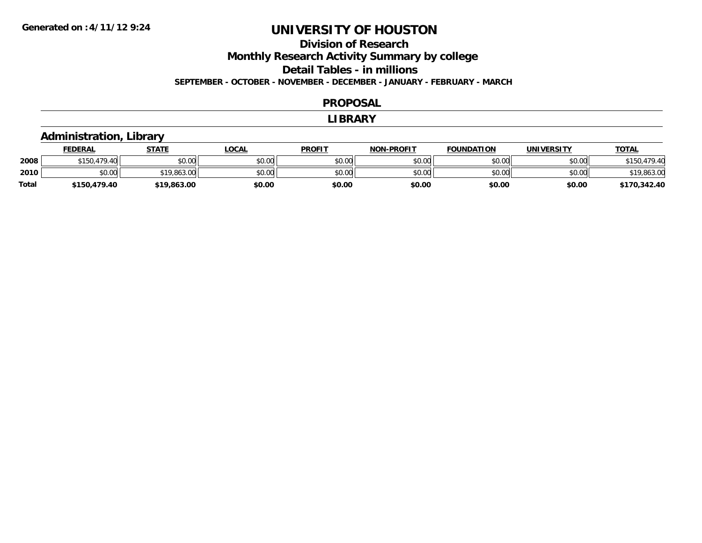### **Division of ResearchMonthly Research Activity Summary by college Detail Tables - in millions SEPTEMBER - OCTOBER - NOVEMBER - DECEMBER - JANUARY - FEBRUARY - MARCH**

#### **PROPOSAL**

#### **LIBRARY**

### **Administration, Library**

|       | <b>FEDERAL</b>         | STATE       | _OCAL  | <b>PROFIT</b> | <b>NON-PROFIT</b> | <b>FOUNDATION</b> | UNIVERSITY | <u>TOTAL</u> |
|-------|------------------------|-------------|--------|---------------|-------------------|-------------------|------------|--------------|
| 2008  | 170 M<br><b>¢150</b>   | \$0.00      | \$0.00 | \$0.00        | \$0.00            | \$0.00            | \$0.00     |              |
| 2010  | $\sim$<br>…∩∩<br>DU.UU | \$19,863.00 | \$0.00 | \$0.00        | \$0.00            | \$0.00            | \$0.00     | \$19,863.00  |
| Total | \$150,479.40           | \$19,863.00 | \$0.00 | \$0.00        | \$0.00            | \$0.00            | \$0.00     | \$170,342.40 |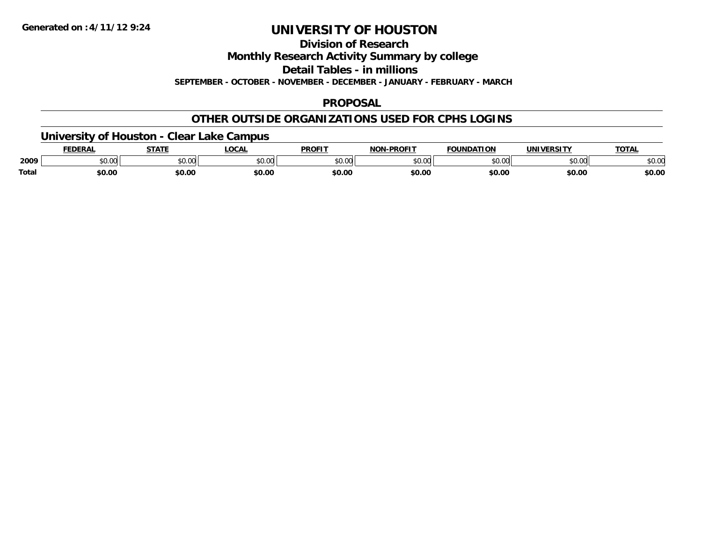**Division of Research**

**Monthly Research Activity Summary by college**

**Detail Tables - in millions**

**SEPTEMBER - OCTOBER - NOVEMBER - DECEMBER - JANUARY - FEBRUARY - MARCH**

### **PROPOSAL**

### **OTHER OUTSIDE ORGANIZATIONS USED FOR CPHS LOGINS**

### **University of Houston - Clear Lake Campus**

|       | FEDERAL | -----  | .OCAI          | <b>PROFIT</b>      | -PROFIT<br>NON | <b>FOUNDATION</b> | <b>UNIVERSITY</b>   | <b>TOTAL</b> |
|-------|---------|--------|----------------|--------------------|----------------|-------------------|---------------------|--------------|
| 2009  | \$0.00  | \$0.00 | nn na<br>pu.uu | $\sim$ 00<br>וטטוע | ልስ ስስ<br>PU.UU | \$0.00            | $\sim$ 00<br>וטט.טע | \$0.00       |
| Total | \$0.00  | \$0.00 | \$0.00         | \$0.00             | \$0.00         | \$0.00            | \$0.00              | \$0.00       |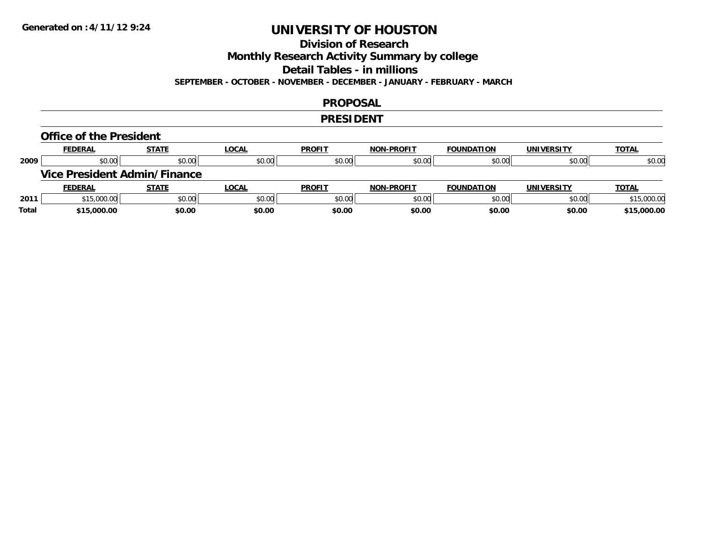# **Division of Research**

**Monthly Research Activity Summary by college**

**Detail Tables - in millions**

**SEPTEMBER - OCTOBER - NOVEMBER - DECEMBER - JANUARY - FEBRUARY - MARCH**

### **PROPOSAL**

### **PRESIDENT**

#### **Office of the President**

|      | <b>FEDERAL</b>                      | <b>STATE</b> | <b>LOCAL</b> | <b>PROFIT</b> | <b>NON-PROFIT</b> | <b>FOUNDATION</b> | <b>UNIVERSITY</b> | <b>TOTAL</b> |
|------|-------------------------------------|--------------|--------------|---------------|-------------------|-------------------|-------------------|--------------|
| 2009 | \$0.00                              | \$0.00       | \$0.00       | \$0.00        | \$0.00            | \$0.00            | \$0.00            | \$0.00       |
|      | <b>Vice President Admin/Finance</b> |              |              |               |                   |                   |                   |              |
|      |                                     |              |              |               |                   |                   |                   |              |
|      | <b>FEDERAL</b>                      | <b>STATE</b> | <u>LOCAL</u> | <b>PROFIT</b> | <b>NON-PROFIT</b> | <b>FOUNDATION</b> | <b>UNIVERSITY</b> | <b>TOTAL</b> |
| 2011 | \$15,000.00                         | \$0.00       | \$0.00       | \$0.00        | \$0.00            | \$0.00            | \$0.00            | \$15,000.00  |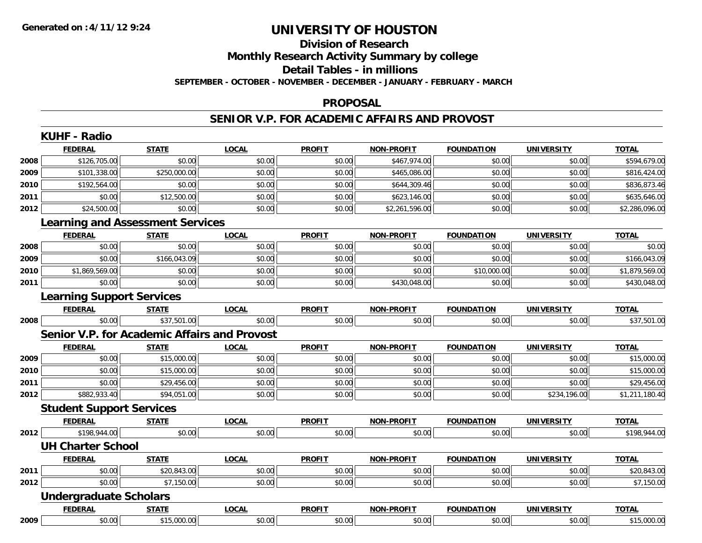### **Division of ResearchMonthly Research Activity Summary by college Detail Tables - in millions SEPTEMBER - OCTOBER - NOVEMBER - DECEMBER - JANUARY - FEBRUARY - MARCH**

#### **PROPOSAL**

#### **SENIOR V.P. FOR ACADEMIC AFFAIRS AND PROVOST**

|      | <b>FEDERAL</b>                               | <b>STATE</b> | <b>LOCAL</b> | <b>PROFIT</b> | <b>NON-PROFIT</b> | <b>FOUNDATION</b> | <b>UNIVERSITY</b> | <b>TOTAL</b>   |
|------|----------------------------------------------|--------------|--------------|---------------|-------------------|-------------------|-------------------|----------------|
| 2008 | \$126,705.00                                 | \$0.00       | \$0.00       | \$0.00        | \$467,974.00      | \$0.00            | \$0.00            | \$594,679.00   |
| 2009 | \$101,338.00                                 | \$250,000.00 | \$0.00       | \$0.00        | \$465,086.00      | \$0.00            | \$0.00            | \$816,424.00   |
| 2010 | \$192,564.00                                 | \$0.00       | \$0.00       | \$0.00        | \$644,309.46      | \$0.00            | \$0.00            | \$836,873.46   |
| 2011 | \$0.00                                       | \$12,500.00  | \$0.00       | \$0.00        | \$623,146.00      | \$0.00            | \$0.00            | \$635,646.00   |
| 2012 | \$24,500.00                                  | \$0.00       | \$0.00       | \$0.00        | \$2,261,596.00    | \$0.00            | \$0.00            | \$2,286,096.00 |
|      | <b>Learning and Assessment Services</b>      |              |              |               |                   |                   |                   |                |
|      | <b>FEDERAL</b>                               | <b>STATE</b> | <b>LOCAL</b> | <b>PROFIT</b> | NON-PROFIT        | <b>FOUNDATION</b> | <b>UNIVERSITY</b> | <b>TOTAL</b>   |
| 2008 | \$0.00                                       | \$0.00       | \$0.00       | \$0.00        | \$0.00            | \$0.00            | \$0.00            | \$0.00         |
| 2009 | \$0.00                                       | \$166,043.09 | \$0.00       | \$0.00        | \$0.00            | \$0.00            | \$0.00            | \$166,043.09   |
| 2010 | \$1,869,569.00                               | \$0.00       | \$0.00       | \$0.00        | \$0.00            | \$10,000.00       | \$0.00            | \$1,879,569.00 |
| 2011 | \$0.00                                       | \$0.00       | \$0.00       | \$0.00        | \$430,048.00      | \$0.00            | \$0.00            | \$430,048.00   |
|      | <b>Learning Support Services</b>             |              |              |               |                   |                   |                   |                |
|      | <b>FEDERAL</b>                               | <b>STATE</b> | <b>LOCAL</b> | <b>PROFIT</b> | NON-PROFIT        | <b>FOUNDATION</b> | <b>UNIVERSITY</b> | <b>TOTAL</b>   |
| 2008 | \$0.00                                       | \$37,501.00  | \$0.00       | \$0.00        | \$0.00            | \$0.00            | \$0.00            | \$37,501.00    |
|      | Senior V.P. for Academic Affairs and Provost |              |              |               |                   |                   |                   |                |
|      | <b>FEDERAL</b>                               | <b>STATE</b> | <b>LOCAL</b> | <b>PROFIT</b> | <b>NON-PROFIT</b> | <b>FOUNDATION</b> | <b>UNIVERSITY</b> | <b>TOTAL</b>   |
| 2009 | \$0.00                                       | \$15,000.00  | \$0.00       | \$0.00        | \$0.00            | \$0.00            | \$0.00            | \$15,000.00    |
| 2010 | \$0.00                                       | \$15,000.00  | \$0.00       | \$0.00        | \$0.00            | \$0.00            | \$0.00            | \$15,000.00    |
| 2011 | \$0.00                                       | \$29,456.00  | \$0.00       | \$0.00        | \$0.00            | \$0.00            | \$0.00            | \$29,456.00    |
| 2012 | \$882,933.40                                 | \$94,051.00  | \$0.00       | \$0.00        | \$0.00            | \$0.00            | \$234,196.00      | \$1,211,180.40 |
|      | <b>Student Support Services</b>              |              |              |               |                   |                   |                   |                |
|      | <b>FEDERAL</b>                               | <b>STATE</b> | <b>LOCAL</b> | <b>PROFIT</b> | <b>NON-PROFIT</b> | <b>FOUNDATION</b> | <b>UNIVERSITY</b> | <b>TOTAL</b>   |
| 2012 | \$198,944.00                                 | \$0.00       | \$0.00       | \$0.00        | \$0.00            | \$0.00            | \$0.00            | \$198,944.00   |
|      | <b>UH Charter School</b>                     |              |              |               |                   |                   |                   |                |
|      | <b>FEDERAL</b>                               | <b>STATE</b> | <b>LOCAL</b> | <b>PROFIT</b> | NON-PROFIT        | <b>FOUNDATION</b> | <b>UNIVERSITY</b> | <b>TOTAL</b>   |
| 2011 | \$0.00                                       | \$20,843.00  | \$0.00       | \$0.00        | \$0.00            | \$0.00            | \$0.00            | \$20,843.00    |
| 2012 | \$0.00                                       | \$7,150.00   | \$0.00       | \$0.00        | \$0.00            | \$0.00            | \$0.00            | \$7,150.00     |
|      | <b>Undergraduate Scholars</b>                |              |              |               |                   |                   |                   |                |
|      | <b>FEDERAL</b>                               | <b>STATE</b> | <b>LOCAL</b> | <b>PROFIT</b> | <b>NON-PROFIT</b> | <b>FOUNDATION</b> | <b>UNIVERSITY</b> | <b>TOTAL</b>   |
| 2009 | \$0.00                                       | \$15,000.00  | \$0.00       | \$0.00        | \$0.00            | \$0.00            | \$0.00            | \$15,000.00    |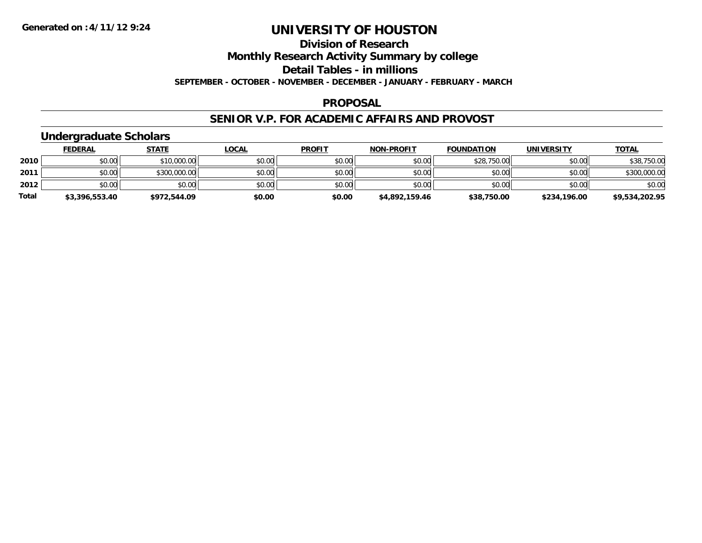### **Division of Research**

**Monthly Research Activity Summary by college**

**Detail Tables - in millions**

**SEPTEMBER - OCTOBER - NOVEMBER - DECEMBER - JANUARY - FEBRUARY - MARCH**

#### **PROPOSAL**

#### **SENIOR V.P. FOR ACADEMIC AFFAIRS AND PROVOST**

### **Undergraduate Scholars**

|              | <b>FEDERAL</b> | <b>STATE</b> | <u>LOCAL</u> | <b>PROFIT</b> | <b>NON-PROFIT</b> | <b>FOUNDATION</b> | <b>UNIVERSITY</b> | <u>TOTAL</u>   |
|--------------|----------------|--------------|--------------|---------------|-------------------|-------------------|-------------------|----------------|
| 2010         | \$0.00         | \$10,000.00  | \$0.00       | \$0.00        | \$0.00            | \$28,750.00       | \$0.00            | \$38,750.00    |
| 2011         | \$0.00         | \$300,000.00 | \$0.00       | \$0.00        | \$0.00            | \$0.00            | \$0.00            | \$300,000.00   |
| 2012         | \$0.00         | \$0.00       | \$0.00       | \$0.00        | \$0.00            | \$0.00            | \$0.00            | \$0.00         |
| <b>Total</b> | \$3,396,553.40 | \$972,544.09 | \$0.00       | \$0.00        | \$4,892,159.46    | \$38,750.00       | \$234,196.00      | \$9,534,202.95 |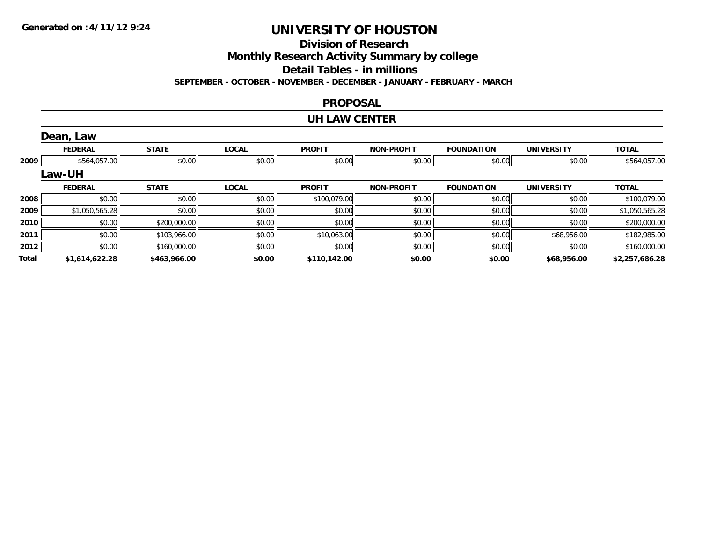**Division of Research**

**Monthly Research Activity Summary by college**

**Detail Tables - in millions**

**SEPTEMBER - OCTOBER - NOVEMBER - DECEMBER - JANUARY - FEBRUARY - MARCH**

#### **PROPOSAL**

#### **UH LAW CENTER**

|       | Dean, Law      |              |              |               |                   |                   |                   |                |
|-------|----------------|--------------|--------------|---------------|-------------------|-------------------|-------------------|----------------|
|       | <b>FEDERAL</b> | <b>STATE</b> | <b>LOCAL</b> | <b>PROFIT</b> | <b>NON-PROFIT</b> | <b>FOUNDATION</b> | <b>UNIVERSITY</b> | <b>TOTAL</b>   |
| 2009  | \$564,057.00   | \$0.00       | \$0.00       | \$0.00        | \$0.00            | \$0.00            | \$0.00            | \$564,057.00   |
|       | Law-UH         |              |              |               |                   |                   |                   |                |
|       | <b>FEDERAL</b> | <b>STATE</b> | <b>LOCAL</b> | <b>PROFIT</b> | <b>NON-PROFIT</b> | <b>FOUNDATION</b> | <b>UNIVERSITY</b> | <b>TOTAL</b>   |
| 2008  | \$0.00         | \$0.00       | \$0.00       | \$100,079.00  | \$0.00            | \$0.00            | \$0.00            | \$100,079.00   |
| 2009  | \$1,050,565.28 | \$0.00       | \$0.00       | \$0.00        | \$0.00            | \$0.00            | \$0.00            | \$1,050,565.28 |
| 2010  | \$0.00         | \$200,000.00 | \$0.00       | \$0.00        | \$0.00            | \$0.00            | \$0.00            | \$200,000.00   |
| 2011  | \$0.00         | \$103,966.00 | \$0.00       | \$10,063.00   | \$0.00            | \$0.00            | \$68,956.00       | \$182,985.00   |
| 2012  | \$0.00         | \$160,000.00 | \$0.00       | \$0.00        | \$0.00            | \$0.00            | \$0.00            | \$160,000.00   |
| Total | \$1,614,622.28 | \$463,966.00 | \$0.00       | \$110,142.00  | \$0.00            | \$0.00            | \$68,956.00       | \$2,257,686.28 |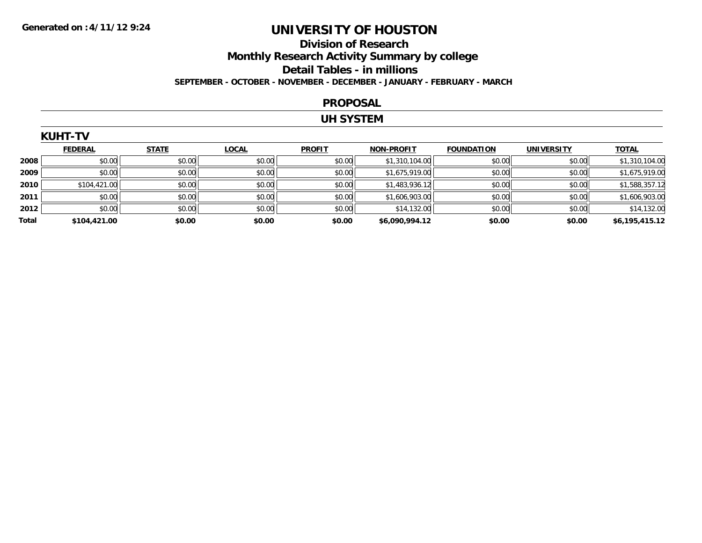### **Division of Research Monthly Research Activity Summary by college Detail Tables - in millions SEPTEMBER - OCTOBER - NOVEMBER - DECEMBER - JANUARY - FEBRUARY - MARCH**

#### **PROPOSAL**

#### **UH SYSTEM**

|       | <b>KUHT-TV</b> |              |              |               |                   |                   |                   |                |
|-------|----------------|--------------|--------------|---------------|-------------------|-------------------|-------------------|----------------|
|       | <b>FEDERAL</b> | <b>STATE</b> | <b>LOCAL</b> | <b>PROFIT</b> | <b>NON-PROFIT</b> | <b>FOUNDATION</b> | <b>UNIVERSITY</b> | <b>TOTAL</b>   |
| 2008  | \$0.00         | \$0.00       | \$0.00       | \$0.00        | \$1,310,104.00    | \$0.00            | \$0.00            | \$1,310,104.00 |
| 2009  | \$0.00         | \$0.00       | \$0.00       | \$0.00        | \$1,675,919.00    | \$0.00            | \$0.00            | \$1,675,919.00 |
| 2010  | \$104,421.00   | \$0.00       | \$0.00       | \$0.00        | \$1,483,936.12    | \$0.00            | \$0.00            | \$1,588,357.12 |
| 2011  | \$0.00         | \$0.00       | \$0.00       | \$0.00        | \$1,606,903.00    | \$0.00            | \$0.00            | \$1,606,903.00 |
| 2012  | \$0.00         | \$0.00       | \$0.00       | \$0.00        | \$14,132.00       | \$0.00            | \$0.00            | \$14,132.00    |
| Total | \$104,421.00   | \$0.00       | \$0.00       | \$0.00        | \$6,090,994.12    | \$0.00            | \$0.00            | \$6,195,415.12 |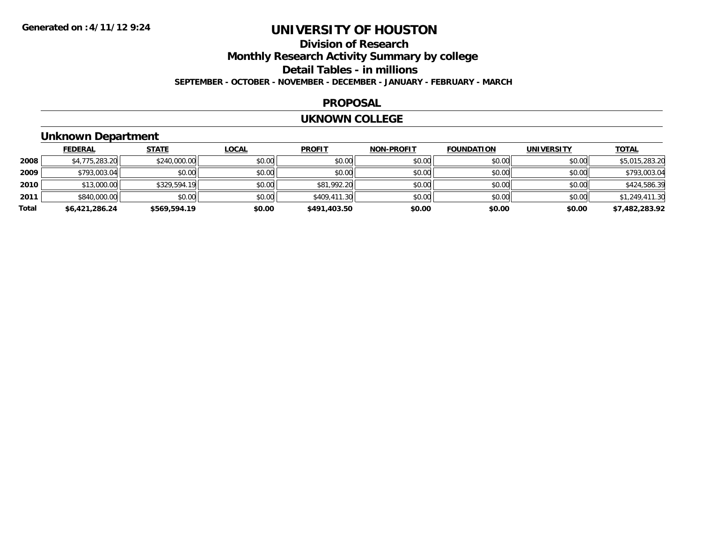### **Division of ResearchMonthly Research Activity Summary by college Detail Tables - in millions SEPTEMBER - OCTOBER - NOVEMBER - DECEMBER - JANUARY - FEBRUARY - MARCH**

#### **PROPOSAL**

#### **UKNOWN COLLEGE**

### **Unknown Department**

|       | <b>FEDERAL</b> | <b>STATE</b> | <u>LOCAL</u> | <b>PROFIT</b> | <b>NON-PROFIT</b> | <b>FOUNDATION</b> | <b>UNIVERSITY</b> | <b>TOTAL</b>   |
|-------|----------------|--------------|--------------|---------------|-------------------|-------------------|-------------------|----------------|
| 2008  | \$4,775,283.20 | \$240,000.00 | \$0.00       | \$0.00        | \$0.00            | \$0.00            | \$0.00            | \$5,015,283.20 |
| 2009  | \$793,003.04   | \$0.00       | \$0.00       | \$0.00        | \$0.00            | \$0.00            | \$0.00            | \$793,003.04   |
| 2010  | \$13,000.00    | \$329,594.19 | \$0.00       | \$81,992.20   | \$0.00            | \$0.00            | \$0.00            | \$424,586.39   |
| 2011  | \$840,000.00   | \$0.00       | \$0.00       | \$409,411.30  | \$0.00            | \$0.00            | \$0.00            | \$1,249,411.30 |
| Total | \$6,421,286.24 | \$569,594.19 | \$0.00       | \$491,403.50  | \$0.00            | \$0.00            | \$0.00            | \$7,482,283.92 |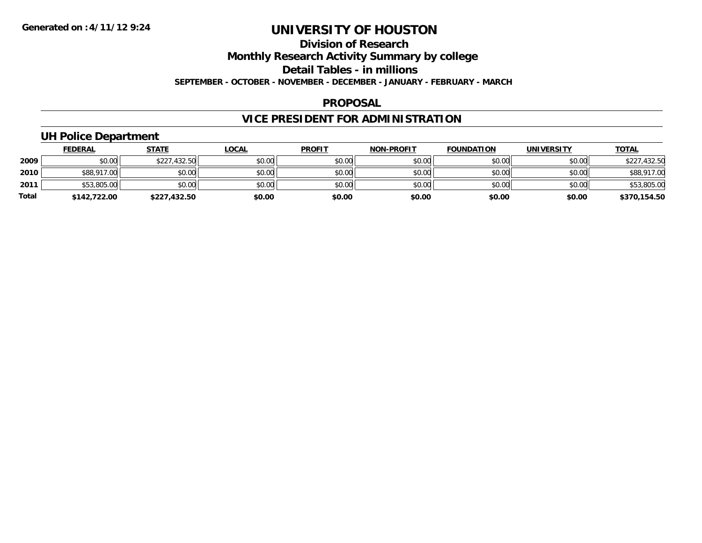# **Division of Research**

**Monthly Research Activity Summary by college**

**Detail Tables - in millions**

**SEPTEMBER - OCTOBER - NOVEMBER - DECEMBER - JANUARY - FEBRUARY - MARCH**

### **PROPOSAL**

# **VICE PRESIDENT FOR ADMINISTRATION**

### **UH Police Department**

|              | <b>FEDERAL</b> | <u>STATE</u> | <u>LOCAL</u> | <b>PROFIT</b> | <b>NON-PROFIT</b> | <b>FOUNDATION</b> | <b>UNIVERSITY</b> | <b>TOTAL</b> |
|--------------|----------------|--------------|--------------|---------------|-------------------|-------------------|-------------------|--------------|
| 2009         | \$0.00         | \$227,432.50 | \$0.00       | \$0.00        | \$0.00            | \$0.00            | \$0.00            | \$227,432.50 |
| 2010         | \$88,917.00    | \$0.00       | \$0.00       | \$0.00        | \$0.00            | \$0.00            | \$0.00            | \$88,917.00  |
| 2011         | \$53,805.00    | \$0.00       | \$0.00       | \$0.00        | \$0.00            | \$0.00            | \$0.00            | \$53,805.00  |
| <b>Total</b> | \$142,722.00   | \$227,432.50 | \$0.00       | \$0.00        | \$0.00            | \$0.00            | \$0.00            | \$370,154.50 |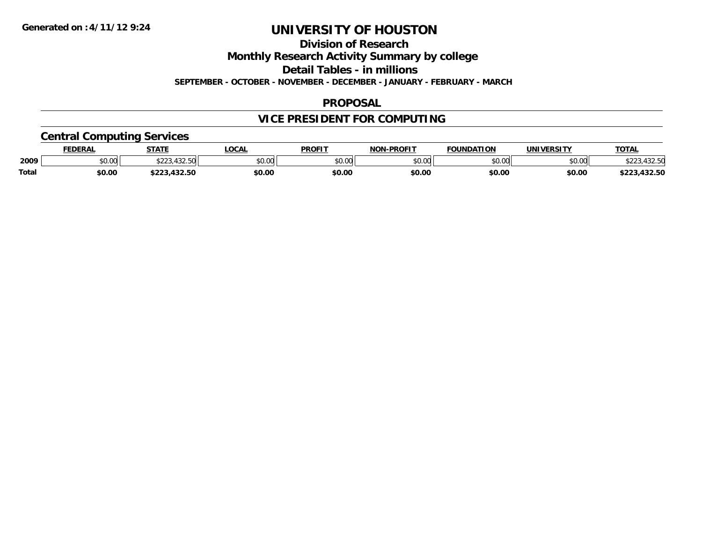### **Division of Research**

**Monthly Research Activity Summary by college**

**Detail Tables - in millions**

**SEPTEMBER - OCTOBER - NOVEMBER - DECEMBER - JANUARY - FEBRUARY - MARCH**

### **PROPOSAL**

# **VICE PRESIDENT FOR COMPUTING**

### **Central Computing Services**

|              | FEDERAL | <b>STATE</b>                        | <b>.OCAL</b> | <b>PROFIT</b> | <b>I-PROFIT</b><br><b>NON</b> | <b>FOUNDATION</b> | UNIVERSITY | TOTA.           |
|--------------|---------|-------------------------------------|--------------|---------------|-------------------------------|-------------------|------------|-----------------|
| 2009         | \$0.00  | 100E<br>ふへへへ<br>- - - - - - - - - - | \$0.00       | \$0.00        | ልስ ለሰ<br>pv.uu                | \$0.00            | \$0.00     | שט.∠ט+          |
| <b>Total</b> | \$0.00  | $\sqrt{22}$<br>*^^^<br>,452.50      | \$0.00       | \$0.00        | \$0.00                        | \$0.00            | \$0.00     | ,432.50<br>ナつつつ |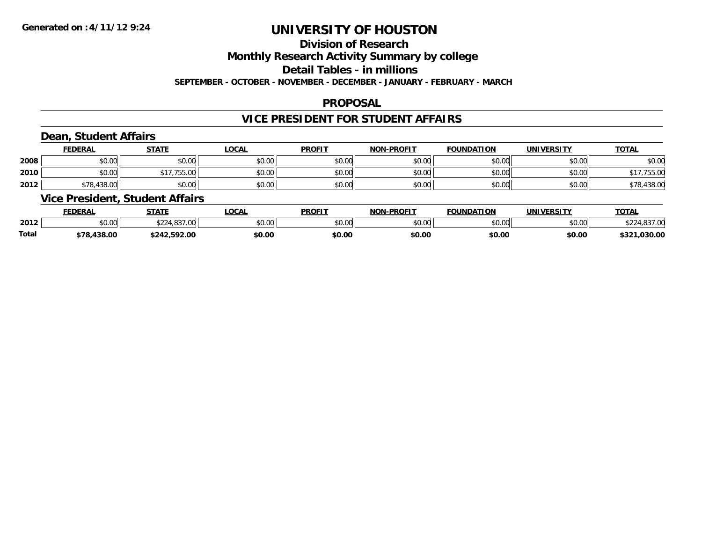## **Division of Research**

**Monthly Research Activity Summary by college**

**Detail Tables - in millions**

**SEPTEMBER - OCTOBER - NOVEMBER - DECEMBER - JANUARY - FEBRUARY - MARCH**

### **PROPOSAL**

### **VICE PRESIDENT FOR STUDENT AFFAIRS**

### **Dean, Student Affairs**

|      | <b>FEDERAL</b> | <b>STATE</b>      | <b>LOCAL</b> | <b>PROFIT</b> | <b>NON-PROFIT</b> | <b>FOUNDATION</b> | <b>UNIVERSITY</b> | <b>TOTAL</b>     |
|------|----------------|-------------------|--------------|---------------|-------------------|-------------------|-------------------|------------------|
| 2008 | \$0.00         | \$0.00            | \$0.00       | \$0.00        | \$0.00            | \$0.00            | \$0.00            | \$0.00           |
| 2010 | \$0.00         | $- - -$<br>/55.00 | \$0.00       | \$0.00        | \$0.00            | \$0.00            | \$0.00            | 15.50<br>. JJ.UU |
| 2012 | \$78,438.00    | \$0.00            | \$0.00       | \$0.00        | \$0.00            | \$0.00            | \$0.00            | \$78,438.00      |

### **Vice President, Student Affairs**

|       | <b>FEDERAL</b>     | <b>STATE</b>                                                                          | <b>OCAL</b> | <b>PROFIT</b> | <b>NON-PROFIT</b> | <b>FOUNDATION</b> | UNIVERSITY | <b>TOTAL</b>       |
|-------|--------------------|---------------------------------------------------------------------------------------|-------------|---------------|-------------------|-------------------|------------|--------------------|
| 2012  | $\sim$ 00<br>DU.UU | $\uparrow$ $\uparrow$ $\uparrow$<br>$\sim$ $\sim$ $\sim$ $\sim$ $\sim$<br>. . Uu<br>. | \$0.00      | 0000<br>JU.UU | 0000<br>JU.UU     | \$0.00            | \$0.00     | $*224.027.00$      |
| Total | \$78,438.00        | 6242.592.00                                                                           | \$0.00      | \$0.00        | \$0.00            | \$0.00            | \$0.00     | 1.030.00<br>\$321, |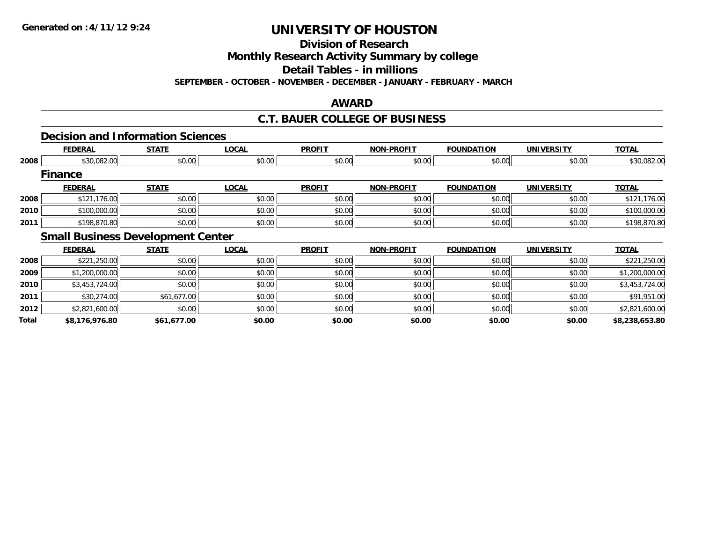**Division of Research**

**Monthly Research Activity Summary by college**

**Detail Tables - in millions**

**SEPTEMBER - OCTOBER - NOVEMBER - DECEMBER - JANUARY - FEBRUARY - MARCH**

### **AWARD**

### **C.T. BAUER COLLEGE OF BUSINESS**

### **Decision and Information Sciences**

|              | <b>FEDERAL</b>                           | <b>STATE</b> | <b>LOCAL</b> | <b>PROFIT</b> | <b>NON-PROFIT</b> | <b>FOUNDATION</b> | <b>UNIVERSITY</b> | <b>TOTAL</b>   |
|--------------|------------------------------------------|--------------|--------------|---------------|-------------------|-------------------|-------------------|----------------|
| 2008         | \$30,082.00                              | \$0.00       | \$0.00       | \$0.00        | \$0.00            | \$0.00            | \$0.00            | \$30,082.00    |
|              | <b>Finance</b>                           |              |              |               |                   |                   |                   |                |
|              | <b>FEDERAL</b>                           | <b>STATE</b> | <b>LOCAL</b> | <b>PROFIT</b> | <b>NON-PROFIT</b> | <b>FOUNDATION</b> | <b>UNIVERSITY</b> | <b>TOTAL</b>   |
| 2008         | \$121,176.00                             | \$0.00       | \$0.00       | \$0.00        | \$0.00            | \$0.00            | \$0.00            | \$121,176.00   |
| 2010         | \$100,000.00                             | \$0.00       | \$0.00       | \$0.00        | \$0.00            | \$0.00            | \$0.00            | \$100,000.00   |
| 2011         | \$198,870.80                             | \$0.00       | \$0.00       | \$0.00        | \$0.00            | \$0.00            | \$0.00            | \$198,870.80   |
|              | <b>Small Business Development Center</b> |              |              |               |                   |                   |                   |                |
|              | <b>FEDERAL</b>                           | <b>STATE</b> | <b>LOCAL</b> | <b>PROFIT</b> | <b>NON-PROFIT</b> | <b>FOUNDATION</b> | <b>UNIVERSITY</b> | <b>TOTAL</b>   |
| 2008         | \$221,250.00                             | \$0.00       | \$0.00       | \$0.00        | \$0.00            | \$0.00            | \$0.00            | \$221,250.00   |
| 2009         | \$1,200,000.00                           | \$0.00       | \$0.00       | \$0.00        | \$0.00            | \$0.00            | \$0.00            | \$1,200,000.00 |
| 2010         | \$3,453,724.00                           | \$0.00       | \$0.00       | \$0.00        | \$0.00            | \$0.00            | \$0.00            | \$3,453,724.00 |
| 2011         | \$30,274.00                              | \$61,677.00  | \$0.00       | \$0.00        | \$0.00            | \$0.00            | \$0.00            | \$91,951.00    |
| 2012         | \$2,821,600.00                           | \$0.00       | \$0.00       | \$0.00        | \$0.00            | \$0.00            | \$0.00            | \$2,821,600.00 |
| <b>Total</b> | \$8,176,976.80                           | \$61,677.00  | \$0.00       | \$0.00        | \$0.00            | \$0.00            | \$0.00            | \$8,238,653.80 |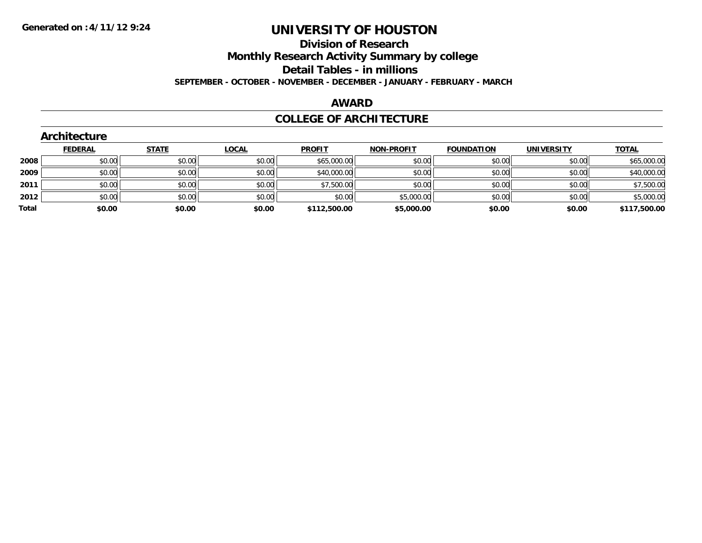### **Division of Research Monthly Research Activity Summary by college Detail Tables - in millions**

**SEPTEMBER - OCTOBER - NOVEMBER - DECEMBER - JANUARY - FEBRUARY - MARCH**

### **AWARD**

#### **COLLEGE OF ARCHITECTURE**

|       | Architecture   |              |              |               |                   |                   |                   |              |
|-------|----------------|--------------|--------------|---------------|-------------------|-------------------|-------------------|--------------|
|       | <b>FEDERAL</b> | <b>STATE</b> | <b>LOCAL</b> | <b>PROFIT</b> | <b>NON-PROFIT</b> | <b>FOUNDATION</b> | <b>UNIVERSITY</b> | <b>TOTAL</b> |
| 2008  | \$0.00         | \$0.00       | \$0.00       | \$65,000.00   | \$0.00            | \$0.00            | \$0.00            | \$65,000.00  |
| 2009  | \$0.00         | \$0.00       | \$0.00       | \$40,000.00   | \$0.00            | \$0.00            | \$0.00            | \$40,000.00  |
| 2011  | \$0.00         | \$0.00       | \$0.00       | \$7,500.00    | \$0.00            | \$0.00            | \$0.00            | \$7,500.00   |
| 2012  | \$0.00         | \$0.00       | \$0.00       | \$0.00        | \$5,000.00        | \$0.00            | \$0.00            | \$5,000.00   |
| Total | \$0.00         | \$0.00       | \$0.00       | \$112,500.00  | \$5,000.00        | \$0.00            | \$0.00            | \$117,500.00 |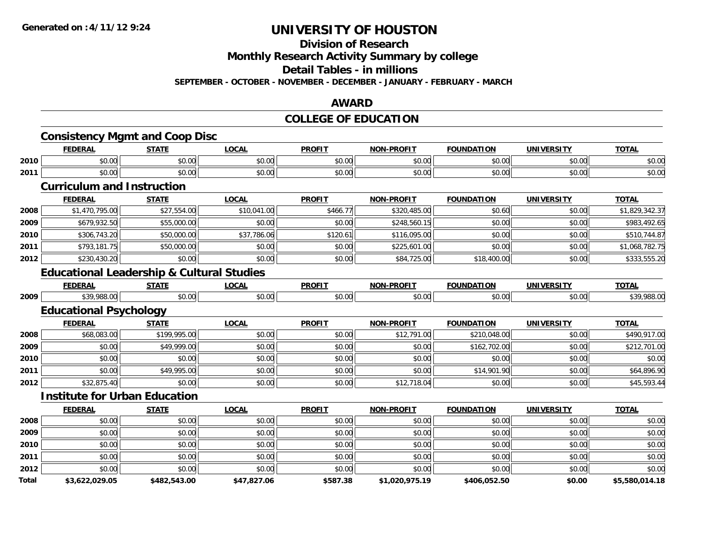#### **Division of Research**

**Monthly Research Activity Summary by college**

**Detail Tables - in millions**

**SEPTEMBER - OCTOBER - NOVEMBER - DECEMBER - JANUARY - FEBRUARY - MARCH**

#### **AWARD**

# **COLLEGE OF EDUCATION**

|       | <b>FEDERAL</b>                                       | <b>STATE</b> | <b>LOCAL</b> | <b>PROFIT</b> | <b>NON-PROFIT</b> | <b>FOUNDATION</b> | <b>UNIVERSITY</b> | <b>TOTAL</b>   |
|-------|------------------------------------------------------|--------------|--------------|---------------|-------------------|-------------------|-------------------|----------------|
| 2010  | \$0.00                                               | \$0.00       | \$0.00       | \$0.00        | \$0.00            | \$0.00            | \$0.00            | \$0.00         |
| 2011  | \$0.00                                               | \$0.00       | \$0.00       | \$0.00        | \$0.00            | \$0.00            | \$0.00            | \$0.00         |
|       | <b>Curriculum and Instruction</b>                    |              |              |               |                   |                   |                   |                |
|       | <b>FEDERAL</b>                                       | <b>STATE</b> | <b>LOCAL</b> | <b>PROFIT</b> | <b>NON-PROFIT</b> | <b>FOUNDATION</b> | <b>UNIVERSITY</b> | <b>TOTAL</b>   |
| 2008  | \$1,470,795.00                                       | \$27,554.00  | \$10,041.00  | \$466.77      | \$320,485.00      | \$0.60            | \$0.00            | \$1,829,342.37 |
| 2009  | \$679,932.50                                         | \$55,000.00  | \$0.00       | \$0.00        | \$248,560.15      | \$0.00            | \$0.00            | \$983,492.65   |
| 2010  | \$306,743.20                                         | \$50,000.00  | \$37,786.06  | \$120.61      | \$116,095.00      | \$0.00            | \$0.00            | \$510,744.87   |
| 2011  | \$793,181.75                                         | \$50,000.00  | \$0.00       | \$0.00        | \$225,601.00      | \$0.00            | \$0.00            | \$1,068,782.75 |
| 2012  | \$230,430.20                                         | \$0.00       | \$0.00       | \$0.00        | \$84,725.00       | \$18,400.00       | \$0.00            | \$333,555.20   |
|       | <b>Educational Leadership &amp; Cultural Studies</b> |              |              |               |                   |                   |                   |                |
|       | <b>FEDERAL</b>                                       | <b>STATE</b> | <b>LOCAL</b> | <b>PROFIT</b> | <b>NON-PROFIT</b> | <b>FOUNDATION</b> | <b>UNIVERSITY</b> | <b>TOTAL</b>   |
| 2009  | \$39,988.00                                          | \$0.00       | \$0.00       | \$0.00        | \$0.00            | \$0.00            | \$0.00            | \$39,988.00    |
|       | <b>Educational Psychology</b>                        |              |              |               |                   |                   |                   |                |
|       | <b>FEDERAL</b>                                       | <b>STATE</b> | <b>LOCAL</b> | <b>PROFIT</b> | <b>NON-PROFIT</b> | <b>FOUNDATION</b> | <b>UNIVERSITY</b> | <b>TOTAL</b>   |
| 2008  | \$68,083.00                                          | \$199,995.00 | \$0.00       | \$0.00        | \$12,791.00       | \$210,048.00      | \$0.00            | \$490,917.00   |
| 2009  | \$0.00                                               | \$49,999.00  | \$0.00       | \$0.00        | \$0.00            | \$162,702.00      | \$0.00            | \$212,701.00   |
| 2010  | \$0.00                                               | \$0.00       | \$0.00       | \$0.00        | \$0.00            | \$0.00            | \$0.00            | \$0.00         |
| 2011  | \$0.00                                               | \$49,995.00  | \$0.00       | \$0.00        | \$0.00            | \$14,901.90       | \$0.00            | \$64,896.90    |
| 2012  | \$32,875.40                                          | \$0.00       | \$0.00       | \$0.00        | \$12,718.04       | \$0.00            | \$0.00            | \$45,593.44    |
|       | <b>Institute for Urban Education</b>                 |              |              |               |                   |                   |                   |                |
|       | <b>FEDERAL</b>                                       | <b>STATE</b> | <b>LOCAL</b> | <b>PROFIT</b> | <b>NON-PROFIT</b> | <b>FOUNDATION</b> | <b>UNIVERSITY</b> | <b>TOTAL</b>   |
| 2008  | \$0.00                                               | \$0.00       | \$0.00       | \$0.00        | \$0.00            | \$0.00            | \$0.00            | \$0.00         |
| 2009  | \$0.00                                               | \$0.00       | \$0.00       | \$0.00        | \$0.00            | \$0.00            | \$0.00            | \$0.00         |
| 2010  | \$0.00                                               | \$0.00       | \$0.00       | \$0.00        | \$0.00            | \$0.00            | \$0.00            | \$0.00         |
| 2011  | \$0.00                                               | \$0.00       | \$0.00       | \$0.00        | \$0.00            | \$0.00            | \$0.00            | \$0.00         |
| 2012  | \$0.00                                               | \$0.00       | \$0.00       | \$0.00        | \$0.00            | \$0.00            | \$0.00            | \$0.00         |
| Total | \$3,622,029.05                                       | \$482,543.00 | \$47,827.06  | \$587.38      | \$1,020,975.19    | \$406,052.50      | \$0.00            | \$5,580,014.18 |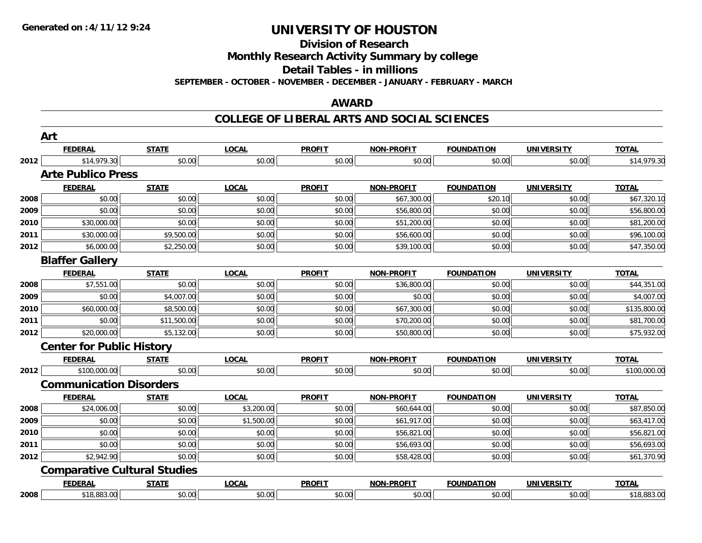**Division of Research**

**Monthly Research Activity Summary by college**

**Detail Tables - in millions**

**SEPTEMBER - OCTOBER - NOVEMBER - DECEMBER - JANUARY - FEBRUARY - MARCH**

#### **AWARD**

#### **COLLEGE OF LIBERAL ARTS AND SOCIAL SCIENCES**

|      | Art                                 |              |              |               |                   |                   |                   |              |
|------|-------------------------------------|--------------|--------------|---------------|-------------------|-------------------|-------------------|--------------|
|      | <b>FEDERAL</b>                      | <b>STATE</b> | <b>LOCAL</b> | <b>PROFIT</b> | <b>NON-PROFIT</b> | <b>FOUNDATION</b> | <b>UNIVERSITY</b> | <b>TOTAL</b> |
| 2012 | \$14,979.30                         | \$0.00       | \$0.00       | \$0.00        | \$0.00            | \$0.00            | \$0.00            | \$14,979.30  |
|      | <b>Arte Publico Press</b>           |              |              |               |                   |                   |                   |              |
|      | <b>FEDERAL</b>                      | <b>STATE</b> | <b>LOCAL</b> | <b>PROFIT</b> | <b>NON-PROFIT</b> | <b>FOUNDATION</b> | <b>UNIVERSITY</b> | <b>TOTAL</b> |
| 2008 | \$0.00                              | \$0.00       | \$0.00       | \$0.00        | \$67,300.00       | \$20.10           | \$0.00            | \$67,320.10  |
| 2009 | \$0.00                              | \$0.00       | \$0.00       | \$0.00        | \$56,800.00       | \$0.00            | \$0.00            | \$56,800.00  |
| 2010 | \$30,000.00                         | \$0.00       | \$0.00       | \$0.00        | \$51,200.00       | \$0.00            | \$0.00            | \$81,200.00  |
| 2011 | \$30,000.00                         | \$9,500.00   | \$0.00       | \$0.00        | \$56,600.00       | \$0.00            | \$0.00            | \$96,100.00  |
| 2012 | \$6,000.00                          | \$2,250.00   | \$0.00       | \$0.00        | \$39,100.00       | \$0.00            | \$0.00            | \$47,350.00  |
|      | <b>Blaffer Gallery</b>              |              |              |               |                   |                   |                   |              |
|      | <b>FEDERAL</b>                      | <b>STATE</b> | <b>LOCAL</b> | <b>PROFIT</b> | <b>NON-PROFIT</b> | <b>FOUNDATION</b> | <b>UNIVERSITY</b> | <b>TOTAL</b> |
| 2008 | \$7,551.00                          | \$0.00       | \$0.00       | \$0.00        | \$36,800.00       | \$0.00            | \$0.00            | \$44,351.00  |
| 2009 | \$0.00                              | \$4,007.00   | \$0.00       | \$0.00        | \$0.00            | \$0.00            | \$0.00            | \$4,007.00   |
| 2010 | \$60,000.00                         | \$8,500.00   | \$0.00       | \$0.00        | \$67,300.00       | \$0.00            | \$0.00            | \$135,800.00 |
| 2011 | \$0.00                              | \$11,500.00  | \$0.00       | \$0.00        | \$70,200.00       | \$0.00            | \$0.00            | \$81,700.00  |
| 2012 | \$20,000.00                         | \$5,132.00   | \$0.00       | \$0.00        | \$50,800.00       | \$0.00            | \$0.00            | \$75,932.00  |
|      | <b>Center for Public History</b>    |              |              |               |                   |                   |                   |              |
|      | <b>FEDERAL</b>                      | <b>STATE</b> | <b>LOCAL</b> | <b>PROFIT</b> | <b>NON-PROFIT</b> | <b>FOUNDATION</b> | <b>UNIVERSITY</b> | <b>TOTAL</b> |
| 2012 | \$100,000.00                        | \$0.00       | \$0.00       | \$0.00        | \$0.00            | \$0.00            | \$0.00            | \$100,000.00 |
|      | <b>Communication Disorders</b>      |              |              |               |                   |                   |                   |              |
|      | <b>FEDERAL</b>                      | <b>STATE</b> | <b>LOCAL</b> | <b>PROFIT</b> | <b>NON-PROFIT</b> | <b>FOUNDATION</b> | <b>UNIVERSITY</b> | <b>TOTAL</b> |
| 2008 | \$24,006.00                         | \$0.00       | \$3,200.00   | \$0.00        | \$60,644.00       | \$0.00            | \$0.00            | \$87,850.00  |
| 2009 | \$0.00                              | \$0.00       | \$1,500.00   | \$0.00        | \$61,917.00       | \$0.00            | \$0.00            | \$63,417.00  |
| 2010 | \$0.00                              | \$0.00       | \$0.00       | \$0.00        | \$56,821.00       | \$0.00            | \$0.00            | \$56,821.00  |
| 2011 | \$0.00                              | \$0.00       | \$0.00       | \$0.00        | \$56,693.00       | \$0.00            | \$0.00            | \$56,693.00  |
| 2012 | \$2,942.90                          | \$0.00       | \$0.00       | \$0.00        | \$58,428.00       | \$0.00            | \$0.00            | \$61,370.90  |
|      | <b>Comparative Cultural Studies</b> |              |              |               |                   |                   |                   |              |
|      | <b>FEDERAL</b>                      | <b>STATE</b> | <b>LOCAL</b> | <b>PROFIT</b> | <b>NON-PROFIT</b> | <b>FOUNDATION</b> | <b>UNIVERSITY</b> | <b>TOTAL</b> |
| 2008 | \$18,883.00                         | \$0.00       | \$0.00       | \$0.00        | \$0.00            | \$0.00            | \$0.00            | \$18,883.00  |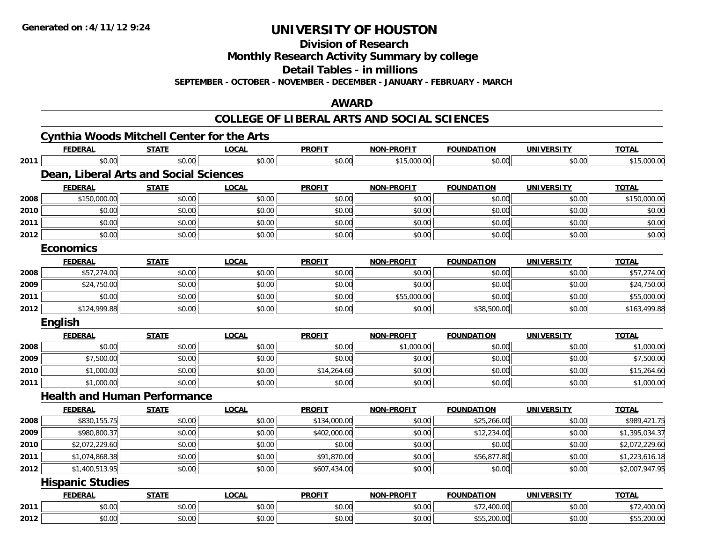**Division of Research**

**Monthly Research Activity Summary by college**

**Detail Tables - in millions**

**SEPTEMBER - OCTOBER - NOVEMBER - DECEMBER - JANUARY - FEBRUARY - MARCH**

#### **AWARD**

#### **COLLEGE OF LIBERAL ARTS AND SOCIAL SCIENCES**

|      | <b>Cynthia Woods Mitchell Center for the Arts</b> |              |              |               |                   |                   |                   |                |
|------|---------------------------------------------------|--------------|--------------|---------------|-------------------|-------------------|-------------------|----------------|
|      | <b>FEDERAL</b>                                    | <b>STATE</b> | <b>LOCAL</b> | <b>PROFIT</b> | <b>NON-PROFIT</b> | <b>FOUNDATION</b> | <b>UNIVERSITY</b> | <b>TOTAL</b>   |
| 2011 | \$0.00                                            | \$0.00       | \$0.00       | \$0.00        | \$15,000.00       | \$0.00            | \$0.00            | \$15,000.00    |
|      | Dean, Liberal Arts and Social Sciences            |              |              |               |                   |                   |                   |                |
|      | <b>FEDERAL</b>                                    | <b>STATE</b> | <b>LOCAL</b> | <b>PROFIT</b> | <b>NON-PROFIT</b> | <b>FOUNDATION</b> | <b>UNIVERSITY</b> | <b>TOTAL</b>   |
| 2008 | \$150,000.00                                      | \$0.00       | \$0.00       | \$0.00        | \$0.00            | \$0.00            | \$0.00            | \$150,000.00   |
| 2010 | \$0.00                                            | \$0.00       | \$0.00       | \$0.00        | \$0.00            | \$0.00            | \$0.00            | \$0.00         |
| 2011 | \$0.00                                            | \$0.00       | \$0.00       | \$0.00        | \$0.00            | \$0.00            | \$0.00            | \$0.00         |
| 2012 | \$0.00                                            | \$0.00       | \$0.00       | \$0.00        | \$0.00            | \$0.00            | \$0.00            | \$0.00         |
|      | <b>Economics</b>                                  |              |              |               |                   |                   |                   |                |
|      | <b>FEDERAL</b>                                    | <b>STATE</b> | <b>LOCAL</b> | <b>PROFIT</b> | <b>NON-PROFIT</b> | <b>FOUNDATION</b> | <b>UNIVERSITY</b> | <b>TOTAL</b>   |
| 2008 | \$57,274.00                                       | \$0.00       | \$0.00       | \$0.00        | \$0.00            | \$0.00            | \$0.00            | \$57,274.00    |
| 2009 | \$24,750.00                                       | \$0.00       | \$0.00       | \$0.00        | \$0.00            | \$0.00            | \$0.00            | \$24,750.00    |
| 2011 | \$0.00                                            | \$0.00       | \$0.00       | \$0.00        | \$55,000.00       | \$0.00            | \$0.00            | \$55,000.00    |
| 2012 | \$124,999.88                                      | \$0.00       | \$0.00       | \$0.00        | \$0.00            | \$38,500.00       | \$0.00            | \$163,499.88   |
|      | <b>English</b>                                    |              |              |               |                   |                   |                   |                |
|      | <b>FEDERAL</b>                                    |              |              |               |                   |                   |                   |                |
|      |                                                   | <b>STATE</b> | <b>LOCAL</b> | <b>PROFIT</b> | <b>NON-PROFIT</b> | <b>FOUNDATION</b> | <b>UNIVERSITY</b> | <b>TOTAL</b>   |
| 2008 | \$0.00                                            | \$0.00       | \$0.00       | \$0.00        | \$1,000.00        | \$0.00            | \$0.00            | \$1,000.00     |
| 2009 | \$7,500.00                                        | \$0.00       | \$0.00       | \$0.00        | \$0.00            | \$0.00            | \$0.00            | \$7,500.00     |
| 2010 | \$1,000.00                                        | \$0.00       | \$0.00       | \$14,264.60   | \$0.00            | \$0.00            | \$0.00            | \$15,264.60    |
| 2011 | \$1,000.00                                        | \$0.00       | \$0.00       | \$0.00        | \$0.00            | \$0.00            | \$0.00            | \$1,000.00     |
|      | <b>Health and Human Performance</b>               |              |              |               |                   |                   |                   |                |
|      | <b>FEDERAL</b>                                    | <b>STATE</b> | <b>LOCAL</b> | <b>PROFIT</b> | <b>NON-PROFIT</b> | <b>FOUNDATION</b> | <b>UNIVERSITY</b> | <b>TOTAL</b>   |
| 2008 | \$830,155.75                                      | \$0.00       | \$0.00       | \$134,000.00  | \$0.00            | \$25,266.00       | \$0.00            | \$989,421.75   |
| 2009 | \$980,800.37                                      | \$0.00       | \$0.00       | \$402,000.00  | \$0.00            | \$12,234.00       | \$0.00            | \$1,395,034.37 |
| 2010 | \$2,072,229.60                                    | \$0.00       | \$0.00       | \$0.00        | \$0.00            | \$0.00            | \$0.00            | \$2,072,229.60 |
| 2011 | \$1,074,868.38                                    | \$0.00       | \$0.00       | \$91,870.00   | \$0.00            | \$56,877.80       | \$0.00            | \$1,223,616.18 |
| 2012 | \$1,400,513.95                                    | \$0.00       | \$0.00       | \$607,434.00  | \$0.00            | \$0.00            | \$0.00            | \$2,007,947.95 |
|      | <b>Hispanic Studies</b>                           |              |              |               |                   |                   |                   |                |
|      | <b>FEDERAL</b>                                    | <b>STATE</b> | <b>LOCAL</b> | <b>PROFIT</b> | <b>NON-PROFIT</b> | <b>FOUNDATION</b> | <b>UNIVERSITY</b> | <b>TOTAL</b>   |
| 2011 | \$0.00                                            | \$0.00       | \$0.00       | \$0.00        | \$0.00            | \$72,400.00       | \$0.00            | \$72,400.00    |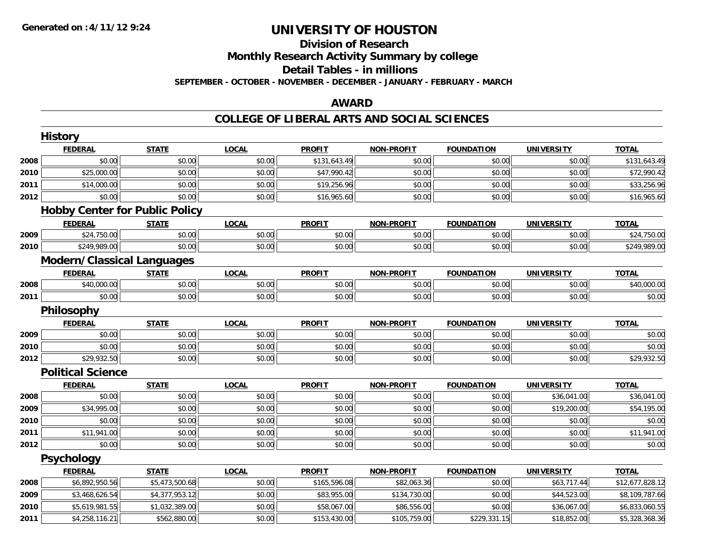### **Division of ResearchMonthly Research Activity Summary by college Detail Tables - in millions SEPTEMBER - OCTOBER - NOVEMBER - DECEMBER - JANUARY - FEBRUARY - MARCH**

#### **AWARD**

#### **COLLEGE OF LIBERAL ARTS AND SOCIAL SCIENCES**

|      | <b>History</b>                        |                |              |               |                   |                   |                   |                 |
|------|---------------------------------------|----------------|--------------|---------------|-------------------|-------------------|-------------------|-----------------|
|      | <b>FEDERAL</b>                        | <b>STATE</b>   | <b>LOCAL</b> | <b>PROFIT</b> | <b>NON-PROFIT</b> | <b>FOUNDATION</b> | <b>UNIVERSITY</b> | <b>TOTAL</b>    |
| 2008 | \$0.00                                | \$0.00         | \$0.00       | \$131,643.49  | \$0.00            | \$0.00            | \$0.00            | \$131,643.49    |
| 2010 | \$25,000.00                           | \$0.00         | \$0.00       | \$47,990.42   | \$0.00            | \$0.00            | \$0.00            | \$72,990.42     |
| 2011 | \$14,000.00                           | \$0.00         | \$0.00       | \$19,256.96   | \$0.00            | \$0.00            | \$0.00            | \$33,256.96     |
| 2012 | \$0.00                                | \$0.00         | \$0.00       | \$16,965.60   | \$0.00            | \$0.00            | \$0.00            | \$16,965.60     |
|      | <b>Hobby Center for Public Policy</b> |                |              |               |                   |                   |                   |                 |
|      | <b>FEDERAL</b>                        | <b>STATE</b>   | <b>LOCAL</b> | <b>PROFIT</b> | <b>NON-PROFIT</b> | <b>FOUNDATION</b> | <b>UNIVERSITY</b> | <b>TOTAL</b>    |
| 2009 | \$24,750.00                           | \$0.00         | \$0.00       | \$0.00        | \$0.00            | \$0.00            | \$0.00            | \$24,750.00     |
| 2010 | \$249,989.00                          | \$0.00         | \$0.00       | \$0.00        | \$0.00            | \$0.00            | \$0.00            | \$249,989.00    |
|      | <b>Modern/Classical Languages</b>     |                |              |               |                   |                   |                   |                 |
|      | <b>FEDERAL</b>                        | <b>STATE</b>   | <b>LOCAL</b> | <b>PROFIT</b> | <b>NON-PROFIT</b> | <b>FOUNDATION</b> | <b>UNIVERSITY</b> | <b>TOTAL</b>    |
| 2008 | \$40,000.00                           | \$0.00         | \$0.00       | \$0.00        | \$0.00            | \$0.00            | \$0.00            | \$40,000.00     |
| 2011 | \$0.00                                | \$0.00         | \$0.00       | \$0.00        | \$0.00            | \$0.00            | \$0.00            | \$0.00          |
|      | Philosophy                            |                |              |               |                   |                   |                   |                 |
|      | <b>FEDERAL</b>                        | <b>STATE</b>   | <b>LOCAL</b> | <b>PROFIT</b> | <b>NON-PROFIT</b> | <b>FOUNDATION</b> | <b>UNIVERSITY</b> | <b>TOTAL</b>    |
| 2009 | \$0.00                                | \$0.00         | \$0.00       | \$0.00        | \$0.00            | \$0.00            | \$0.00            | \$0.00          |
| 2010 | \$0.00                                | \$0.00         | \$0.00       | \$0.00        | \$0.00            | \$0.00            | \$0.00            | \$0.00          |
| 2012 | \$29,932.50                           | \$0.00         | \$0.00       | \$0.00        | \$0.00            | \$0.00            | \$0.00            | \$29,932.50     |
|      | <b>Political Science</b>              |                |              |               |                   |                   |                   |                 |
|      | <b>FEDERAL</b>                        | <b>STATE</b>   | <b>LOCAL</b> | <b>PROFIT</b> | <b>NON-PROFIT</b> | <b>FOUNDATION</b> | <b>UNIVERSITY</b> | <b>TOTAL</b>    |
| 2008 | \$0.00                                | \$0.00         | \$0.00       | \$0.00        | \$0.00            | \$0.00            | \$36,041.00       | \$36,041.00     |
| 2009 | \$34,995.00                           | \$0.00         | \$0.00       | \$0.00        | \$0.00            | \$0.00            | \$19,200.00       | \$54,195.00     |
| 2010 | \$0.00                                | \$0.00         | \$0.00       | \$0.00        | \$0.00            | \$0.00            | \$0.00            | \$0.00          |
| 2011 | \$11,941.00                           | \$0.00         | \$0.00       | \$0.00        | \$0.00            | \$0.00            | \$0.00            | \$11,941.00     |
| 2012 | \$0.00                                | \$0.00         | \$0.00       | \$0.00        | \$0.00            | \$0.00            | \$0.00            | \$0.00          |
|      | <b>Psychology</b>                     |                |              |               |                   |                   |                   |                 |
|      | <b>FEDERAL</b>                        | <b>STATE</b>   | <b>LOCAL</b> | <b>PROFIT</b> | <b>NON-PROFIT</b> | <b>FOUNDATION</b> | <b>UNIVERSITY</b> | <b>TOTAL</b>    |
| 2008 | \$6,892,950.56                        | \$5,473,500.68 | \$0.00       | \$165,596.08  | \$82,063.36       | \$0.00            | \$63,717.44       | \$12,677,828.12 |
| 2009 | \$3,468,626.54                        | \$4,377,953.12 | \$0.00       | \$83,955.00   | \$134,730.00      | \$0.00            | \$44,523.00       | \$8,109,787.66  |
| 2010 | \$5,619,981.55                        | \$1,032,389.00 | \$0.00       | \$58,067.00   | \$86,556.00       | \$0.00            | \$36,067.00       | \$6,833,060.55  |
| 2011 | \$4,258,116.21                        | \$562,880.00   | \$0.00       | \$153,430.00  | \$105,759.00      | \$229,331.15      | \$18,852.00       | \$5,328,368.36  |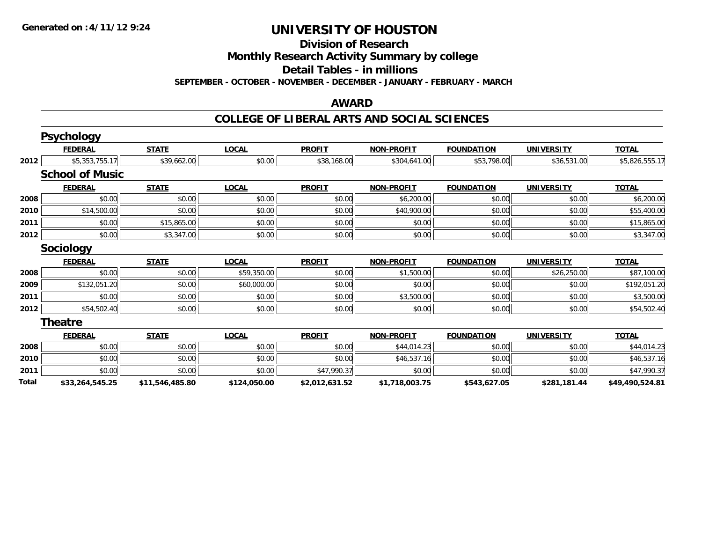### **Division of Research**

**Monthly Research Activity Summary by college**

**Detail Tables - in millions**

**SEPTEMBER - OCTOBER - NOVEMBER - DECEMBER - JANUARY - FEBRUARY - MARCH**

#### **AWARD**

#### **COLLEGE OF LIBERAL ARTS AND SOCIAL SCIENCES**

|       | <b>Psychology</b>      |                 |              |                |                   |                   |                   |                 |
|-------|------------------------|-----------------|--------------|----------------|-------------------|-------------------|-------------------|-----------------|
|       | <b>FEDERAL</b>         | <b>STATE</b>    | <b>LOCAL</b> | <b>PROFIT</b>  | <b>NON-PROFIT</b> | <b>FOUNDATION</b> | <b>UNIVERSITY</b> | <b>TOTAL</b>    |
| 2012  | \$5,353,755.17         | \$39,662.00     | \$0.00       | \$38,168.00    | \$304,641.00      | \$53,798.00       | \$36,531.00       | \$5,826,555.17  |
|       | <b>School of Music</b> |                 |              |                |                   |                   |                   |                 |
|       | <b>FEDERAL</b>         | <b>STATE</b>    | <b>LOCAL</b> | <b>PROFIT</b>  | <b>NON-PROFIT</b> | <b>FOUNDATION</b> | <b>UNIVERSITY</b> | <b>TOTAL</b>    |
| 2008  | \$0.00                 | \$0.00          | \$0.00       | \$0.00         | \$6,200.00        | \$0.00            | \$0.00            | \$6,200.00      |
| 2010  | \$14,500.00            | \$0.00          | \$0.00       | \$0.00         | \$40,900.00       | \$0.00            | \$0.00            | \$55,400.00     |
| 2011  | \$0.00                 | \$15,865.00     | \$0.00       | \$0.00         | \$0.00            | \$0.00            | \$0.00            | \$15,865.00     |
| 2012  | \$0.00                 | \$3,347.00      | \$0.00       | \$0.00         | \$0.00            | \$0.00            | \$0.00            | \$3,347.00      |
|       | <b>Sociology</b>       |                 |              |                |                   |                   |                   |                 |
|       | <b>FEDERAL</b>         | <b>STATE</b>    | <b>LOCAL</b> | <b>PROFIT</b>  | <b>NON-PROFIT</b> | <b>FOUNDATION</b> | <b>UNIVERSITY</b> | <b>TOTAL</b>    |
| 2008  | \$0.00                 | \$0.00          | \$59,350.00  | \$0.00         | \$1,500.00        | \$0.00            | \$26,250.00       | \$87,100.00     |
| 2009  | \$132,051.20           | \$0.00          | \$60,000.00  | \$0.00         | \$0.00            | \$0.00            | \$0.00            | \$192,051.20    |
| 2011  | \$0.00                 | \$0.00          | \$0.00       | \$0.00         | \$3,500.00        | \$0.00            | \$0.00            | \$3,500.00      |
| 2012  | \$54,502.40            | \$0.00          | \$0.00       | \$0.00         | \$0.00            | \$0.00            | \$0.00            | \$54,502.40     |
|       | <b>Theatre</b>         |                 |              |                |                   |                   |                   |                 |
|       | <b>FEDERAL</b>         | <b>STATE</b>    | <b>LOCAL</b> | <b>PROFIT</b>  | <b>NON-PROFIT</b> | <b>FOUNDATION</b> | <b>UNIVERSITY</b> | <b>TOTAL</b>    |
| 2008  | \$0.00                 | \$0.00          | \$0.00       | \$0.00         | \$44,014.23       | \$0.00            | \$0.00            | \$44,014.23     |
| 2010  | \$0.00                 | \$0.00          | \$0.00       | \$0.00         | \$46,537.16       | \$0.00            | \$0.00            | \$46,537.16     |
| 2011  | \$0.00                 | \$0.00          | \$0.00       | \$47,990.37    | \$0.00            | \$0.00            | \$0.00            | \$47,990.37     |
| Total | \$33,264,545.25        | \$11,546,485.80 | \$124,050.00 | \$2,012,631.52 | \$1,718,003.75    | \$543,627.05      | \$281,181.44      | \$49,490,524.81 |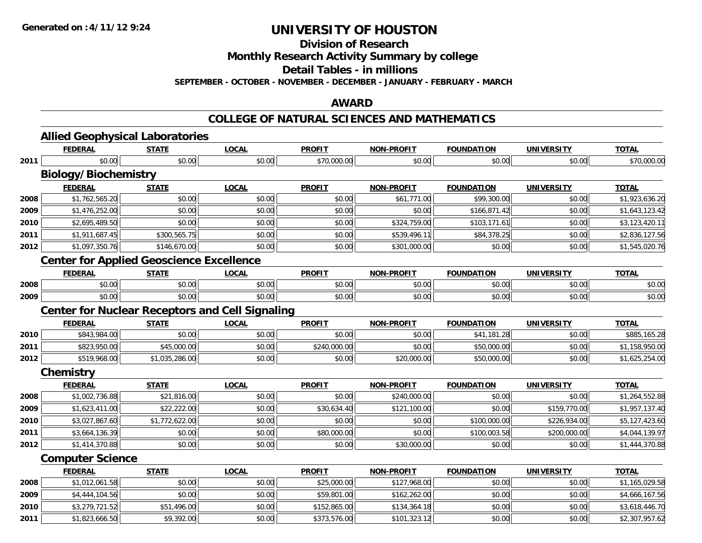**Division of Research**

**Monthly Research Activity Summary by college**

**Detail Tables - in millions**

**SEPTEMBER - OCTOBER - NOVEMBER - DECEMBER - JANUARY - FEBRUARY - MARCH**

#### **AWARD**

#### **COLLEGE OF NATURAL SCIENCES AND MATHEMATICS**

|      | <b>Allied Geophysical Laboratories</b><br><b>FEDERAL</b> | <b>STATE</b>   | <b>LOCAL</b> | <b>PROFIT</b> | <b>NON-PROFIT</b> | <b>FOUNDATION</b> | <b>UNIVERSITY</b> | <b>TOTAL</b>   |
|------|----------------------------------------------------------|----------------|--------------|---------------|-------------------|-------------------|-------------------|----------------|
|      | \$0.00                                                   | \$0.00         | \$0.00       |               |                   |                   |                   |                |
| 2011 |                                                          |                |              | \$70,000.00   | \$0.00            | \$0.00            | \$0.00            | \$70,000.00    |
|      | <b>Biology/Biochemistry</b>                              |                |              |               |                   |                   |                   |                |
|      | <b>FEDERAL</b>                                           | <b>STATE</b>   | <b>LOCAL</b> | <b>PROFIT</b> | <b>NON-PROFIT</b> | <b>FOUNDATION</b> | <b>UNIVERSITY</b> | <b>TOTAL</b>   |
| 2008 | \$1,762,565.20                                           | \$0.00         | \$0.00       | \$0.00        | \$61,771.00       | \$99,300.00       | \$0.00            | \$1,923,636.20 |
| 2009 | \$1,476,252.00                                           | \$0.00         | \$0.00       | \$0.00        | \$0.00            | \$166,871.42      | \$0.00            | \$1,643,123.42 |
| 2010 | \$2,695,489.50                                           | \$0.00         | \$0.00       | \$0.00        | \$324,759.00      | \$103,171.61      | \$0.00            | \$3,123,420.11 |
| 2011 | \$1,911,687.45                                           | \$300,565.75   | \$0.00       | \$0.00        | \$539,496.11      | \$84,378.25       | \$0.00            | \$2,836,127.56 |
| 2012 | \$1,097,350.76                                           | \$146,670.00   | \$0.00       | \$0.00        | \$301,000.00      | \$0.00            | \$0.00            | \$1,545,020.76 |
|      | <b>Center for Applied Geoscience Excellence</b>          |                |              |               |                   |                   |                   |                |
|      | <b>FEDERAL</b>                                           | <b>STATE</b>   | <b>LOCAL</b> | <b>PROFIT</b> | <b>NON-PROFIT</b> | <b>FOUNDATION</b> | <b>UNIVERSITY</b> | <b>TOTAL</b>   |
| 2008 | \$0.00                                                   | \$0.00         | \$0.00       | \$0.00        | \$0.00            | \$0.00            | \$0.00            | \$0.00         |
| 2009 | \$0.00                                                   | \$0.00         | \$0.00       | \$0.00        | \$0.00            | \$0.00            | \$0.00            | \$0.00         |
|      | <b>Center for Nuclear Receptors and Cell Signaling</b>   |                |              |               |                   |                   |                   |                |
|      | <b>FEDERAL</b>                                           | <b>STATE</b>   | <b>LOCAL</b> | <b>PROFIT</b> | <b>NON-PROFIT</b> | <b>FOUNDATION</b> | <b>UNIVERSITY</b> | <b>TOTAL</b>   |
| 2010 | \$843,984.00                                             | \$0.00         | \$0.00       | \$0.00        | \$0.00            | \$41,181.28       | \$0.00            | \$885,165.28   |
| 2011 | \$823,950.00                                             | \$45,000.00    | \$0.00       | \$240,000.00  | \$0.00            | \$50,000.00       | \$0.00            | \$1,158,950.00 |
| 2012 | \$519,968.00                                             | \$1,035,286.00 | \$0.00       | \$0.00        | \$20,000.00       | \$50,000.00       | \$0.00            | \$1,625,254.00 |
|      | Chemistry                                                |                |              |               |                   |                   |                   |                |
|      | <b>FEDERAL</b>                                           | <b>STATE</b>   | <b>LOCAL</b> | <b>PROFIT</b> | <b>NON-PROFIT</b> | <b>FOUNDATION</b> | <b>UNIVERSITY</b> | <b>TOTAL</b>   |
| 2008 | \$1,002,736.88                                           | \$21,816.00    | \$0.00       | \$0.00        | \$240,000.00      | \$0.00            | \$0.00            | \$1,264,552.88 |
| 2009 | \$1,623,411.00                                           | \$22,222.00    | \$0.00       | \$30,634.40   | \$121,100.00      | \$0.00            | \$159,770.00      | \$1,957,137.40 |
| 2010 | \$3,027,867.60                                           | \$1,772,622.00 | \$0.00       | \$0.00        | \$0.00            | \$100,000.00      | \$226,934.00      | \$5,127,423.60 |
| 2011 | \$3,664,136.39                                           | \$0.00         | \$0.00       | \$80,000.00   | \$0.00            | \$100,003.58      | \$200,000.00      | \$4,044,139.97 |
| 2012 | \$1,414,370.88                                           | \$0.00         | \$0.00       | \$0.00        | \$30,000.00       | \$0.00            | \$0.00            | \$1,444,370.88 |
|      | <b>Computer Science</b>                                  |                |              |               |                   |                   |                   |                |
|      | <b>FEDERAL</b>                                           | <b>STATE</b>   | <b>LOCAL</b> | <b>PROFIT</b> | <b>NON-PROFIT</b> | <b>FOUNDATION</b> | <b>UNIVERSITY</b> | <b>TOTAL</b>   |
| 2008 | \$1,012,061.58                                           | \$0.00         | \$0.00       | \$25,000.00   | \$127,968.00      | \$0.00            | \$0.00            | \$1,165,029.58 |
| 2009 | \$4,444,104.56                                           | \$0.00         | \$0.00       | \$59,801.00   | \$162,262.00      | \$0.00            | \$0.00            | \$4,666,167.56 |
| 2010 | \$3,279,721.52                                           | \$51,496.00    | \$0.00       | \$152,865.00  | \$134,364.18      | \$0.00            | \$0.00            | \$3,618,446.70 |
| 2011 | \$1,823,666.50                                           | \$9,392.00     | \$0.00       | \$373,576.00  | \$101,323.12      | \$0.00            | \$0.00            | \$2,307,957.62 |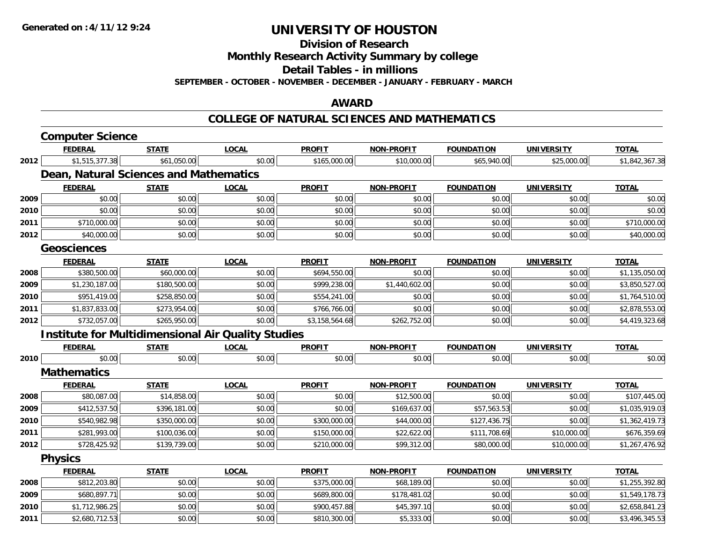**Division of Research**

**Monthly Research Activity Summary by college**

**Detail Tables - in millions**

**SEPTEMBER - OCTOBER - NOVEMBER - DECEMBER - JANUARY - FEBRUARY - MARCH**

#### **AWARD**

#### **COLLEGE OF NATURAL SCIENCES AND MATHEMATICS**

|      | <b>Computer Science</b>                |              |                                                           |                |                   |                   |                   |                |
|------|----------------------------------------|--------------|-----------------------------------------------------------|----------------|-------------------|-------------------|-------------------|----------------|
|      | <b>FEDERAL</b>                         | <b>STATE</b> | <b>LOCAL</b>                                              | <b>PROFIT</b>  | <b>NON-PROFIT</b> | <b>FOUNDATION</b> | <b>UNIVERSITY</b> | <b>TOTAL</b>   |
| 2012 | \$1,515,377.38                         | \$61,050.00  | \$0.00                                                    | \$165,000.00   | \$10,000.00       | \$65,940.00       | \$25,000.00       | \$1,842,367.38 |
|      | Dean, Natural Sciences and Mathematics |              |                                                           |                |                   |                   |                   |                |
|      | <b>FEDERAL</b>                         | <b>STATE</b> | <b>LOCAL</b>                                              | <b>PROFIT</b>  | <b>NON-PROFIT</b> | <b>FOUNDATION</b> | <b>UNIVERSITY</b> | <b>TOTAL</b>   |
| 2009 | \$0.00                                 | \$0.00       | \$0.00                                                    | \$0.00         | \$0.00            | \$0.00            | \$0.00            | \$0.00         |
| 2010 | \$0.00                                 | \$0.00       | \$0.00                                                    | \$0.00         | \$0.00            | \$0.00            | \$0.00            | \$0.00         |
| 2011 | \$710,000.00                           | \$0.00       | \$0.00                                                    | \$0.00         | \$0.00            | \$0.00            | \$0.00            | \$710,000.00   |
| 2012 | \$40,000.00                            | \$0.00       | \$0.00                                                    | \$0.00         | \$0.00            | \$0.00            | \$0.00            | \$40,000.00    |
|      | <b>Geosciences</b>                     |              |                                                           |                |                   |                   |                   |                |
|      | <b>FEDERAL</b>                         | <b>STATE</b> | <b>LOCAL</b>                                              | <b>PROFIT</b>  | <b>NON-PROFIT</b> | <b>FOUNDATION</b> | <b>UNIVERSITY</b> | <b>TOTAL</b>   |
| 2008 | \$380,500.00                           | \$60,000.00  | \$0.00                                                    | \$694,550.00   | \$0.00            | \$0.00            | \$0.00            | \$1,135,050.00 |
| 2009 | \$1,230,187.00                         | \$180,500.00 | \$0.00                                                    | \$999,238.00   | \$1,440,602.00    | \$0.00            | \$0.00            | \$3,850,527.00 |
| 2010 | \$951,419.00                           | \$258,850.00 | \$0.00                                                    | \$554,241.00   | \$0.00            | \$0.00            | \$0.00            | \$1,764,510.00 |
| 2011 | \$1,837,833.00                         | \$273,954.00 | \$0.00                                                    | \$766,766.00   | \$0.00            | \$0.00            | \$0.00            | \$2,878,553.00 |
| 2012 | \$732,057.00                           | \$265,950.00 | \$0.00                                                    | \$3,158,564.68 | \$262,752.00      | \$0.00            | \$0.00            | \$4,419,323.68 |
|      |                                        |              | <b>Institute for Multidimensional Air Quality Studies</b> |                |                   |                   |                   |                |
|      | <b>FEDERAL</b>                         | <b>STATE</b> | <b>LOCAL</b>                                              | <b>PROFIT</b>  | <b>NON-PROFIT</b> | <b>FOUNDATION</b> | <b>UNIVERSITY</b> | <b>TOTAL</b>   |
| 2010 | \$0.00                                 | \$0.00       | \$0.00                                                    | \$0.00         | \$0.00            | \$0.00            | \$0.00            | \$0.00         |
|      | <b>Mathematics</b>                     |              |                                                           |                |                   |                   |                   |                |
|      | <b>FEDERAL</b>                         | <b>STATE</b> | <b>LOCAL</b>                                              | <b>PROFIT</b>  | <b>NON-PROFIT</b> | <b>FOUNDATION</b> | <b>UNIVERSITY</b> | <b>TOTAL</b>   |
| 2008 | \$80,087.00                            | \$14,858.00  | \$0.00                                                    | \$0.00         | \$12,500.00       | \$0.00            | \$0.00            | \$107,445.00   |
| 2009 | \$412,537.50                           | \$396,181.00 | \$0.00                                                    | \$0.00         | \$169,637.00      | \$57,563.53       | \$0.00            | \$1,035,919.03 |
| 2010 | \$540,982.98                           | \$350,000.00 | \$0.00                                                    | \$300,000.00   | \$44,000.00       | \$127,436.75      | \$0.00            | \$1,362,419.73 |
| 2011 | \$281,993.00                           | \$100,036.00 | \$0.00                                                    | \$150,000.00   | \$22,622.00       | \$111,708.69      | \$10,000.00       | \$676,359.69   |
| 2012 | \$728,425.92                           | \$139,739.00 | \$0.00                                                    | \$210,000.00   | \$99,312.00       | \$80,000.00       | \$10,000.00       | \$1,267,476.92 |
|      | <b>Physics</b>                         |              |                                                           |                |                   |                   |                   |                |
|      | <b>FEDERAL</b>                         | <b>STATE</b> | <b>LOCAL</b>                                              | <b>PROFIT</b>  | <b>NON-PROFIT</b> | <b>FOUNDATION</b> | <b>UNIVERSITY</b> | <b>TOTAL</b>   |
| 2008 | \$812,203.80                           | \$0.00       | \$0.00                                                    | \$375,000.00   | \$68,189.00       | \$0.00            | \$0.00            | \$1,255,392.80 |
| 2009 | \$680,897.71                           | \$0.00       | \$0.00                                                    | \$689,800.00   | \$178,481.02      | \$0.00            | \$0.00            | \$1,549,178.73 |
| 2010 | \$1,712,986.25                         | \$0.00       | \$0.00                                                    | \$900,457.88   | \$45,397.10       | \$0.00            | \$0.00            | \$2,658,841.23 |
| 2011 | \$2,680,712.53                         | \$0.00       | \$0.00                                                    | \$810,300.00   | \$5,333.00        | \$0.00            | \$0.00            | \$3,496,345.53 |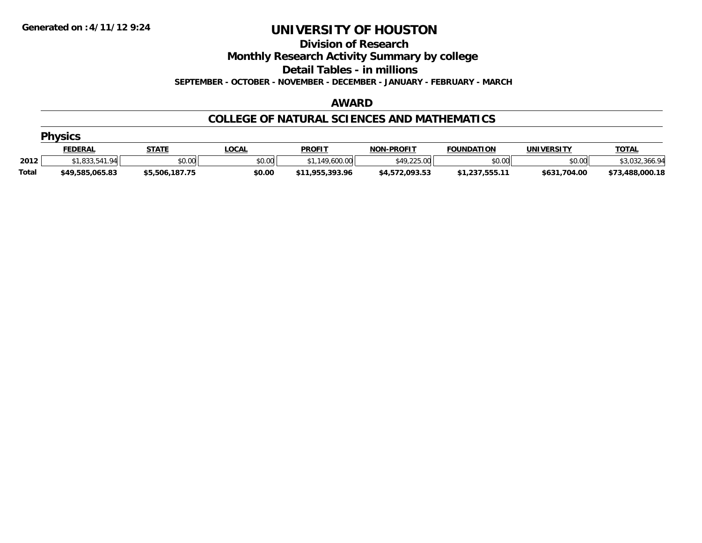**Division of Research**

**Monthly Research Activity Summary by college**

**Detail Tables - in millions**

**SEPTEMBER - OCTOBER - NOVEMBER - DECEMBER - JANUARY - FEBRUARY - MARCH**

#### **AWARD**

#### **COLLEGE OF NATURAL SCIENCES AND MATHEMATICS**

|              | <b>Physics</b>  |                |             |                 |                   |                   |              |                     |  |  |  |
|--------------|-----------------|----------------|-------------|-----------------|-------------------|-------------------|--------------|---------------------|--|--|--|
|              | <b>FEDERAL</b>  | <b>STATE</b>   | <b>OCAL</b> | <b>PROFIT</b>   | <b>NON-PROFIT</b> | <b>FOUNDATION</b> | UNIVERSITY   | <b>TOTAL</b>        |  |  |  |
| 2012         | \$1.833.541.94  | \$0.00         | \$0.00      | 149,600.00      | \$49,225.00       | \$0.00            | \$0.00       | \$3,032<br>: 366.94 |  |  |  |
| <b>Total</b> | \$49,585,065.83 | \$5,506,187.75 | \$0.00      | \$11,955,393.96 | \$4,572,093.53    | \$1,237,555.11    | \$631,704.00 | \$73,488,000.18     |  |  |  |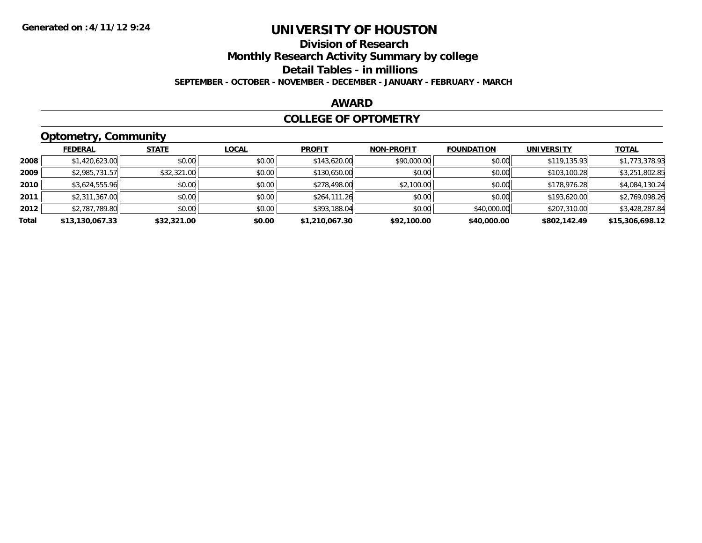# **Division of Research**

**Monthly Research Activity Summary by college**

**Detail Tables - in millions**

**SEPTEMBER - OCTOBER - NOVEMBER - DECEMBER - JANUARY - FEBRUARY - MARCH**

### **AWARD**

#### **COLLEGE OF OPTOMETRY**

### **Optometry, Community**

|       | ___             |              |              |                |                   |                   |                   |                 |
|-------|-----------------|--------------|--------------|----------------|-------------------|-------------------|-------------------|-----------------|
|       | <b>FEDERAL</b>  | <b>STATE</b> | <u>LOCAL</u> | <b>PROFIT</b>  | <b>NON-PROFIT</b> | <b>FOUNDATION</b> | <b>UNIVERSITY</b> | <b>TOTAL</b>    |
| 2008  | \$1,420,623.00  | \$0.00       | \$0.00       | \$143,620.00   | \$90,000.00       | \$0.00            | \$119,135.93      | \$1,773,378.93  |
| 2009  | \$2,985,731.57  | \$32,321.00  | \$0.00       | \$130,650.00   | \$0.00            | \$0.00            | \$103,100.28      | \$3,251,802.85  |
| 2010  | \$3,624,555.96  | \$0.00       | \$0.00       | \$278,498.00   | \$2,100.00        | \$0.00            | \$178,976.28      | \$4,084,130.24  |
| 2011  | \$2,311,367.00  | \$0.00       | \$0.00       | \$264,111.26   | \$0.00            | \$0.00            | \$193,620.00      | \$2,769,098.26  |
| 2012  | \$2,787,789.80  | \$0.00       | \$0.00       | \$393,188.04   | \$0.00            | \$40,000.00       | \$207,310.00      | \$3,428,287.84  |
| Total | \$13,130,067.33 | \$32,321.00  | \$0.00       | \$1,210,067.30 | \$92,100.00       | \$40,000.00       | \$802,142.49      | \$15,306,698.12 |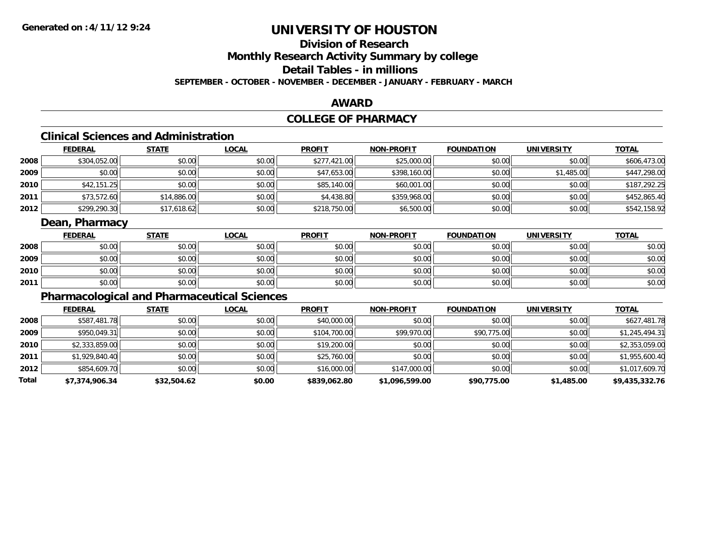## **Division of ResearchMonthly Research Activity Summary by college Detail Tables - in millions**

**SEPTEMBER - OCTOBER - NOVEMBER - DECEMBER - JANUARY - FEBRUARY - MARCH**

#### **AWARD**

### **COLLEGE OF PHARMACY**

### **Clinical Sciences and Administration**

|      | <b>FEDERAL</b> | <u>STATE</u> | <b>LOCAL</b> | <b>PROFIT</b> | <b>NON-PROFIT</b> | <b>FOUNDATION</b> | <b>UNIVERSITY</b> | <b>TOTAL</b> |
|------|----------------|--------------|--------------|---------------|-------------------|-------------------|-------------------|--------------|
| 2008 | \$304,052.00   | \$0.00       | \$0.00       | \$277,421.00  | \$25,000.00       | \$0.00            | \$0.00            | \$606,473.00 |
| 2009 | \$0.00         | \$0.00       | \$0.00       | \$47,653.00   | \$398,160.00      | \$0.00            | \$1,485.00        | \$447,298.00 |
| 2010 | \$42,151.25    | \$0.00       | \$0.00       | \$85,140.00   | \$60,001.00       | \$0.00            | \$0.00            | \$187,292.25 |
| 2011 | \$73,572.60    | \$14,886.00  | \$0.00       | \$4,438.80    | \$359,968.00      | \$0.00            | \$0.00            | \$452,865.40 |
| 2012 | \$299,290.30   | \$17,618.62  | \$0.00       | \$218,750.00  | \$6,500.00        | \$0.00            | \$0.00            | \$542,158.92 |

### **Dean, Pharmacy**

|      | <b>FEDERAL</b> | <b>STATE</b> | <u>LOCAL</u> | <b>PROFIT</b> | <b>NON-PROFIT</b> | <b>FOUNDATION</b> | <b>UNIVERSITY</b> | <b>TOTAL</b> |
|------|----------------|--------------|--------------|---------------|-------------------|-------------------|-------------------|--------------|
| 2008 | \$0.00         | \$0.00       | \$0.00       | \$0.00        | \$0.00            | \$0.00            | \$0.00            | \$0.00       |
| 2009 | \$0.00         | \$0.00       | \$0.00       | \$0.00        | \$0.00            | \$0.00            | \$0.00            | \$0.00       |
| 2010 | \$0.00         | \$0.00       | \$0.00       | \$0.00        | \$0.00            | \$0.00            | \$0.00            | \$0.00       |
| 2011 | \$0.00         | \$0.00       | \$0.00       | \$0.00        | \$0.00            | \$0.00            | \$0.00            | \$0.00       |

### **Pharmacological and Pharmaceutical Sciences**

|       | <b>FEDERAL</b> | <b>STATE</b> | <b>LOCAL</b> | <b>PROFIT</b> | <b>NON-PROFIT</b> | <b>FOUNDATION</b> | <b>UNIVERSITY</b> | <b>TOTAL</b>   |
|-------|----------------|--------------|--------------|---------------|-------------------|-------------------|-------------------|----------------|
| 2008  | \$587,481.78   | \$0.00       | \$0.00       | \$40,000.00   | \$0.00            | \$0.00            | \$0.00            | \$627,481.78   |
| 2009  | \$950,049.31   | \$0.00       | \$0.00       | \$104,700.00  | \$99,970.00       | \$90,775.00       | \$0.00            | \$1,245,494.31 |
| 2010  | \$2,333,859.00 | \$0.00       | \$0.00       | \$19,200.00   | \$0.00            | \$0.00            | \$0.00            | \$2,353,059.00 |
| 2011  | \$1,929,840.40 | \$0.00       | \$0.00       | \$25,760.00   | \$0.00            | \$0.00            | \$0.00            | \$1,955,600.40 |
| 2012  | \$854,609.70   | \$0.00       | \$0.00       | \$16,000.00   | \$147,000.00      | \$0.00            | \$0.00            | \$1,017,609.70 |
| Total | \$7,374,906.34 | \$32,504.62  | \$0.00       | \$839,062.80  | \$1,096,599.00    | \$90,775.00       | \$1,485.00        | \$9,435,332.76 |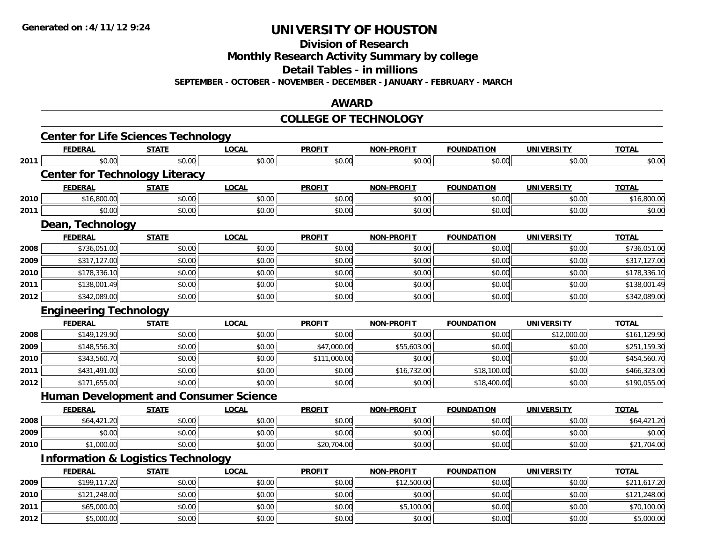**Division of Research**

**Monthly Research Activity Summary by college**

**Detail Tables - in millions**

**SEPTEMBER - OCTOBER - NOVEMBER - DECEMBER - JANUARY - FEBRUARY - MARCH**

#### **AWARD**

#### **COLLEGE OF TECHNOLOGY**

|      | <b>Center for Life Sciences Technology</b>    |              |              |               |                   |                   |                   |              |
|------|-----------------------------------------------|--------------|--------------|---------------|-------------------|-------------------|-------------------|--------------|
|      | <b>FEDERAL</b>                                | <b>STATE</b> | <b>LOCAL</b> | <b>PROFIT</b> | <b>NON-PROFIT</b> | <b>FOUNDATION</b> | <b>UNIVERSITY</b> | <b>TOTAL</b> |
| 2011 | \$0.00                                        | \$0.00       | \$0.00       | \$0.00        | \$0.00            | \$0.00            | \$0.00            | \$0.00       |
|      | <b>Center for Technology Literacy</b>         |              |              |               |                   |                   |                   |              |
|      | <b>FEDERAL</b>                                | <b>STATE</b> | <b>LOCAL</b> | <b>PROFIT</b> | NON-PROFIT        | <b>FOUNDATION</b> | <b>UNIVERSITY</b> | <b>TOTAL</b> |
| 2010 | \$16,800.00                                   | \$0.00       | \$0.00       | \$0.00        | \$0.00            | \$0.00            | \$0.00            | \$16,800.00  |
| 2011 | \$0.00                                        | \$0.00       | \$0.00       | \$0.00        | \$0.00            | \$0.00            | \$0.00            | \$0.00       |
|      | Dean, Technology                              |              |              |               |                   |                   |                   |              |
|      | <b>FEDERAL</b>                                | <b>STATE</b> | <b>LOCAL</b> | <b>PROFIT</b> | NON-PROFIT        | <b>FOUNDATION</b> | <b>UNIVERSITY</b> | <b>TOTAL</b> |
| 2008 | \$736,051.00                                  | \$0.00       | \$0.00       | \$0.00        | \$0.00            | \$0.00            | \$0.00            | \$736,051.00 |
| 2009 | \$317,127.00                                  | \$0.00       | \$0.00       | \$0.00        | \$0.00            | \$0.00            | \$0.00            | \$317,127.00 |
| 2010 | \$178,336.10                                  | \$0.00       | \$0.00       | \$0.00        | \$0.00            | \$0.00            | \$0.00            | \$178,336.10 |
| 2011 | \$138,001.49                                  | \$0.00       | \$0.00       | \$0.00        | \$0.00            | \$0.00            | \$0.00            | \$138,001.49 |
| 2012 | \$342,089.00                                  | \$0.00       | \$0.00       | \$0.00        | \$0.00            | \$0.00            | \$0.00            | \$342,089.00 |
|      | <b>Engineering Technology</b>                 |              |              |               |                   |                   |                   |              |
|      | <b>FEDERAL</b>                                | <b>STATE</b> | <b>LOCAL</b> | <b>PROFIT</b> | <b>NON-PROFIT</b> | <b>FOUNDATION</b> | <b>UNIVERSITY</b> | <b>TOTAL</b> |
| 2008 | \$149,129.90                                  | \$0.00       | \$0.00       | \$0.00        | \$0.00            | \$0.00            | \$12,000.00       | \$161,129.90 |
| 2009 | \$148,556.30                                  | \$0.00       | \$0.00       | \$47,000.00   | \$55,603.00       | \$0.00            | \$0.00            | \$251,159.30 |
| 2010 | \$343,560.70                                  | \$0.00       | \$0.00       | \$111,000.00  | \$0.00            | \$0.00            | \$0.00            | \$454,560.70 |
| 2011 | \$431,491.00                                  | \$0.00       | \$0.00       | \$0.00        | \$16,732.00       | \$18,100.00       | \$0.00            | \$466,323.00 |
| 2012 | \$171,655.00                                  | \$0.00       | \$0.00       | \$0.00        | \$0.00            | \$18,400.00       | \$0.00            | \$190,055.00 |
|      | <b>Human Development and Consumer Science</b> |              |              |               |                   |                   |                   |              |
|      | <b>FEDERAL</b>                                | <b>STATE</b> | <b>LOCAL</b> | <b>PROFIT</b> | <b>NON-PROFIT</b> | <b>FOUNDATION</b> | <b>UNIVERSITY</b> | <b>TOTAL</b> |
| 2008 | \$64,421.20                                   | \$0.00       | \$0.00       | \$0.00        | \$0.00            | \$0.00            | \$0.00            | \$64,421.20  |
| 2009 | \$0.00                                        | \$0.00       | \$0.00       | \$0.00        | \$0.00            | \$0.00            | \$0.00            | \$0.00       |
| 2010 | \$1,000.00                                    | \$0.00       | \$0.00       | \$20,704.00   | \$0.00            | \$0.00            | \$0.00            | \$21,704.00  |
|      | <b>Information &amp; Logistics Technology</b> |              |              |               |                   |                   |                   |              |
|      | <b>FEDERAL</b>                                | <b>STATE</b> | <b>LOCAL</b> | <b>PROFIT</b> | <b>NON-PROFIT</b> | <b>FOUNDATION</b> | <b>UNIVERSITY</b> | <b>TOTAL</b> |
| 2009 | \$199,117.20                                  | \$0.00       | \$0.00       | \$0.00        | \$12,500.00       | \$0.00            | \$0.00            | \$211,617.20 |
| 2010 | \$121,248.00                                  | \$0.00       | \$0.00       | \$0.00        | \$0.00            | \$0.00            | \$0.00            | \$121,248.00 |
| 2011 | \$65,000.00                                   | \$0.00       | \$0.00       | \$0.00        | \$5,100.00        | \$0.00            | \$0.00            | \$70,100.00  |
| 2012 | \$5,000.00                                    | \$0.00       | \$0.00       | \$0.00        | \$0.00            | \$0.00            | \$0.00            | \$5,000.00   |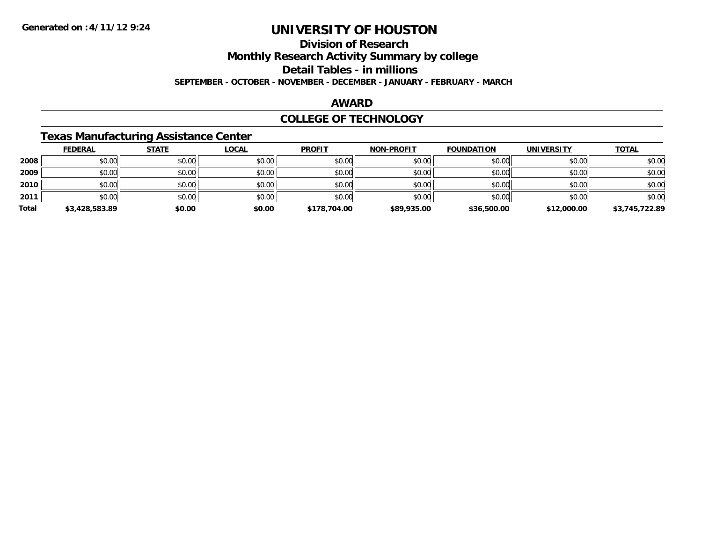### **Division of Research**

**Monthly Research Activity Summary by college**

**Detail Tables - in millions**

**SEPTEMBER - OCTOBER - NOVEMBER - DECEMBER - JANUARY - FEBRUARY - MARCH**

#### **AWARD**

#### **COLLEGE OF TECHNOLOGY**

### **Texas Manufacturing Assistance Center**

|       | <b>FEDERAL</b> | <b>STATE</b> | <b>LOCAL</b> | <b>PROFIT</b> | <b>NON-PROFIT</b> | <b>FOUNDATION</b> | <b>UNIVERSITY</b> | <b>TOTAL</b>   |
|-------|----------------|--------------|--------------|---------------|-------------------|-------------------|-------------------|----------------|
| 2008  | \$0.00         | \$0.00       | \$0.00       | \$0.00        | \$0.00            | \$0.00            | \$0.00            | \$0.00         |
| 2009  | \$0.00         | \$0.00       | \$0.00       | \$0.00        | \$0.00            | \$0.00            | \$0.00            | \$0.00         |
| 2010  | \$0.00         | \$0.00       | \$0.00       | \$0.00        | \$0.00            | \$0.00            | \$0.00            | \$0.00         |
| 2011  | \$0.00         | \$0.00       | \$0.00       | \$0.00        | \$0.00            | \$0.00            | \$0.00            | \$0.00         |
| Total | \$3,428,583.89 | \$0.00       | \$0.00       | \$178,704.00  | \$89,935.00       | \$36,500.00       | \$12,000.00       | \$3,745,722.89 |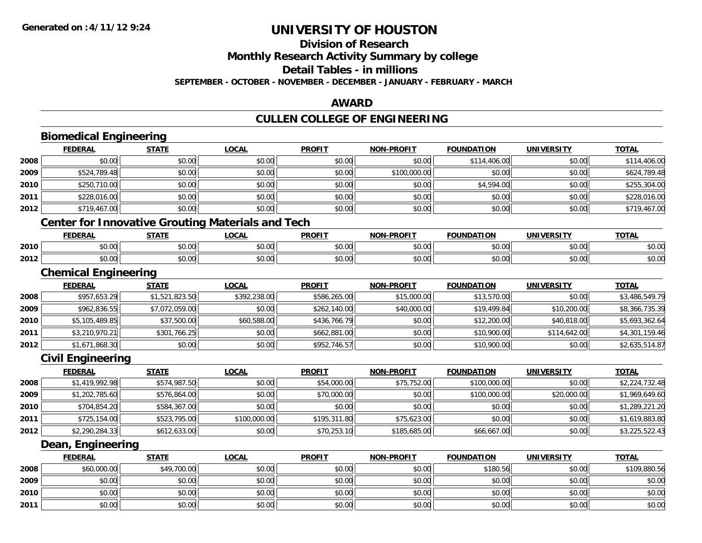## **Division of Research**

**Monthly Research Activity Summary by college**

**Detail Tables - in millions**

**SEPTEMBER - OCTOBER - NOVEMBER - DECEMBER - JANUARY - FEBRUARY - MARCH**

#### **AWARD**

### **CULLEN COLLEGE OF ENGINEERING**

|      | <b>Biomedical Engineering</b> |                |                                                          |               |                   |                   |                   |                |
|------|-------------------------------|----------------|----------------------------------------------------------|---------------|-------------------|-------------------|-------------------|----------------|
|      | <b>FEDERAL</b>                | <b>STATE</b>   | <b>LOCAL</b>                                             | <b>PROFIT</b> | <b>NON-PROFIT</b> | <b>FOUNDATION</b> | <b>UNIVERSITY</b> | <b>TOTAL</b>   |
| 2008 | \$0.00                        | \$0.00         | \$0.00                                                   | \$0.00        | \$0.00            | \$114,406.00      | \$0.00            | \$114,406.00   |
| 2009 | \$524,789.48                  | \$0.00         | \$0.00                                                   | \$0.00        | \$100,000.00      | \$0.00            | \$0.00            | \$624,789.48   |
| 2010 | \$250,710.00                  | \$0.00         | \$0.00                                                   | \$0.00        | \$0.00            | \$4,594.00        | \$0.00            | \$255,304.00   |
| 2011 | \$228,016.00                  | \$0.00         | \$0.00                                                   | \$0.00        | \$0.00            | \$0.00            | \$0.00            | \$228,016.00   |
| 2012 | \$719,467.00                  | \$0.00         | \$0.00                                                   | \$0.00        | \$0.00            | \$0.00            | \$0.00            | \$719,467.00   |
|      |                               |                | <b>Center for Innovative Grouting Materials and Tech</b> |               |                   |                   |                   |                |
|      | <b>FEDERAL</b>                | <b>STATE</b>   | <b>LOCAL</b>                                             | <b>PROFIT</b> | <b>NON-PROFIT</b> | <b>FOUNDATION</b> | <b>UNIVERSITY</b> | <b>TOTAL</b>   |
| 2010 | \$0.00                        | \$0.00         | \$0.00                                                   | \$0.00        | \$0.00            | \$0.00            | \$0.00            | \$0.00         |
| 2012 | \$0.00                        | \$0.00         | \$0.00                                                   | \$0.00        | \$0.00            | \$0.00            | \$0.00            | \$0.00         |
|      | <b>Chemical Engineering</b>   |                |                                                          |               |                   |                   |                   |                |
|      | <b>FEDERAL</b>                | <b>STATE</b>   | <b>LOCAL</b>                                             | <b>PROFIT</b> | <b>NON-PROFIT</b> | <b>FOUNDATION</b> | <b>UNIVERSITY</b> | <b>TOTAL</b>   |
| 2008 | \$957,653.29                  | \$1,521,823.50 | \$392,238.00                                             | \$586,265.00  | \$15,000.00       | \$13,570.00       | \$0.00            | \$3,486,549.79 |
| 2009 | \$962,836.55                  | \$7,072,059.00 | \$0.00                                                   | \$262,140.00  | \$40,000.00       | \$19,499.84       | \$10,200.00       | \$8,366,735.39 |
| 2010 | \$5,105,489.85                | \$37,500.00    | \$60,588.00                                              | \$436,766.79  | \$0.00            | \$12,200.00       | \$40,818.00       | \$5,693,362.64 |
| 2011 | \$3,210,970.21                | \$301,766.25   | \$0.00                                                   | \$662,881.00  | \$0.00            | \$10,900.00       | \$114,642.00      | \$4,301,159.46 |
| 2012 | \$1,671,868.30                | \$0.00         | \$0.00                                                   | \$952,746.57  | \$0.00            | \$10,900.00       | \$0.00            | \$2,635,514.87 |
|      | <b>Civil Engineering</b>      |                |                                                          |               |                   |                   |                   |                |
|      | <b>FEDERAL</b>                | <b>STATE</b>   | <b>LOCAL</b>                                             | <b>PROFIT</b> | <b>NON-PROFIT</b> | <b>FOUNDATION</b> | <b>UNIVERSITY</b> | <b>TOTAL</b>   |
| 2008 | \$1,419,992.98                | \$574,987.50   | \$0.00                                                   | \$54,000.00   | \$75,752.00       | \$100,000.00      | \$0.00            | \$2,224,732.48 |
| 2009 | \$1,202,785.60                | \$576,864.00   | \$0.00                                                   | \$70,000.00   | \$0.00            | \$100,000.00      | \$20,000.00       | \$1,969,649.60 |
| 2010 | \$704,854.20                  | \$584,367.00   | \$0.00                                                   | \$0.00        | \$0.00            | \$0.00            | \$0.00            | \$1,289,221.20 |
| 2011 | \$725,154.00                  | \$523,795.00   | \$100,000.00                                             | \$195,311.80  | \$75,623.00       | \$0.00            | \$0.00            | \$1,619,883.80 |
| 2012 | \$2,290,284.33                | \$612,633.00   | \$0.00                                                   | \$70,253.10   | \$185,685.00      | \$66,667.00       | \$0.00            | \$3,225,522.43 |
|      | Dean, Engineering             |                |                                                          |               |                   |                   |                   |                |
|      | <b>FEDERAL</b>                | <b>STATE</b>   | <b>LOCAL</b>                                             | <b>PROFIT</b> | <b>NON-PROFIT</b> | <b>FOUNDATION</b> | <b>UNIVERSITY</b> | <b>TOTAL</b>   |
| 2008 | \$60,000.00                   | \$49,700.00    | \$0.00                                                   | \$0.00        | \$0.00            | \$180.56          | \$0.00            | \$109,880.56   |
| 2009 | \$0.00                        | \$0.00         | \$0.00                                                   | \$0.00        | \$0.00            | \$0.00            | \$0.00            | \$0.00         |
| 2010 | \$0.00                        | \$0.00         | \$0.00                                                   | \$0.00        | \$0.00            | \$0.00            | \$0.00            | \$0.00         |
| 2011 | \$0.00                        | \$0.00         | \$0.00                                                   | \$0.00        | \$0.00            | \$0.00            | \$0.00            | \$0.00         |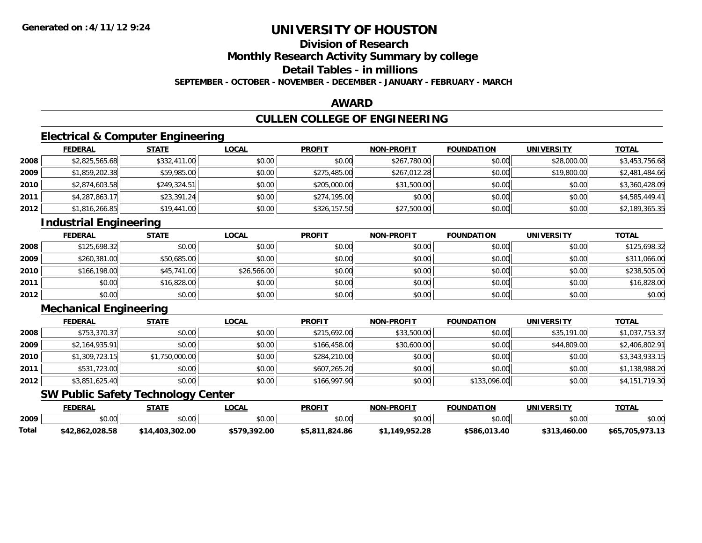## **Division of Research**

**Monthly Research Activity Summary by college**

**Detail Tables - in millions**

**SEPTEMBER - OCTOBER - NOVEMBER - DECEMBER - JANUARY - FEBRUARY - MARCH**

#### **AWARD**

### **CULLEN COLLEGE OF ENGINEERING**

### **Electrical & Computer Engineering**

|      | <b>FEDERAL</b> | <b>STATE</b> | <u>LOCAL</u> | <b>PROFIT</b> | <b>NON-PROFIT</b> | <b>FOUNDATION</b> | <b>UNIVERSITY</b> | <b>TOTAL</b>   |
|------|----------------|--------------|--------------|---------------|-------------------|-------------------|-------------------|----------------|
| 2008 | \$2,825,565.68 | \$332,411.00 | \$0.00       | \$0.00        | \$267,780.00      | \$0.00            | \$28,000.00       | \$3,453,756.68 |
| 2009 | \$1,859,202.38 | \$59,985.00  | \$0.00       | \$275,485.00  | \$267,012.28      | \$0.00            | \$19,800.00       | \$2,481,484.66 |
| 2010 | \$2,874,603.58 | \$249,324.51 | \$0.00       | \$205,000.00  | \$31,500.00       | \$0.00            | \$0.00            | \$3,360,428.09 |
| 2011 | \$4,287,863.17 | \$23,391.24  | \$0.00       | \$274,195.00  | \$0.00            | \$0.00            | \$0.00            | \$4,585,449.41 |
| 2012 | \$1,816,266.85 | \$19,441.00  | \$0.00       | \$326,157.50  | \$27,500.00       | \$0.00            | \$0.00            | \$2,189,365.35 |

### **Industrial Engineering**

|      | <b>FEDERAL</b> | <b>STATE</b> | <u>LOCAL</u> | <b>PROFIT</b> | <b>NON-PROFIT</b> | <b>FOUNDATION</b> | <b>UNIVERSITY</b> | <b>TOTAL</b> |
|------|----------------|--------------|--------------|---------------|-------------------|-------------------|-------------------|--------------|
| 2008 | \$125,698.32   | \$0.00       | \$0.00       | \$0.00        | \$0.00            | \$0.00            | \$0.00            | \$125,698.32 |
| 2009 | \$260,381.00   | \$50,685.00  | \$0.00       | \$0.00        | \$0.00            | \$0.00            | \$0.00            | \$311,066.00 |
| 2010 | \$166,198.00   | \$45,741.00  | \$26,566.00  | \$0.00        | \$0.00            | \$0.00            | \$0.00            | \$238,505.00 |
| 2011 | \$0.00         | \$16,828.00  | \$0.00       | \$0.00        | \$0.00            | \$0.00            | \$0.00            | \$16,828.00  |
| 2012 | \$0.00         | \$0.00       | \$0.00       | \$0.00        | \$0.00            | \$0.00            | \$0.00            | \$0.00       |

### **Mechanical Engineering**

|      | <b>FEDERAL</b> | <u>STATE</u>   | <b>LOCAL</b> | <b>PROFIT</b> | <b>NON-PROFIT</b> | <b>FOUNDATION</b> | <b>UNIVERSITY</b> | <b>TOTAL</b>   |
|------|----------------|----------------|--------------|---------------|-------------------|-------------------|-------------------|----------------|
| 2008 | \$753,370.37   | \$0.00         | \$0.00       | \$215,692.00  | \$33,500.00       | \$0.00            | \$35,191.00       | \$1,037,753.37 |
| 2009 | \$2,164,935.91 | \$0.00         | \$0.00       | \$166,458.00  | \$30,600.00       | \$0.00            | \$44,809.00       | \$2,406,802.91 |
| 2010 | \$1,309,723.15 | \$1,750,000.00 | \$0.00       | \$284,210.00  | \$0.00            | \$0.00            | \$0.00            | \$3,343,933.15 |
| 2011 | \$531,723.00   | \$0.00         | \$0.00       | \$607,265.20  | \$0.00            | \$0.00            | \$0.00            | \$1,138,988.20 |
| 2012 | \$3,851,625.40 | \$0.00         | \$0.00       | \$166,997.90  | \$0.00            | \$133,096.00      | \$0.00            | \$4,151,719.30 |

### **SW Public Safety Technology Center**

|       | <b>FEDERAL</b>  | STATE           | _OCAL        | <b>PROFIT</b>  | <b>NON-PROFIT</b> | <b>FOUNDATION</b> | <b>UNIVERSITY</b> | <b>TOTAL</b>    |
|-------|-----------------|-----------------|--------------|----------------|-------------------|-------------------|-------------------|-----------------|
| 2009  | \$0.00          | \$0.00          | \$0.00       | \$0.00         | \$0.00            | \$0.00            | \$0.00            | \$0.00          |
| Total | \$42,862,028.58 | \$14,403,302.00 | \$579.392.00 | \$5.811.824.86 | 1.149.952.28      | \$586.013.40      | \$313,460.00      | \$65,705,973.13 |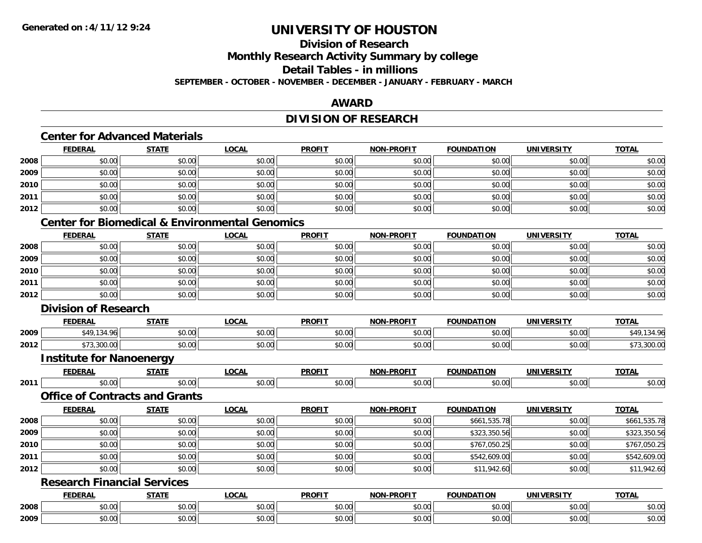# **Division of Research**

**Monthly Research Activity Summary by college**

**Detail Tables - in millions**

**SEPTEMBER - OCTOBER - NOVEMBER - DECEMBER - JANUARY - FEBRUARY - MARCH**

### **AWARD**

### **DIVISION OF RESEARCH**

### **Center for Advanced Materials**

|      | <b>FEDERAL</b> | <b>STATE</b> | <b>LOCAL</b> | <b>PROFIT</b> | <b>NON-PROFIT</b> | <b>FOUNDATION</b> | <b>UNIVERSITY</b> | <b>TOTAL</b> |
|------|----------------|--------------|--------------|---------------|-------------------|-------------------|-------------------|--------------|
| 2008 | \$0.00         | \$0.00       | \$0.00       | \$0.00        | \$0.00            | \$0.00            | \$0.00            | \$0.00       |
| 2009 | \$0.00         | \$0.00       | \$0.00       | \$0.00        | \$0.00            | \$0.00            | \$0.00            | \$0.00       |
| 2010 | \$0.00         | \$0.00       | \$0.00       | \$0.00        | \$0.00            | \$0.00            | \$0.00            | \$0.00       |
| 2011 | \$0.00         | \$0.00       | \$0.00       | \$0.00        | \$0.00            | \$0.00            | \$0.00            | \$0.00       |
| 2012 | \$0.00         | \$0.00       | \$0.00       | \$0.00        | \$0.00            | \$0.00            | \$0.00            | \$0.00       |

### **Center for Biomedical & Environmental Genomics**

|      | <b>FEDERAL</b> | <b>STATE</b> | <u>LOCAL</u> | <b>PROFIT</b> | <b>NON-PROFIT</b> | <b>FOUNDATION</b> | <b>UNIVERSITY</b> | <b>TOTAL</b> |
|------|----------------|--------------|--------------|---------------|-------------------|-------------------|-------------------|--------------|
| 2008 | \$0.00         | \$0.00       | \$0.00       | \$0.00        | \$0.00            | \$0.00            | \$0.00            | \$0.00       |
| 2009 | \$0.00         | \$0.00       | \$0.00       | \$0.00        | \$0.00            | \$0.00            | \$0.00            | \$0.00       |
| 2010 | \$0.00         | \$0.00       | \$0.00       | \$0.00        | \$0.00            | \$0.00            | \$0.00            | \$0.00       |
| 2011 | \$0.00         | \$0.00       | \$0.00       | \$0.00        | \$0.00            | \$0.00            | \$0.00            | \$0.00       |
| 2012 | \$0.00         | \$0.00       | \$0.00       | \$0.00        | \$0.00            | \$0.00            | \$0.00            | \$0.00       |

#### **Division of Research**

|      | <b>FEDERAL</b> | <b>STATE</b>       | $\sim$<br>.UUNL    | <b>PROFIT</b>          | <b>NON-PROFIT</b> | <b>FOUNDATION</b> | UNIVERSITY     | <b>TOTAL</b> |
|------|----------------|--------------------|--------------------|------------------------|-------------------|-------------------|----------------|--------------|
| 2009 | 11240'         | $\sim$ 00<br>JU.UU | $\sim$ 00<br>pu.uu | $\sim$ $\sim$<br>JU.UU | 0000<br>PO.OO     | \$0.00            | nn nn<br>DU.UU | $\sqrt{2}$   |
| 2012 | 200<br>uu.uu   | $\sim$ 00<br>JU.UU | nn nn<br>DU.UU     | $\sim$ $\sim$<br>JU.UU | 0.00<br>\$U.UU    | \$0.00            | \$0.00         | 373,300.00   |

#### **Institute for Nanoenergy**

|      | FEDERA.       | $- - - -$     | <b>OCAI</b>            | <b>PROFIT</b> | .<br>. | I ON          | INIVE              | <b>TOT</b>           |
|------|---------------|---------------|------------------------|---------------|--------|---------------|--------------------|----------------------|
| 2011 | 0000<br>טט.טע | 0000<br>JU.UU | $\sim$ $\sim$<br>טט.טי | 0000<br>JU.UU | JU.    | 0000<br>JU.UU | $\sim$ 00<br>JU.UU | $\sim$ 0.00<br>JU.UU |

#### **Office of Contracts and Grants**

|      | <b>FEDERAL</b> | <b>STATE</b> | <u>LOCAL</u> | <b>PROFIT</b> | <b>NON-PROFIT</b> | <b>FOUNDATION</b> | <b>UNIVERSITY</b> | <b>TOTAL</b> |
|------|----------------|--------------|--------------|---------------|-------------------|-------------------|-------------------|--------------|
| 2008 | \$0.00         | \$0.00       | \$0.00       | \$0.00        | \$0.00            | \$661,535.78      | \$0.00            | \$661,535.78 |
| 2009 | \$0.00         | \$0.00       | \$0.00       | \$0.00        | \$0.00            | \$323,350.56      | \$0.00            | \$323,350.56 |
| 2010 | \$0.00         | \$0.00       | \$0.00       | \$0.00        | \$0.00            | \$767,050.25      | \$0.00            | \$767,050.25 |
| 2011 | \$0.00         | \$0.00       | \$0.00       | \$0.00        | \$0.00            | \$542,609.00      | \$0.00            | \$542,609.00 |
| 2012 | \$0.00         | \$0.00       | \$0.00       | \$0.00        | \$0.00            | \$11,942.60       | \$0.00            | \$11,942.60  |

#### **Research Financial Services**

|      | <b>FEDERAL</b> | <b>CTATE</b><br>,,,,, | <b>LOCAL</b> | <b>PROFIT</b> | $M-PROF1$<br>NON.   | <b>FOUNDATION</b> | UNIVERSITY                 | <b>TOTAL</b> |
|------|----------------|-----------------------|--------------|---------------|---------------------|-------------------|----------------------------|--------------|
| 2008 | 0000<br>pu.uu  | 0000<br>JU.UU         | \$0.00       | ¢∩<br>JU.UU   | $\sim$ 00<br>vu.vu  | 0000<br>JU.UU     | $\sim$<br>tn.<br>JU.UU     | ሳሳ<br>PO.OO  |
| 2009 | 0000<br>pu.uu  | 0000<br><b>JU.UU</b>  | \$0.00       | ሰሰ<br>JU.UU   | $\sim$ 00<br>\$U.UU | 0000<br>PO.OO     | $\sim$<br>$\sim$<br>\$0.00 | ¢Λ<br>JU.UU  |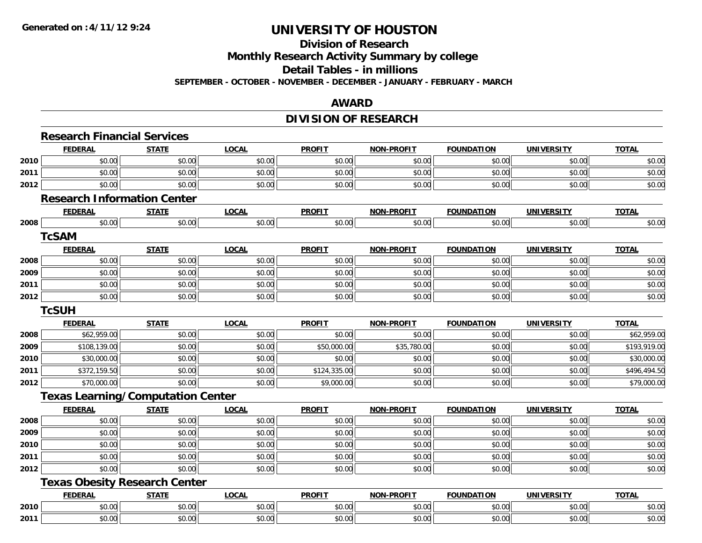#### **Division of Research**

**Monthly Research Activity Summary by college**

**Detail Tables - in millions**

**SEPTEMBER - OCTOBER - NOVEMBER - DECEMBER - JANUARY - FEBRUARY - MARCH**

#### **AWARD**

### **DIVISION OF RESEARCH**

|      | <b>Research Financial Services</b> |                                          |              |               |                   |                   |                   |              |
|------|------------------------------------|------------------------------------------|--------------|---------------|-------------------|-------------------|-------------------|--------------|
|      | <b>FEDERAL</b>                     | <b>STATE</b>                             | <b>LOCAL</b> | <b>PROFIT</b> | <b>NON-PROFIT</b> | <b>FOUNDATION</b> | <b>UNIVERSITY</b> | <b>TOTAL</b> |
| 2010 | \$0.00                             | \$0.00                                   | \$0.00       | \$0.00        | \$0.00            | \$0.00            | \$0.00            | \$0.00       |
| 2011 | \$0.00                             | \$0.00                                   | \$0.00       | \$0.00        | \$0.00            | \$0.00            | \$0.00            | \$0.00       |
| 2012 | \$0.00                             | \$0.00                                   | \$0.00       | \$0.00        | \$0.00            | \$0.00            | \$0.00            | \$0.00       |
|      |                                    | <b>Research Information Center</b>       |              |               |                   |                   |                   |              |
|      | <b>FEDERAL</b>                     | <b>STATE</b>                             | <b>LOCAL</b> | <b>PROFIT</b> | <b>NON-PROFIT</b> | <b>FOUNDATION</b> | <b>UNIVERSITY</b> | <b>TOTAL</b> |
| 2008 | \$0.00                             | \$0.00                                   | \$0.00       | \$0.00        | \$0.00            | \$0.00            | \$0.00            | \$0.00       |
|      | <b>TcSAM</b>                       |                                          |              |               |                   |                   |                   |              |
|      | <b>FEDERAL</b>                     | <b>STATE</b>                             | <b>LOCAL</b> | <b>PROFIT</b> | <b>NON-PROFIT</b> | <b>FOUNDATION</b> | <b>UNIVERSITY</b> | <b>TOTAL</b> |
| 2008 | \$0.00                             | \$0.00                                   | \$0.00       | \$0.00        | \$0.00            | \$0.00            | \$0.00            | \$0.00       |
| 2009 | \$0.00                             | \$0.00                                   | \$0.00       | \$0.00        | \$0.00            | \$0.00            | \$0.00            | \$0.00       |
| 2011 | \$0.00                             | \$0.00                                   | \$0.00       | \$0.00        | \$0.00            | \$0.00            | \$0.00            | \$0.00       |
| 2012 | \$0.00                             | \$0.00                                   | \$0.00       | \$0.00        | \$0.00            | \$0.00            | \$0.00            | \$0.00       |
|      | <b>TcSUH</b>                       |                                          |              |               |                   |                   |                   |              |
|      | <b>FEDERAL</b>                     | <b>STATE</b>                             | <b>LOCAL</b> | <b>PROFIT</b> | <b>NON-PROFIT</b> | <b>FOUNDATION</b> | <b>UNIVERSITY</b> | <b>TOTAL</b> |
| 2008 | \$62,959.00                        | \$0.00                                   | \$0.00       | \$0.00        | \$0.00            | \$0.00            | \$0.00            | \$62,959.00  |
| 2009 | \$108,139.00                       | \$0.00                                   | \$0.00       | \$50,000.00   | \$35,780.00       | \$0.00            | \$0.00            | \$193,919.00 |
| 2010 | \$30,000.00                        | \$0.00                                   | \$0.00       | \$0.00        | \$0.00            | \$0.00            | \$0.00            | \$30,000.00  |
| 2011 | \$372,159.50                       | \$0.00                                   | \$0.00       | \$124,335.00  | \$0.00            | \$0.00            | \$0.00            | \$496,494.50 |
| 2012 | \$70,000.00                        | \$0.00                                   | \$0.00       | \$9,000.00    | \$0.00            | \$0.00            | \$0.00            | \$79,000.00  |
|      |                                    | <b>Texas Learning/Computation Center</b> |              |               |                   |                   |                   |              |
|      | <b>FEDERAL</b>                     | <b>STATE</b>                             | <b>LOCAL</b> | <b>PROFIT</b> | <b>NON-PROFIT</b> | <b>FOUNDATION</b> | <b>UNIVERSITY</b> | <b>TOTAL</b> |
| 2008 | \$0.00                             | \$0.00                                   | \$0.00       | \$0.00        | \$0.00            | \$0.00            | \$0.00            | \$0.00       |
| 2009 | \$0.00                             | \$0.00                                   | \$0.00       | \$0.00        | \$0.00            | \$0.00            | \$0.00            | \$0.00       |
| 2010 | \$0.00                             | \$0.00                                   | \$0.00       | \$0.00        | \$0.00            | \$0.00            | \$0.00            | \$0.00       |
| 2011 | \$0.00                             | \$0.00                                   | \$0.00       | \$0.00        | \$0.00            | \$0.00            | \$0.00            | \$0.00       |
| 2012 | \$0.00                             | \$0.00                                   | \$0.00       | \$0.00        | \$0.00            | \$0.00            | \$0.00            | \$0.00       |
|      |                                    | <b>Texas Obesity Research Center</b>     |              |               |                   |                   |                   |              |
|      | <b>FEDERAL</b>                     | <b>STATE</b>                             | <b>LOCAL</b> | <b>PROFIT</b> | <b>NON-PROFIT</b> | <b>FOUNDATION</b> | <b>UNIVERSITY</b> | <b>TOTAL</b> |
| 2010 | \$0.00                             | \$0.00                                   | \$0.00       | \$0.00        | \$0.00            | \$0.00            | \$0.00            | \$0.00       |
| 2011 | \$0.00                             | \$0.00                                   | \$0.00       | \$0.00        | \$0.00            | \$0.00            | \$0.00            | \$0.00       |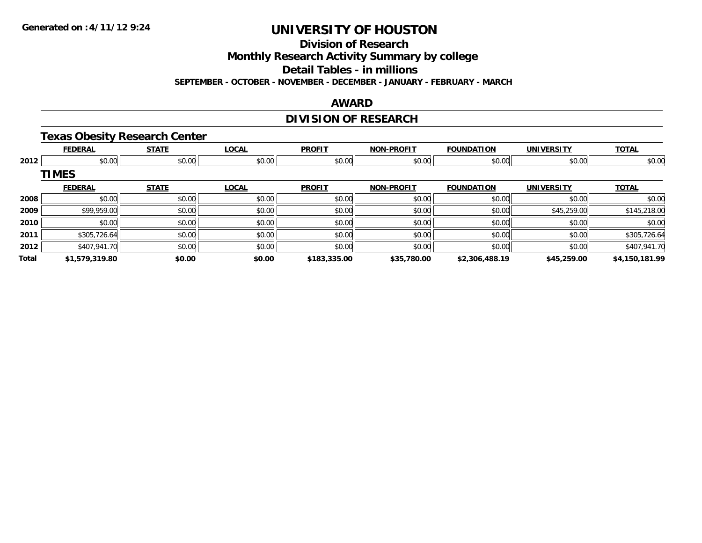**Division of Research**

**Monthly Research Activity Summary by college**

**Detail Tables - in millions**

**SEPTEMBER - OCTOBER - NOVEMBER - DECEMBER - JANUARY - FEBRUARY - MARCH**

#### **AWARD**

### **DIVISION OF RESEARCH**

### **Texas Obesity Research Center**

|       | <b>FEDERAL</b> | <b>STATE</b> | <b>LOCAL</b> | <b>PROFIT</b> | <b>NON-PROFIT</b> | <b>FOUNDATION</b> | <b>UNIVERSITY</b> | <b>TOTAL</b>   |
|-------|----------------|--------------|--------------|---------------|-------------------|-------------------|-------------------|----------------|
| 2012  | \$0.00         | \$0.00       | \$0.00       | \$0.00        | \$0.00            | \$0.00            | \$0.00            | \$0.00         |
|       | <b>TIMES</b>   |              |              |               |                   |                   |                   |                |
|       | <b>FEDERAL</b> | <b>STATE</b> | <b>LOCAL</b> | <b>PROFIT</b> | <b>NON-PROFIT</b> | <b>FOUNDATION</b> | <b>UNIVERSITY</b> | <b>TOTAL</b>   |
| 2008  | \$0.00         | \$0.00       | \$0.00       | \$0.00        | \$0.00            | \$0.00            | \$0.00            | \$0.00         |
| 2009  | \$99,959.00    | \$0.00       | \$0.00       | \$0.00        | \$0.00            | \$0.00            | \$45,259.00       | \$145,218.00   |
| 2010  | \$0.00         | \$0.00       | \$0.00       | \$0.00        | \$0.00            | \$0.00            | \$0.00            | \$0.00         |
| 2011  | \$305,726.64   | \$0.00       | \$0.00       | \$0.00        | \$0.00            | \$0.00            | \$0.00            | \$305,726.64   |
| 2012  | \$407,941.70   | \$0.00       | \$0.00       | \$0.00        | \$0.00            | \$0.00            | \$0.00            | \$407,941.70   |
| Total | \$1,579,319.80 | \$0.00       | \$0.00       | \$183,335.00  | \$35,780.00       | \$2,306,488.19    | \$45,259.00       | \$4,150,181.99 |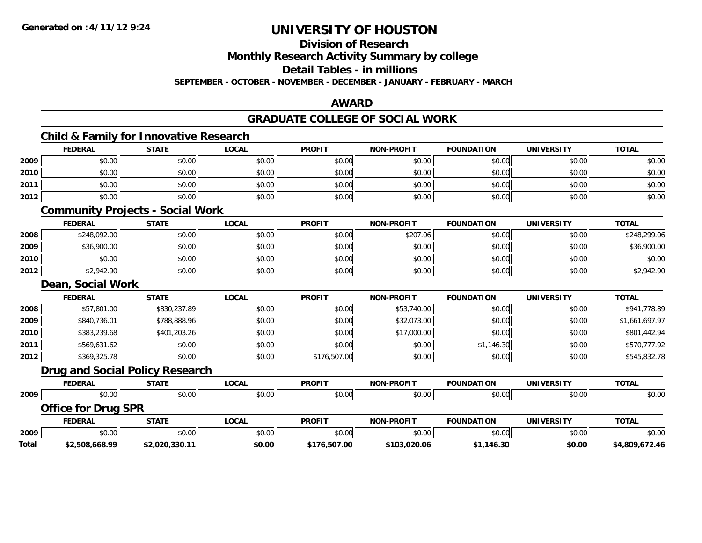**Division of Research**

**Monthly Research Activity Summary by college**

**Detail Tables - in millions**

**SEPTEMBER - OCTOBER - NOVEMBER - DECEMBER - JANUARY - FEBRUARY - MARCH**

#### **AWARD**

#### **GRADUATE COLLEGE OF SOCIAL WORK**

### **Child & Family for Innovative Research**

|      | <b>FEDERAL</b>                          | <b>STATE</b>                    | <b>LOCAL</b> | <b>PROFIT</b> | <b>NON-PROFIT</b> | <b>FOUNDATION</b> | <b>UNIVERSITY</b> | <b>TOTAL</b>   |  |  |  |
|------|-----------------------------------------|---------------------------------|--------------|---------------|-------------------|-------------------|-------------------|----------------|--|--|--|
| 2009 | \$0.00                                  | \$0.00                          | \$0.00       | \$0.00        | \$0.00            | \$0.00            | \$0.00            | \$0.00         |  |  |  |
| 2010 | \$0.00                                  | \$0.00                          | \$0.00       | \$0.00        | \$0.00            | \$0.00            | \$0.00            | \$0.00         |  |  |  |
| 2011 | \$0.00                                  | \$0.00                          | \$0.00       | \$0.00        | \$0.00            | \$0.00            | \$0.00            | \$0.00         |  |  |  |
| 2012 | \$0.00                                  | \$0.00                          | \$0.00       | \$0.00        | \$0.00            | \$0.00            | \$0.00            | \$0.00         |  |  |  |
|      | <b>Community Projects - Social Work</b> |                                 |              |               |                   |                   |                   |                |  |  |  |
|      | <b>FEDERAL</b>                          | <b>STATE</b>                    | <b>LOCAL</b> | <b>PROFIT</b> | <b>NON-PROFIT</b> | <b>FOUNDATION</b> | <b>UNIVERSITY</b> | <b>TOTAL</b>   |  |  |  |
| 2008 | \$248,092.00                            | \$0.00                          | \$0.00       | \$0.00        | \$207.06          | \$0.00            | \$0.00            | \$248,299.06   |  |  |  |
| 2009 | \$36,900.00                             | \$0.00                          | \$0.00       | \$0.00        | \$0.00            | \$0.00            | \$0.00            | \$36,900.00    |  |  |  |
| 2010 | \$0.00                                  | \$0.00                          | \$0.00       | \$0.00        | \$0.00            | \$0.00            | \$0.00            | \$0.00         |  |  |  |
| 2012 | \$2,942.90                              | \$0.00                          | \$0.00       | \$0.00        | \$0.00            | \$0.00            | \$0.00            | \$2,942.90     |  |  |  |
|      | <b>Dean, Social Work</b>                |                                 |              |               |                   |                   |                   |                |  |  |  |
|      | <b>FEDERAL</b>                          | <b>STATE</b>                    | <b>LOCAL</b> | <b>PROFIT</b> | <b>NON-PROFIT</b> | <b>FOUNDATION</b> | <b>UNIVERSITY</b> | <b>TOTAL</b>   |  |  |  |
| 2008 | \$57,801.00                             | \$830,237.89                    | \$0.00       | \$0.00        | \$53,740.00       | \$0.00            | \$0.00            | \$941,778.89   |  |  |  |
| 2009 | \$840,736.01                            | \$788,888.96                    | \$0.00       | \$0.00        | \$32,073.00       | \$0.00            | \$0.00            | \$1,661,697.97 |  |  |  |
| 2010 | \$383,239.68                            | \$401,203.26                    | \$0.00       | \$0.00        | \$17,000.00       | \$0.00            | \$0.00            | \$801,442.94   |  |  |  |
| 2011 | \$569,631.62                            | \$0.00                          | \$0.00       | \$0.00        | \$0.00            | \$1,146.30        | \$0.00            | \$570,777.92   |  |  |  |
| 2012 | \$369,325.78                            | \$0.00                          | \$0.00       | \$176,507.00  | \$0.00            | \$0.00            | \$0.00            | \$545,832.78   |  |  |  |
|      |                                         | Drug and Social Doliey Dessarch |              |               |                   |                   |                   |                |  |  |  |

#### **Drug and Social Policy Research**

|      | <b>FEDERAL</b>             | <b>STATE</b> | <u>LOCAL</u> | <b>PROFIT</b> | <b>NON-PROFIT</b> | <b>FOUNDATION</b> | <b>UNIVERSITY</b> | <b>TOTAL</b> |
|------|----------------------------|--------------|--------------|---------------|-------------------|-------------------|-------------------|--------------|
| 2009 | \$0.00                     | \$0.00       | \$0.00       | \$0.00        | \$0.00            | \$0.00            | \$0.00            | \$0.00       |
|      | <b>Office for Drug SPR</b> |              |              |               |                   |                   |                   |              |
|      | <b>FEDERAL</b>             | <b>STATE</b> | LOCAL        | <b>PROFIT</b> | <b>NON-PROFIT</b> | <b>FOUNDATION</b> | <b>UNIVERSITY</b> | <b>TOTAL</b> |
| 2009 | \$0.00                     | \$0.00       | \$0.00       | \$0.00        | \$0.00            | \$0.00            | \$0.00            | \$0.00       |
|      |                            |              |              |               |                   |                   |                   |              |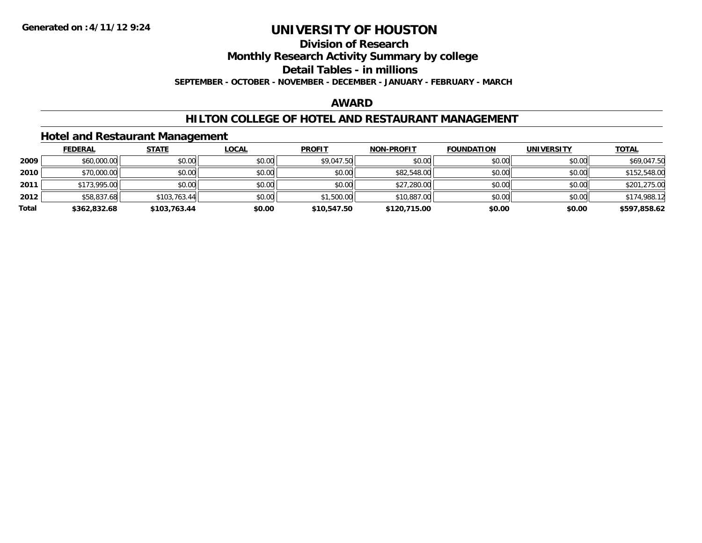#### **Division of Research**

**Monthly Research Activity Summary by college**

**Detail Tables - in millions**

**SEPTEMBER - OCTOBER - NOVEMBER - DECEMBER - JANUARY - FEBRUARY - MARCH**

### **AWARD**

### **HILTON COLLEGE OF HOTEL AND RESTAURANT MANAGEMENT**

### **Hotel and Restaurant Management**

|       | <b>FEDERAL</b> | <b>STATE</b> | <u>LOCAL</u> | <b>PROFIT</b> | <b>NON-PROFIT</b> | <b>FOUNDATION</b> | <b>UNIVERSITY</b> | <u>TOTAL</u> |
|-------|----------------|--------------|--------------|---------------|-------------------|-------------------|-------------------|--------------|
| 2009  | \$60,000.00    | \$0.00       | \$0.00       | \$9,047.50    | \$0.00            | \$0.00            | \$0.00            | \$69,047.50  |
| 2010  | \$70,000.00    | \$0.00       | \$0.00       | \$0.00        | \$82,548.00       | \$0.00            | \$0.00            | \$152,548.00 |
| 2011  | \$173,995.00   | \$0.00       | \$0.00       | \$0.00        | \$27,280.00       | \$0.00            | \$0.00            | \$201,275.00 |
| 2012  | \$58,837.68    | \$103,763.44 | \$0.00       | \$1,500.00    | \$10,887.00       | \$0.00            | \$0.00            | \$174,988.12 |
| Total | \$362,832.68   | \$103,763.44 | \$0.00       | \$10,547.50   | \$120,715.00      | \$0.00            | \$0.00            | \$597,858.62 |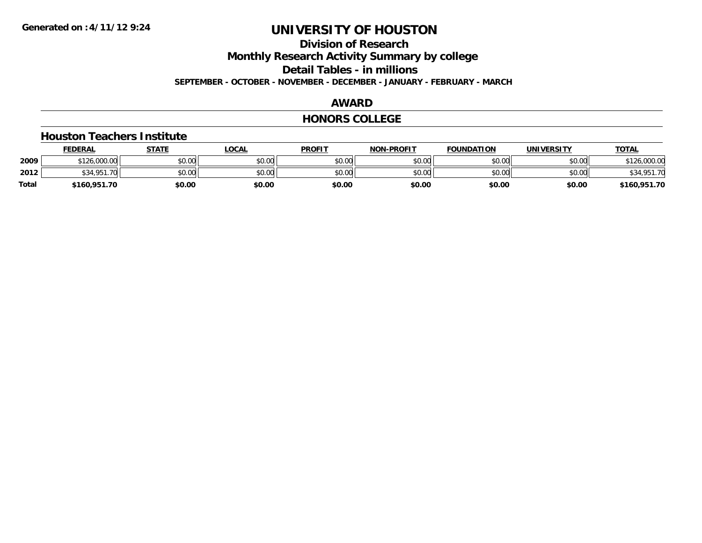### **Division of ResearchMonthly Research Activity Summary by college Detail Tables - in millions SEPTEMBER - OCTOBER - NOVEMBER - DECEMBER - JANUARY - FEBRUARY - MARCH**

### **AWARD**

#### **HONORS COLLEGE**

#### **Houston Teachers Institute**

|       | <b>FEDERAL</b>    | STATE  | <u>LOCAL</u> | <b>PROFIT</b> | <b>NON-PROFIT</b> | <b>FOUNDATION</b> | <b>UNIVERSITY</b> | <u>TOTAL</u> |
|-------|-------------------|--------|--------------|---------------|-------------------|-------------------|-------------------|--------------|
| 2009  | \$126,000.00      | \$0.00 | \$0.00       | \$0.00        | \$0.00            | \$0.00            | \$0.00            | \$126,000.00 |
| 2012  | \$34.951.<br>. 70 | \$0.00 | \$0.00       | \$0.00        | \$0.00            | \$0.00            | \$0.00            | \$34,951.70  |
| Total | \$160,951.70      | \$0.00 | \$0.00       | \$0.00        | \$0.00            | \$0.00            | \$0.00            | \$160,951.70 |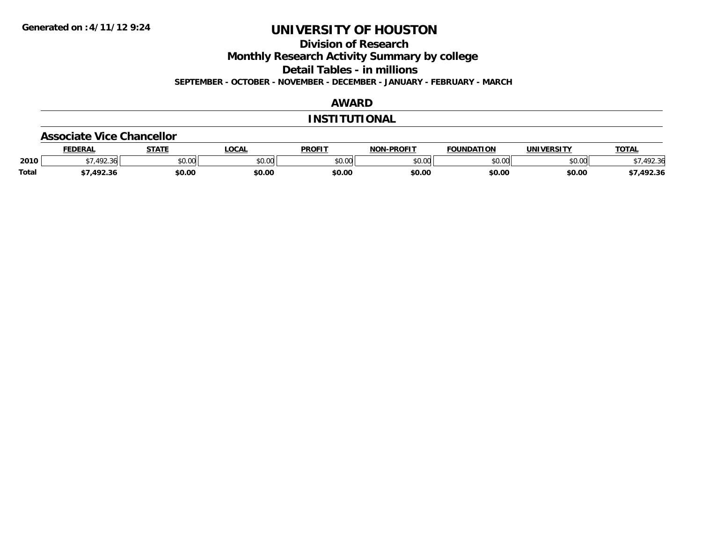**Division of Research**

**Monthly Research Activity Summary by college**

**Detail Tables - in millions**

**SEPTEMBER - OCTOBER - NOVEMBER - DECEMBER - JANUARY - FEBRUARY - MARCH**

### **AWARD**

#### **INSTITUTIONAL**

#### **Associate Vice Chancellor**

|              | FEDERA.         | CTATE  | .OCAL         | <b>PROFIT</b> | -PROFIT<br>NON. | חחו־<br>רמרווחו ורי | <b>INIVE</b><br>EDCIT\ | TOTA.                 |
|--------------|-----------------|--------|---------------|---------------|-----------------|---------------------|------------------------|-----------------------|
| 2010         | $\sqrt{2}$<br>. | \$0.00 | 0.00<br>JU.UU | 40M<br>JU.U   | 0000<br>JU.UU   | 0000<br>וט.טי       | ልስ ባህ<br>PU.UU         | 100y<br>3 r<br>172.JU |
| <b>Total</b> | י ההו<br>2.51   | \$0.00 | \$0.00        | \$0.00        | \$0.00          | \$0.00              | \$0.00                 | 492.36                |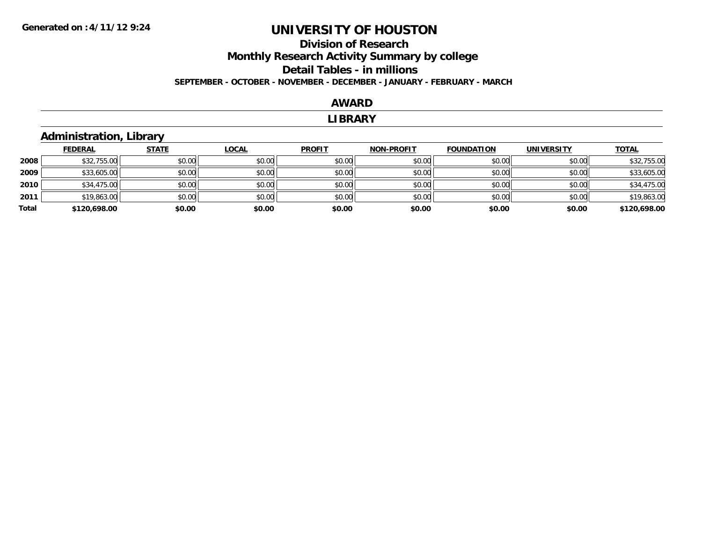### **Division of Research Monthly Research Activity Summary by college Detail Tables - in millions SEPTEMBER - OCTOBER - NOVEMBER - DECEMBER - JANUARY - FEBRUARY - MARCH**

#### **AWARD**

#### **LIBRARY**

### **Administration, Library**

|       | <b>FEDERAL</b> | <b>STATE</b> | <b>LOCAL</b> | <b>PROFIT</b> | <b>NON-PROFIT</b> | <b>FOUNDATION</b> | <b>UNIVERSITY</b> | <b>TOTAL</b> |
|-------|----------------|--------------|--------------|---------------|-------------------|-------------------|-------------------|--------------|
| 2008  | \$32,755.00    | \$0.00       | \$0.00       | \$0.00        | \$0.00            | \$0.00            | \$0.00            | \$32,755.00  |
| 2009  | \$33,605.00    | \$0.00       | \$0.00       | \$0.00        | \$0.00            | \$0.00            | \$0.00            | \$33,605.00  |
| 2010  | \$34,475.00    | \$0.00       | \$0.00       | \$0.00        | \$0.00            | \$0.00            | \$0.00            | \$34,475.00  |
| 2011  | \$19,863.00    | \$0.00       | \$0.00       | \$0.00        | \$0.00            | \$0.00            | \$0.00            | \$19,863.00  |
| Total | \$120,698.00   | \$0.00       | \$0.00       | \$0.00        | \$0.00            | \$0.00            | \$0.00            | \$120,698.00 |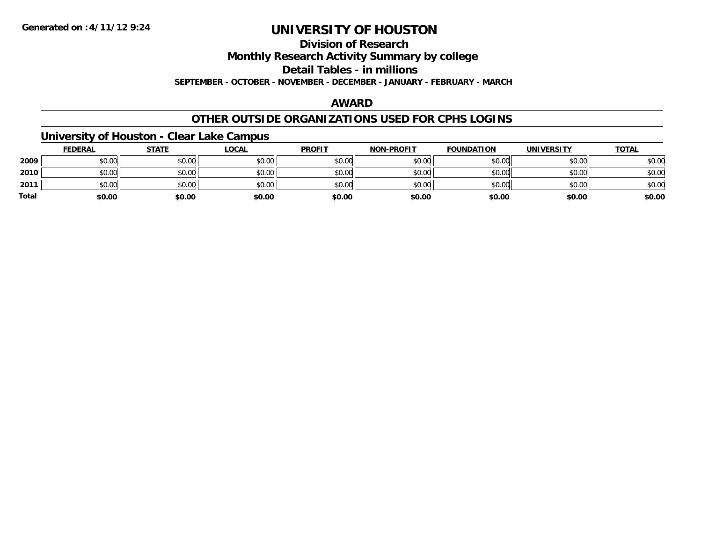### **Division of ResearchMonthly Research Activity Summary by college Detail Tables - in millions SEPTEMBER - OCTOBER - NOVEMBER - DECEMBER - JANUARY - FEBRUARY - MARCH**

#### **AWARD**

### **OTHER OUTSIDE ORGANIZATIONS USED FOR CPHS LOGINS**

### **University of Houston - Clear Lake Campus**

|              | <b>FEDERAL</b> | <b>STATE</b> | <b>LOCAL</b> | <b>PROFIT</b> | <b>NON-PROFIT</b> | <b>FOUNDATION</b> | <b>UNIVERSITY</b> | <b>TOTAL</b> |
|--------------|----------------|--------------|--------------|---------------|-------------------|-------------------|-------------------|--------------|
| 2009         | \$0.00         | \$0.00       | \$0.00       | \$0.00        | \$0.00            | \$0.00            | \$0.00            | \$0.00       |
| 2010         | \$0.00         | \$0.00       | \$0.00       | \$0.00        | \$0.00            | \$0.00            | \$0.00            | \$0.00       |
| 2011         | \$0.00         | \$0.00       | \$0.00       | \$0.00        | \$0.00            | \$0.00            | \$0.00            | \$0.00       |
| <b>Total</b> | \$0.00         | \$0.00       | \$0.00       | \$0.00        | \$0.00            | \$0.00            | \$0.00            | \$0.00       |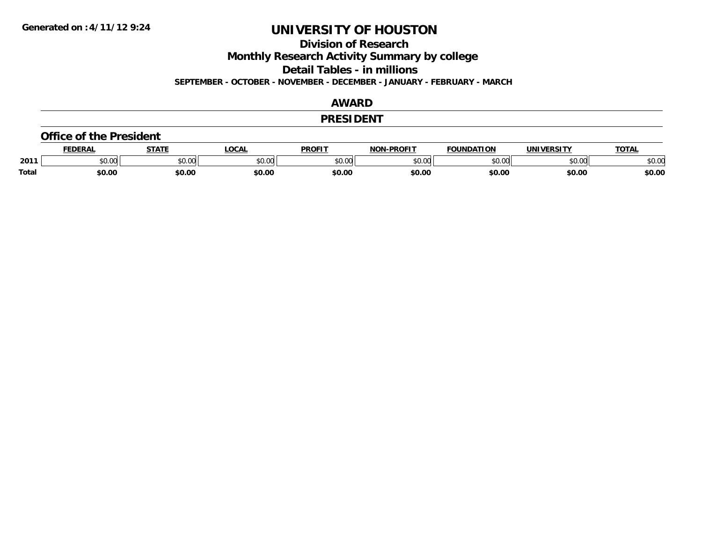**Division of Research**

**Monthly Research Activity Summary by college**

**Detail Tables - in millions**

**SEPTEMBER - OCTOBER - NOVEMBER - DECEMBER - JANUARY - FEBRUARY - MARCH**

#### **AWARD**

#### **PRESIDENT**

#### **Office of the President**

|              | <b>EDERAI</b>   | <b>CTATE</b> | <b>OCAL</b> | <b>PROFIT</b>  | <b>DDOCLT</b><br>NIAR | <b>FOUNDATION</b>       | UNIVERSITY | <b>TOTAL</b>   |
|--------------|-----------------|--------------|-------------|----------------|-----------------------|-------------------------|------------|----------------|
| 2011         | $\sim$<br>JU.UU | JU.UU        | \$0.00      | ტი იი<br>JU.UU | 0.00<br>וטטוע         | $\sim$ 00 $\mu$<br>u.uu | \$0.00     | ልስ አር<br>JU.UU |
| <b>Total</b> | \$0.00          | \$0.00       | \$0.00      | \$0.00         | \$0.00                | \$0.00                  | \$0.00     | \$0.00         |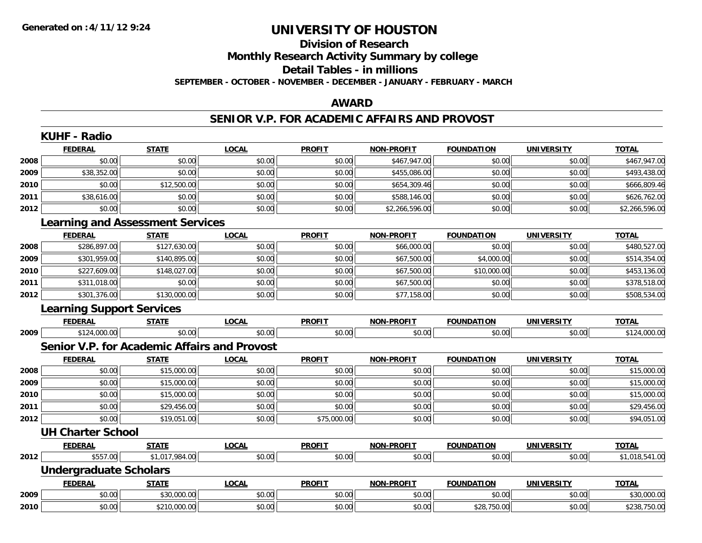### **Division of ResearchMonthly Research Activity Summary by college Detail Tables - in millions SEPTEMBER - OCTOBER - NOVEMBER - DECEMBER - JANUARY - FEBRUARY - MARCH**

#### **AWARD**

#### **SENIOR V.P. FOR ACADEMIC AFFAIRS AND PROVOST**

|      | <b>KUHF - Radio</b>              |                                                     |              |               |                   |                   |                   |                |
|------|----------------------------------|-----------------------------------------------------|--------------|---------------|-------------------|-------------------|-------------------|----------------|
|      | <b>FEDERAL</b>                   | <b>STATE</b>                                        | <b>LOCAL</b> | <b>PROFIT</b> | <b>NON-PROFIT</b> | <b>FOUNDATION</b> | <b>UNIVERSITY</b> | <b>TOTAL</b>   |
| 2008 | \$0.00                           | \$0.00                                              | \$0.00       | \$0.00        | \$467,947.00      | \$0.00            | \$0.00            | \$467,947.00   |
| 2009 | \$38,352.00                      | \$0.00                                              | \$0.00       | \$0.00        | \$455,086.00      | \$0.00            | \$0.00            | \$493,438.00   |
| 2010 | \$0.00                           | \$12,500.00                                         | \$0.00       | \$0.00        | \$654,309.46      | \$0.00            | \$0.00            | \$666,809.46   |
| 2011 | \$38,616.00                      | \$0.00                                              | \$0.00       | \$0.00        | \$588,146.00      | \$0.00            | \$0.00            | \$626,762.00   |
| 2012 | \$0.00                           | \$0.00                                              | \$0.00       | \$0.00        | \$2,266,596.00    | \$0.00            | \$0.00            | \$2,266,596.00 |
|      |                                  | <b>Learning and Assessment Services</b>             |              |               |                   |                   |                   |                |
|      | <b>FEDERAL</b>                   | <b>STATE</b>                                        | <b>LOCAL</b> | <b>PROFIT</b> | <b>NON-PROFIT</b> | <b>FOUNDATION</b> | <b>UNIVERSITY</b> | <b>TOTAL</b>   |
| 2008 | \$286,897.00                     | \$127,630.00                                        | \$0.00       | \$0.00        | \$66,000.00       | \$0.00            | \$0.00            | \$480,527.00   |
| 2009 | \$301,959.00                     | \$140,895.00                                        | \$0.00       | \$0.00        | \$67,500.00       | \$4,000.00        | \$0.00            | \$514,354.00   |
| 2010 | \$227,609.00                     | \$148,027.00                                        | \$0.00       | \$0.00        | \$67,500.00       | \$10,000.00       | \$0.00            | \$453,136.00   |
| 2011 | \$311,018.00                     | \$0.00                                              | \$0.00       | \$0.00        | \$67,500.00       | \$0.00            | \$0.00            | \$378,518.00   |
| 2012 | \$301,376.00                     | \$130,000.00                                        | \$0.00       | \$0.00        | \$77,158.00       | \$0.00            | \$0.00            | \$508,534.00   |
|      | <b>Learning Support Services</b> |                                                     |              |               |                   |                   |                   |                |
|      | <b>FEDERAL</b>                   | <b>STATE</b>                                        | <b>LOCAL</b> | <b>PROFIT</b> | <b>NON-PROFIT</b> | <b>FOUNDATION</b> | <b>UNIVERSITY</b> | <b>TOTAL</b>   |
| 2009 | \$124,000.00                     | \$0.00                                              | \$0.00       | \$0.00        | \$0.00            | \$0.00            | \$0.00            | \$124,000.00   |
|      |                                  | <b>Senior V.P. for Academic Affairs and Provost</b> |              |               |                   |                   |                   |                |
|      | <b>FEDERAL</b>                   | <b>STATE</b>                                        | <b>LOCAL</b> | <b>PROFIT</b> | <b>NON-PROFIT</b> | <b>FOUNDATION</b> | UNIVERSITY        | <b>TOTAL</b>   |
| 2008 | \$0.00                           | \$15,000.00                                         | \$0.00       | \$0.00        | \$0.00            | \$0.00            | \$0.00            | \$15,000.00    |
| 2009 | \$0.00                           | \$15,000.00                                         | \$0.00       | \$0.00        | \$0.00            | \$0.00            | \$0.00            | \$15,000.00    |
| 2010 | \$0.00                           | \$15,000.00                                         | \$0.00       | \$0.00        | \$0.00            | \$0.00            | \$0.00            | \$15,000.00    |
| 2011 | \$0.00                           | \$29,456.00                                         | \$0.00       | \$0.00        | \$0.00            | \$0.00            | \$0.00            | \$29,456.00    |
| 2012 | \$0.00                           | \$19,051.00                                         | \$0.00       | \$75,000.00   | \$0.00            | \$0.00            | \$0.00            | \$94,051.00    |
|      | <b>UH Charter School</b>         |                                                     |              |               |                   |                   |                   |                |
|      | <b>FEDERAL</b>                   | <b>STATE</b>                                        | <b>LOCAL</b> | <b>PROFIT</b> | <b>NON-PROFIT</b> | <b>FOUNDATION</b> | <b>UNIVERSITY</b> | <b>TOTAL</b>   |
| 2012 | \$557.00                         | \$1,017,984.00                                      | \$0.00       | \$0.00        | \$0.00            | \$0.00            | \$0.00            | \$1,018,541.00 |
|      | <b>Undergraduate Scholars</b>    |                                                     |              |               |                   |                   |                   |                |
|      | <b>FEDERAL</b>                   | <b>STATE</b>                                        | <b>LOCAL</b> | <b>PROFIT</b> | <b>NON-PROFIT</b> | <b>FOUNDATION</b> | <b>UNIVERSITY</b> | <b>TOTAL</b>   |
| 2009 | \$0.00                           | \$30,000.00                                         | \$0.00       | \$0.00        | \$0.00            | \$0.00            | \$0.00            | \$30,000.00    |
| 2010 | \$0.00                           | \$210,000.00                                        | \$0.00       | \$0.00        | \$0.00            | \$28,750.00       | \$0.00            | \$238,750.00   |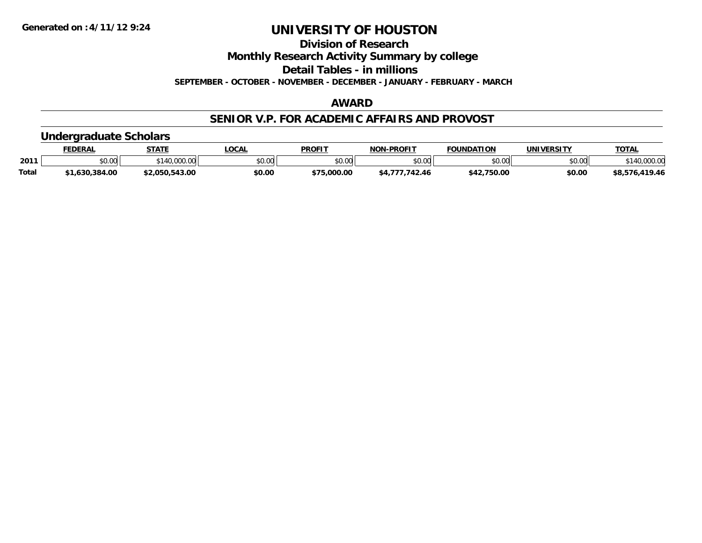**Division of Research**

**Monthly Research Activity Summary by college**

**Detail Tables - in millions**

**SEPTEMBER - OCTOBER - NOVEMBER - DECEMBER - JANUARY - FEBRUARY - MARCH**

#### **AWARD**

#### **SENIOR V.P. FOR ACADEMIC AFFAIRS AND PROVOST**

### **Undergraduate Scholars**

|              | <b>FEDERAL</b> | <b>STATE</b>      | LOCAL  | <b>PROFIT</b>  | <b>NON-PROFIT</b> | <b>FOUNDATION</b> | <b>UNIVERSITY</b> | <b>TOTAL</b>         |
|--------------|----------------|-------------------|--------|----------------|-------------------|-------------------|-------------------|----------------------|
| 2011         | 0000<br>vv.vv  | 000.00.<br>$+111$ | \$0.00 | ≮N UV<br>DU.UU | \$0.00            | \$0.00            | \$0.00            | non no<br>140,000.00 |
| <b>Total</b> | 630,384.00     | \$2,050,543.00    | \$0.00 | \$75.000.00    |                   | 2,750.00<br>\$42  | \$0.00            | ,419.46<br>\$8,576   |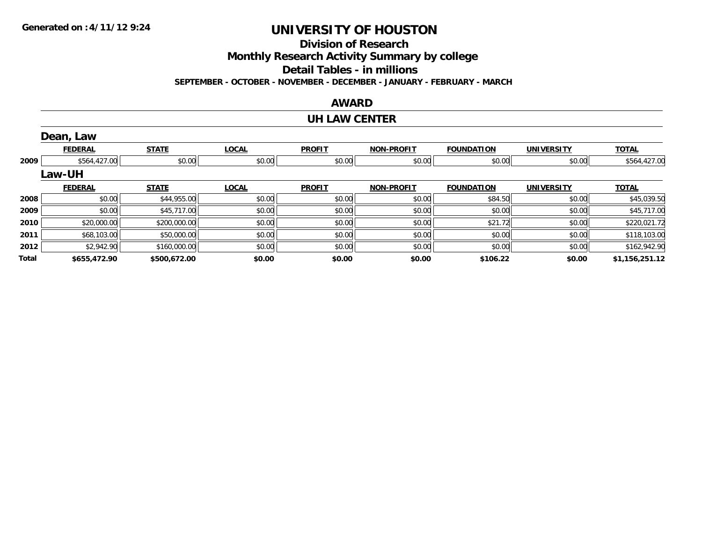**Division of Research**

**Monthly Research Activity Summary by college**

**Detail Tables - in millions**

**SEPTEMBER - OCTOBER - NOVEMBER - DECEMBER - JANUARY - FEBRUARY - MARCH**

#### **AWARD**

#### **UH LAW CENTER**

|       | Dean, Law      |              |              |               |                   |                   |                   |                |
|-------|----------------|--------------|--------------|---------------|-------------------|-------------------|-------------------|----------------|
|       | <b>FEDERAL</b> | <b>STATE</b> | <b>LOCAL</b> | <b>PROFIT</b> | <b>NON-PROFIT</b> | <b>FOUNDATION</b> | <b>UNIVERSITY</b> | <b>TOTAL</b>   |
| 2009  | \$564,427.00   | \$0.00       | \$0.00       | \$0.00        | \$0.00            | \$0.00            | \$0.00            | \$564,427.00   |
|       | Law-UH         |              |              |               |                   |                   |                   |                |
|       | <b>FEDERAL</b> | <b>STATE</b> | <b>LOCAL</b> | <b>PROFIT</b> | <b>NON-PROFIT</b> | <b>FOUNDATION</b> | <b>UNIVERSITY</b> | <b>TOTAL</b>   |
| 2008  | \$0.00         | \$44,955.00  | \$0.00       | \$0.00        | \$0.00            | \$84.50           | \$0.00            | \$45,039.50    |
| 2009  | \$0.00         | \$45,717.00  | \$0.00       | \$0.00        | \$0.00            | \$0.00            | \$0.00            | \$45,717.00    |
| 2010  | \$20,000.00    | \$200,000.00 | \$0.00       | \$0.00        | \$0.00            | \$21.72           | \$0.00            | \$220,021.72   |
| 2011  | \$68,103.00    | \$50,000.00  | \$0.00       | \$0.00        | \$0.00            | \$0.00            | \$0.00            | \$118,103.00   |
| 2012  | \$2,942.90     | \$160,000.00 | \$0.00       | \$0.00        | \$0.00            | \$0.00            | \$0.00            | \$162,942.90   |
| Total | \$655,472.90   | \$500,672.00 | \$0.00       | \$0.00        | \$0.00            | \$106.22          | \$0.00            | \$1,156,251.12 |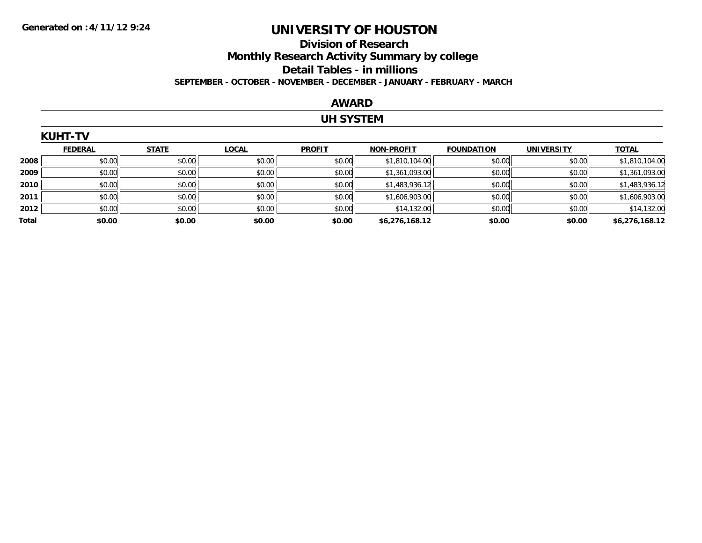### **Division of Research Monthly Research Activity Summary by college Detail Tables - in millions SEPTEMBER - OCTOBER - NOVEMBER - DECEMBER - JANUARY - FEBRUARY - MARCH**

#### **AWARD**

### **UH SYSTEM**

|       | <b>KUHT-TV</b> |              |              |               |                   |                   |                   |                |  |  |  |
|-------|----------------|--------------|--------------|---------------|-------------------|-------------------|-------------------|----------------|--|--|--|
|       | <b>FEDERAL</b> | <b>STATE</b> | <b>LOCAL</b> | <b>PROFIT</b> | <b>NON-PROFIT</b> | <b>FOUNDATION</b> | <b>UNIVERSITY</b> | <b>TOTAL</b>   |  |  |  |
| 2008  | \$0.00         | \$0.00       | \$0.00       | \$0.00        | \$1,810,104.00    | \$0.00            | \$0.00            | \$1,810,104.00 |  |  |  |
| 2009  | \$0.00         | \$0.00       | \$0.00       | \$0.00        | \$1,361,093.00    | \$0.00            | \$0.00            | \$1,361,093.00 |  |  |  |
| 2010  | \$0.00         | \$0.00       | \$0.00       | \$0.00        | \$1,483,936.12    | \$0.00            | \$0.00            | \$1,483,936.12 |  |  |  |
| 2011  | \$0.00         | \$0.00       | \$0.00       | \$0.00        | \$1,606,903.00    | \$0.00            | \$0.00            | \$1,606,903.00 |  |  |  |
| 2012  | \$0.00         | \$0.00       | \$0.00       | \$0.00        | \$14,132.00       | \$0.00            | \$0.00            | \$14,132.00    |  |  |  |
| Total | \$0.00         | \$0.00       | \$0.00       | \$0.00        | \$6,276,168.12    | \$0.00            | \$0.00            | \$6,276,168.12 |  |  |  |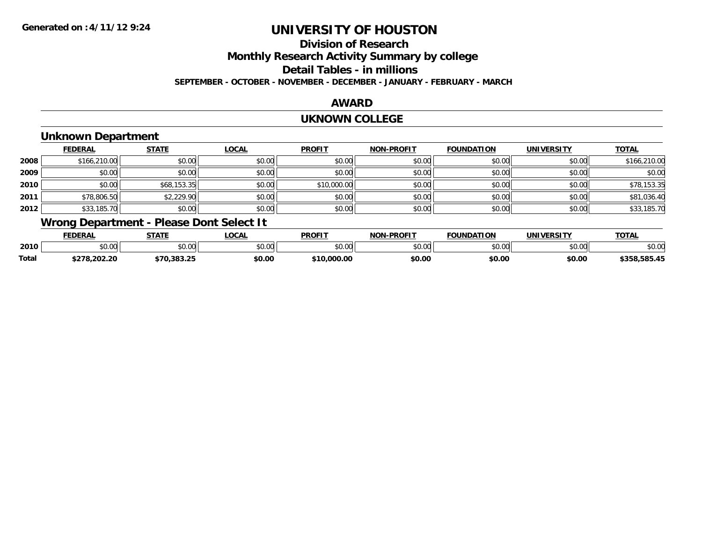### **Division of ResearchMonthly Research Activity Summary by college Detail Tables - in millions SEPTEMBER - OCTOBER - NOVEMBER - DECEMBER - JANUARY - FEBRUARY - MARCH**

#### **AWARD**

#### **UKNOWN COLLEGE**

### **Unknown Department**

|      | <b>FEDERAL</b> | <b>STATE</b> | <b>LOCAL</b> | <b>PROFIT</b> | <b>NON-PROFIT</b> | <b>FOUNDATION</b> | <b>UNIVERSITY</b> | <b>TOTAL</b> |
|------|----------------|--------------|--------------|---------------|-------------------|-------------------|-------------------|--------------|
| 2008 | \$166,210.00   | \$0.00       | \$0.00       | \$0.00        | \$0.00            | \$0.00            | \$0.00            | \$166,210.00 |
| 2009 | \$0.00         | \$0.00       | \$0.00       | \$0.00        | \$0.00            | \$0.00            | \$0.00            | \$0.00       |
| 2010 | \$0.00         | \$68,153.35  | \$0.00       | \$10,000.00   | \$0.00            | \$0.00            | \$0.00            | \$78,153.35  |
| 2011 | \$78,806.50    | \$2,229.90   | \$0.00       | \$0.00        | \$0.00            | \$0.00            | \$0.00            | \$81,036.40  |
| 2012 | \$33,185.70    | \$0.00       | \$0.00       | \$0.00        | \$0.00            | \$0.00            | \$0.00            | \$33,185.70  |

## **Wrong Department - Please Dont Select It**

|       | <b>FEDERAI</b>     | <b>CTATE</b>  | ne N<br>UUMI | <b>PROFIT</b> | <b>LDDAFIT</b><br><b>ארות</b> | <b>FOUNDATION</b> | IINIIVEDCIT   | <b>TOTAL</b> |
|-------|--------------------|---------------|--------------|---------------|-------------------------------|-------------------|---------------|--------------|
| 2010  | $\sim$ 00<br>טט.טע | 0.00<br>PU.UU | vv.vv        | 0000<br>JU.UU | \$0.00                        | $\sim$ 00         | ስ ለሰ<br>90.OC | \$U.UU       |
| Total | 5070<br>.uz.z      | המ            | \$0.00       | 0000          | \$0.00                        | \$0.00            | \$0.00        | 585 45       |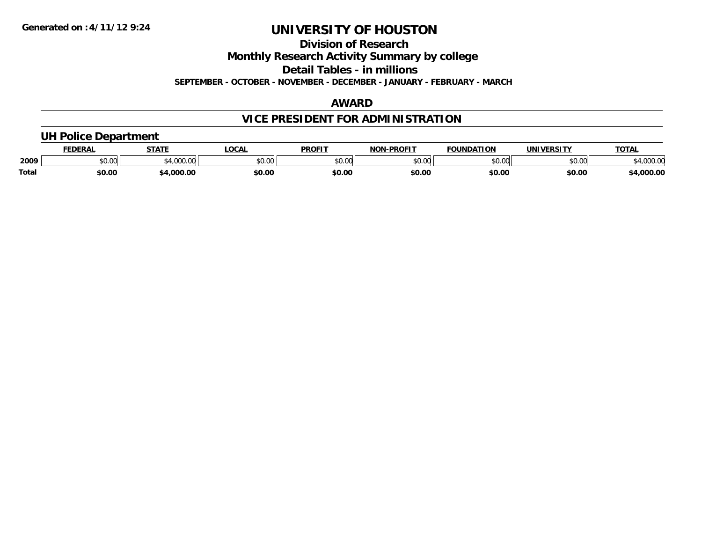### **Division of Research**

**Monthly Research Activity Summary by college**

**Detail Tables - in millions**

**SEPTEMBER - OCTOBER - NOVEMBER - DECEMBER - JANUARY - FEBRUARY - MARCH**

### **AWARD**

### **VICE PRESIDENT FOR ADMINISTRATION**

### **UH Police Department**

|       | <b>FEDERAL</b> | <b>STATE</b>   | LOCAI         | <b>PROFIT</b>                   | <b>J-PROFIT</b><br><b>NON</b> | <b>FOUNDATION</b> | <b>UNIVERSITY</b> | <b>TOTAL</b>      |
|-------|----------------|----------------|---------------|---------------------------------|-------------------------------|-------------------|-------------------|-------------------|
| 2009  | 0000<br>vv.vv  | 00000<br>uuu.u | 0000<br>pv.uu | $\circ$ $\circ$ $\circ$<br>ט.טע | \$0.00                        | ደበ በበ<br>,,,,,    | 0000<br>יט.טי     | 00000<br>4,UUU.UL |
| Total | \$0.00         | .000.00        | \$0.OC        | \$0.00                          | \$0.00                        | \$0.00            | \$0.00            | 4,000.00          |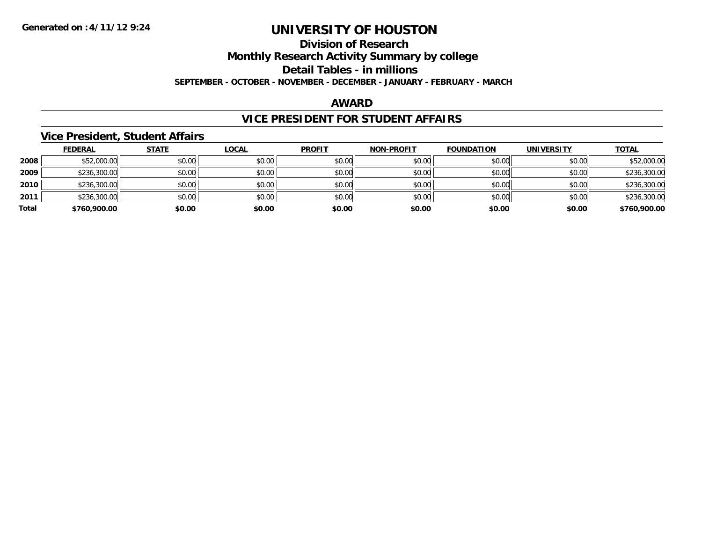## **Division of Research**

**Monthly Research Activity Summary by college**

**Detail Tables - in millions**

**SEPTEMBER - OCTOBER - NOVEMBER - DECEMBER - JANUARY - FEBRUARY - MARCH**

#### **AWARD**

#### **VICE PRESIDENT FOR STUDENT AFFAIRS**

#### **Vice President, Student Affairs**

|       | <b>FEDERAL</b> | <u>STATE</u> | <b>LOCAL</b> | <b>PROFIT</b> | <b>NON-PROFIT</b> | <b>FOUNDATION</b> | <b>UNIVERSITY</b> | <b>TOTAL</b> |
|-------|----------------|--------------|--------------|---------------|-------------------|-------------------|-------------------|--------------|
| 2008  | \$52,000.00    | \$0.00       | \$0.00       | \$0.00        | \$0.00            | \$0.00            | \$0.00            | \$52,000.00  |
| 2009  | \$236,300.00   | \$0.00       | \$0.00       | \$0.00        | \$0.00            | \$0.00            | \$0.00            | \$236,300.00 |
| 2010  | \$236,300.00   | \$0.00       | \$0.00       | \$0.00        | \$0.00            | \$0.00            | \$0.00            | \$236,300.00 |
| 2011  | \$236,300.00   | \$0.00       | \$0.00       | \$0.00        | \$0.00            | \$0.00            | \$0.00            | \$236,300.00 |
| Total | \$760,900.00   | \$0.00       | \$0.00       | \$0.00        | \$0.00            | \$0.00            | \$0.00            | \$760,900.00 |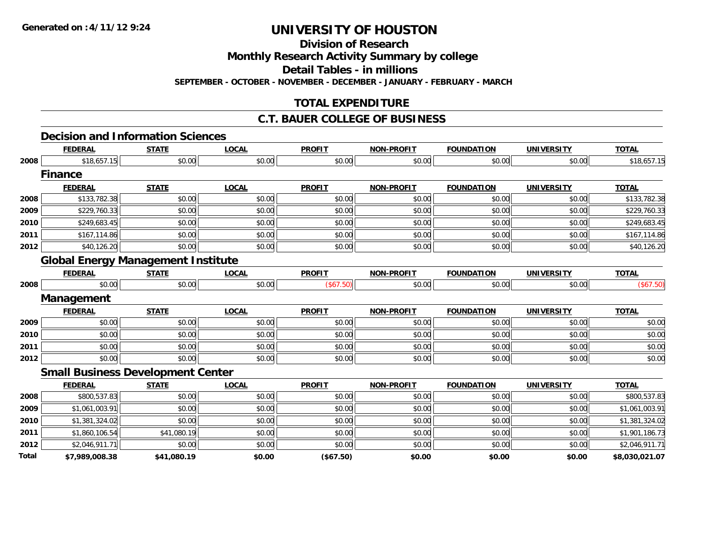**Total**

## **UNIVERSITY OF HOUSTON**

**Division of Research**

**Monthly Research Activity Summary by college**

**Detail Tables - in millions**

**SEPTEMBER - OCTOBER - NOVEMBER - DECEMBER - JANUARY - FEBRUARY - MARCH**

### **TOTAL EXPENDITURE**

### **C.T. BAUER COLLEGE OF BUSINESS**

#### **Decision and Information Sciences**

|      | <b>FEDERAL</b>                            | <b>STATE</b> | <b>LOCAL</b> | <b>PROFIT</b> | <b>NON-PROFIT</b> | <b>FOUNDATION</b> | <b>UNIVERSITY</b> | <b>TOTAL</b>   |
|------|-------------------------------------------|--------------|--------------|---------------|-------------------|-------------------|-------------------|----------------|
| 2008 | \$18,657.15                               | \$0.00       | \$0.00       | \$0.00        | \$0.00            | \$0.00            | \$0.00            | \$18,657.15    |
|      | <b>Finance</b>                            |              |              |               |                   |                   |                   |                |
|      | <b>FEDERAL</b>                            | <b>STATE</b> | <b>LOCAL</b> | <b>PROFIT</b> | <b>NON-PROFIT</b> | <b>FOUNDATION</b> | <b>UNIVERSITY</b> | <b>TOTAL</b>   |
| 2008 | \$133,782.38                              | \$0.00       | \$0.00       | \$0.00        | \$0.00            | \$0.00            | \$0.00            | \$133,782.38   |
| 2009 | \$229,760.33                              | \$0.00       | \$0.00       | \$0.00        | \$0.00            | \$0.00            | \$0.00            | \$229,760.33   |
| 2010 | \$249,683.45                              | \$0.00       | \$0.00       | \$0.00        | \$0.00            | \$0.00            | \$0.00            | \$249,683.45   |
| 2011 | \$167,114.86                              | \$0.00       | \$0.00       | \$0.00        | \$0.00            | \$0.00            | \$0.00            | \$167,114.86   |
| 2012 | \$40,126.20                               | \$0.00       | \$0.00       | \$0.00        | \$0.00            | \$0.00            | \$0.00            | \$40,126.20    |
|      | <b>Global Energy Management Institute</b> |              |              |               |                   |                   |                   |                |
|      | <b>FEDERAL</b>                            | <b>STATE</b> | <b>LOCAL</b> | <b>PROFIT</b> | <b>NON-PROFIT</b> | <b>FOUNDATION</b> | <b>UNIVERSITY</b> | <b>TOTAL</b>   |
| 2008 | \$0.00                                    | \$0.00       | \$0.00       | (\$67.50)     | \$0.00            | \$0.00            | \$0.00            | (\$67.50)      |
|      | Management                                |              |              |               |                   |                   |                   |                |
|      | <b>FEDERAL</b>                            | <b>STATE</b> | <b>LOCAL</b> | <b>PROFIT</b> | <b>NON-PROFIT</b> | <b>FOUNDATION</b> | <b>UNIVERSITY</b> | <b>TOTAL</b>   |
| 2009 | \$0.00                                    | \$0.00       | \$0.00       | \$0.00        | \$0.00            | \$0.00            | \$0.00            | \$0.00         |
| 2010 | \$0.00                                    | \$0.00       | \$0.00       | \$0.00        | \$0.00            | \$0.00            | \$0.00            | \$0.00         |
| 2011 | \$0.00                                    | \$0.00       | \$0.00       | \$0.00        | \$0.00            | \$0.00            | \$0.00            | \$0.00         |
| 2012 | \$0.00                                    | \$0.00       | \$0.00       | \$0.00        | \$0.00            | \$0.00            | \$0.00            | \$0.00         |
|      | <b>Small Business Development Center</b>  |              |              |               |                   |                   |                   |                |
|      | <b>FEDERAL</b>                            | <b>STATE</b> | <b>LOCAL</b> | <b>PROFIT</b> | <b>NON-PROFIT</b> | <b>FOUNDATION</b> | <b>UNIVERSITY</b> | <b>TOTAL</b>   |
| 2008 | \$800,537.83                              | \$0.00       | \$0.00       | \$0.00        | \$0.00            | \$0.00            | \$0.00            | \$800,537.83   |
| 2009 | \$1,061,003.91                            | \$0.00       | \$0.00       | \$0.00        | \$0.00            | \$0.00            | \$0.00            | \$1,061,003.91 |
| 2010 | \$1,381,324.02                            | \$0.00       | \$0.00       | \$0.00        | \$0.00            | \$0.00            | \$0.00            | \$1,381,324.02 |
| 2011 | \$1,860,106.54                            | \$41,080.19  | \$0.00       | \$0.00        | \$0.00            | \$0.00            | \$0.00            | \$1,901,186.73 |
| 2012 | \$2,046,911.71                            | \$0.00       | \$0.00       | \$0.00        | \$0.00            | \$0.00            | \$0.00            | \$2,046,911.71 |

**\$7,989,008.38 \$41,080.19 \$0.00 (\$67.50) \$0.00 \$0.00 \$0.00 \$8,030,021.07**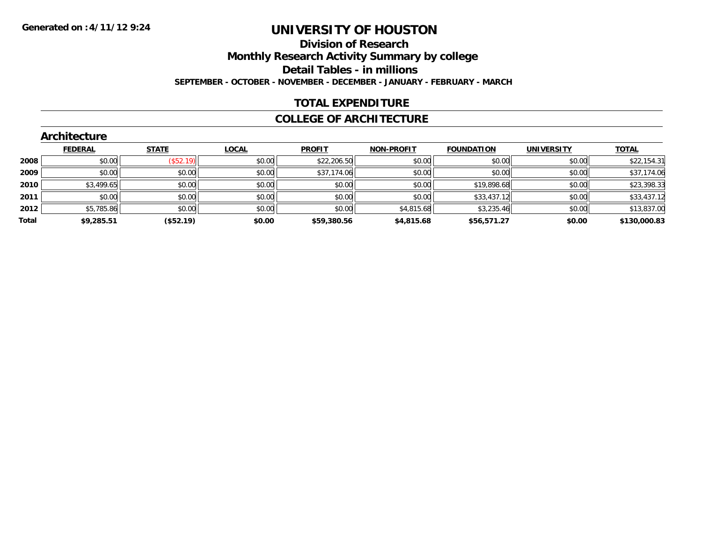#### **Division of Research Monthly Research Activity Summary by college Detail Tables - in millions SEPTEMBER - OCTOBER - NOVEMBER - DECEMBER - JANUARY - FEBRUARY - MARCH**

#### **TOTAL EXPENDITURE**

#### **COLLEGE OF ARCHITECTURE**

|       | Architecture   |                  |              |               |                   |                   |                   |              |
|-------|----------------|------------------|--------------|---------------|-------------------|-------------------|-------------------|--------------|
|       | <b>FEDERAL</b> | <b>STATE</b>     | <b>LOCAL</b> | <b>PROFIT</b> | <b>NON-PROFIT</b> | <b>FOUNDATION</b> | <b>UNIVERSITY</b> | <b>TOTAL</b> |
| 2008  | \$0.00         | $($ \$52.19) $ $ | \$0.00       | \$22,206.50   | \$0.00            | \$0.00            | \$0.00            | \$22,154.31  |
| 2009  | \$0.00         | \$0.00           | \$0.00       | \$37,174.06   | \$0.00            | \$0.00            | \$0.00            | \$37,174.06  |
| 2010  | \$3,499.65     | \$0.00           | \$0.00       | \$0.00        | \$0.00            | \$19,898.68       | \$0.00            | \$23,398.33  |
| 2011  | \$0.00         | \$0.00           | \$0.00       | \$0.00        | \$0.00            | \$33,437.12       | \$0.00            | \$33,437.12  |
| 2012  | \$5,785.86     | \$0.00           | \$0.00       | \$0.00        | \$4,815.68        | \$3,235.46        | \$0.00            | \$13,837.00  |
| Total | \$9,285.51     | (\$52.19)        | \$0.00       | \$59,380.56   | \$4,815.68        | \$56,571.27       | \$0.00            | \$130,000.83 |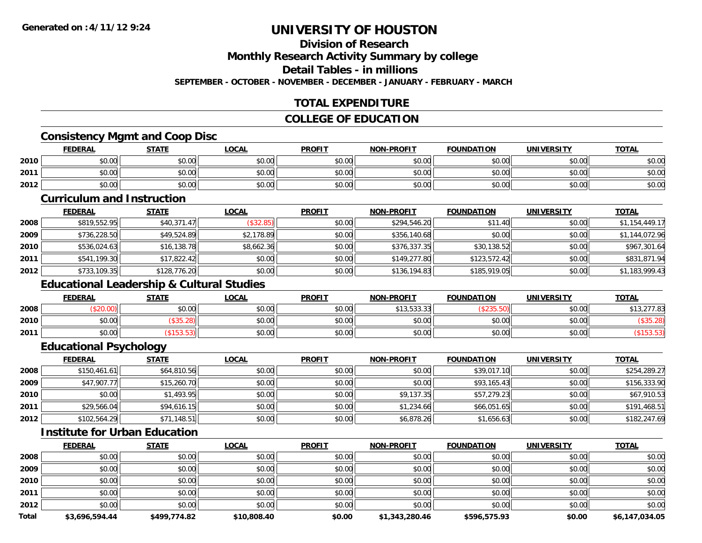### **Division of Research**

**Monthly Research Activity Summary by college**

**Detail Tables - in millions**

**SEPTEMBER - OCTOBER - NOVEMBER - DECEMBER - JANUARY - FEBRUARY - MARCH**

### **TOTAL EXPENDITURE**

#### **COLLEGE OF EDUCATION**

### **Consistency Mgmt and Coop Disc**

|      | <b>FEDERAL</b> | <b>STATE</b> | LOCAL  | <b>PROFIT</b> | <b>NON-PROFIT</b> | <b>FOUNDATION</b> | <b>UNIVERSITY</b> | <b>TOTAL</b> |
|------|----------------|--------------|--------|---------------|-------------------|-------------------|-------------------|--------------|
| 2010 | \$0.00         | \$0.00       | \$0.00 | \$0.00        | \$0.00            | \$0.00            | \$0.00            | \$0.00       |
| 2011 | \$0.00         | \$0.00       | \$0.00 | \$0.00        | \$0.00            | \$0.00            | \$0.00            | \$0.00       |
| 2012 | \$0.00         | \$0.00       | \$0.00 | \$0.00        | \$0.00            | \$0.00            | \$0.00            | \$0.00       |

#### **Curriculum and Instruction**

|      | <u>FEDERAL</u> | <u>STATE</u> | <u>LOCAL</u> | <b>PROFIT</b> | <b>NON-PROFIT</b> | <b>FOUNDATION</b> | <b>UNIVERSITY</b> | <b>TOTAL</b>   |
|------|----------------|--------------|--------------|---------------|-------------------|-------------------|-------------------|----------------|
| 2008 | \$819,552.95   | \$40,371.47  | (\$32.85)    | \$0.00        | \$294,546.20      | \$11.40           | \$0.00            | \$1,154,449.17 |
| 2009 | \$736,228.50   | \$49,524.89  | \$2,178.89   | \$0.00        | \$356,140.68      | \$0.00            | \$0.00            | \$1,144,072.96 |
| 2010 | \$536,024.63   | \$16,138.78  | \$8,662.36   | \$0.00        | \$376,337.35      | \$30,138.52       | \$0.00            | \$967,301.64   |
| 2011 | \$541,199.30   | \$17,822.42  | \$0.00       | \$0.00        | \$149,277.80      | \$123,572.42      | \$0.00            | \$831,871.94   |
| 2012 | \$733,109.35   | \$128,776.20 | \$0.00       | \$0.00        | \$136,194.83      | \$185,919.05      | \$0.00            | \$1,183,999.43 |

### **Educational Leadership & Cultural Studies**

|      | <b>FEDERAL</b> | <b>STATE</b> | <u>LOCAL</u> | <b>PROFIT</b> | <b>NON-PROFIT</b>                        | <b>FOUNDATION</b> | UNIVERSITY | <b>TOTAL</b> |
|------|----------------|--------------|--------------|---------------|------------------------------------------|-------------------|------------|--------------|
| 2008 | JZU.UU,        | \$0.00       | \$0.00       | \$0.00        | <b>¢1252232</b><br>, , , , , , , , , , , |                   | \$0.00     | .277.83      |
| 2010 | \$0.00         | וס∠.טני      | \$0.00       | \$0.00        | \$0.00                                   | \$0.00            | \$0.00     | \$35.4       |
| 2011 | \$0.00         |              | \$0.00       | \$0.00        | \$0.00                                   | \$0.00            | \$0.00     |              |

#### **Educational Psychology**

|      | <b>FEDERAL</b> | STATE       | <b>LOCAL</b> | <b>PROFIT</b> | <b>NON-PROFIT</b> | <b>FOUNDATION</b> | <b>UNIVERSITY</b> | <b>TOTAL</b> |
|------|----------------|-------------|--------------|---------------|-------------------|-------------------|-------------------|--------------|
| 2008 | \$150,461.61   | \$64,810.56 | \$0.00       | \$0.00        | \$0.00            | \$39,017.10       | \$0.00            | \$254,289.27 |
| 2009 | \$47,907.77    | \$15,260.70 | \$0.00       | \$0.00        | \$0.00            | \$93,165.43       | \$0.00            | \$156,333.90 |
| 2010 | \$0.00         | \$1,493.95  | \$0.00       | \$0.00        | \$9,137.35        | \$57,279.23       | \$0.00            | \$67,910.53  |
| 2011 | \$29,566.04    | \$94,616.15 | \$0.00       | \$0.00        | \$1,234.66        | \$66,051.65       | \$0.00            | \$191,468.51 |
| 2012 | \$102,564.29   | \$71,148.51 | \$0.00       | \$0.00        | \$6,878.26        | \$1,656.63        | \$0.00            | \$182,247.69 |

### **Institute for Urban Education**

|              | <b>FEDERAL</b> | <b>STATE</b> | LOCAL       | <b>PROFIT</b> | <b>NON-PROFIT</b> | <b>FOUNDATION</b> | <b>UNIVERSITY</b> | <b>TOTAL</b>   |
|--------------|----------------|--------------|-------------|---------------|-------------------|-------------------|-------------------|----------------|
| 2008         | \$0.00         | \$0.00       | \$0.00      | \$0.00        | \$0.00            | \$0.00            | \$0.00            | \$0.00         |
| 2009         | \$0.00         | \$0.00       | \$0.00      | \$0.00        | \$0.00            | \$0.00            | \$0.00            | \$0.00         |
| 2010         | \$0.00         | \$0.00       | \$0.00      | \$0.00        | \$0.00            | \$0.00            | \$0.00            | \$0.00         |
| 2011         | \$0.00         | \$0.00       | \$0.00      | \$0.00        | \$0.00            | \$0.00            | \$0.00            | \$0.00         |
| 2012         | \$0.00         | \$0.00       | \$0.00      | \$0.00        | \$0.00            | \$0.00            | \$0.00            | \$0.00         |
| <b>Total</b> | \$3,696,594.44 | \$499,774.82 | \$10,808.40 | \$0.00        | \$1,343,280.46    | \$596,575.93      | \$0.00            | \$6,147,034.05 |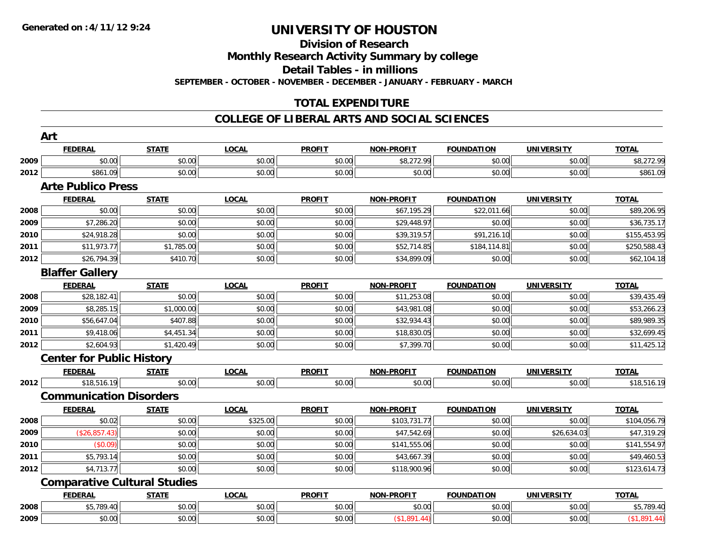# **Division of Research**

**Monthly Research Activity Summary by college**

**Detail Tables - in millions**

**SEPTEMBER - OCTOBER - NOVEMBER - DECEMBER - JANUARY - FEBRUARY - MARCH**

### **TOTAL EXPENDITURE**

#### **COLLEGE OF LIBERAL ARTS AND SOCIAL SCIENCES**

|      | Art<br><b>FEDERAL</b>                    | <b>STATE</b>                        | <b>LOCAL</b> | <b>PROFIT</b> | <b>NON-PROFIT</b> | <b>FOUNDATION</b> | <b>UNIVERSITY</b> | <b>TOTAL</b> |
|------|------------------------------------------|-------------------------------------|--------------|---------------|-------------------|-------------------|-------------------|--------------|
| 2009 | \$0.00                                   | \$0.00                              | \$0.00       | \$0.00        | \$8,272.99        | \$0.00            | \$0.00            | \$8,272.99   |
|      | \$861.09                                 | \$0.00                              | \$0.00       | \$0.00        | \$0.00            | \$0.00            | \$0.00            |              |
| 2012 | <b>Arte Publico Press</b>                |                                     |              |               |                   |                   |                   | \$861.09     |
|      | <b>FEDERAL</b>                           | <b>STATE</b>                        | <b>LOCAL</b> | <b>PROFIT</b> | NON-PROFIT        | <b>FOUNDATION</b> | <b>UNIVERSITY</b> | <b>TOTAL</b> |
| 2008 | \$0.00                                   | \$0.00                              | \$0.00       | \$0.00        | \$67,195.29       | \$22,011.66       | \$0.00            | \$89,206.95  |
| 2009 | \$7,286.20                               | \$0.00                              | \$0.00       | \$0.00        | \$29,448.97       | \$0.00            | \$0.00            | \$36,735.17  |
| 2010 | \$24,918.28                              | \$0.00                              | \$0.00       | \$0.00        | \$39,319.57       | \$91,216.10       | \$0.00            | \$155,453.95 |
| 2011 | \$11,973.77                              | \$1,785.00                          | \$0.00       | \$0.00        | \$52,714.85       | \$184,114.81      | \$0.00            | \$250,588.43 |
| 2012 | \$26,794.39                              | \$410.70                            | \$0.00       | \$0.00        | \$34,899.09       | \$0.00            | \$0.00            | \$62,104.18  |
|      |                                          |                                     |              |               |                   |                   |                   |              |
|      | <b>Blaffer Gallery</b><br><b>FEDERAL</b> | <b>STATE</b>                        | <b>LOCAL</b> | <b>PROFIT</b> | <b>NON-PROFIT</b> | <b>FOUNDATION</b> | <b>UNIVERSITY</b> | <b>TOTAL</b> |
| 2008 | \$28,182.41                              | \$0.00                              | \$0.00       | \$0.00        | \$11,253.08       | \$0.00            | \$0.00            | \$39,435.49  |
| 2009 | \$8,285.15                               | \$1,000.00                          | \$0.00       | \$0.00        | \$43,981.08       | \$0.00            | \$0.00            | \$53,266.23  |
|      |                                          |                                     |              |               |                   |                   |                   |              |
| 2010 | \$56,647.04                              | \$407.88                            | \$0.00       | \$0.00        | \$32,934.43       | \$0.00            | \$0.00            | \$89,989.35  |
| 2011 | \$9,418.06                               | \$4,451.34                          | \$0.00       | \$0.00        | \$18,830.05       | \$0.00            | \$0.00            | \$32,699.45  |
| 2012 | \$2,604.93                               | \$1,420.49                          | \$0.00       | \$0.00        | \$7,399.70        | \$0.00            | \$0.00            | \$11,425.12  |
|      | <b>Center for Public History</b>         |                                     |              |               |                   |                   |                   |              |
|      | <b>FEDERAL</b>                           | <b>STATE</b>                        | <b>LOCAL</b> | <b>PROFIT</b> | <b>NON-PROFIT</b> | <b>FOUNDATION</b> | <b>UNIVERSITY</b> | <b>TOTAL</b> |
| 2012 | \$18,516.19                              | \$0.00                              | \$0.00       | \$0.00        | \$0.00            | \$0.00            | \$0.00            | \$18,516.19  |
|      | <b>Communication Disorders</b>           |                                     |              |               |                   |                   |                   |              |
|      | <b>FEDERAL</b>                           | <b>STATE</b>                        | <b>LOCAL</b> | <b>PROFIT</b> | <b>NON-PROFIT</b> | <b>FOUNDATION</b> | <b>UNIVERSITY</b> | <b>TOTAL</b> |
| 2008 | \$0.02                                   | \$0.00                              | \$325.00     | \$0.00        | \$103,731.77      | \$0.00            | \$0.00            | \$104,056.79 |
| 2009 | (\$26,857.43)                            | \$0.00                              | \$0.00       | \$0.00        | \$47,542.69       | \$0.00            | \$26,634.03       | \$47,319.29  |
| 2010 | (\$0.09)                                 | \$0.00                              | \$0.00       | \$0.00        | \$141,555.06      | \$0.00            | \$0.00            | \$141,554.97 |
| 2011 | \$5,793.14                               | \$0.00                              | \$0.00       | \$0.00        | \$43,667.39       | \$0.00            | \$0.00            | \$49,460.53  |
| 2012 | \$4,713.77                               | \$0.00                              | \$0.00       | \$0.00        | \$118,900.96      | \$0.00            | \$0.00            | \$123,614.73 |
|      |                                          | <b>Comparative Cultural Studies</b> |              |               |                   |                   |                   |              |
|      | <b>FEDERAL</b>                           | <b>STATE</b>                        | <b>LOCAL</b> | <b>PROFIT</b> | <b>NON-PROFIT</b> | <b>FOUNDATION</b> | <b>UNIVERSITY</b> | <b>TOTAL</b> |
| 2008 | \$5,789.40                               | \$0.00                              | \$0.00       | \$0.00        | \$0.00            | \$0.00            | \$0.00            | \$5,789.40   |
| 2009 | \$0.00                                   | \$0.00                              | \$0.00       | \$0.00        | (\$1,891.44)      | \$0.00            | \$0.00            | (\$1,891.44) |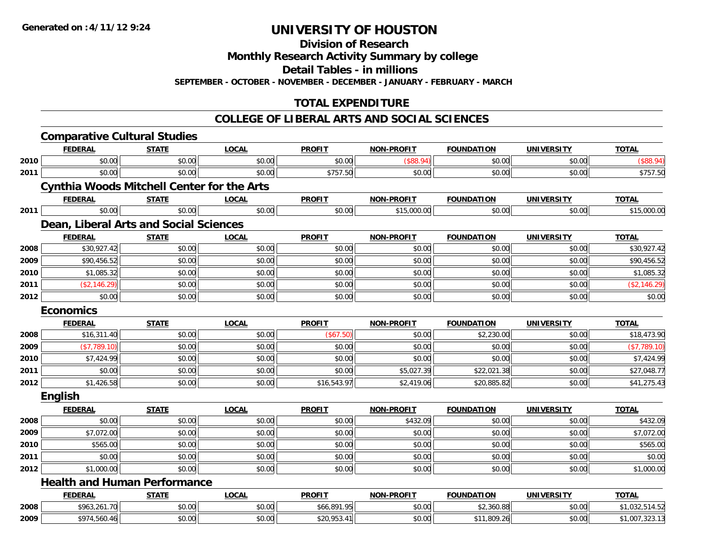**Division of Research**

**Monthly Research Activity Summary by college**

**Detail Tables - in millions**

**SEPTEMBER - OCTOBER - NOVEMBER - DECEMBER - JANUARY - FEBRUARY - MARCH**

### **TOTAL EXPENDITURE**

#### **COLLEGE OF LIBERAL ARTS AND SOCIAL SCIENCES**

|      | <b>Comparative Cultural Studies</b>               |              |              |               |                   |                   |                   |                |
|------|---------------------------------------------------|--------------|--------------|---------------|-------------------|-------------------|-------------------|----------------|
|      | <b>FEDERAL</b>                                    | <b>STATE</b> | <b>LOCAL</b> | <b>PROFIT</b> | <b>NON-PROFIT</b> | <b>FOUNDATION</b> | <b>UNIVERSITY</b> | <b>TOTAL</b>   |
| 2010 | \$0.00                                            | \$0.00       | \$0.00       | \$0.00        | (\$88.94)         | \$0.00            | \$0.00            | (\$88.94)      |
| 2011 | \$0.00                                            | \$0.00       | \$0.00       | \$757.50      | \$0.00            | \$0.00            | \$0.00            | \$757.50       |
|      | <b>Cynthia Woods Mitchell Center for the Arts</b> |              |              |               |                   |                   |                   |                |
|      | <b>FEDERAL</b>                                    | <b>STATE</b> | <b>LOCAL</b> | <b>PROFIT</b> | <b>NON-PROFIT</b> | <b>FOUNDATION</b> | <b>UNIVERSITY</b> | <b>TOTAL</b>   |
| 2011 | \$0.00                                            | \$0.00       | \$0.00       | \$0.00        | \$15,000.00       | \$0.00            | \$0.00            | \$15,000.00    |
|      | Dean, Liberal Arts and Social Sciences            |              |              |               |                   |                   |                   |                |
|      | <b>FEDERAL</b>                                    | <b>STATE</b> | <b>LOCAL</b> | <b>PROFIT</b> | <b>NON-PROFIT</b> | <b>FOUNDATION</b> | <b>UNIVERSITY</b> | <b>TOTAL</b>   |
| 2008 | \$30,927.42                                       | \$0.00       | \$0.00       | \$0.00        | \$0.00            | \$0.00            | \$0.00            | \$30,927.42    |
| 2009 | \$90,456.52                                       | \$0.00       | \$0.00       | \$0.00        | \$0.00            | \$0.00            | \$0.00            | \$90,456.52    |
| 2010 | \$1,085.32                                        | \$0.00       | \$0.00       | \$0.00        | \$0.00            | \$0.00            | \$0.00            | \$1,085.32     |
| 2011 | (\$2,146.29)                                      | \$0.00       | \$0.00       | \$0.00        | \$0.00            | \$0.00            | \$0.00            | (\$2,146.29)   |
| 2012 | \$0.00                                            | \$0.00       | \$0.00       | \$0.00        | \$0.00            | \$0.00            | \$0.00            | \$0.00         |
|      | <b>Economics</b>                                  |              |              |               |                   |                   |                   |                |
|      | <b>FEDERAL</b>                                    | <b>STATE</b> | <b>LOCAL</b> | <b>PROFIT</b> | <b>NON-PROFIT</b> | <b>FOUNDATION</b> | <b>UNIVERSITY</b> | <b>TOTAL</b>   |
| 2008 | \$16,311.40                                       | \$0.00       | \$0.00       | (\$67.50)     | \$0.00            | \$2,230.00        | \$0.00            | \$18,473.90    |
| 2009 | (\$7,789.10)                                      | \$0.00       | \$0.00       | \$0.00        | \$0.00            | \$0.00            | \$0.00            | (\$7,789.10)   |
| 2010 | \$7,424.99                                        | \$0.00       | \$0.00       | \$0.00        | \$0.00            | \$0.00            | \$0.00            | \$7,424.99     |
| 2011 | \$0.00                                            | \$0.00       | \$0.00       | \$0.00        | \$5,027.39        | \$22,021.38       | \$0.00            | \$27,048.77    |
| 2012 | \$1,426.58                                        | \$0.00       | \$0.00       | \$16,543.97   | \$2,419.06        | \$20,885.82       | \$0.00            | \$41,275.43    |
|      | English                                           |              |              |               |                   |                   |                   |                |
|      | <b>FEDERAL</b>                                    | <b>STATE</b> | <b>LOCAL</b> | <b>PROFIT</b> | <b>NON-PROFIT</b> | <b>FOUNDATION</b> | <b>UNIVERSITY</b> | <b>TOTAL</b>   |
| 2008 | \$0.00                                            | \$0.00       | \$0.00       | \$0.00        | \$432.09          | \$0.00            | \$0.00            | \$432.09       |
| 2009 | \$7,072.00                                        | \$0.00       | \$0.00       | \$0.00        | \$0.00            | \$0.00            | \$0.00            | \$7,072.00     |
| 2010 | \$565.00                                          | \$0.00       | \$0.00       | \$0.00        | \$0.00            | \$0.00            | \$0.00            | \$565.00       |
| 2011 | \$0.00                                            | \$0.00       | \$0.00       | \$0.00        | \$0.00            | \$0.00            | \$0.00            | \$0.00         |
| 2012 | \$1,000.00                                        | \$0.00       | \$0.00       | \$0.00        | \$0.00            | \$0.00            | \$0.00            | \$1,000.00     |
|      | <b>Health and Human Performance</b>               |              |              |               |                   |                   |                   |                |
|      | <b>FEDERAL</b>                                    | <b>STATE</b> | <b>LOCAL</b> | <b>PROFIT</b> | <b>NON-PROFIT</b> | <b>FOUNDATION</b> | <b>UNIVERSITY</b> | <b>TOTAL</b>   |
| 2008 | \$963,261.70                                      | \$0.00       | \$0.00       | \$66,891.95   | \$0.00            | \$2,360.88        | \$0.00            | \$1,032,514.52 |
| 2009 | \$974,560.46                                      | \$0.00       | \$0.00       | \$20,953.41   | \$0.00            | \$11,809.26       | \$0.00            | \$1,007,323.13 |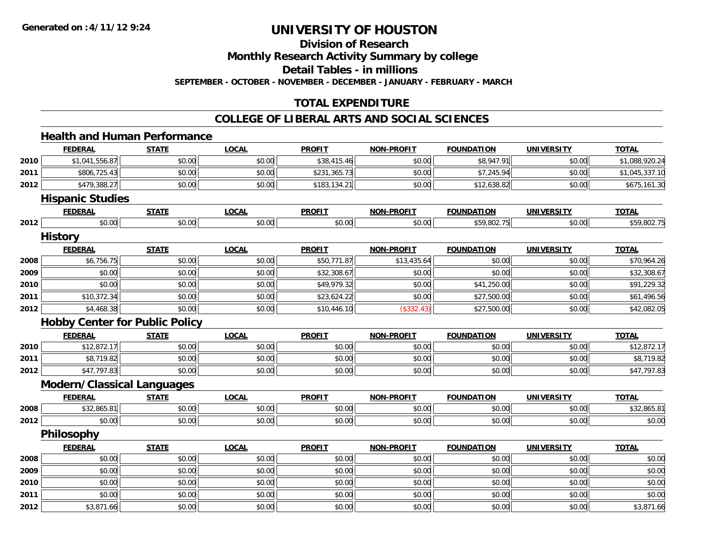**Division of Research**

**Monthly Research Activity Summary by college**

**Detail Tables - in millions**

**SEPTEMBER - OCTOBER - NOVEMBER - DECEMBER - JANUARY - FEBRUARY - MARCH**

### **TOTAL EXPENDITURE**

#### **COLLEGE OF LIBERAL ARTS AND SOCIAL SCIENCES**

## **Health and Human Performance**

|              | <b>FEDERAL</b>                        | <b>STATE</b> | <b>LOCAL</b> | <b>PROFIT</b> | <b>NON-PROFIT</b> | <b>FOUNDATION</b> | <b>UNIVERSITY</b> | <b>TOTAL</b>   |
|--------------|---------------------------------------|--------------|--------------|---------------|-------------------|-------------------|-------------------|----------------|
| 2010         | \$1,041,556.87                        | \$0.00       | \$0.00       | \$38,415.46   | \$0.00            | \$8,947.91        | \$0.00            | \$1,088,920.24 |
| 2011         | \$806,725.43                          | \$0.00       | \$0.00       | \$231,365.73  | \$0.00            | \$7,245.94        | \$0.00            | \$1,045,337.10 |
| 2012         | \$479,388.27                          | \$0.00       | \$0.00       | \$183,134.21  | \$0.00            | \$12,638.82       | \$0.00            | \$675,161.30   |
|              | <b>Hispanic Studies</b>               |              |              |               |                   |                   |                   |                |
|              | <b>FEDERAL</b>                        | <b>STATE</b> | <b>LOCAL</b> | <b>PROFIT</b> | <b>NON-PROFIT</b> | <b>FOUNDATION</b> | <b>UNIVERSITY</b> | <b>TOTAL</b>   |
| 2012         | \$0.00                                | \$0.00       | \$0.00       | \$0.00        | \$0.00            | \$59,802.75       | \$0.00            | \$59,802.75    |
|              | <b>History</b>                        |              |              |               |                   |                   |                   |                |
|              | <b>FEDERAL</b>                        | <b>STATE</b> | <b>LOCAL</b> | <b>PROFIT</b> | <b>NON-PROFIT</b> | <b>FOUNDATION</b> | <b>UNIVERSITY</b> | <b>TOTAL</b>   |
| 2008         | \$6,756.75                            | \$0.00       | \$0.00       | \$50,771.87   | \$13,435.64       | \$0.00            | \$0.00            | \$70,964.26    |
| 2009         | \$0.00                                | \$0.00       | \$0.00       | \$32,308.67   | \$0.00            | \$0.00            | \$0.00            | \$32,308.67    |
| 2010         | \$0.00                                | \$0.00       | \$0.00       | \$49,979.32   | \$0.00            | \$41,250.00       | \$0.00            | \$91,229.32    |
| 2011         | \$10,372.34                           | \$0.00       | \$0.00       | \$23,624.22   | \$0.00            | \$27,500.00       | \$0.00            | \$61,496.56    |
| 2012         | \$4,468.38                            | \$0.00       | \$0.00       | \$10,446.10   | (\$332.43)        | \$27,500.00       | \$0.00            | \$42,082.05    |
|              | <b>Hobby Center for Public Policy</b> |              |              |               |                   |                   |                   |                |
|              |                                       |              |              |               |                   |                   |                   |                |
|              | <b>FEDERAL</b>                        | <b>STATE</b> | <b>LOCAL</b> | <b>PROFIT</b> | <b>NON-PROFIT</b> | <b>FOUNDATION</b> | <b>UNIVERSITY</b> | <b>TOTAL</b>   |
| 2010         | \$12,872.17                           | \$0.00       | \$0.00       | \$0.00        | \$0.00            | \$0.00            | \$0.00            | \$12,872.17    |
| 2011         | \$8,719.82                            | \$0.00       | \$0.00       | \$0.00        | \$0.00            | \$0.00            | \$0.00            | \$8,719.82     |
| 2012         | \$47,797.83                           | \$0.00       | \$0.00       | \$0.00        | \$0.00            | \$0.00            | \$0.00            | \$47,797.83    |
|              | <b>Modern/Classical Languages</b>     |              |              |               |                   |                   |                   |                |
|              | <b>FEDERAL</b>                        | <b>STATE</b> | <b>LOCAL</b> | <b>PROFIT</b> | <b>NON-PROFIT</b> | <b>FOUNDATION</b> | <b>UNIVERSITY</b> | <b>TOTAL</b>   |
|              | \$32,865.81                           | \$0.00       | \$0.00       | \$0.00        | \$0.00            | \$0.00            | \$0.00            | \$32,865.81    |
| 2008<br>2012 | \$0.00                                | \$0.00       | \$0.00       | \$0.00        | \$0.00            | \$0.00            | \$0.00            | \$0.00         |
|              | <b>Philosophy</b>                     |              |              |               |                   |                   |                   |                |
|              | <b>FEDERAL</b>                        | <b>STATE</b> | <b>LOCAL</b> | <b>PROFIT</b> | <b>NON-PROFIT</b> | <b>FOUNDATION</b> | <b>UNIVERSITY</b> | <b>TOTAL</b>   |
| 2008         | \$0.00                                | \$0.00       | \$0.00       | \$0.00        | \$0.00            | \$0.00            | \$0.00            | \$0.00         |
|              | \$0.00                                | \$0.00       | \$0.00       | \$0.00        | \$0.00            | \$0.00            | \$0.00            | \$0.00         |
| 2009<br>2010 | \$0.00                                | \$0.00       | \$0.00       | \$0.00        | \$0.00            | \$0.00            | \$0.00            | \$0.00         |
| 2011         | \$0.00                                | \$0.00       | \$0.00       | \$0.00        | \$0.00            | \$0.00            | \$0.00            | \$0.00         |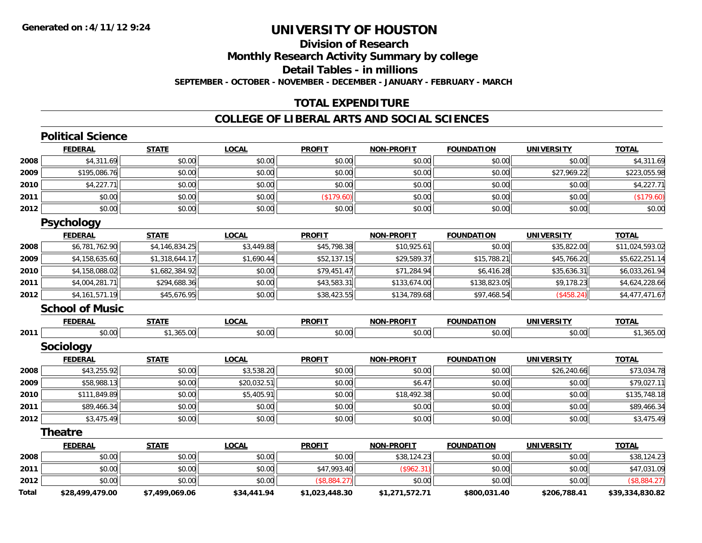### **Division of ResearchMonthly Research Activity Summary by college Detail Tables - in millions SEPTEMBER - OCTOBER - NOVEMBER - DECEMBER - JANUARY - FEBRUARY - MARCH**

### **TOTAL EXPENDITURE**

#### **COLLEGE OF LIBERAL ARTS AND SOCIAL SCIENCES**

|              | <b>Political Science</b> |                |              |                |                   |                   |                   |                 |
|--------------|--------------------------|----------------|--------------|----------------|-------------------|-------------------|-------------------|-----------------|
|              | <b>FEDERAL</b>           | <b>STATE</b>   | <b>LOCAL</b> | <b>PROFIT</b>  | <b>NON-PROFIT</b> | <b>FOUNDATION</b> | <b>UNIVERSITY</b> | <b>TOTAL</b>    |
| 2008         | \$4,311.69               | \$0.00         | \$0.00       | \$0.00         | \$0.00            | \$0.00            | \$0.00            | \$4,311.69      |
| 2009         | \$195,086.76             | \$0.00         | \$0.00       | \$0.00         | \$0.00            | \$0.00            | \$27,969.22       | \$223,055.98    |
| 2010         | \$4,227.71               | \$0.00         | \$0.00       | \$0.00         | \$0.00            | \$0.00            | \$0.00            | \$4,227.71      |
| 2011         | \$0.00                   | \$0.00         | \$0.00       | (\$179.60)     | \$0.00            | \$0.00            | \$0.00            | (\$179.60)      |
| 2012         | \$0.00                   | \$0.00         | \$0.00       | \$0.00         | \$0.00            | \$0.00            | \$0.00            | \$0.00          |
|              | <b>Psychology</b>        |                |              |                |                   |                   |                   |                 |
|              | <b>FEDERAL</b>           | <b>STATE</b>   | <b>LOCAL</b> | <b>PROFIT</b>  | <b>NON-PROFIT</b> | <b>FOUNDATION</b> | <b>UNIVERSITY</b> | <b>TOTAL</b>    |
| 2008         | \$6,781,762.90           | \$4,146,834.25 | \$3,449.88   | \$45,798.38    | \$10,925.61       | \$0.00            | \$35,822.00       | \$11,024,593.02 |
| 2009         | \$4,158,635.60           | \$1,318,644.17 | \$1,690.44   | \$52,137.15    | \$29,589.37       | \$15,788.21       | \$45,766.20       | \$5,622,251.14  |
| 2010         | \$4,158,088.02           | \$1,682,384.92 | \$0.00       | \$79,451.47    | \$71,284.94       | \$6,416.28        | \$35,636.31       | \$6,033,261.94  |
| 2011         | \$4,004,281.71           | \$294,688.36   | \$0.00       | \$43,583.31    | \$133,674.00      | \$138,823.05      | \$9,178.23        | \$4,624,228.66  |
| 2012         | \$4,161,571.19           | \$45,676.95    | \$0.00       | \$38,423.55    | \$134,789.68      | \$97,468.54       | (\$458.24)        | \$4,477,471.67  |
|              | <b>School of Music</b>   |                |              |                |                   |                   |                   |                 |
|              | <b>FEDERAL</b>           | <b>STATE</b>   | <b>LOCAL</b> | <b>PROFIT</b>  | <b>NON-PROFIT</b> | <b>FOUNDATION</b> | <b>UNIVERSITY</b> | <b>TOTAL</b>    |
| 2011         | \$0.00                   | \$1,365.00     | \$0.00       | \$0.00         | \$0.00            | \$0.00            | \$0.00            | \$1,365.00      |
|              | Sociology                |                |              |                |                   |                   |                   |                 |
|              | <b>FEDERAL</b>           | <b>STATE</b>   | <b>LOCAL</b> | <b>PROFIT</b>  | <b>NON-PROFIT</b> | <b>FOUNDATION</b> | <b>UNIVERSITY</b> | <b>TOTAL</b>    |
| 2008         | \$43,255.92              | \$0.00         | \$3,538.20   | \$0.00         | \$0.00            | \$0.00            | \$26,240.66       | \$73,034.78     |
| 2009         | \$58,988.13              | \$0.00         | \$20,032.51  | \$0.00         | \$6.47            | \$0.00            | \$0.00            | \$79,027.11     |
| 2010         | \$111,849.89             | \$0.00         | \$5,405.91   | \$0.00         | \$18,492.38       | \$0.00            | \$0.00            | \$135,748.18    |
| 2011         | \$89,466.34              | \$0.00         | \$0.00       | \$0.00         | \$0.00            | \$0.00            | \$0.00            | \$89,466.34     |
| 2012         | \$3,475.49               | \$0.00         | \$0.00       | \$0.00         | \$0.00            | \$0.00            | \$0.00            | \$3,475.49      |
|              | <b>Theatre</b>           |                |              |                |                   |                   |                   |                 |
|              | <b>FEDERAL</b>           | <b>STATE</b>   | <b>LOCAL</b> | <b>PROFIT</b>  | <b>NON-PROFIT</b> | <b>FOUNDATION</b> | <b>UNIVERSITY</b> | <b>TOTAL</b>    |
| 2008         | \$0.00                   | \$0.00         | \$0.00       | \$0.00         | \$38,124.23       | \$0.00            | \$0.00            | \$38,124.23     |
| 2011         | \$0.00                   | \$0.00         | \$0.00       | \$47,993.40    | (\$962.31)        | \$0.00            | \$0.00            | \$47,031.09     |
| 2012         | \$0.00                   | \$0.00         | \$0.00       | (\$8,884.27)   | \$0.00            | \$0.00            | \$0.00            | (\$8,884.27)    |
| <b>Total</b> | \$28.499.479.00          | \$7.499.069.06 | \$34.441.94  | \$1.023.448.30 | \$1.271.572.71    | \$800.031.40      | \$206.788.41      | \$39.334.830.82 |

**\$28,499,479.00 \$7,499,069.06 \$34,441.94 \$1,023,448.30 \$1,271,572.71 \$800,031.40 \$206,788.41 \$39,334,830.82**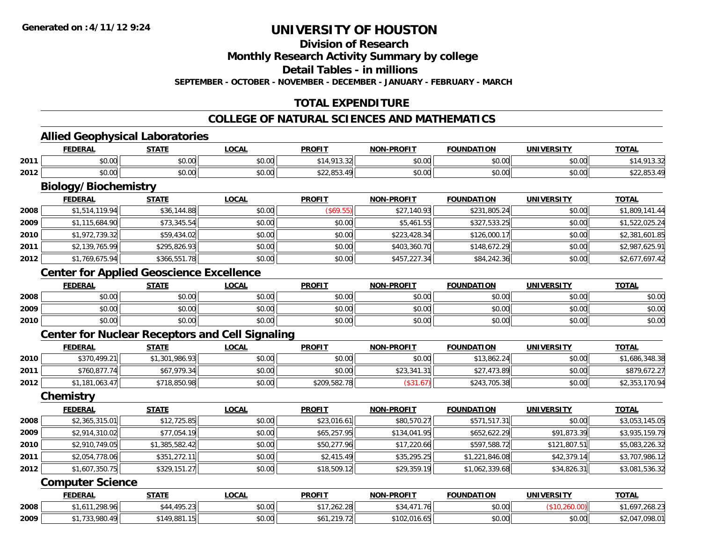**Division of Research**

**Monthly Research Activity Summary by college**

**Detail Tables - in millions**

**SEPTEMBER - OCTOBER - NOVEMBER - DECEMBER - JANUARY - FEBRUARY - MARCH**

### **TOTAL EXPENDITURE**

#### **COLLEGE OF NATURAL SCIENCES AND MATHEMATICS**

<u> 1989 - Johann Stoff, amerikansk politiker (d. 1989)</u>

#### **Allied Geophysical Laboratories**

|      | FEDERA                       | <b>CTATE</b>       | 00 <sub>n</sub><br>.UUAL | <b>PROFIT</b>                                                     | NON-PROFIT | <b>FOUNDATION</b> | UNIVERSITY | <b>TOTAL</b>              |
|------|------------------------------|--------------------|--------------------------|-------------------------------------------------------------------|------------|-------------------|------------|---------------------------|
| 2011 | $*$ $\circ$ $\circ$<br>שט.טע | $\sim$ 00<br>JU.UU | 0.00<br>pu.uu            | 14<br>⊔∠د…د                                                       | \$0.00     | \$0.00            | \$0.00     | ن. ب                      |
| 2012 | 0.00<br>JU.UU                | ስስ ስስ<br>DU.UG     | 0.00<br>pu.uu            | $\land$ $\land$ $\land$ $\land$ $\land$<br>$\sim$<br>422, UJJ. 47 | \$0.00     | \$0.00            | \$0.00     | ቀሳሳ ሰሮነ<br>. . د ټې رغ غه |

# **Biology/Biochemistry**

|      | <b>FEDERAL</b> | <b>STATE</b> | <b>LOCAL</b> | <b>PROFIT</b> | <b>NON-PROFIT</b> | <b>FOUNDATION</b> | <b>UNIVERSITY</b> | <b>TOTAL</b>   |
|------|----------------|--------------|--------------|---------------|-------------------|-------------------|-------------------|----------------|
| 2008 | \$1,514,119.94 | \$36,144.88  | \$0.00       | (S69.55)      | \$27,140.93       | \$231,805.24      | \$0.00            | \$1,809,141.44 |
| 2009 | \$1,115,684.90 | \$73,345.54  | \$0.00       | \$0.00        | \$5,461.55        | \$327,533.25      | \$0.00            | \$1,522,025.24 |
| 2010 | \$1,972,739.32 | \$59,434.02  | \$0.00       | \$0.00        | \$223,428.34      | \$126,000.17      | \$0.00            | \$2,381,601.85 |
| 2011 | \$2,139,765.99 | \$295,826.93 | \$0.00       | \$0.00        | \$403,360.70      | \$148,672.29      | \$0.00            | \$2,987,625.91 |
| 2012 | \$1,769,675.94 | \$366,551.78 | \$0.00       | \$0.00        | \$457,227.34      | \$84,242.36       | \$0.00            | \$2,677,697.42 |

### **Center for Applied Geoscience Excellence**

|      | <b>FEDERAL</b> | <b>STATE</b> | <u>_OCAL</u> | <b>PROFIT</b> | <b>NON-PROFIT</b> | <b>FOUNDATION</b> | <b>UNIVERSITY</b> | <b>TOTAL</b> |
|------|----------------|--------------|--------------|---------------|-------------------|-------------------|-------------------|--------------|
| 2008 | \$0.00         | \$0.00       | \$0.00       | \$0.00        | \$0.00            | \$0.00            | \$0.00            | \$0.00       |
| 2009 | \$0.00         | \$0.00       | \$0.00       | \$0.00        | \$0.00            | \$0.00            | \$0.00            | \$0.00       |
| 2010 | \$0.00         | \$0.00       | \$0.00       | \$0.00        | \$0.00            | \$0.00            | \$0.00            | \$0.00       |

### **Center for Nuclear Receptors and Cell Signaling**

|      | <b>FEDERAL</b> | <u>STATE</u>   | <u>LOCAL</u> | <b>PROFIT</b> | <b>NON-PROFIT</b> | <b>FOUNDATION</b> | UNIVERSITY | <b>TOTAL</b>   |
|------|----------------|----------------|--------------|---------------|-------------------|-------------------|------------|----------------|
| 2010 | \$370,499.21   | \$1,301,986.93 | \$0.00       | \$0.00        | \$0.00            | \$13,862.24       | \$0.00     | \$1,686,348.38 |
| 2011 | \$760,877.74   | \$67.979.34    | \$0.00       | \$0.00        | \$23,341.31       | \$27,473.89       | \$0.00     | \$879,672.27   |
| 2012 | \$1,181,063.47 | \$718,850.98   | \$0.00       | \$209,582.78  | ' / 1.6، 3        | \$243,705.38      | \$0.00     | \$2,353,170.94 |

#### **Chemistry**

|      | <b>FEDERAL</b> | <b>STATE</b>   | <u>LOCAL</u> | <b>PROFIT</b> | <b>NON-PROFIT</b> | <b>FOUNDATION</b> | <b>UNIVERSITY</b> | <b>TOTAL</b>   |
|------|----------------|----------------|--------------|---------------|-------------------|-------------------|-------------------|----------------|
| 2008 | \$2,365,315.01 | \$12,725.85    | \$0.00       | \$23,016.61   | \$80,570.27       | \$571,517.31      | \$0.00            | \$3,053,145.05 |
| 2009 | \$2,914,310.02 | \$77,054.19    | \$0.00       | \$65,257.95   | \$134,041.95      | \$652,622.29      | \$91,873.39       | \$3,935,159.79 |
| 2010 | \$2,910,749.05 | \$1,385,582.42 | \$0.00       | \$50,277.96   | \$17,220.66       | \$597,588.72      | \$121,807.51      | \$5,083,226.32 |
| 2011 | \$2,054,778.06 | \$351,272.11   | \$0.00       | \$2,415.49    | \$35,295.25       | \$1,221,846.08    | \$42,379.14       | \$3,707,986.12 |
| 2012 | \$1,607,350.75 | \$329,151.27   | \$0.00       | \$18,509.12   | \$29,359.19       | \$1,062,339.68    | \$34,826.31       | \$3,081,536.32 |

#### **Computer Science**

|      | <b>FEDERAL</b>         | STATE          | <b>LOCAL</b>   | <b>PROFIT</b>      | <b>NON-PROFIT</b> | <b>FOUNDATION</b> | UNIVERSITY | <b>TOTAL</b>           |
|------|------------------------|----------------|----------------|--------------------|-------------------|-------------------|------------|------------------------|
| 2008 | 298.96<br>$\mathbf{A}$ | 105.23<br>0.11 | ሶስ ሰሰ<br>PU.UU | ່າເາ່າດ<br>.262.28 | 71<br>76I         | \$0.00            |            | $\sim$ 0.00<br>200.ZJ. |
| 2009 | -QRN<br>. .<br>,,,,,,  | \$149.881.15   | \$0.00         | 210.72             | \$102.016.65      | \$0.00            | \$0.00     | 00003<br>,UYO.U        |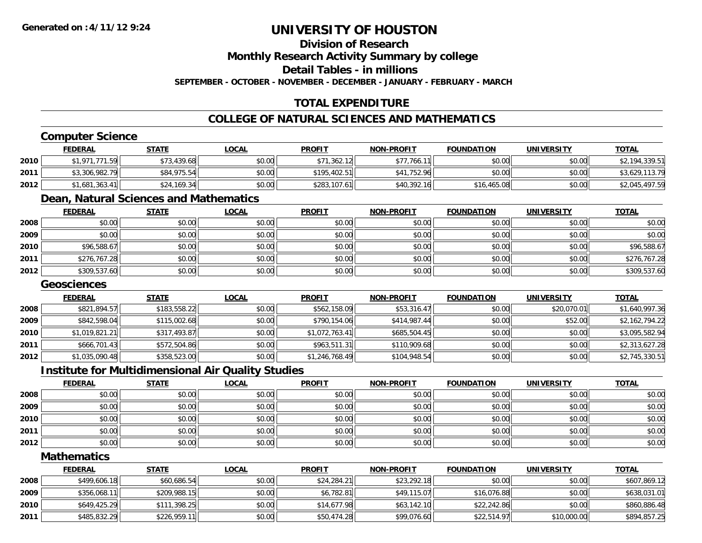### **Division of Research**

**Monthly Research Activity Summary by college**

**Detail Tables - in millions**

**SEPTEMBER - OCTOBER - NOVEMBER - DECEMBER - JANUARY - FEBRUARY - MARCH**

### **TOTAL EXPENDITURE**

### **COLLEGE OF NATURAL SCIENCES AND MATHEMATICS**

### **Computer Science**

|      | <b>FEDERAL</b> | <u>STATE</u> | <u>LOCAL</u> | <b>PROFIT</b> | <b>NON-PROFIT</b> | <b>FOUNDATION</b> | <b>UNIVERSITY</b> | <b>TOTAL</b>   |
|------|----------------|--------------|--------------|---------------|-------------------|-------------------|-------------------|----------------|
| 2010 | \$1,971,771.59 | \$73,439.68  | \$0.00       | \$71,362.12   | \$77,766.11       | \$0.00            | \$0.00            | \$2,194,339.51 |
| 2011 | \$3,306,982.79 | \$84,975.54  | \$0.00       | \$195.402.51  | \$41,752.96       | \$0.00            | \$0.00            | \$3,629,113.79 |
| 2012 | \$1,681,363.41 | \$24,169.34  | \$0.00       | \$283,107.61  | \$40,392.16       | \$16,465.08       | \$0.00            | \$2,045,497.59 |

## **Dean, Natural Sciences and Mathematics**

|      | <u>FEDERAL</u> | <u>STATE</u> | <u>LOCAL</u> | <b>PROFIT</b> | <b>NON-PROFIT</b> | <b>FOUNDATION</b> | <b>UNIVERSITY</b> | <b>TOTAL</b> |
|------|----------------|--------------|--------------|---------------|-------------------|-------------------|-------------------|--------------|
| 2008 | \$0.00         | \$0.00       | \$0.00       | \$0.00        | \$0.00            | \$0.00            | \$0.00            | \$0.00       |
| 2009 | \$0.00         | \$0.00       | \$0.00       | \$0.00        | \$0.00            | \$0.00            | \$0.00            | \$0.00       |
| 2010 | \$96,588.67    | \$0.00       | \$0.00       | \$0.00        | \$0.00            | \$0.00            | \$0.00            | \$96,588.67  |
| 2011 | \$276,767.28   | \$0.00       | \$0.00       | \$0.00        | \$0.00            | \$0.00            | \$0.00            | \$276,767.28 |
| 2012 | \$309,537.60   | \$0.00       | \$0.00       | \$0.00        | \$0.00            | \$0.00            | \$0.00            | \$309,537.60 |

### **Geosciences**

|      | <b>FEDERAL</b> | <b>STATE</b> | <b>LOCAL</b> | <b>PROFIT</b>  | <b>NON-PROFIT</b> | <b>FOUNDATION</b> | <b>UNIVERSITY</b> | <b>TOTAL</b>   |
|------|----------------|--------------|--------------|----------------|-------------------|-------------------|-------------------|----------------|
| 2008 | \$821,894.57   | \$183,558.22 | \$0.00       | \$562,158.09   | \$53,316.47       | \$0.00            | \$20,070.01       | \$1,640,997.36 |
| 2009 | \$842,598.04   | \$115,002.68 | \$0.00       | \$790,154.06   | \$414,987.44      | \$0.00            | \$52.00           | \$2,162,794.22 |
| 2010 | \$1,019,821.21 | \$317,493.87 | \$0.00       | \$1,072,763.41 | \$685,504.45      | \$0.00            | \$0.00            | \$3,095,582.94 |
| 2011 | \$666,701.43   | \$572,504.86 | \$0.00       | \$963,511.31   | \$110,909.68      | \$0.00            | \$0.00            | \$2,313,627.28 |
| 2012 | \$1,035,090.48 | \$358,523.00 | \$0.00       | \$1,246,768.49 | \$104,948.54      | \$0.00            | \$0.00            | \$2,745,330.51 |

#### **Institute for Multidimensional Air Quality Studies**

|      | <u>FEDERAL</u> | <b>STATE</b> | <b>LOCAL</b> | <b>PROFIT</b> | <b>NON-PROFIT</b> | <b>FOUNDATION</b> | <b>UNIVERSITY</b> | <b>TOTAL</b> |
|------|----------------|--------------|--------------|---------------|-------------------|-------------------|-------------------|--------------|
| 2008 | \$0.00         | \$0.00       | \$0.00       | \$0.00        | \$0.00            | \$0.00            | \$0.00            | \$0.00       |
| 2009 | \$0.00         | \$0.00       | \$0.00       | \$0.00        | \$0.00            | \$0.00            | \$0.00            | \$0.00       |
| 2010 | \$0.00         | \$0.00       | \$0.00       | \$0.00        | \$0.00            | \$0.00            | \$0.00            | \$0.00       |
| 2011 | \$0.00         | \$0.00       | \$0.00       | \$0.00        | \$0.00            | \$0.00            | \$0.00            | \$0.00       |
| 2012 | \$0.00         | \$0.00       | \$0.00       | \$0.00        | \$0.00            | \$0.00            | \$0.00            | \$0.00       |

#### **Mathematics**

|      | <b>FEDERAL</b> | <u>STATE</u> | <u>LOCAL</u> | <b>PROFIT</b> | <b>NON-PROFIT</b> | <b>FOUNDATION</b> | <b>UNIVERSITY</b> | <b>TOTAL</b> |
|------|----------------|--------------|--------------|---------------|-------------------|-------------------|-------------------|--------------|
| 2008 | \$499,606.18   | \$60,686.54  | \$0.00       | \$24,284.21   | \$23,292.18       | \$0.00            | \$0.00            | \$607,869.12 |
| 2009 | \$356,068.11   | \$209,988.15 | \$0.00       | \$6.782.81    | \$49,115.07       | \$16,076.88       | \$0.00            | \$638,031.01 |
| 2010 | \$649,425.29   | \$111,398.25 | \$0.00       | \$14,677.98   | \$63,142.10       | \$22,242.86       | \$0.00            | \$860,886.48 |
| 2011 | \$485,832.29   | \$226,959.11 | \$0.00       | \$50,474.28   | \$99,076.60       | \$22,514.97       | \$10,000.00       | \$894,857.25 |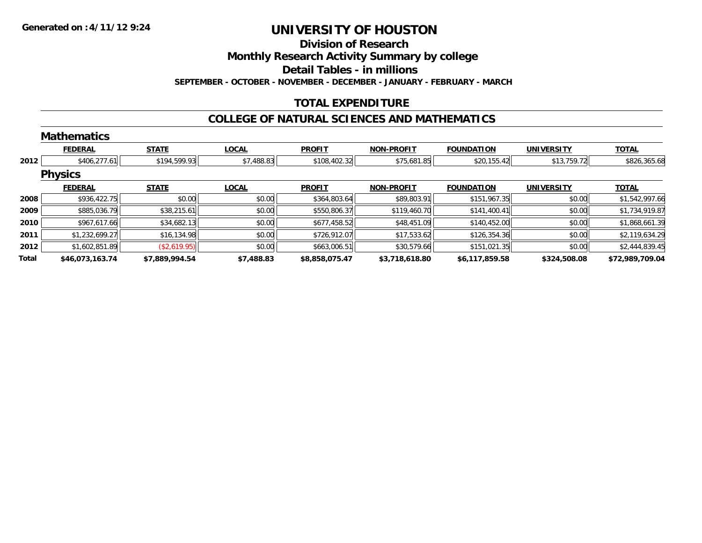#### **Division of Research**

**Monthly Research Activity Summary by college**

**Detail Tables - in millions**

**SEPTEMBER - OCTOBER - NOVEMBER - DECEMBER - JANUARY - FEBRUARY - MARCH**

### **TOTAL EXPENDITURE**

### **COLLEGE OF NATURAL SCIENCES AND MATHEMATICS**

|       | <b>Mathematics</b> |                |              |                |                   |                   |                   |                 |
|-------|--------------------|----------------|--------------|----------------|-------------------|-------------------|-------------------|-----------------|
|       | <b>FEDERAL</b>     | <b>STATE</b>   | <b>LOCAL</b> | <b>PROFIT</b>  | <b>NON-PROFIT</b> | <b>FOUNDATION</b> | <b>UNIVERSITY</b> | <b>TOTAL</b>    |
| 2012  | \$406,277.61       | \$194,599.93   | \$7,488.83   | \$108,402.32   | \$75,681.85       | \$20,155.42       | \$13,759.72       | \$826,365.68    |
|       | <b>Physics</b>     |                |              |                |                   |                   |                   |                 |
|       | <b>FEDERAL</b>     | <b>STATE</b>   | <b>LOCAL</b> | <b>PROFIT</b>  | <b>NON-PROFIT</b> | <b>FOUNDATION</b> | <b>UNIVERSITY</b> | <b>TOTAL</b>    |
| 2008  | \$936,422.75       | \$0.00         | \$0.00       | \$364,803.64   | \$89,803.91       | \$151,967.35      | \$0.00            | \$1,542,997.66  |
| 2009  | \$885,036.79       | \$38,215.61    | \$0.00       | \$550,806.37   | \$119,460.70      | \$141,400.41      | \$0.00            | \$1,734,919.87  |
| 2010  | \$967,617.66       | \$34,682.13    | \$0.00       | \$677,458.52   | \$48,451.09       | \$140,452.00      | \$0.00            | \$1,868,661.39  |
| 2011  | \$1,232,699.27     | \$16,134.98    | \$0.00       | \$726,912.07   | \$17,533.62       | \$126,354.36      | \$0.00            | \$2,119,634.29  |
| 2012  | \$1,602,851.89     | (\$2,619.95)   | \$0.00       | \$663,006.51   | \$30,579.66       | \$151,021.35      | \$0.00            | \$2,444,839.45  |
| Total | \$46,073,163.74    | \$7,889,994.54 | \$7,488.83   | \$8,858,075.47 | \$3,718,618.80    | \$6,117,859.58    | \$324,508.08      | \$72,989,709.04 |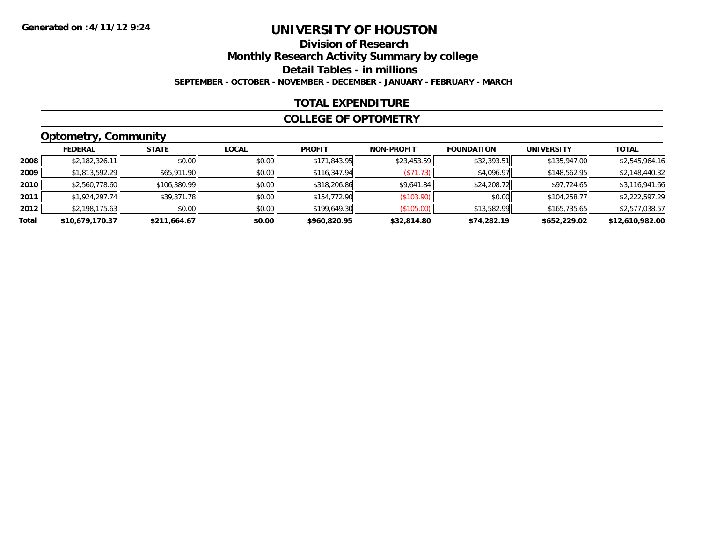### **Division of ResearchMonthly Research Activity Summary by college Detail Tables - in millions SEPTEMBER - OCTOBER - NOVEMBER - DECEMBER - JANUARY - FEBRUARY - MARCH**

### **TOTAL EXPENDITURE**

#### **COLLEGE OF OPTOMETRY**

## **Optometry, Community**

|       | ___             |              |              |               |                   |                   |                   |                 |
|-------|-----------------|--------------|--------------|---------------|-------------------|-------------------|-------------------|-----------------|
|       | <b>FEDERAL</b>  | <b>STATE</b> | <b>LOCAL</b> | <b>PROFIT</b> | <b>NON-PROFIT</b> | <b>FOUNDATION</b> | <b>UNIVERSITY</b> | <b>TOTAL</b>    |
| 2008  | \$2,182,326.11  | \$0.00       | \$0.00       | \$171,843.95  | \$23,453.59       | \$32,393.51       | \$135,947.00      | \$2,545,964.16  |
| 2009  | \$1,813,592.29  | \$65,911.90  | \$0.00       | \$116,347.94  | (S71.73)          | \$4,096.97        | \$148,562.95      | \$2,148,440.32  |
| 2010  | \$2,560,778.60  | \$106,380.99 | \$0.00       | \$318,206.86  | \$9,641.84        | \$24,208.72       | \$97,724.65       | \$3,116,941.66  |
| 2011  | \$1,924,297.74  | \$39,371.78  | \$0.00       | \$154,772.90  | (\$103.90)        | \$0.00            | \$104,258.77      | \$2,222,597.29  |
| 2012  | \$2,198,175.63  | \$0.00       | \$0.00       | \$199,649.30  | (\$105.00)        | \$13,582.99       | \$165,735.65      | \$2,577,038.57  |
| Total | \$10,679,170.37 | \$211,664.67 | \$0.00       | \$960,820.95  | \$32,814.80       | \$74,282.19       | \$652,229.02      | \$12,610,982.00 |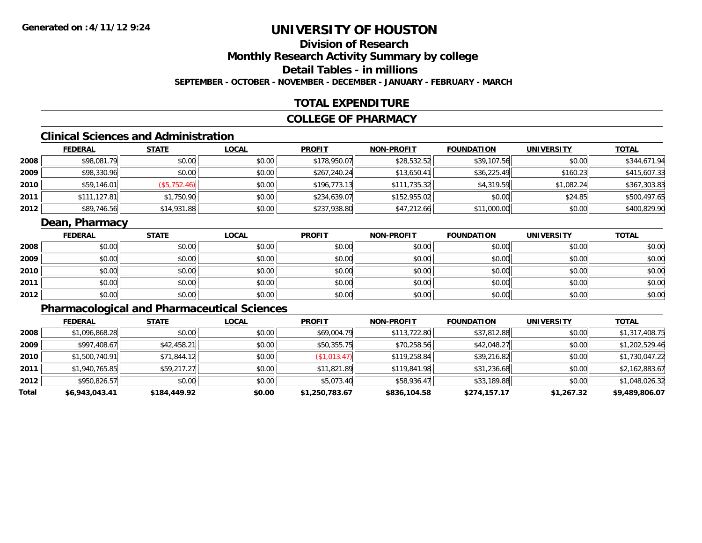### **Division of ResearchMonthly Research Activity Summary by college Detail Tables - in millionsSEPTEMBER - OCTOBER - NOVEMBER - DECEMBER - JANUARY - FEBRUARY - MARCH**

### **TOTAL EXPENDITURE**

### **COLLEGE OF PHARMACY**

## **Clinical Sciences and Administration**

|      | <b>FEDERAL</b> | <u>STATE</u> | <u>LOCAL</u> | <b>PROFIT</b> | <b>NON-PROFIT</b> | <b>FOUNDATION</b> | <b>UNIVERSITY</b> | <b>TOTAL</b> |
|------|----------------|--------------|--------------|---------------|-------------------|-------------------|-------------------|--------------|
| 2008 | \$98,081.79    | \$0.00       | \$0.00       | \$178,950.07  | \$28,532.52       | \$39,107.56       | \$0.00            | \$344,671.94 |
| 2009 | \$98,330.96    | \$0.00       | \$0.00       | \$267,240.24  | \$13,650.41       | \$36,225.49       | \$160.23          | \$415,607.33 |
| 2010 | \$59,146.01    | (\$5,752.46) | \$0.00       | \$196.773.13  | \$111,735.32      | \$4,319.59        | \$1.082.24        | \$367,303.83 |
| 2011 | \$111,127.81   | \$1,750.90   | \$0.00       | \$234,639.07  | \$152,955.02      | \$0.00            | \$24.85           | \$500,497.65 |
| 2012 | \$89,746.56    | \$14,931.88  | \$0.00       | \$237,938.80  | \$47,212.66       | \$11,000.00       | \$0.00            | \$400,829.90 |

### **Dean, Pharmacy**

|      | <b>FEDERAL</b> | <b>STATE</b> | <b>LOCAL</b> | <b>PROFIT</b> | <b>NON-PROFIT</b> | <b>FOUNDATION</b> | <b>UNIVERSITY</b> | <b>TOTAL</b> |
|------|----------------|--------------|--------------|---------------|-------------------|-------------------|-------------------|--------------|
| 2008 | \$0.00         | \$0.00       | \$0.00       | \$0.00        | \$0.00            | \$0.00            | \$0.00            | \$0.00       |
| 2009 | \$0.00         | \$0.00       | \$0.00       | \$0.00        | \$0.00            | \$0.00            | \$0.00            | \$0.00       |
| 2010 | \$0.00         | \$0.00       | \$0.00       | \$0.00        | \$0.00            | \$0.00            | \$0.00            | \$0.00       |
| 2011 | \$0.00         | \$0.00       | \$0.00       | \$0.00        | \$0.00            | \$0.00            | \$0.00            | \$0.00       |
| 2012 | \$0.00         | \$0.00       | \$0.00       | \$0.00        | \$0.00            | \$0.00            | \$0.00            | \$0.00       |

### **Pharmacological and Pharmaceutical Sciences**

|       | <b>FEDERAL</b> | <b>STATE</b> | <b>LOCAL</b> | <b>PROFIT</b>  | <b>NON-PROFIT</b> | <b>FOUNDATION</b> | <b>UNIVERSITY</b> | <u>TOTAL</u>   |
|-------|----------------|--------------|--------------|----------------|-------------------|-------------------|-------------------|----------------|
| 2008  | \$1,096,868.28 | \$0.00       | \$0.00       | \$69,004.79    | \$113,722.80      | \$37,812.88       | \$0.00            | \$1,317,408.75 |
| 2009  | \$997,408.67   | \$42,458.21  | \$0.00       | \$50,355.75    | \$70,258.56       | \$42,048.27       | \$0.00            | \$1,202,529.46 |
| 2010  | \$1,500,740.91 | \$71,844.12  | \$0.00       | (\$1,013.47)   | \$119,258.84      | \$39,216.82       | \$0.00            | \$1,730,047.22 |
| 2011  | \$1,940,765.85 | \$59,217.27  | \$0.00       | \$11,821.89    | \$119,841.98      | \$31,236.68       | \$0.00            | \$2,162,883.67 |
| 2012  | \$950,826.57   | \$0.00       | \$0.00       | \$5,073.40     | \$58,936.47       | \$33,189.88       | \$0.00            | \$1,048,026.32 |
| Total | \$6,943,043.41 | \$184,449.92 | \$0.00       | \$1,250,783.67 | \$836,104.58      | \$274,157.17      | \$1,267.32        | \$9,489,806.07 |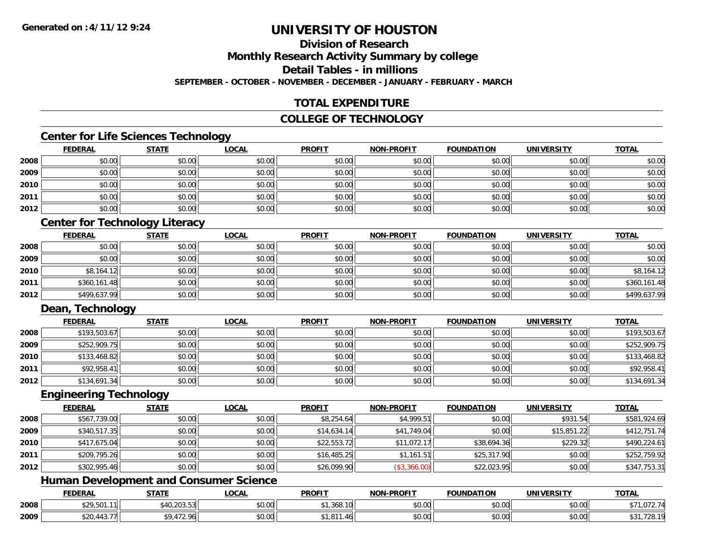# **Division of Research**

**Monthly Research Activity Summary by college**

**Detail Tables - in millions**

**SEPTEMBER - OCTOBER - NOVEMBER - DECEMBER - JANUARY - FEBRUARY - MARCH**

### **TOTAL EXPENDITURE**

### **COLLEGE OF TECHNOLOGY**

### **Center for Life Sciences Technology**

|      | <b>FEDERAL</b> | <b>STATE</b> | <b>LOCAL</b> | <b>PROFIT</b> | <b>NON-PROFIT</b> | <b>FOUNDATION</b> | <b>UNIVERSITY</b> | <b>TOTAL</b> |
|------|----------------|--------------|--------------|---------------|-------------------|-------------------|-------------------|--------------|
| 2008 | \$0.00         | \$0.00       | \$0.00       | \$0.00        | \$0.00            | \$0.00            | \$0.00            | \$0.00       |
| 2009 | \$0.00         | \$0.00       | \$0.00       | \$0.00        | \$0.00            | \$0.00            | \$0.00            | \$0.00       |
| 2010 | \$0.00         | \$0.00       | \$0.00       | \$0.00        | \$0.00            | \$0.00            | \$0.00            | \$0.00       |
| 2011 | \$0.00         | \$0.00       | \$0.00       | \$0.00        | \$0.00            | \$0.00            | \$0.00            | \$0.00       |
| 2012 | \$0.00         | \$0.00       | \$0.00       | \$0.00        | \$0.00            | \$0.00            | \$0.00            | \$0.00       |

### **Center for Technology Literacy**

|      | <b>FEDERAL</b> | <u>STATE</u> | <u>LOCAL</u> | <b>PROFIT</b> | <b>NON-PROFIT</b> | <b>FOUNDATION</b> | <b>UNIVERSITY</b> | <b>TOTAL</b> |
|------|----------------|--------------|--------------|---------------|-------------------|-------------------|-------------------|--------------|
| 2008 | \$0.00         | \$0.00       | \$0.00       | \$0.00        | \$0.00            | \$0.00            | \$0.00            | \$0.00       |
| 2009 | \$0.00         | \$0.00       | \$0.00       | \$0.00        | \$0.00            | \$0.00            | \$0.00            | \$0.00       |
| 2010 | \$8,164.12     | \$0.00       | \$0.00       | \$0.00        | \$0.00            | \$0.00            | \$0.00            | \$8,164.12   |
| 2011 | \$360,161.48   | \$0.00       | \$0.00       | \$0.00        | \$0.00            | \$0.00            | \$0.00            | \$360,161.48 |
| 2012 | \$499,637.99   | \$0.00       | \$0.00       | \$0.00        | \$0.00            | \$0.00            | \$0.00            | \$499,637.99 |

### **Dean, Technology**

|      | <u>FEDERAL</u> | <u>STATE</u> | <u>LOCAL</u> | <b>PROFIT</b> | <b>NON-PROFIT</b> | <b>FOUNDATION</b> | <b>UNIVERSITY</b> | <b>TOTAL</b> |
|------|----------------|--------------|--------------|---------------|-------------------|-------------------|-------------------|--------------|
| 2008 | \$193,503.67   | \$0.00       | \$0.00       | \$0.00        | \$0.00            | \$0.00            | \$0.00            | \$193,503.67 |
| 2009 | \$252,909.75   | \$0.00       | \$0.00       | \$0.00        | \$0.00            | \$0.00            | \$0.00            | \$252,909.75 |
| 2010 | \$133,468.82   | \$0.00       | \$0.00       | \$0.00        | \$0.00            | \$0.00            | \$0.00            | \$133,468.82 |
| 2011 | \$92,958.41    | \$0.00       | \$0.00       | \$0.00        | \$0.00            | \$0.00            | \$0.00            | \$92,958.41  |
| 2012 | \$134,691.34   | \$0.00       | \$0.00       | \$0.00        | \$0.00            | \$0.00            | \$0.00            | \$134,691.34 |

#### **Engineering Technology**

|      | <b>FEDERAL</b> | <b>STATE</b> | <b>LOCAL</b> | <b>PROFIT</b> | <b>NON-PROFIT</b> | <b>FOUNDATION</b> | <b>UNIVERSITY</b> | <b>TOTAL</b> |
|------|----------------|--------------|--------------|---------------|-------------------|-------------------|-------------------|--------------|
| 2008 | \$567,739.00   | \$0.00       | \$0.00       | \$8,254.64    | \$4,999.51        | \$0.00            | \$931.54          | \$581,924.69 |
| 2009 | \$340,517.35   | \$0.00       | \$0.00       | \$14,634.14   | \$41,749.04       | \$0.00            | \$15,851.22       | \$412,751.74 |
| 2010 | \$417,675.04   | \$0.00       | \$0.00       | \$22,553.72   | \$11,072.17       | \$38,694.36       | \$229.32          | \$490,224.61 |
| 2011 | \$209,795.26   | \$0.00       | \$0.00       | \$16,485.25   | \$1,161.51        | \$25,317.90       | \$0.00            | \$252,759.92 |
| 2012 | \$302,995.46   | \$0.00       | \$0.00       | \$26,099.90   | (\$3,366.00)      | \$22,023.95       | \$0.00            | \$347,753.31 |

### **Human Development and Consumer Science**

|      | <b>FEDERAL</b>                    | <b>STATE</b>                       | <b>_OCAL</b>       | <b>PROFIT</b>                  | <b>NON-PROFIT</b>                   | <b>FOUNDATION</b> | <b>UNIVERSITY</b>    | <b>TOTAL</b>                        |
|------|-----------------------------------|------------------------------------|--------------------|--------------------------------|-------------------------------------|-------------------|----------------------|-------------------------------------|
| 2008 | *?9,501.11⊫                       | $0.10,000$ roll<br>40.ZU3.53L      | $\sim$ 00<br>vu.uu | $\sim$ 0.40 $\sim$<br>1,368.10 | $\theta$ $\theta$ $\theta$<br>DU.UU | \$0.00            | $\sim$ 00<br>\$U.UU  | $\sim$<br>1.U7Z.                    |
| 2009 | ሐ へへ<br>$\cdots$<br>.44.3.<br>D∠U | $\sim$ $\sim$<br>$\cdot$ / $\cdot$ | $\sim$ 00<br>JU.UU | .40                            | 0.00<br><b>DU.UU</b>                | \$0.00            | 0.00<br><b>DU.UG</b> | $\sim$ 700.10 $\pm$<br>720. I<br>ັບ |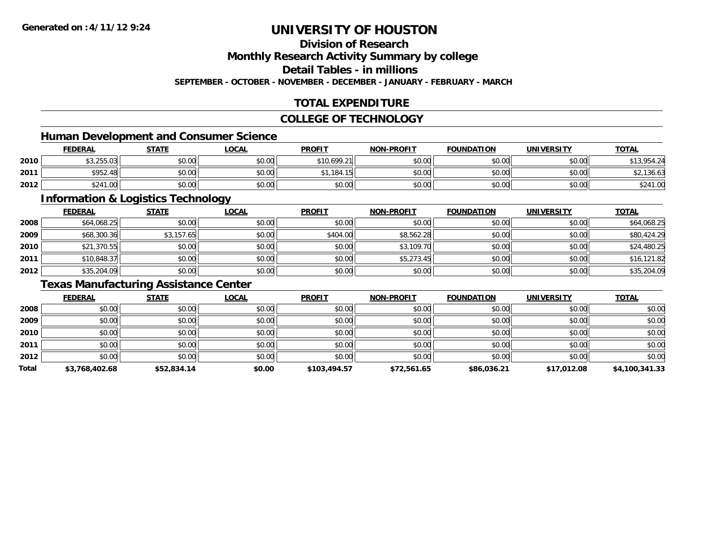### **Division of Research**

**Monthly Research Activity Summary by college**

**Detail Tables - in millions**

**SEPTEMBER - OCTOBER - NOVEMBER - DECEMBER - JANUARY - FEBRUARY - MARCH**

### **TOTAL EXPENDITURE**

### **COLLEGE OF TECHNOLOGY**

### **Human Development and Consumer Science**

|      | <b>FEDERAL</b>                 | <b>STATE</b>   | <u>LOCAL</u> | <b>PROFIT</b> | <b>NON-PROFIT</b> | <b>FOUNDATION</b> | <b>UNIVERSITY</b> | <b>TOTAL</b>                            |
|------|--------------------------------|----------------|--------------|---------------|-------------------|-------------------|-------------------|-----------------------------------------|
| 2010 | <b>AN OFF AN</b><br>\$3.255.U3 | ≮∩ ∩∩<br>JU.UU | \$0.00       | \$10.699.21   | \$0.00            | \$0.00            | \$0.00            | \$13,954.24                             |
| 2011 | \$952.48                       | 0000<br>DU.UG  | \$0.00       | .184.15       | \$0.00            | \$0.00            | \$0.00            | .36.63                                  |
| 2012 | \$241<br>.00                   | \$0.00         | \$0.00       | \$0.00        | \$0.00            | \$0.00            | \$0.00            | 0.11<br>$\alpha$<br>DZ4<br>$\cdot$ . UU |

<u> 1989 - Johann Stoff, deutscher Stoffen und der Stoffen und der Stoffen und der Stoffen und der Stoffen und de</u>

### **Information & Logistics Technology**

|      | <b>FEDERAL</b> | <b>STATE</b> | <u>LOCAL</u> | <b>PROFIT</b> | <b>NON-PROFIT</b> | <b>FOUNDATION</b> | <b>UNIVERSITY</b> | <b>TOTAL</b> |
|------|----------------|--------------|--------------|---------------|-------------------|-------------------|-------------------|--------------|
| 2008 | \$64,068.25    | \$0.00       | \$0.00       | \$0.00        | \$0.00            | \$0.00            | \$0.00            | \$64,068.25  |
| 2009 | \$68,300.36    | \$3,157.65   | \$0.00       | \$404.00      | \$8,562.28        | \$0.00            | \$0.00            | \$80,424.29  |
| 2010 | \$21,370.55    | \$0.00       | \$0.00       | \$0.00        | \$3,109.70        | \$0.00            | \$0.00            | \$24,480.25  |
| 2011 | \$10,848.37    | \$0.00       | \$0.00       | \$0.00        | \$5,273.45        | \$0.00            | \$0.00            | \$16,121.82  |
| 2012 | \$35,204.09    | \$0.00       | \$0.00       | \$0.00        | \$0.00            | \$0.00            | \$0.00            | \$35,204.09  |

### **Texas Manufacturing Assistance Center**

|       | <b>FEDERAL</b> | <b>STATE</b> | <b>LOCAL</b> | <b>PROFIT</b> | <b>NON-PROFIT</b> | <b>FOUNDATION</b> | <b>UNIVERSITY</b> | <b>TOTAL</b>   |
|-------|----------------|--------------|--------------|---------------|-------------------|-------------------|-------------------|----------------|
| 2008  | \$0.00         | \$0.00       | \$0.00       | \$0.00        | \$0.00            | \$0.00            | \$0.00            | \$0.00         |
| 2009  | \$0.00         | \$0.00       | \$0.00       | \$0.00        | \$0.00            | \$0.00            | \$0.00            | \$0.00         |
| 2010  | \$0.00         | \$0.00       | \$0.00       | \$0.00        | \$0.00            | \$0.00            | \$0.00            | \$0.00         |
| 2011  | \$0.00         | \$0.00       | \$0.00       | \$0.00        | \$0.00            | \$0.00            | \$0.00            | \$0.00         |
| 2012  | \$0.00         | \$0.00       | \$0.00       | \$0.00        | \$0.00            | \$0.00            | \$0.00            | \$0.00         |
| Total | \$3,768,402.68 | \$52,834.14  | \$0.00       | \$103,494.57  | \$72,561.65       | \$86,036.21       | \$17,012.08       | \$4,100,341.33 |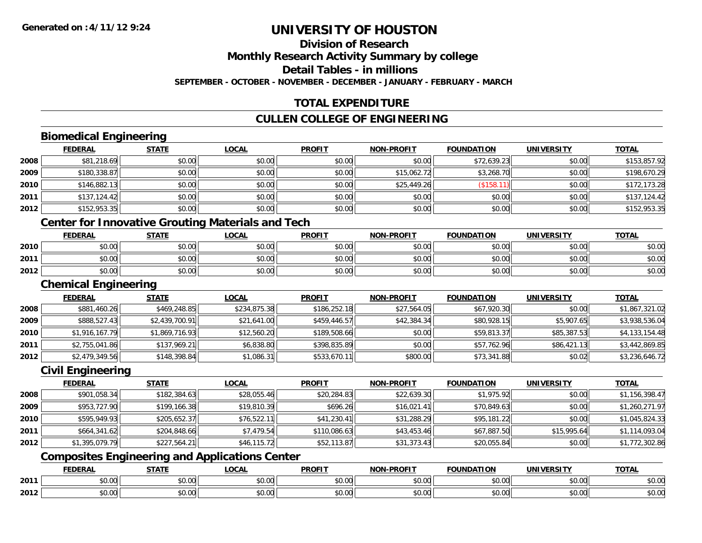# **Division of Research**

**Monthly Research Activity Summary by college**

**Detail Tables - in millions**

**SEPTEMBER - OCTOBER - NOVEMBER - DECEMBER - JANUARY - FEBRUARY - MARCH**

### **TOTAL EXPENDITURE**

### **CULLEN COLLEGE OF ENGINEERING**

### **Biomedical Engineering**

|      | <b>FEDERAL</b> | <b>STATE</b> | <b>LOCAL</b> | <b>PROFIT</b> | <b>NON-PROFIT</b> | <b>FOUNDATION</b> | <b>UNIVERSITY</b> | <b>TOTAL</b> |
|------|----------------|--------------|--------------|---------------|-------------------|-------------------|-------------------|--------------|
| 2008 | \$81,218.69    | \$0.00       | \$0.00       | \$0.00        | \$0.00            | \$72,639.23       | \$0.00            | \$153,857.92 |
| 2009 | \$180,338.87   | \$0.00       | \$0.00       | \$0.00        | \$15,062.72       | \$3,268.70        | \$0.00            | \$198,670.29 |
| 2010 | \$146,882.13   | \$0.00       | \$0.00       | \$0.00        | \$25,449.26       | \$158.            | \$0.00            | \$172,173.28 |
| 2011 | \$137,124.42   | \$0.00       | \$0.00       | \$0.00        | \$0.00            | \$0.00            | \$0.00            | \$137,124.42 |
| 2012 | \$152,953.35   | \$0.00       | \$0.00       | \$0.00        | \$0.00            | \$0.00            | \$0.00            | \$152,953.35 |

### **Center for Innovative Grouting Materials and Tech**

|      | <b>FEDERAL</b> | <b>STATE</b>   | <u>LOCAL</u>  | <b>PROFIT</b>                                        | <b>NON-PROFIT</b> | <b>FOUNDATION</b> | UNIVERSITY | <b>TOTAL</b> |
|------|----------------|----------------|---------------|------------------------------------------------------|-------------------|-------------------|------------|--------------|
| 2010 | 0000<br>DU.UU  | \$0.00         | 0000<br>JU.UU | ≮∩ ∩∩<br><b>SU.UU</b>                                | \$0.00            | \$0.00            | \$0.00     | \$0.00       |
| 2011 | \$0.00         | ≮N UU<br>PU.UU | \$0.00        | $\mathsf{A}\cap\mathsf{A}\cap\mathsf{A}$<br>$-40.06$ | \$0.00            | \$0.00            | \$0.00     | \$0.00       |
| 2012 | \$0.00         | \$0.00         | \$0.00        | ≮N UU<br><b>SU.UU</b>                                | \$0.00            | \$0.00            | \$0.00     | \$0.00       |

#### **Chemical Engineering**

|        | <b>FEDERAL</b> | <u>STATE</u>   | <u>LOCAL</u> | <b>PROFIT</b> | <b>NON-PROFIT</b> | <b>FOUNDATION</b> | <b>UNIVERSITY</b> | <u>TOTAL</u>   |
|--------|----------------|----------------|--------------|---------------|-------------------|-------------------|-------------------|----------------|
| 2008   | \$881,460.26   | \$469,248.85   | \$234,875.38 | \$186,252.18  | \$27,564.05       | \$67,920.30       | \$0.00            | \$1,867,321.02 |
| 2009   | \$888,527.43   | \$2,439,700.91 | \$21,641.00  | \$459,446.57  | \$42,384.34       | \$80,928.15       | \$5,907.65        | \$3,938,536.04 |
| ا 2010 | \$1,916,167.79 | \$1,869,716.93 | \$12,560.20  | \$189,508.66  | \$0.00            | \$59,813.37       | \$85,387.53       | \$4,133,154.48 |
| 2011   | \$2,755,041.86 | \$137,969.21   | \$6,838.80   | \$398,835.89  | \$0.00            | \$57,762.96       | \$86,421.13       | \$3,442,869.85 |
| 2012   | \$2,479,349.56 | \$148,398.84   | \$1,086.31   | \$533,670.11  | \$800.00          | \$73,341.88       | \$0.02            | \$3,236,646.72 |

### **Civil Engineering**

|      | <b>FEDERAL</b> | <u>STATE</u> | <b>LOCAL</b> | <b>PROFIT</b> | <b>NON-PROFIT</b> | <b>FOUNDATION</b> | <b>UNIVERSITY</b> | <b>TOTAL</b>   |
|------|----------------|--------------|--------------|---------------|-------------------|-------------------|-------------------|----------------|
| 2008 | \$901,058.34   | \$182,384.63 | \$28,055.46  | \$20,284.83   | \$22,639.30       | \$1,975.92        | \$0.00            | \$1,156,398.47 |
| 2009 | \$953,727.90   | \$199,166.38 | \$19,810.39  | \$696.26      | \$16,021.41       | \$70,849.63       | \$0.00            | \$1,260,271.97 |
| 2010 | \$595,949.93   | \$205,652.37 | \$76,522.11  | \$41,230.41   | \$31,288.29       | \$95,181.22       | \$0.00            | \$1,045,824.33 |
| 2011 | \$664,341.62   | \$204,848.66 | \$7,479.54   | \$110,086.63  | \$43,453.46       | \$67,887.50       | \$15.995.64       | \$1,114,093.04 |
| 2012 | \$1,395,079.79 | \$227,564.21 | \$46,115.72  | \$52,113.87   | \$31,373.43       | \$20,055.84       | \$0.00            | \$1,772,302.86 |

### **Composites Engineering and Applications Center**

|      | <b>FEDERAL</b>                | CTATI                      | <b>OCAI</b>    | <b>PROFIT</b>                              | <b>DDOFIT</b><br>. | <b>FOUNDATION</b> | UNIVERSITY    | <b>TOTAL</b> |
|------|-------------------------------|----------------------------|----------------|--------------------------------------------|--------------------|-------------------|---------------|--------------|
| 2011 | 0000<br>v.v                   | $\uparrow$ $\uparrow$<br>, | ሐሴ ሰሰ<br>pv.uu | 0000<br>PU.UU                              | vv.vv              | 60.00<br>DU.UU    | 0000<br>vu.vu | \$0.00       |
| 2012 | $\sim$ $\sim$ $\sim$<br>DU.UU | ט. טע                      | ሐሴ ሰሰ<br>PU.UU | $\mathsf{A} \cap \mathsf{A} \cap$<br>JU.UU | vv.vv              | \$0.00            | 0000<br>PO.OO | \$0.00       |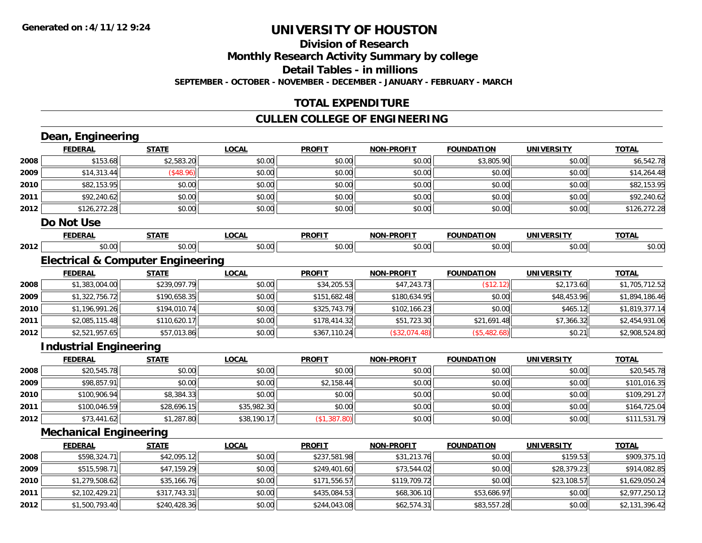#### **Division of Research**

**Monthly Research Activity Summary by college**

**Detail Tables - in millions**

**SEPTEMBER - OCTOBER - NOVEMBER - DECEMBER - JANUARY - FEBRUARY - MARCH**

### **TOTAL EXPENDITURE**

### **CULLEN COLLEGE OF ENGINEERING**

|      | Dean, Engineering             |                                              |              |               |                   |                   |                   |                |
|------|-------------------------------|----------------------------------------------|--------------|---------------|-------------------|-------------------|-------------------|----------------|
|      | <b>FEDERAL</b>                | <b>STATE</b>                                 | <b>LOCAL</b> | <b>PROFIT</b> | <b>NON-PROFIT</b> | <b>FOUNDATION</b> | <b>UNIVERSITY</b> | <b>TOTAL</b>   |
| 2008 | \$153.68                      | \$2,583.20                                   | \$0.00       | \$0.00        | \$0.00            | \$3,805.90        | \$0.00            | \$6,542.78     |
| 2009 | \$14,313.44                   | (\$48.96)                                    | \$0.00       | \$0.00        | \$0.00            | \$0.00            | \$0.00            | \$14,264.48    |
| 2010 | \$82,153.95                   | \$0.00                                       | \$0.00       | \$0.00        | \$0.00            | \$0.00            | \$0.00            | \$82,153.95    |
| 2011 | \$92,240.62                   | \$0.00                                       | \$0.00       | \$0.00        | \$0.00            | \$0.00            | \$0.00            | \$92,240.62    |
| 2012 | \$126,272.28                  | \$0.00                                       | \$0.00       | \$0.00        | \$0.00            | \$0.00            | \$0.00            | \$126,272.28   |
|      | Do Not Use                    |                                              |              |               |                   |                   |                   |                |
|      | <b>FEDERAL</b>                | <b>STATE</b>                                 | <b>LOCAL</b> | <b>PROFIT</b> | <b>NON-PROFIT</b> | <b>FOUNDATION</b> | <b>UNIVERSITY</b> | <b>TOTAL</b>   |
| 2012 | \$0.00                        | \$0.00                                       | \$0.00       | \$0.00        | \$0.00            | \$0.00            | \$0.00            | \$0.00         |
|      |                               | <b>Electrical &amp; Computer Engineering</b> |              |               |                   |                   |                   |                |
|      | <b>FEDERAL</b>                | <b>STATE</b>                                 | <b>LOCAL</b> | <b>PROFIT</b> | <b>NON-PROFIT</b> | <b>FOUNDATION</b> | <b>UNIVERSITY</b> | <b>TOTAL</b>   |
| 2008 | \$1,383,004.00                | \$239,097.79                                 | \$0.00       | \$34,205.53   | \$47,243.73       | (\$12.12)         | \$2,173.60        | \$1,705,712.52 |
| 2009 | \$1,322,756.72                | \$190,658.35                                 | \$0.00       | \$151,682.48  | \$180,634.95      | \$0.00            | \$48,453.96       | \$1,894,186.46 |
| 2010 | \$1,196,991.26                | \$194,010.74                                 | \$0.00       | \$325,743.79  | \$102,166.23      | \$0.00            | \$465.12          | \$1,819,377.14 |
| 2011 | \$2,085,115.48                | \$110,620.17                                 | \$0.00       | \$178,414.32  | \$51,723.30       | \$21,691.48       | \$7,366.32        | \$2,454,931.06 |
| 2012 | \$2,521,957.65                | \$57,013.86                                  | \$0.00       | \$367,110.24  | (\$32,074.48)     | (\$5,482.68)      | \$0.21            | \$2,908,524.80 |
|      | <b>Industrial Engineering</b> |                                              |              |               |                   |                   |                   |                |
|      | <b>FEDERAL</b>                | <b>STATE</b>                                 | <b>LOCAL</b> | <b>PROFIT</b> | <b>NON-PROFIT</b> | <b>FOUNDATION</b> | <b>UNIVERSITY</b> | <b>TOTAL</b>   |
| 2008 | \$20,545.78                   | \$0.00                                       | \$0.00       | \$0.00        | \$0.00            | \$0.00            | \$0.00            | \$20,545.78    |
| 2009 | \$98,857.91                   | \$0.00                                       | \$0.00       | \$2,158.44    | \$0.00            | \$0.00            | \$0.00            | \$101,016.35   |
| 2010 | \$100,906.94                  | \$8,384.33                                   | \$0.00       | \$0.00        | \$0.00            | \$0.00            | \$0.00            | \$109,291.27   |
| 2011 | \$100,046.59                  | \$28,696.15                                  | \$35,982.30  | \$0.00        | \$0.00            | \$0.00            | \$0.00            | \$164,725.04   |
| 2012 | \$73,441.62                   | \$1,287.80                                   | \$38,190.17  | (\$1,387.80)  | \$0.00            | \$0.00            | \$0.00            | \$111,531.79   |
|      | <b>Mechanical Engineering</b> |                                              |              |               |                   |                   |                   |                |
|      | <b>FEDERAL</b>                | <b>STATE</b>                                 | <b>LOCAL</b> | <b>PROFIT</b> | <b>NON-PROFIT</b> | <b>FOUNDATION</b> | <b>UNIVERSITY</b> | <b>TOTAL</b>   |
| 2008 | \$598,324.71                  | \$42,095.12                                  | \$0.00       | \$237,581.98  | \$31,213.76       | \$0.00            | \$159.53          | \$909,375.10   |
| 2009 | \$515,598.71                  | \$47,159.29                                  | \$0.00       | \$249,401.60  | \$73,544.02       | \$0.00            | \$28,379.23       | \$914,082.85   |
| 2010 | \$1,279,508.62                | \$35,166.76                                  | \$0.00       | \$171,556.57  | \$119,709.72      | \$0.00            | \$23,108.57       | \$1,629,050.24 |
| 2011 | \$2,102,429.21                | \$317,743.31                                 | \$0.00       | \$435,084.53  | \$68,306.10       | \$53,686.97       | \$0.00            | \$2,977,250.12 |
| 2012 | \$1,500,793.40                | \$240,428.36                                 | \$0.00       | \$244,043.08  | \$62,574.31       | \$83,557.28       | \$0.00            | \$2,131,396.42 |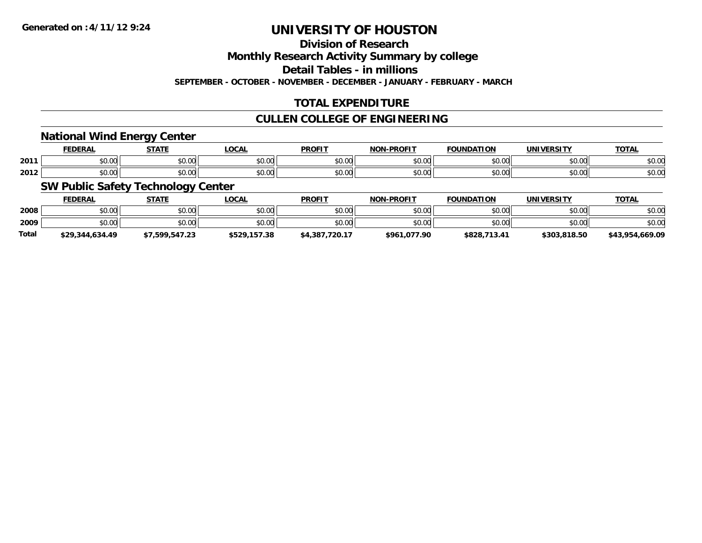**Division of Research**

**Monthly Research Activity Summary by college**

**Detail Tables - in millions**

**SEPTEMBER - OCTOBER - NOVEMBER - DECEMBER - JANUARY - FEBRUARY - MARCH**

### **TOTAL EXPENDITURE**

### **CULLEN COLLEGE OF ENGINEERING**

### **National Wind Energy Center**

|      | ------<br>cr.      | $- - - - -$ | $\sim$<br>UUNI         | <b>PROFIT</b>           | <b>DDAEIT</b><br>81 A B | "ION<br>IDA          | <b><i>INIVERSITY</i></b>         | <b>TOTAL</b> |
|------|--------------------|-------------|------------------------|-------------------------|-------------------------|----------------------|----------------------------------|--------------|
| 2011 | $\cdots$<br>JU.UU  | \$0.00      | $\sim$ $\sim$<br>JU.UU | 0 <sub>n</sub><br>JU.UU | 0000<br>J∪.∪u           | $\sim$ $\sim$<br>טט. | 0.001<br>JU.UU                   | \$0.00       |
| 2012 | $\sim$ 00<br>JU.UU | \$0.00      | ሶስ ሰሰ<br>JU.UU         | 0 <sub>n</sub><br>JU.UU | ስ ለሰ<br>JU.UU           | $\sim$ 00<br>JU.UU   | $\circ$ $\circ$ $\circ$<br>JU.UU | \$0.00       |

### **SW Public Safety Technology Center**

|              | <b>FEDERAL</b>  | <b>STATE</b>   | _OCAL        | <b>PROFIT</b>  | <b>NON-PROFIT</b> | <b>FOUNDATION</b> | UNIVERSITY   | <u>TOTAL</u>    |
|--------------|-----------------|----------------|--------------|----------------|-------------------|-------------------|--------------|-----------------|
| 2008         | \$0.00          | \$0.00         | \$0.00       | \$0.00         | \$0.00            | \$0.00            | \$0.00       | \$0.00          |
| 2009         | \$0.00          | \$0.00         | \$0.00       | \$0.00         | \$0.00            | \$0.00            | \$0.00       | \$0.00          |
| <b>Total</b> | \$29,344,634.49 | \$7,599,547.23 | \$529,157.38 | \$4,387,720.17 | \$961,077.90      | \$828,713.41      | \$303,818.50 | \$43,954,669.09 |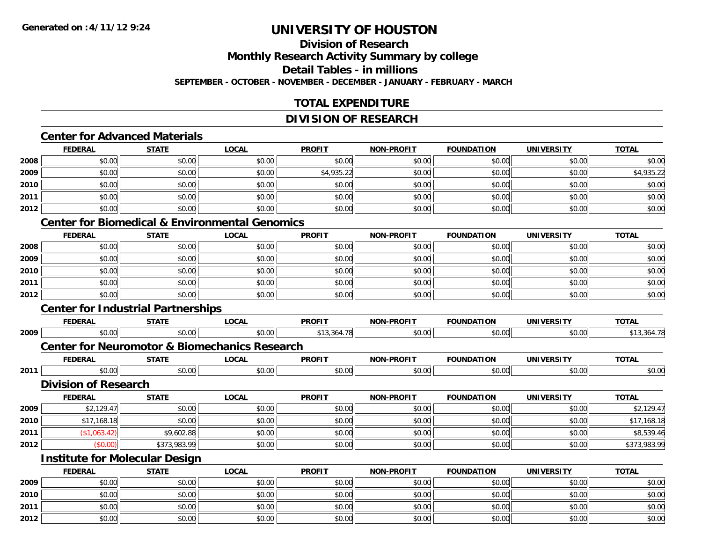### **Division of ResearchMonthly Research Activity Summary by college Detail Tables - in millionsSEPTEMBER - OCTOBER - NOVEMBER - DECEMBER - JANUARY - FEBRUARY - MARCH**

### **TOTAL EXPENDITURE**

### **DIVISION OF RESEARCH**

### **Center for Advanced Materials**

|      | <b>FEDERAL</b> | <b>STATE</b> | <b>LOCAL</b> | <b>PROFIT</b> | <b>NON-PROFIT</b> | <b>FOUNDATION</b> | <b>UNIVERSITY</b> | <b>TOTAL</b> |
|------|----------------|--------------|--------------|---------------|-------------------|-------------------|-------------------|--------------|
| 2008 | \$0.00         | \$0.00       | \$0.00       | \$0.00        | \$0.00            | \$0.00            | \$0.00            | \$0.00       |
| 2009 | \$0.00         | \$0.00       | \$0.00       | \$4,935.22    | \$0.00            | \$0.00            | \$0.00            | \$4,935.22   |
| 2010 | \$0.00         | \$0.00       | \$0.00       | \$0.00        | \$0.00            | \$0.00            | \$0.00            | \$0.00       |
| 2011 | \$0.00         | \$0.00       | \$0.00       | \$0.00        | \$0.00            | \$0.00            | \$0.00            | \$0.00       |
| 2012 | \$0.00         | \$0.00       | \$0.00       | \$0.00        | \$0.00            | \$0.00            | \$0.00            | \$0.00       |

#### **Center for Biomedical & Environmental Genomics**

|      | <b>FEDERAL</b> | <b>STATE</b> | <u>LOCAL</u> | <b>PROFIT</b> | <b>NON-PROFIT</b> | <b>FOUNDATION</b> | <b>UNIVERSITY</b> | <b>TOTAL</b> |
|------|----------------|--------------|--------------|---------------|-------------------|-------------------|-------------------|--------------|
| 2008 | \$0.00         | \$0.00       | \$0.00       | \$0.00        | \$0.00            | \$0.00            | \$0.00            | \$0.00       |
| 2009 | \$0.00         | \$0.00       | \$0.00       | \$0.00        | \$0.00            | \$0.00            | \$0.00            | \$0.00       |
| 2010 | \$0.00         | \$0.00       | \$0.00       | \$0.00        | \$0.00            | \$0.00            | \$0.00            | \$0.00       |
| 2011 | \$0.00         | \$0.00       | \$0.00       | \$0.00        | \$0.00            | \$0.00            | \$0.00            | \$0.00       |
| 2012 | \$0.00         | \$0.00       | \$0.00       | \$0.00        | \$0.00            | \$0.00            | \$0.00            | \$0.00       |

## **Center for Industrial Partnerships**

**2012**

|      | <b>FEDERAL</b>                        | <b>STATE</b> | <b>LOCAL</b>                                             | <b>PROFIT</b> | <b>NON-PROFIT</b> | <b>FOUNDATION</b> | <b>UNIVERSITY</b> | <b>TOTAL</b> |
|------|---------------------------------------|--------------|----------------------------------------------------------|---------------|-------------------|-------------------|-------------------|--------------|
| 2009 | \$0.00                                | \$0.00       | \$0.00                                                   | \$13,364.78   | \$0.00            | \$0.00            | \$0.00            | \$13,364.78  |
|      |                                       |              | <b>Center for Neuromotor &amp; Biomechanics Research</b> |               |                   |                   |                   |              |
|      | <b>FEDERAL</b>                        | <b>STATE</b> | <u>LOCAL</u>                                             | <b>PROFIT</b> | <b>NON-PROFIT</b> | <b>FOUNDATION</b> | <b>UNIVERSITY</b> | <b>TOTAL</b> |
| 2011 | \$0.00                                | \$0.00       | \$0.00                                                   | \$0.00        | \$0.00            | \$0.00            | \$0.00            | \$0.00       |
|      | <b>Division of Research</b>           |              |                                                          |               |                   |                   |                   |              |
|      | <b>FEDERAL</b>                        | <b>STATE</b> | <b>LOCAL</b>                                             | <b>PROFIT</b> | <b>NON-PROFIT</b> | <b>FOUNDATION</b> | <b>UNIVERSITY</b> | <b>TOTAL</b> |
| 2009 | \$2,129.47                            | \$0.00       | \$0.00                                                   | \$0.00        | \$0.00            | \$0.00            | \$0.00            | \$2,129.47   |
| 2010 | \$17,168.18                           | \$0.00       | \$0.00                                                   | \$0.00        | \$0.00            | \$0.00            | \$0.00            | \$17,168.18  |
| 2011 | (\$1,063.42)                          | \$9,602.88   | \$0.00                                                   | \$0.00        | \$0.00            | \$0.00            | \$0.00            | \$8,539.46   |
| 2012 | (50.00)                               | \$373,983.99 | \$0.00                                                   | \$0.00        | \$0.00            | \$0.00            | \$0.00            | \$373,983.99 |
|      | <b>Institute for Molecular Design</b> |              |                                                          |               |                   |                   |                   |              |
|      | <b>FEDERAL</b>                        | <b>STATE</b> | <b>LOCAL</b>                                             | <b>PROFIT</b> | <b>NON-PROFIT</b> | <b>FOUNDATION</b> | <b>UNIVERSITY</b> | <b>TOTAL</b> |
| 2009 | \$0.00                                | \$0.00       | \$0.00                                                   | \$0.00        | \$0.00            | \$0.00            | \$0.00            | \$0.00       |
| 2010 | \$0.00                                | \$0.00       | \$0.00                                                   | \$0.00        | \$0.00            | \$0.00            | \$0.00            | \$0.00       |
| 2011 | \$0.00                                | \$0.00       | \$0.00                                                   | \$0.00        | \$0.00            | \$0.00            | \$0.00            | \$0.00       |

2 | \$0.00 \$0.00 \$0.00 \$0.00 \$0.00 \$0.00 \$0.00 \$0.00 \$0.00 \$0.00 \$0.00 \$0.00 \$0.00 \$0.00 \$0.00 \$0.00 \$0.00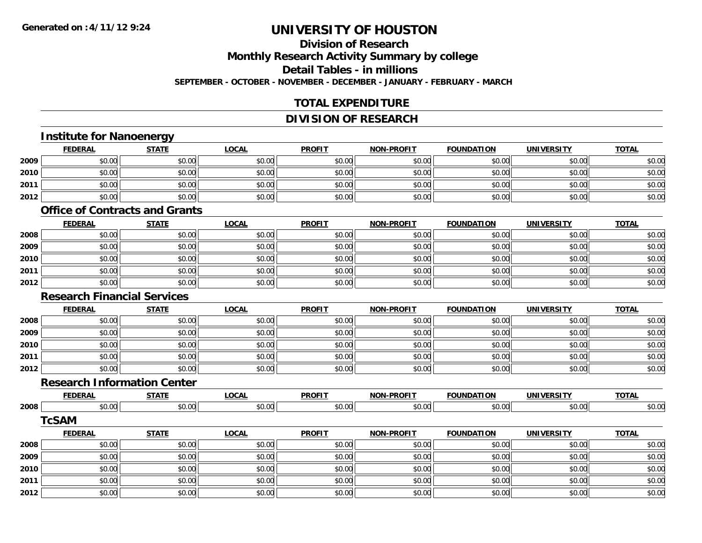### **Division of ResearchMonthly Research Activity Summary by college Detail Tables - in millionsSEPTEMBER - OCTOBER - NOVEMBER - DECEMBER - JANUARY - FEBRUARY - MARCH**

### **TOTAL EXPENDITURE**

### **DIVISION OF RESEARCH**

## **Institute for Nanoenergy**

|      | <b>FEDERAL</b> | <b>STATE</b> | <b>LOCAL</b> | <b>PROFIT</b> | <b>NON-PROFIT</b> | <b>FOUNDATION</b> | UNIVERSITY | <b>TOTAL</b> |
|------|----------------|--------------|--------------|---------------|-------------------|-------------------|------------|--------------|
| 2009 | \$0.00         | \$0.00       | \$0.00       | \$0.00        | \$0.00            | \$0.00            | \$0.00     | \$0.00       |
| 2010 | \$0.00         | \$0.00       | \$0.00       | \$0.00        | \$0.00            | \$0.00            | \$0.00     | \$0.00       |
| 2011 | \$0.00         | \$0.00       | \$0.00       | \$0.00        | \$0.00            | \$0.00            | \$0.00     | \$0.00       |
| 2012 | \$0.00         | \$0.00       | \$0.00       | \$0.00        | \$0.00            | \$0.00            | \$0.00     | \$0.00       |

### **Office of Contracts and Grants**

|      | <u>FEDERAL</u> | <b>STATE</b> | <u>LOCAL</u> | <b>PROFIT</b> | <b>NON-PROFIT</b> | <b>FOUNDATION</b> | <b>UNIVERSITY</b> | <b>TOTAL</b> |
|------|----------------|--------------|--------------|---------------|-------------------|-------------------|-------------------|--------------|
| 2008 | \$0.00         | \$0.00       | \$0.00       | \$0.00        | \$0.00            | \$0.00            | \$0.00            | \$0.00       |
| 2009 | \$0.00         | \$0.00       | \$0.00       | \$0.00        | \$0.00            | \$0.00            | \$0.00            | \$0.00       |
| 2010 | \$0.00         | \$0.00       | \$0.00       | \$0.00        | \$0.00            | \$0.00            | \$0.00            | \$0.00       |
| 2011 | \$0.00         | \$0.00       | \$0.00       | \$0.00        | \$0.00            | \$0.00            | \$0.00            | \$0.00       |
| 2012 | \$0.00         | \$0.00       | \$0.00       | \$0.00        | \$0.00            | \$0.00            | \$0.00            | \$0.00       |

#### **Research Financial Services**

|      | <b>FEDERAL</b> | <b>STATE</b> | <b>LOCAL</b> | <b>PROFIT</b> | <b>NON-PROFIT</b> | <b>FOUNDATION</b> | <b>UNIVERSITY</b> | <b>TOTAL</b> |
|------|----------------|--------------|--------------|---------------|-------------------|-------------------|-------------------|--------------|
| 2008 | \$0.00         | \$0.00       | \$0.00       | \$0.00        | \$0.00            | \$0.00            | \$0.00            | \$0.00       |
| 2009 | \$0.00         | \$0.00       | \$0.00       | \$0.00        | \$0.00            | \$0.00            | \$0.00            | \$0.00       |
| 2010 | \$0.00         | \$0.00       | \$0.00       | \$0.00        | \$0.00            | \$0.00            | \$0.00            | \$0.00       |
| 2011 | \$0.00         | \$0.00       | \$0.00       | \$0.00        | \$0.00            | \$0.00            | \$0.00            | \$0.00       |
| 2012 | \$0.00         | \$0.00       | \$0.00       | \$0.00        | \$0.00            | \$0.00            | \$0.00            | \$0.00       |

### **Research Information Center**

|      | -------  | -----  | $\sim$ $\sim$<br><br>.UUAL | <b>DDOEIT</b><br>πυ | $\cdots$        | ,,,                       |                               | $-2$           |
|------|----------|--------|----------------------------|---------------------|-----------------|---------------------------|-------------------------------|----------------|
| 2008 | $\Omega$ | ,,,,,, | $\sim$<br>ט.טע             | 0000<br>v.vu        | $\mathcal{L}$ . | $\sim$ 00 $\sim$<br>.v.vv | $\sim$ 0.000 $\sim$<br>וטט.טע | 30.00<br>JU.UU |

#### **TcSAM**

|      | <b>FEDERAL</b> | <b>STATE</b> | <u>LOCAL</u> | <b>PROFIT</b> | <b>NON-PROFIT</b> | <b>FOUNDATION</b> | <b>UNIVERSITY</b> | <b>TOTAL</b> |
|------|----------------|--------------|--------------|---------------|-------------------|-------------------|-------------------|--------------|
| 2008 | \$0.00         | \$0.00       | \$0.00       | \$0.00        | \$0.00            | \$0.00            | \$0.00            | \$0.00       |
| 2009 | \$0.00         | \$0.00       | \$0.00       | \$0.00        | \$0.00            | \$0.00            | \$0.00            | \$0.00       |
| 2010 | \$0.00         | \$0.00       | \$0.00       | \$0.00        | \$0.00            | \$0.00            | \$0.00            | \$0.00       |
| 2011 | \$0.00         | \$0.00       | \$0.00       | \$0.00        | \$0.00            | \$0.00            | \$0.00            | \$0.00       |
| 2012 | \$0.00         | \$0.00       | \$0.00       | \$0.00        | \$0.00            | \$0.00            | \$0.00            | \$0.00       |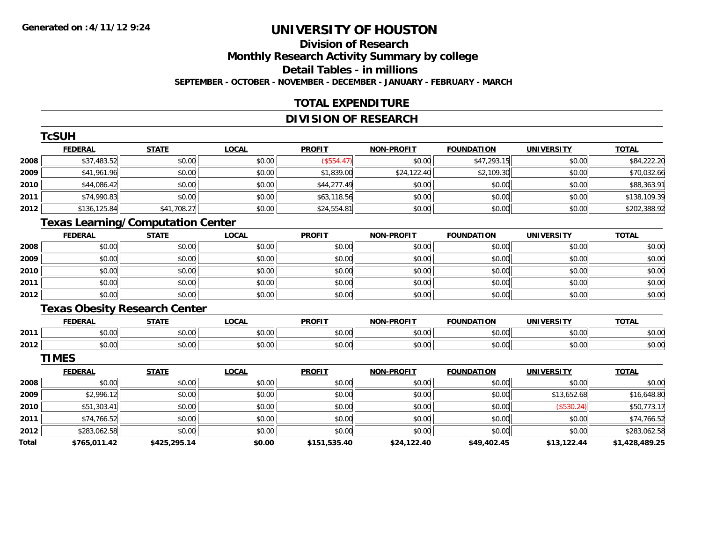### **Division of ResearchMonthly Research Activity Summary by college Detail Tables - in millions SEPTEMBER - OCTOBER - NOVEMBER - DECEMBER - JANUARY - FEBRUARY - MARCH**

### **TOTAL EXPENDITURE**

### **DIVISION OF RESEARCH**

|              | <b>TcSUH</b>                             |              |              |               |                   |                   |                   |                |
|--------------|------------------------------------------|--------------|--------------|---------------|-------------------|-------------------|-------------------|----------------|
|              | <b>FEDERAL</b>                           | <b>STATE</b> | <b>LOCAL</b> | <b>PROFIT</b> | NON-PROFIT        | <b>FOUNDATION</b> | <b>UNIVERSITY</b> | <b>TOTAL</b>   |
| 2008         | \$37,483.52                              | \$0.00       | \$0.00       | (\$554.47)    | \$0.00            | \$47,293.15       | \$0.00            | \$84,222.20    |
| 2009         | \$41,961.96                              | \$0.00       | \$0.00       | \$1,839.00    | \$24,122.40       | \$2,109.30        | \$0.00            | \$70,032.66    |
| 2010         | \$44,086.42                              | \$0.00       | \$0.00       | \$44,277.49   | \$0.00            | \$0.00            | \$0.00            | \$88,363.91    |
| 2011         | \$74,990.83                              | \$0.00       | \$0.00       | \$63,118.56   | \$0.00            | \$0.00            | \$0.00            | \$138,109.39   |
| 2012         | \$136,125.84                             | \$41,708.27  | \$0.00       | \$24,554.81   | \$0.00            | \$0.00            | \$0.00            | \$202,388.92   |
|              | <b>Texas Learning/Computation Center</b> |              |              |               |                   |                   |                   |                |
|              | <b>FEDERAL</b>                           | <b>STATE</b> | <b>LOCAL</b> | <b>PROFIT</b> | NON-PROFIT        | <b>FOUNDATION</b> | <b>UNIVERSITY</b> | <b>TOTAL</b>   |
| 2008         | \$0.00                                   | \$0.00       | \$0.00       | \$0.00        | \$0.00            | \$0.00            | \$0.00            | \$0.00         |
| 2009         | \$0.00                                   | \$0.00       | \$0.00       | \$0.00        | \$0.00            | \$0.00            | \$0.00            | \$0.00         |
| 2010         | \$0.00                                   | \$0.00       | \$0.00       | \$0.00        | \$0.00            | \$0.00            | \$0.00            | \$0.00         |
| 2011         | \$0.00                                   | \$0.00       | \$0.00       | \$0.00        | \$0.00            | \$0.00            | \$0.00            | \$0.00         |
| 2012         | \$0.00                                   | \$0.00       | \$0.00       | \$0.00        | \$0.00            | \$0.00            | \$0.00            | \$0.00         |
|              | <b>Texas Obesity Research Center</b>     |              |              |               |                   |                   |                   |                |
|              | <b>FEDERAL</b>                           | <b>STATE</b> | <b>LOCAL</b> | <b>PROFIT</b> | <b>NON-PROFIT</b> | <b>FOUNDATION</b> | <b>UNIVERSITY</b> | <b>TOTAL</b>   |
| 2011         | \$0.00                                   | \$0.00       | \$0.00       | \$0.00        | \$0.00            | \$0.00            | \$0.00            | \$0.00         |
| 2012         | \$0.00                                   | \$0.00       | \$0.00       | \$0.00        | \$0.00            | \$0.00            | \$0.00            | \$0.00         |
|              | <b>TIMES</b>                             |              |              |               |                   |                   |                   |                |
|              | <b>FEDERAL</b>                           | <b>STATE</b> | <b>LOCAL</b> | <b>PROFIT</b> | NON-PROFIT        | <b>FOUNDATION</b> | <b>UNIVERSITY</b> | <b>TOTAL</b>   |
| 2008         | \$0.00                                   | \$0.00       | \$0.00       | \$0.00        | \$0.00            | \$0.00            | \$0.00            | \$0.00         |
| 2009         | \$2,996.12                               | \$0.00       | \$0.00       | \$0.00        | \$0.00            | \$0.00            | \$13,652.68       | \$16,648.80    |
| 2010         | \$51,303.41                              | \$0.00       | \$0.00       | \$0.00        | \$0.00            | \$0.00            | (\$530.24)        | \$50,773.17    |
| 2011         | \$74,766.52                              | \$0.00       | \$0.00       | \$0.00        | \$0.00            | \$0.00            | \$0.00            | \$74,766.52    |
| 2012         | \$283,062.58                             | \$0.00       | \$0.00       | \$0.00        | \$0.00            | \$0.00            | \$0.00            | \$283,062.58   |
| <b>Total</b> | \$765,011.42                             | \$425,295.14 | \$0.00       | \$151,535.40  | \$24,122.40       | \$49,402.45       | \$13,122.44       | \$1,428,489.25 |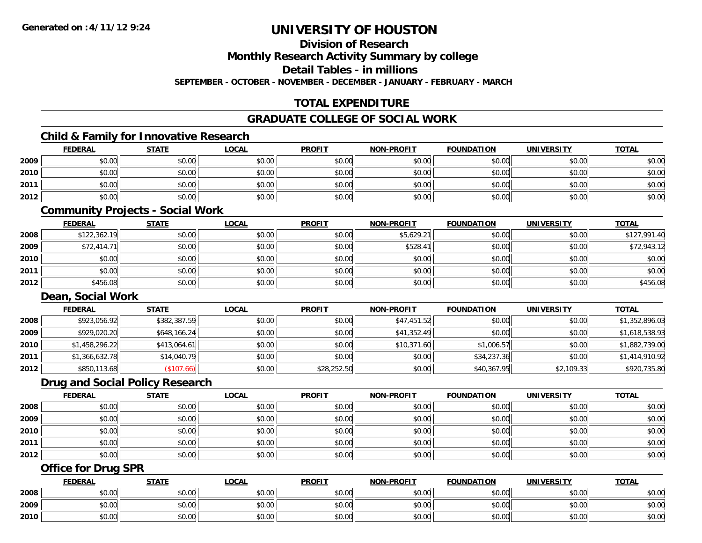**Division of Research**

**Monthly Research Activity Summary by college**

**Detail Tables - in millions**

**SEPTEMBER - OCTOBER - NOVEMBER - DECEMBER - JANUARY - FEBRUARY - MARCH**

### **TOTAL EXPENDITURE**

### **GRADUATE COLLEGE OF SOCIAL WORK**

### **Child & Family for Innovative Research**

|      | <b>FEDERAL</b> | <b>STATE</b> | <u>LOCAL</u> | <b>PROFIT</b> | <b>NON-PROFIT</b> | <b>FOUNDATION</b> | <b>UNIVERSITY</b> | <b>TOTAL</b> |
|------|----------------|--------------|--------------|---------------|-------------------|-------------------|-------------------|--------------|
| 2009 | \$0.00         | \$0.00       | \$0.00       | \$0.00        | \$0.00            | \$0.00            | \$0.00            | \$0.00       |
| 2010 | \$0.00         | \$0.00       | \$0.00       | \$0.00        | \$0.00            | \$0.00            | \$0.00            | \$0.00       |
| 2011 | \$0.00         | \$0.00       | \$0.00       | \$0.00        | \$0.00            | \$0.00            | \$0.00            | \$0.00       |
| 2012 | \$0.00         | \$0.00       | \$0.00       | \$0.00        | \$0.00            | \$0.00            | \$0.00            | \$0.00       |
|      |                |              |              |               |                   |                   |                   |              |

#### **Community Projects - Social Work**

|      | <b>FEDERAL</b> | <b>STATE</b> | <b>LOCAL</b> | <b>PROFIT</b> | <b>NON-PROFIT</b> | <b>FOUNDATION</b> | <b>UNIVERSITY</b> | <b>TOTAL</b> |
|------|----------------|--------------|--------------|---------------|-------------------|-------------------|-------------------|--------------|
| 2008 | \$122,362.19   | \$0.00       | \$0.00       | \$0.00        | \$5,629.21        | \$0.00            | \$0.00            | \$127,991.40 |
| 2009 | \$72,414.71    | \$0.00       | \$0.00       | \$0.00        | \$528.41          | \$0.00            | \$0.00            | \$72,943.12  |
| 2010 | \$0.00         | \$0.00       | \$0.00       | \$0.00        | \$0.00            | \$0.00            | \$0.00            | \$0.00       |
| 2011 | \$0.00         | \$0.00       | \$0.00       | \$0.00        | \$0.00            | \$0.00            | \$0.00            | \$0.00       |
| 2012 | \$456.08       | \$0.00       | \$0.00       | \$0.00        | \$0.00            | \$0.00            | \$0.00            | \$456.08     |

#### **Dean, Social Work**

|      | <b>FEDERAL</b> | <b>STATE</b> | <b>LOCAL</b> | <b>PROFIT</b> | <b>NON-PROFIT</b> | <b>FOUNDATION</b> | <b>UNIVERSITY</b> | <b>TOTAL</b>   |
|------|----------------|--------------|--------------|---------------|-------------------|-------------------|-------------------|----------------|
| 2008 | \$923,056.92   | \$382,387.59 | \$0.00       | \$0.00        | \$47,451.52       | \$0.00            | \$0.00            | \$1,352,896.03 |
| 2009 | \$929,020.20   | \$648,166.24 | \$0.00       | \$0.00        | \$41,352.49       | \$0.00            | \$0.00            | \$1,618,538.93 |
| 2010 | \$1,458,296.22 | \$413,064.61 | \$0.00       | \$0.00        | \$10,371.60       | \$1,006.57        | \$0.00            | \$1,882,739.00 |
| 2011 | \$1,366,632.78 | \$14,040.79  | \$0.00       | \$0.00        | \$0.00            | \$34,237.36       | \$0.00            | \$1,414,910.92 |
| 2012 | \$850,113.68   | (\$107.66)   | \$0.00       | \$28,252.50   | \$0.00            | \$40,367.95       | \$2,109.33        | \$920,735.80   |

### **Drug and Social Policy Research**

|      | <b>FEDERAL</b> | <b>STATE</b> | <u>LOCAL</u> | <b>PROFIT</b> | <b>NON-PROFIT</b> | <b>FOUNDATION</b> | <b>UNIVERSITY</b> | <b>TOTAL</b> |
|------|----------------|--------------|--------------|---------------|-------------------|-------------------|-------------------|--------------|
| 2008 | \$0.00         | \$0.00       | \$0.00       | \$0.00        | \$0.00            | \$0.00            | \$0.00            | \$0.00       |
| 2009 | \$0.00         | \$0.00       | \$0.00       | \$0.00        | \$0.00            | \$0.00            | \$0.00            | \$0.00       |
| 2010 | \$0.00         | \$0.00       | \$0.00       | \$0.00        | \$0.00            | \$0.00            | \$0.00            | \$0.00       |
| 2011 | \$0.00         | \$0.00       | \$0.00       | \$0.00        | \$0.00            | \$0.00            | \$0.00            | \$0.00       |
| 2012 | \$0.00         | \$0.00       | \$0.00       | \$0.00        | \$0.00            | \$0.00            | \$0.00            | \$0.00       |

### **Office for Drug SPR**

|      | <b>FEDERAL</b>     | <b>STATE</b> | <u>LOCAL</u>  | <b>PROFIT</b> | <b>I-PROFIT</b><br>NON- | <b>FOUNDATION</b> | <b>UNIVERSITY</b> | <b>TOTAL</b> |
|------|--------------------|--------------|---------------|---------------|-------------------------|-------------------|-------------------|--------------|
| 2008 | <b>00</b><br>JU.UU | \$0.00       | \$0.00        | \$0.00        | \$0.00                  | \$0.00            | \$0.00            | \$0.00       |
| 2009 | ሶስ ሰሰ<br>PU.UU     | \$0.00       | 0.00<br>ง∪.∪บ | \$0.00        | \$0.00                  | \$0.00            | \$0.00            | \$0.00       |
| 2010 | 0000<br>JU.UU      | \$0.00       | \$0.00        | \$0.00        | \$0.00                  | \$0.00            | \$0.00            | \$0.00       |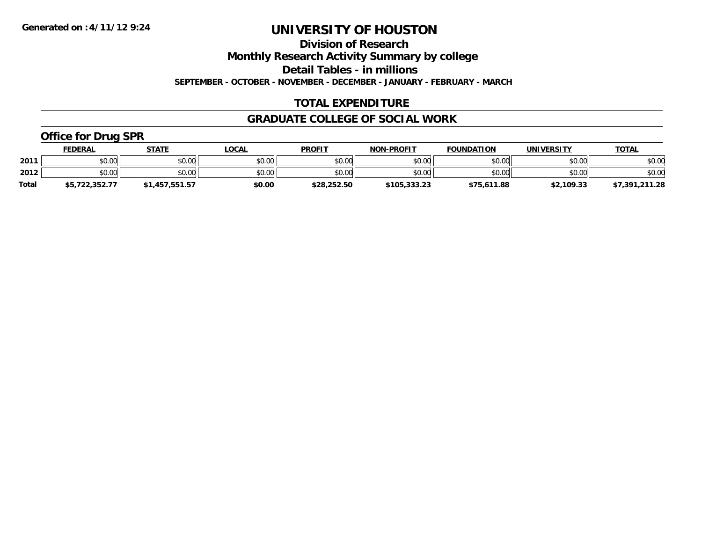**Division of Research**

**Monthly Research Activity Summary by college**

**Detail Tables - in millions**

**SEPTEMBER - OCTOBER - NOVEMBER - DECEMBER - JANUARY - FEBRUARY - MARCH**

### **TOTAL EXPENDITURE**

### **GRADUATE COLLEGE OF SOCIAL WORK**

### **Office for Drug SPR**

|              | FEDERAL        | <b>STATE</b>   | _OCAL  | <b>PROFIT</b> | <b>NON-PROFIT</b> | <b>FOUNDATION</b> | <b>UNIVERSITY</b> | <u>TOTAL</u>   |
|--------------|----------------|----------------|--------|---------------|-------------------|-------------------|-------------------|----------------|
| 2011         | \$0.00         | \$0.00         | \$0.00 | \$0.00        | \$0.00            | \$0.00            | \$0.00            | \$0.00         |
| 2012         | \$0.00         | \$0.00         | \$0.00 | \$0.00        | \$0.00            | \$0.00            | \$0.00            | \$0.00         |
| <b>Total</b> | \$5,722,352.77 | \$1,457,551.57 | \$0.00 | \$28,252.50   | \$105,333.23      | \$75,611.88       | \$2,109.33        | \$7,391,211.28 |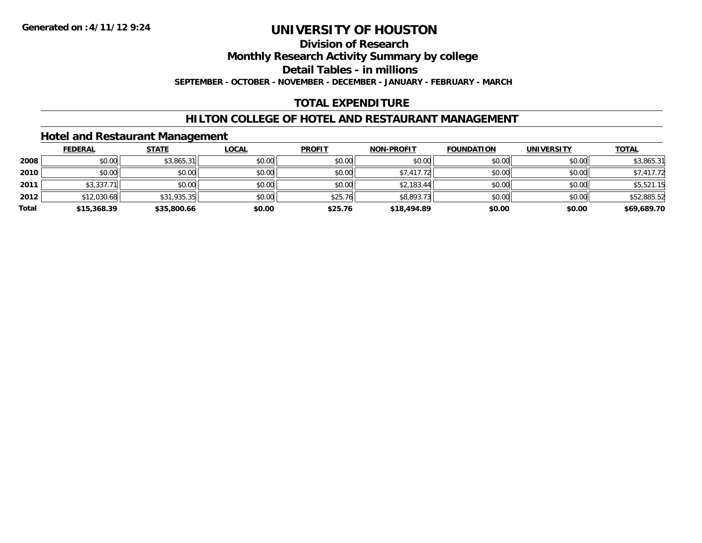### **Division of Research**

**Monthly Research Activity Summary by college**

**Detail Tables - in millions**

**SEPTEMBER - OCTOBER - NOVEMBER - DECEMBER - JANUARY - FEBRUARY - MARCH**

### **TOTAL EXPENDITURE**

### **HILTON COLLEGE OF HOTEL AND RESTAURANT MANAGEMENT**

### **Hotel and Restaurant Management**

|       | <b>FEDERAL</b> | <u>STATE</u> | <b>LOCAL</b> | <b>PROFIT</b> | <b>NON-PROFIT</b> | <b>FOUNDATION</b> | <b>UNIVERSITY</b> | <b>TOTAL</b> |
|-------|----------------|--------------|--------------|---------------|-------------------|-------------------|-------------------|--------------|
| 2008  | \$0.00         | \$3,865.31   | \$0.00       | \$0.00        | \$0.00            | \$0.00            | \$0.00            | \$3,865.31   |
| 2010  | \$0.00         | \$0.00       | \$0.00       | \$0.00        | \$7,417.72        | \$0.00            | \$0.00            | \$7,417.72   |
| 2011  | \$3,337.71     | \$0.00       | \$0.00       | \$0.00        | \$2,183.44        | \$0.00            | \$0.00            | \$5,521.15   |
| 2012  | \$12,030.68    | \$31,935.35  | \$0.00       | \$25.76       | \$8,893.73        | \$0.00            | \$0.00            | \$52,885.52  |
| Total | \$15,368.39    | \$35,800.66  | \$0.00       | \$25.76       | \$18,494.89       | \$0.00            | \$0.00            | \$69,689.70  |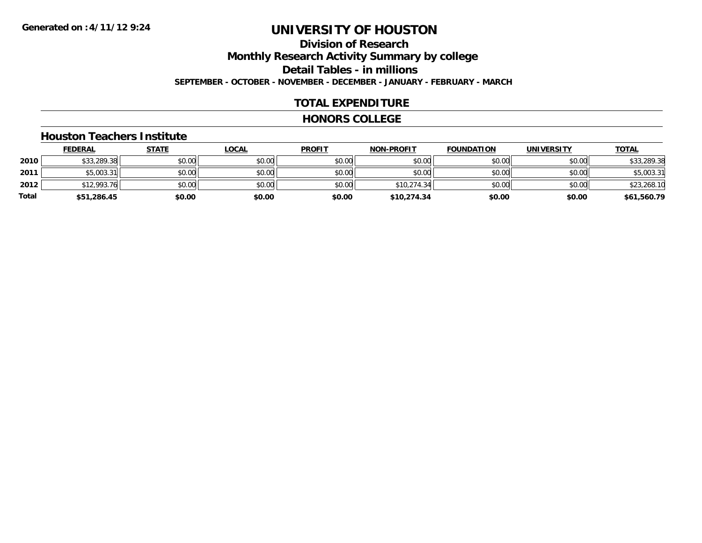### **Division of ResearchMonthly Research Activity Summary by college Detail Tables - in millions SEPTEMBER - OCTOBER - NOVEMBER - DECEMBER - JANUARY - FEBRUARY - MARCH**

### **TOTAL EXPENDITURE**

#### **HONORS COLLEGE**

#### **Houston Teachers Institute**

|       | <b>FEDERAL</b> | <u>STATE</u> | <u>LOCAL</u> | <b>PROFIT</b> | <b>NON-PROFIT</b> | <b>FOUNDATION</b> | <b>UNIVERSITY</b> | <b>TOTAL</b> |
|-------|----------------|--------------|--------------|---------------|-------------------|-------------------|-------------------|--------------|
| 2010  | \$33,289.38    | \$0.00       | \$0.00       | \$0.00        | \$0.00            | \$0.00            | \$0.00            | \$33,289.38  |
| 2011  | \$5,003.31     | \$0.00       | \$0.00       | \$0.00        | \$0.00            | \$0.00            | \$0.00            | \$5,003.31   |
| 2012  | \$12,993.76    | \$0.00       | \$0.00       | \$0.00        | \$10,274.34       | \$0.00            | \$0.00            | \$23,268.10  |
| Total | \$51,286.45    | \$0.00       | \$0.00       | \$0.00        | \$10,274.34       | \$0.00            | \$0.00            | \$61,560.79  |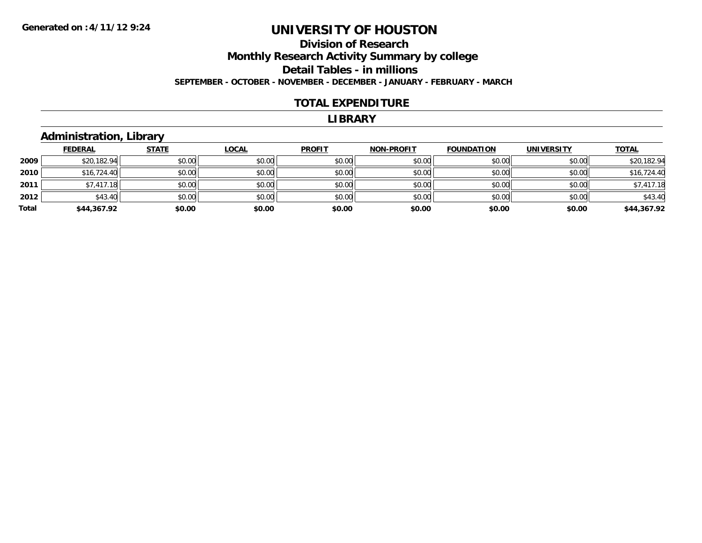### **Division of Research Monthly Research Activity Summary by college Detail Tables - in millions SEPTEMBER - OCTOBER - NOVEMBER - DECEMBER - JANUARY - FEBRUARY - MARCH**

#### **TOTAL EXPENDITURE**

#### **LIBRARY**

### **Administration, Library**

|       | <b>FEDERAL</b> | <b>STATE</b> | <b>LOCAL</b> | <b>PROFIT</b> | <b>NON-PROFIT</b> | <b>FOUNDATION</b> | <b>UNIVERSITY</b> | <b>TOTAL</b> |
|-------|----------------|--------------|--------------|---------------|-------------------|-------------------|-------------------|--------------|
| 2009  | \$20,182.94    | \$0.00       | \$0.00       | \$0.00        | \$0.00            | \$0.00            | \$0.00            | \$20,182.94  |
| 2010  | \$16,724.40    | \$0.00       | \$0.00       | \$0.00        | \$0.00            | \$0.00            | \$0.00            | \$16,724.40  |
| 2011  | \$7,417.18     | \$0.00       | \$0.00       | \$0.00        | \$0.00            | \$0.00            | \$0.00            | \$7,417.18   |
| 2012  | \$43.40        | \$0.00       | \$0.00       | \$0.00        | \$0.00            | \$0.00            | \$0.00            | \$43.40      |
| Total | \$44,367.92    | \$0.00       | \$0.00       | \$0.00        | \$0.00            | \$0.00            | \$0.00            | \$44,367.92  |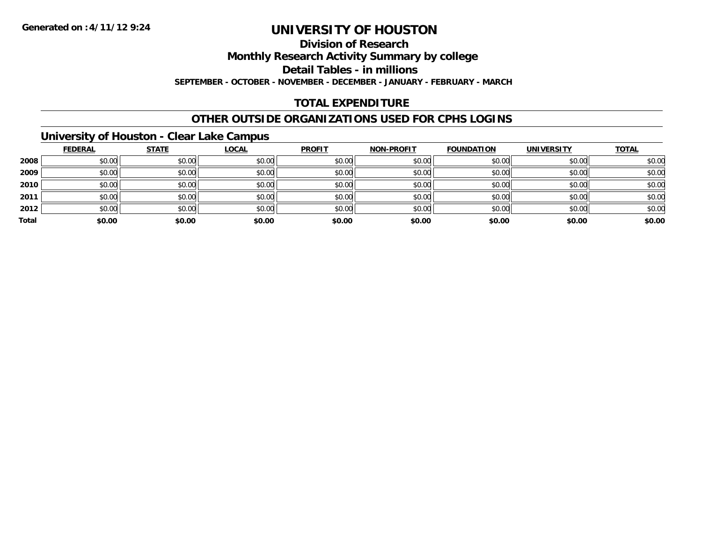### **Division of Research**

**Monthly Research Activity Summary by college**

**Detail Tables - in millions**

**SEPTEMBER - OCTOBER - NOVEMBER - DECEMBER - JANUARY - FEBRUARY - MARCH**

### **TOTAL EXPENDITURE**

### **OTHER OUTSIDE ORGANIZATIONS USED FOR CPHS LOGINS**

### **University of Houston - Clear Lake Campus**

|       | <b>FEDERAL</b> | <b>STATE</b> | <b>LOCAL</b> | <b>PROFIT</b> | <b>NON-PROFIT</b> | <b>FOUNDATION</b> | <b>UNIVERSITY</b> | <b>TOTAL</b> |
|-------|----------------|--------------|--------------|---------------|-------------------|-------------------|-------------------|--------------|
| 2008  | \$0.00         | \$0.00       | \$0.00       | \$0.00        | \$0.00            | \$0.00            | \$0.00            | \$0.00       |
| 2009  | \$0.00         | \$0.00       | \$0.00       | \$0.00        | \$0.00            | \$0.00            | \$0.00            | \$0.00       |
| 2010  | \$0.00         | \$0.00       | \$0.00       | \$0.00        | \$0.00            | \$0.00            | \$0.00            | \$0.00       |
| 2011  | \$0.00         | \$0.00       | \$0.00       | \$0.00        | \$0.00            | \$0.00            | \$0.00            | \$0.00       |
| 2012  | \$0.00         | \$0.00       | \$0.00       | \$0.00        | \$0.00            | \$0.00            | \$0.00            | \$0.00       |
| Total | \$0.00         | \$0.00       | \$0.00       | \$0.00        | \$0.00            | \$0.00            | \$0.00            | \$0.00       |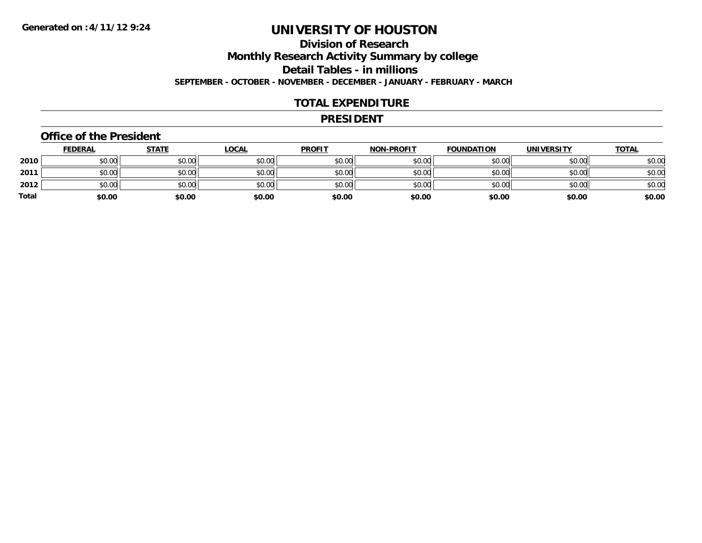### **Division of ResearchMonthly Research Activity Summary by college Detail Tables - in millions SEPTEMBER - OCTOBER - NOVEMBER - DECEMBER - JANUARY - FEBRUARY - MARCH**

#### **TOTAL EXPENDITURE**

#### **PRESIDENT**

#### **Office of the President**

|       | <u>FEDERAL</u> | <b>STATE</b> | <u>LOCAL</u> | <b>PROFIT</b> | <b>NON-PROFIT</b> | <b>FOUNDATION</b> | <b>UNIVERSITY</b> | <u>TOTAL</u> |
|-------|----------------|--------------|--------------|---------------|-------------------|-------------------|-------------------|--------------|
| 2010  | \$0.00         | \$0.00       | \$0.00       | \$0.00        | \$0.00            | \$0.00            | \$0.00            | \$0.00       |
| 2011  | \$0.00         | \$0.00       | \$0.00       | \$0.00        | \$0.00            | \$0.00            | \$0.00            | \$0.00       |
| 2012  | \$0.00         | \$0.00       | \$0.00       | \$0.00        | \$0.00            | \$0.00            | \$0.00            | \$0.00       |
| Total | \$0.00         | \$0.00       | \$0.00       | \$0.00        | \$0.00            | \$0.00            | \$0.00            | \$0.00       |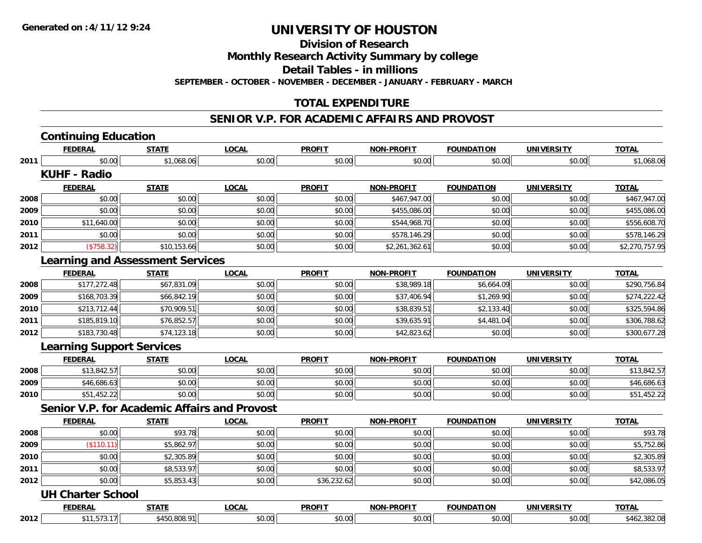**Division of Research**

**Monthly Research Activity Summary by college**

**Detail Tables - in millions**

**SEPTEMBER - OCTOBER - NOVEMBER - DECEMBER - JANUARY - FEBRUARY - MARCH**

### **TOTAL EXPENDITURE**

#### **SENIOR V.P. FOR ACADEMIC AFFAIRS AND PROVOST**

|      | <b>Continuing Education</b>             |              |                                                     |               |                   |                   |                   |                |
|------|-----------------------------------------|--------------|-----------------------------------------------------|---------------|-------------------|-------------------|-------------------|----------------|
|      | <b>FEDERAL</b>                          | <b>STATE</b> | <b>LOCAL</b>                                        | <b>PROFIT</b> | <b>NON-PROFIT</b> | <b>FOUNDATION</b> | <b>UNIVERSITY</b> | <b>TOTAL</b>   |
| 2011 | \$0.00                                  | \$1,068.06   | \$0.00                                              | \$0.00        | \$0.00            | \$0.00            | \$0.00            | \$1,068.06     |
|      | <b>KUHF - Radio</b>                     |              |                                                     |               |                   |                   |                   |                |
|      | <b>FEDERAL</b>                          | <b>STATE</b> | <b>LOCAL</b>                                        | <b>PROFIT</b> | <b>NON-PROFIT</b> | <b>FOUNDATION</b> | <b>UNIVERSITY</b> | <b>TOTAL</b>   |
| 2008 | \$0.00                                  | \$0.00       | \$0.00                                              | \$0.00        | \$467,947.00      | \$0.00            | \$0.00            | \$467,947.00   |
| 2009 | \$0.00                                  | \$0.00       | \$0.00                                              | \$0.00        | \$455,086.00      | \$0.00            | \$0.00            | \$455,086.00   |
| 2010 | \$11,640.00                             | \$0.00       | \$0.00                                              | \$0.00        | \$544,968.70      | \$0.00            | \$0.00            | \$556,608.70   |
| 2011 | \$0.00                                  | \$0.00       | \$0.00                                              | \$0.00        | \$578,146.29      | \$0.00            | \$0.00            | \$578,146.29   |
| 2012 | (\$758.32)                              | \$10,153.66  | \$0.00                                              | \$0.00        | \$2,261,362.61    | \$0.00            | \$0.00            | \$2,270,757.95 |
|      | <b>Learning and Assessment Services</b> |              |                                                     |               |                   |                   |                   |                |
|      | <b>FEDERAL</b>                          | <b>STATE</b> | <b>LOCAL</b>                                        | <b>PROFIT</b> | <b>NON-PROFIT</b> | <b>FOUNDATION</b> | <b>UNIVERSITY</b> | <b>TOTAL</b>   |
| 2008 | \$177,272.48                            | \$67,831.09  | \$0.00                                              | \$0.00        | \$38,989.18       | \$6,664.09        | \$0.00            | \$290,756.84   |
| 2009 | \$168,703.39                            | \$66,842.19  | \$0.00                                              | \$0.00        | \$37,406.94       | \$1,269.90        | \$0.00            | \$274,222.42   |
| 2010 | \$213,712.44                            | \$70,909.51  | \$0.00                                              | \$0.00        | \$38,839.51       | \$2,133.40        | \$0.00            | \$325,594.86   |
| 2011 | \$185,819.10                            | \$76,852.57  | \$0.00                                              | \$0.00        | \$39,635.91       | \$4,481.04        | \$0.00            | \$306,788.62   |
| 2012 | \$183,730.48                            | \$74,123.18  | \$0.00                                              | \$0.00        | \$42,823.62       | \$0.00            | \$0.00            | \$300,677.28   |
|      | <b>Learning Support Services</b>        |              |                                                     |               |                   |                   |                   |                |
|      | <b>FEDERAL</b>                          | <b>STATE</b> | <b>LOCAL</b>                                        | <b>PROFIT</b> | <b>NON-PROFIT</b> | <b>FOUNDATION</b> | <b>UNIVERSITY</b> | <b>TOTAL</b>   |
| 2008 | \$13,842.57                             | \$0.00       | \$0.00                                              | \$0.00        | \$0.00            | \$0.00            | \$0.00            | \$13,842.57    |
| 2009 | \$46,686.63                             | \$0.00       | \$0.00                                              | \$0.00        | \$0.00            | \$0.00            | \$0.00            | \$46,686.63    |
| 2010 | \$51,452.22                             | \$0.00       | \$0.00                                              | \$0.00        | \$0.00            | \$0.00            | \$0.00            | \$51,452.22    |
|      |                                         |              | <b>Senior V.P. for Academic Affairs and Provost</b> |               |                   |                   |                   |                |
|      | <b>FEDERAL</b>                          | <b>STATE</b> | LOCAL                                               | <b>PROFIT</b> | <b>NON-PROFIT</b> | <b>FOUNDATION</b> | <b>UNIVERSITY</b> | <b>TOTAL</b>   |
| 2008 | \$0.00                                  | \$93.78      | \$0.00                                              | \$0.00        | \$0.00            | \$0.00            | \$0.00            | \$93.78        |
| 2009 | (\$110.11)                              | \$5,862.97   | \$0.00                                              | \$0.00        | \$0.00            | \$0.00            | \$0.00            | \$5,752.86     |
| 2010 | \$0.00                                  | \$2,305.89   | \$0.00                                              | \$0.00        | \$0.00            | \$0.00            | \$0.00            | \$2,305.89     |
| 2011 | \$0.00                                  | \$8,533.97   | \$0.00                                              | \$0.00        | \$0.00            | \$0.00            | \$0.00            | \$8,533.97     |
| 2012 | \$0.00                                  | \$5,853.43   | \$0.00                                              | \$36,232.62   | \$0.00            | \$0.00            | \$0.00            | \$42,086.05    |
|      | <b>UH Charter School</b>                |              |                                                     |               |                   |                   |                   |                |
|      | <b>FEDERAL</b>                          | <b>STATE</b> | <b>LOCAL</b>                                        | <b>PROFIT</b> | <b>NON-PROFIT</b> | <b>FOUNDATION</b> | <b>UNIVERSITY</b> | <b>TOTAL</b>   |
| 2012 | \$11,573.17                             | \$450,808.91 | \$0.00                                              | \$0.00        | \$0.00            | \$0.00            | \$0.00            | \$462,382.08   |
|      |                                         |              |                                                     |               |                   |                   |                   |                |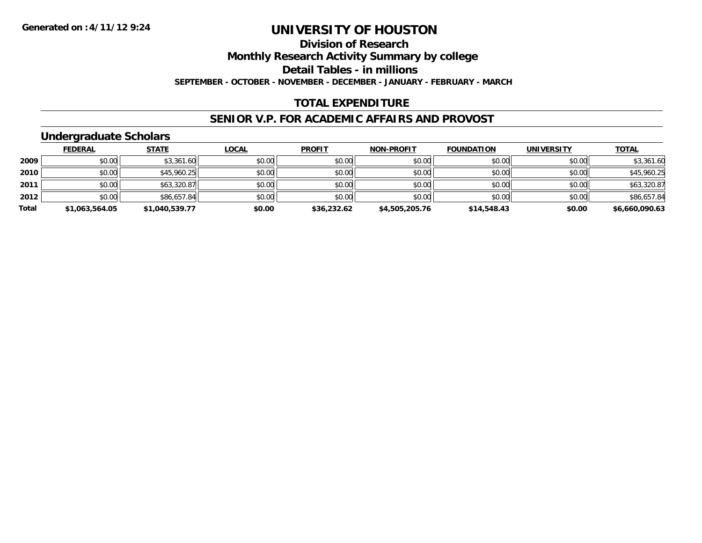### **Division of Research**

**Monthly Research Activity Summary by college**

**Detail Tables - in millions**

**SEPTEMBER - OCTOBER - NOVEMBER - DECEMBER - JANUARY - FEBRUARY - MARCH**

### **TOTAL EXPENDITURE**

#### **SENIOR V.P. FOR ACADEMIC AFFAIRS AND PROVOST**

### **Undergraduate Scholars**

|       | <b>FEDERAL</b> | <b>STATE</b>   | <u>LOCAL</u> | <b>PROFIT</b> | <b>NON-PROFIT</b> | <b>FOUNDATION</b> | <b>UNIVERSITY</b> | <b>TOTAL</b>   |
|-------|----------------|----------------|--------------|---------------|-------------------|-------------------|-------------------|----------------|
| 2009  | \$0.00         | \$3,361.60     | \$0.00       | \$0.00        | \$0.00            | \$0.00            | \$0.00            | \$3,361.60     |
| 2010  | \$0.00         | \$45,960.25    | \$0.00       | \$0.00        | \$0.00            | \$0.00            | \$0.00            | \$45,960.25    |
| 2011  | \$0.00         | \$63,320.87    | \$0.00       | \$0.00        | \$0.00            | \$0.00            | \$0.00            | \$63,320.87    |
| 2012  | \$0.00         | \$86,657.84    | \$0.00       | \$0.00        | \$0.00            | \$0.00            | \$0.00            | \$86,657.84    |
| Total | \$1,063,564.05 | \$1,040,539.77 | \$0.00       | \$36,232.62   | \$4,505,205.76    | \$14,548.43       | \$0.00            | \$6,660,090.63 |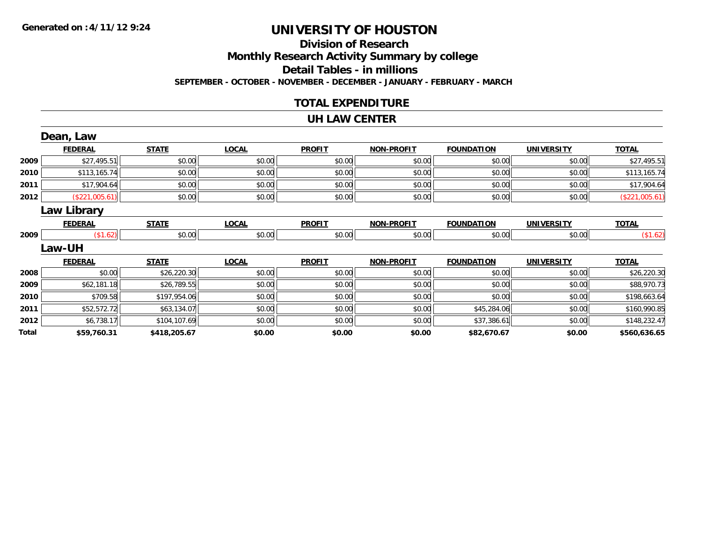### **Division of Research Monthly Research Activity Summary by college Detail Tables - in millions SEPTEMBER - OCTOBER - NOVEMBER - DECEMBER - JANUARY - FEBRUARY - MARCH**

### **TOTAL EXPENDITURE**

#### **UH LAW CENTER**

|       | Dean, Law          |              |              |               |                   |                   |                   |                |
|-------|--------------------|--------------|--------------|---------------|-------------------|-------------------|-------------------|----------------|
|       | <b>FEDERAL</b>     | <b>STATE</b> | <b>LOCAL</b> | <b>PROFIT</b> | <b>NON-PROFIT</b> | <b>FOUNDATION</b> | <b>UNIVERSITY</b> | <b>TOTAL</b>   |
| 2009  | \$27,495.51        | \$0.00       | \$0.00       | \$0.00        | \$0.00            | \$0.00            | \$0.00            | \$27,495.51    |
| 2010  | \$113,165.74       | \$0.00       | \$0.00       | \$0.00        | \$0.00            | \$0.00            | \$0.00            | \$113,165.74   |
| 2011  | \$17,904.64        | \$0.00       | \$0.00       | \$0.00        | \$0.00            | \$0.00            | \$0.00            | \$17,904.64    |
| 2012  | (\$221,005.61)     | \$0.00       | \$0.00       | \$0.00        | \$0.00            | \$0.00            | \$0.00            | (\$221,005.61) |
|       | <b>Law Library</b> |              |              |               |                   |                   |                   |                |
|       | <b>FEDERAL</b>     | <b>STATE</b> | <b>LOCAL</b> | <b>PROFIT</b> | <b>NON-PROFIT</b> | <b>FOUNDATION</b> | <b>UNIVERSITY</b> | <b>TOTAL</b>   |
| 2009  | (\$1.62)           | \$0.00       | \$0.00       | \$0.00        | \$0.00            | \$0.00            | \$0.00            | (\$1.62)       |
|       | <b>Law-UH</b>      |              |              |               |                   |                   |                   |                |
|       | <b>FEDERAL</b>     | <b>STATE</b> | <b>LOCAL</b> | <b>PROFIT</b> | <b>NON-PROFIT</b> | <b>FOUNDATION</b> | <b>UNIVERSITY</b> | <b>TOTAL</b>   |
| 2008  | \$0.00             | \$26,220.30  | \$0.00       | \$0.00        | \$0.00            | \$0.00            | \$0.00            | \$26,220.30    |
| 2009  | \$62,181.18        | \$26,789.55  | \$0.00       | \$0.00        | \$0.00            | \$0.00            | \$0.00            | \$88,970.73    |
| 2010  | \$709.58           | \$197,954.06 | \$0.00       | \$0.00        | \$0.00            | \$0.00            | \$0.00            | \$198,663.64   |
| 2011  | \$52,572.72        | \$63,134.07  | \$0.00       | \$0.00        | \$0.00            | \$45,284.06       | \$0.00            | \$160,990.85   |
| 2012  | \$6,738.17         | \$104,107.69 | \$0.00       | \$0.00        | \$0.00            | \$37,386.61       | \$0.00            | \$148,232.47   |
| Total | \$59,760.31        | \$418,205.67 | \$0.00       | \$0.00        | \$0.00            | \$82,670.67       | \$0.00            | \$560,636.65   |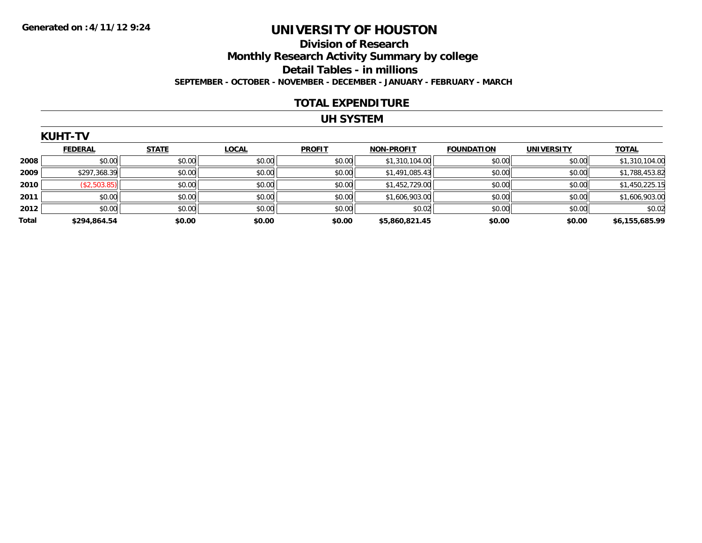### **Division of Research Monthly Research Activity Summary by college Detail Tables - in millions SEPTEMBER - OCTOBER - NOVEMBER - DECEMBER - JANUARY - FEBRUARY - MARCH**

#### **TOTAL EXPENDITURE**

### **UH SYSTEM**

|       | <b>KUHT-TV</b> |              |              |               |                   |                   |                   |                |  |  |  |
|-------|----------------|--------------|--------------|---------------|-------------------|-------------------|-------------------|----------------|--|--|--|
|       | <b>FEDERAL</b> | <b>STATE</b> | <b>LOCAL</b> | <b>PROFIT</b> | <b>NON-PROFIT</b> | <b>FOUNDATION</b> | <b>UNIVERSITY</b> | <b>TOTAL</b>   |  |  |  |
| 2008  | \$0.00         | \$0.00       | \$0.00       | \$0.00        | \$1,310,104.00    | \$0.00            | \$0.00            | \$1,310,104.00 |  |  |  |
| 2009  | \$297,368.39   | \$0.00       | \$0.00       | \$0.00        | \$1,491,085.43    | \$0.00            | \$0.00            | \$1,788,453.82 |  |  |  |
| 2010  | (\$2,503.85)   | \$0.00       | \$0.00       | \$0.00        | \$1,452,729.00    | \$0.00            | \$0.00            | \$1,450,225.15 |  |  |  |
| 2011  | \$0.00         | \$0.00       | \$0.00       | \$0.00        | \$1,606,903.00    | \$0.00            | \$0.00            | \$1,606,903.00 |  |  |  |
| 2012  | \$0.00         | \$0.00       | \$0.00       | \$0.00        | \$0.02            | \$0.00            | \$0.00            | \$0.02         |  |  |  |
| Total | \$294,864.54   | \$0.00       | \$0.00       | \$0.00        | \$5,860,821.45    | \$0.00            | \$0.00            | \$6,155,685.99 |  |  |  |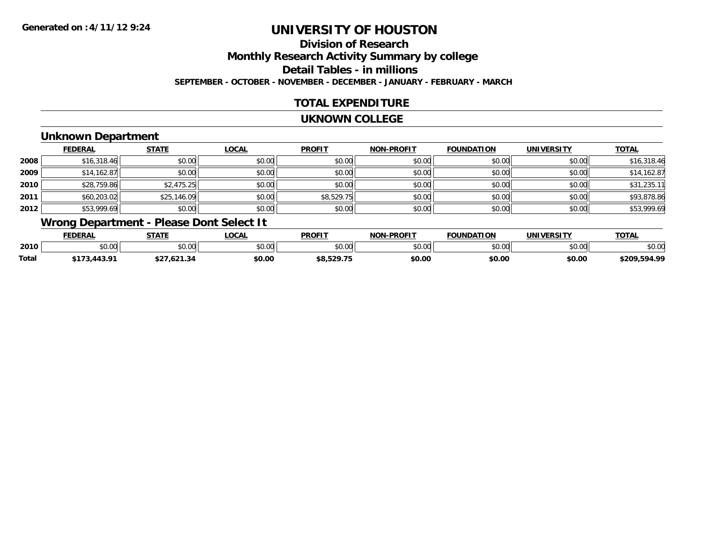### **Division of ResearchMonthly Research Activity Summary by college Detail Tables - in millions SEPTEMBER - OCTOBER - NOVEMBER - DECEMBER - JANUARY - FEBRUARY - MARCH**

### **TOTAL EXPENDITURE**

#### **UKNOWN COLLEGE**

### **Unknown Department**

|      | <b>FEDERAL</b> | <b>STATE</b> | <u>LOCAL</u> | <b>PROFIT</b> | <b>NON-PROFIT</b> | <b>FOUNDATION</b> | <b>UNIVERSITY</b> | <b>TOTAL</b> |
|------|----------------|--------------|--------------|---------------|-------------------|-------------------|-------------------|--------------|
| 2008 | \$16,318.46    | \$0.00       | \$0.00       | \$0.00        | \$0.00            | \$0.00            | \$0.00            | \$16,318.46  |
| 2009 | \$14,162.87    | \$0.00       | \$0.00       | \$0.00        | \$0.00            | \$0.00            | \$0.00            | \$14,162.87  |
| 2010 | \$28,759.86    | \$2,475.25   | \$0.00       | \$0.00        | \$0.00            | \$0.00            | \$0.00            | \$31,235.11  |
| 2011 | \$60,203.02    | \$25,146.09  | \$0.00       | \$8,529.75    | \$0.00            | \$0.00            | \$0.00            | \$93,878.86  |
| 2012 | \$53,999.69    | \$0.00       | \$0.00       | \$0.00        | \$0.00            | \$0.00            | \$0.00            | \$53,999.69  |

# **Wrong Department - Please Dont Select It**

|       | <b>FEDERAL</b>  | <b>CTATI</b>  | <b>.OCAL</b> | <b>PROFIT</b> | <b>LPROFIT</b><br>– NI∩P | <b>NDATION</b> |               | $T^{\sim}$     |
|-------|-----------------|---------------|--------------|---------------|--------------------------|----------------|---------------|----------------|
| 2010  | $\sim$<br>vv.vv | 0.00<br>vv.vv | \$0.00       | \$0.00        | nn nn<br>pu.uu           | 0.00<br>JU.UU  | 0000<br>JU.UU | \$0.00         |
| Total | <b>A201</b>     |               | \$0.00       | 60 ESO 7E     | \$0.00                   | \$0.00         | \$0.00        | 594.99<br>tana |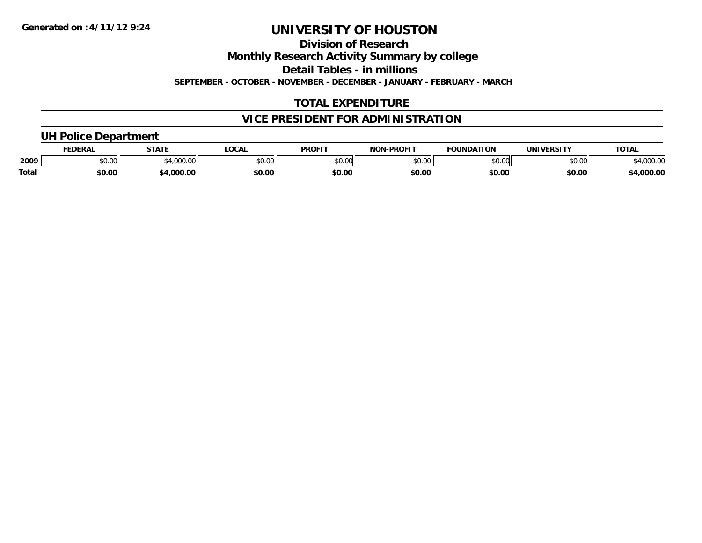**Division of Research**

**Monthly Research Activity Summary by college**

**Detail Tables - in millions**

**SEPTEMBER - OCTOBER - NOVEMBER - DECEMBER - JANUARY - FEBRUARY - MARCH**

### **TOTAL EXPENDITURE**

### **VICE PRESIDENT FOR ADMINISTRATION**

### **UH Police Department**

|       | <b>FEDERAL</b> | <b>STATE</b>   | LOCAI         | <b>PROFIT</b>                   | <b>J-PROFIT</b><br><b>NON</b> | <b>FOUNDATION</b> | <b>UNIVERSITY</b> | <b>TOTAL</b>      |
|-------|----------------|----------------|---------------|---------------------------------|-------------------------------|-------------------|-------------------|-------------------|
| 2009  | 0000<br>vv.vv  | 00000<br>uuu.u | 0000<br>pv.uu | $\circ$ $\circ$ $\circ$<br>ט.טע | \$0.00                        | ደበ በበ<br>,,,,,    | 0000<br>יט.טי     | 00000<br>4,UUU.UL |
| Total | \$0.00         | .000.00        | \$0.OC        | \$0.00                          | \$0.00                        | \$0.00            | \$0.00            | 4,000.00          |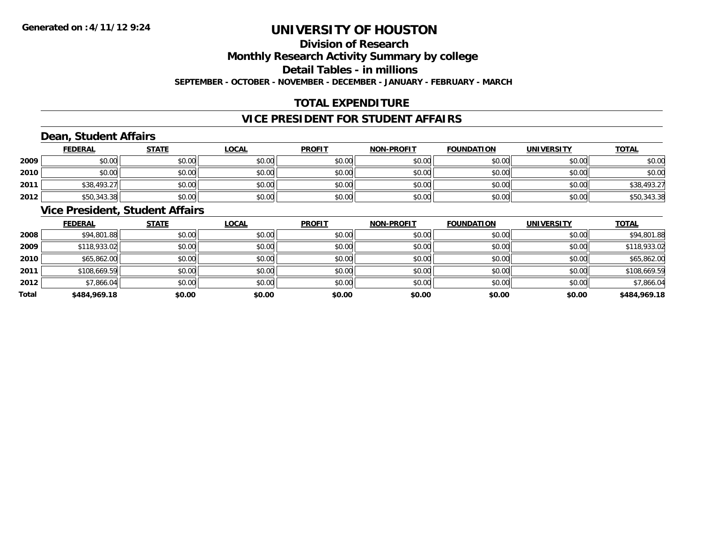# **Division of ResearchMonthly Research Activity Summary by college**

**Detail Tables - in millions**

**SEPTEMBER - OCTOBER - NOVEMBER - DECEMBER - JANUARY - FEBRUARY - MARCH**

## **TOTAL EXPENDITURE**

### **VICE PRESIDENT FOR STUDENT AFFAIRS**

### **Dean, Student Affairs**

|      | <b>FEDERAL</b> | <b>STATE</b> | <b>LOCAL</b> | <b>PROFIT</b> | <b>NON-PROFIT</b> | <b>FOUNDATION</b> | <b>UNIVERSITY</b> | <b>TOTAL</b> |
|------|----------------|--------------|--------------|---------------|-------------------|-------------------|-------------------|--------------|
| 2009 | \$0.00         | \$0.00       | \$0.00       | \$0.00        | \$0.00            | \$0.00            | \$0.00            | \$0.00       |
| 2010 | \$0.00         | \$0.00       | \$0.00       | \$0.00        | \$0.00            | \$0.00            | \$0.00            | \$0.00       |
| 2011 | \$38,493.27    | \$0.00       | \$0.00       | \$0.00        | \$0.00            | \$0.00            | \$0.00            | \$38,493.27  |
| 2012 | \$50,343.38    | \$0.00       | \$0.00       | \$0.00        | \$0.00            | \$0.00            | \$0.00            | \$50,343.38  |

### **Vice President, Student Affairs**

|       | <b>FEDERAL</b> | <b>STATE</b> | <b>LOCAL</b> | <b>PROFIT</b> | <b>NON-PROFIT</b> | <b>FOUNDATION</b> | <b>UNIVERSITY</b> | <b>TOTAL</b> |
|-------|----------------|--------------|--------------|---------------|-------------------|-------------------|-------------------|--------------|
| 2008  | \$94,801.88    | \$0.00       | \$0.00       | \$0.00        | \$0.00            | \$0.00            | \$0.00            | \$94,801.88  |
| 2009  | \$118,933.02   | \$0.00       | \$0.00       | \$0.00        | \$0.00            | \$0.00            | \$0.00            | \$118,933.02 |
| 2010  | \$65,862.00    | \$0.00       | \$0.00       | \$0.00        | \$0.00            | \$0.00            | \$0.00            | \$65,862.00  |
| 2011  | \$108,669.59   | \$0.00       | \$0.00       | \$0.00        | \$0.00            | \$0.00            | \$0.00            | \$108,669.59 |
| 2012  | \$7,866.04     | \$0.00       | \$0.00       | \$0.00        | \$0.00            | \$0.00            | \$0.00            | \$7,866.04   |
| Total | \$484,969.18   | \$0.00       | \$0.00       | \$0.00        | \$0.00            | \$0.00            | \$0.00            | \$484,969.18 |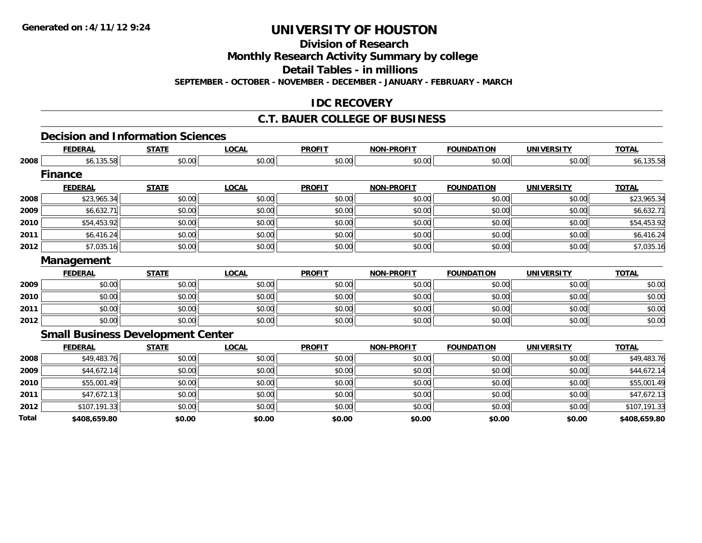**Division of Research**

**Monthly Research Activity Summary by college**

**Detail Tables - in millions**

**SEPTEMBER - OCTOBER - NOVEMBER - DECEMBER - JANUARY - FEBRUARY - MARCH**

### **IDC RECOVERY**

### **C.T. BAUER COLLEGE OF BUSINESS**

#### **Decision and Information Sciences**

|       | <b>FEDERAL</b>                           | <b>STATE</b> | <b>LOCAL</b> | <b>PROFIT</b> | <b>NON-PROFIT</b> | <b>FOUNDATION</b> | <b>UNIVERSITY</b> | <b>TOTAL</b> |
|-------|------------------------------------------|--------------|--------------|---------------|-------------------|-------------------|-------------------|--------------|
| 2008  | \$6,135.58                               | \$0.00       | \$0.00       | \$0.00        | \$0.00            | \$0.00            | \$0.00            | \$6,135.58   |
|       | <b>Finance</b>                           |              |              |               |                   |                   |                   |              |
|       | <b>FEDERAL</b>                           | <b>STATE</b> | <b>LOCAL</b> | <b>PROFIT</b> | <b>NON-PROFIT</b> | <b>FOUNDATION</b> | <b>UNIVERSITY</b> | <b>TOTAL</b> |
| 2008  | \$23,965.34                              | \$0.00       | \$0.00       | \$0.00        | \$0.00            | \$0.00            | \$0.00            | \$23,965.34  |
| 2009  | \$6,632.71                               | \$0.00       | \$0.00       | \$0.00        | \$0.00            | \$0.00            | \$0.00            | \$6,632.71   |
| 2010  | \$54,453.92                              | \$0.00       | \$0.00       | \$0.00        | \$0.00            | \$0.00            | \$0.00            | \$54,453.92  |
| 2011  | \$6,416.24                               | \$0.00       | \$0.00       | \$0.00        | \$0.00            | \$0.00            | \$0.00            | \$6,416.24   |
| 2012  | \$7,035.16                               | \$0.00       | \$0.00       | \$0.00        | \$0.00            | \$0.00            | \$0.00            | \$7,035.16   |
|       | Management                               |              |              |               |                   |                   |                   |              |
|       | <b>FEDERAL</b>                           | <b>STATE</b> | <b>LOCAL</b> | <b>PROFIT</b> | <b>NON-PROFIT</b> | <b>FOUNDATION</b> | <b>UNIVERSITY</b> | <b>TOTAL</b> |
| 2009  | \$0.00                                   | \$0.00       | \$0.00       | \$0.00        | \$0.00            | \$0.00            | \$0.00            | \$0.00       |
| 2010  | \$0.00                                   | \$0.00       | \$0.00       | \$0.00        | \$0.00            | \$0.00            | \$0.00            | \$0.00       |
| 2011  | \$0.00                                   | \$0.00       | \$0.00       | \$0.00        | \$0.00            | \$0.00            | \$0.00            | \$0.00       |
| 2012  | \$0.00                                   | \$0.00       | \$0.00       | \$0.00        | \$0.00            | \$0.00            | \$0.00            | \$0.00       |
|       | <b>Small Business Development Center</b> |              |              |               |                   |                   |                   |              |
|       | <b>FEDERAL</b>                           | <b>STATE</b> | <b>LOCAL</b> | <b>PROFIT</b> | <b>NON-PROFIT</b> | <b>FOUNDATION</b> | <b>UNIVERSITY</b> | <b>TOTAL</b> |
| 2008  | \$49,483.76                              | \$0.00       | \$0.00       | \$0.00        | \$0.00            | \$0.00            | \$0.00            | \$49,483.76  |
| 2009  | \$44,672.14                              | \$0.00       | \$0.00       | \$0.00        | \$0.00            | \$0.00            | \$0.00            | \$44,672.14  |
| 2010  | \$55,001.49                              | \$0.00       | \$0.00       | \$0.00        | \$0.00            | \$0.00            | \$0.00            | \$55,001.49  |
| 2011  | \$47,672.13                              | \$0.00       | \$0.00       | \$0.00        | \$0.00            | \$0.00            | \$0.00            | \$47,672.13  |
| 2012  | \$107,191.33                             | \$0.00       | \$0.00       | \$0.00        | \$0.00            | \$0.00            | \$0.00            | \$107,191.33 |
| Total | \$408,659.80                             | \$0.00       | \$0.00       | \$0.00        | \$0.00            | \$0.00            | \$0.00            | \$408,659.80 |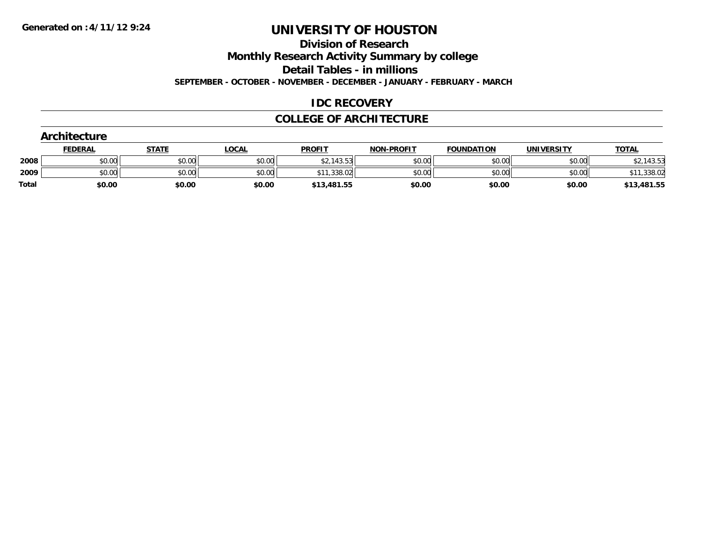**Division of Research**

**Monthly Research Activity Summary by college**

**Detail Tables - in millions**

**SEPTEMBER - OCTOBER - NOVEMBER - DECEMBER - JANUARY - FEBRUARY - MARCH**

### **IDC RECOVERY**

### **COLLEGE OF ARCHITECTURE**

|              | Architecture   |              |              |               |                   |                   |                   |              |  |  |  |  |
|--------------|----------------|--------------|--------------|---------------|-------------------|-------------------|-------------------|--------------|--|--|--|--|
|              | <b>FEDERAL</b> | <b>STATE</b> | <u>LOCAL</u> | <b>PROFIT</b> | <b>NON-PROFIT</b> | <b>FOUNDATION</b> | <b>UNIVERSITY</b> | <b>TOTAL</b> |  |  |  |  |
| 2008         | \$0.00         | \$0.00       | \$0.00       | \$2,143.53    | \$0.00            | \$0.00            | \$0.00            | \$2,143.53   |  |  |  |  |
| 2009         | \$0.00         | \$0.00       | \$0.00       | \$11,338.02   | \$0.00            | \$0.00            | \$0.00            | \$11,338.02  |  |  |  |  |
| <b>Total</b> | \$0.00         | \$0.00       | \$0.00       | \$13,481.55   | \$0.00            | \$0.00            | \$0.00            | \$13,481.55  |  |  |  |  |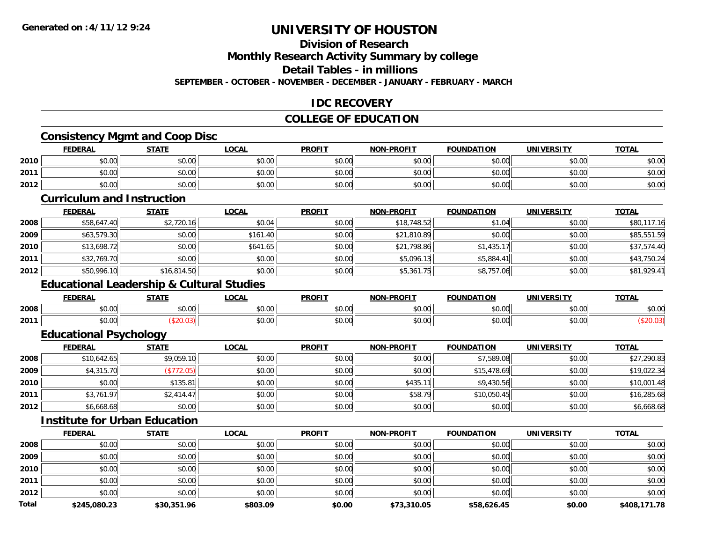### **Division of Research**

**Monthly Research Activity Summary by college**

**Detail Tables - in millions**

**SEPTEMBER - OCTOBER - NOVEMBER - DECEMBER - JANUARY - FEBRUARY - MARCH**

### **IDC RECOVERY**

#### **COLLEGE OF EDUCATION**

<u> 1989 - Andrea Stadt Britain, amerikan bestean ingilang pada sebagai pada sebagai pada sebagai pada sebagai p</u>

### **Consistency Mgmt and Coop Disc**

|      | <b>FEDERAL</b>                                              | <b>STATE</b> | LOCAL  | <b>PROFIT</b> | <b>NON-PROFIT</b> | <b>FOUNDATION</b> | <b>UNIVERSITY</b><br>:r.Ji | <b>TOTAL</b> |
|------|-------------------------------------------------------------|--------------|--------|---------------|-------------------|-------------------|----------------------------|--------------|
| 2010 | ልስ ሰሰ<br>JU.UU                                              | \$0.00       | \$0.00 | \$0.00        | \$0.00            | \$0.00            | \$0.00                     | \$0.00       |
| 2011 | $\mathfrak{g} \cap \mathfrak{g} \cap \mathfrak{g}$<br>DU.UG | \$0.00       | \$0.00 | \$0.00        | \$0.00            | \$0.00            | \$0.00                     | \$0.00       |
| 2012 | \$0.00                                                      | \$0.00       | \$0.00 | \$0.00        | \$0.00            | \$0.00            | \$0.00                     | \$0.00       |

#### **Curriculum and Instruction**

|      | <b>FEDERAL</b> | <b>STATE</b> | <u>LOCAL</u> | <b>PROFIT</b> | <b>NON-PROFIT</b> | <b>FOUNDATION</b> | <b>UNIVERSITY</b> | <b>TOTAL</b> |
|------|----------------|--------------|--------------|---------------|-------------------|-------------------|-------------------|--------------|
| 2008 | \$58,647.40    | \$2,720.16   | \$0.04       | \$0.00        | \$18,748.52       | \$1.04            | \$0.00            | \$80,117.16  |
| 2009 | \$63,579.30    | \$0.00       | \$161.40     | \$0.00        | \$21,810.89       | \$0.00            | \$0.00            | \$85,551.59  |
| 2010 | \$13,698.72    | \$0.00       | \$641.65     | \$0.00        | \$21,798.86       | \$1,435.17        | \$0.00            | \$37,574.40  |
| 2011 | \$32,769.70    | \$0.00       | \$0.00       | \$0.00        | \$5,096.13        | \$5,884.41        | \$0.00            | \$43,750.24  |
| 2012 | \$50,996.10    | \$16,814.50  | \$0.00       | \$0.00        | \$5,361.75        | \$8,757.06        | \$0.00            | \$81,929.41  |

### **Educational Leadership & Cultural Studies**

|      | <b>FEDERAL</b>                                    | <b>STATE</b>   | ne n<br>.UUAI | <b>PROFIT</b>                      | -PROFIT<br>NON- | <b>FOUNDATION</b>      | <b>IINIVERSITY</b> | <b>TOTA</b>            |
|------|---------------------------------------------------|----------------|---------------|------------------------------------|-----------------|------------------------|--------------------|------------------------|
| 2008 | 0000<br>DU.UU                                     | ሶስ ሰሰ<br>JU.UU | 0.00<br>DU.UU | $\hat{r} \hat{r} \hat{r}$<br>JU.UU | 0000<br>JU.UU   | $\sim$ 00<br>JU.UU     | 0000<br>JU.UU      | $\sim$ $\sim$<br>DU.UU |
| 2011 | $\mathsf{A}\cap\mathsf{A}\cap\mathsf{A}$<br>pu.uu |                | 0.00<br>pu.uu | $\sim$ $\sim$<br>vv.v              | 0.00<br>vv.vv   | $\sim$ $\sim$<br>JU.UU | 0000<br>vv.vv      |                        |

### **Educational Psychology**

|      | <b>FEDERAL</b> | <b>STATE</b> | <b>LOCAL</b> | <b>PROFIT</b> | <b>NON-PROFIT</b> | <b>FOUNDATION</b> | <b>UNIVERSITY</b> | <b>TOTAL</b> |
|------|----------------|--------------|--------------|---------------|-------------------|-------------------|-------------------|--------------|
| 2008 | \$10,642.65    | \$9,059.10   | \$0.00       | \$0.00        | \$0.00            | \$7,589.08        | \$0.00            | \$27,290.83  |
| 2009 | \$4,315.70     | \$772.05     | \$0.00       | \$0.00        | \$0.00            | \$15,478.69       | \$0.00            | \$19,022.34  |
| 2010 | \$0.00         | \$135.81     | \$0.00       | \$0.00        | \$435.11          | \$9,430.56        | \$0.00            | \$10,001.48  |
| 2011 | \$3,761.97     | \$2,414.47   | \$0.00       | \$0.00        | \$58.79           | \$10,050.45       | \$0.00            | \$16,285.68  |
| 2012 | \$6,668.68     | \$0.00       | \$0.00       | \$0.00        | \$0.00            | \$0.00            | \$0.00            | \$6,668.68   |

#### **Institute for Urban Education**

|              | <b>FEDERAL</b> | <b>STATE</b> | <b>LOCAL</b> | <b>PROFIT</b> | <b>NON-PROFIT</b> | <b>FOUNDATION</b> | <b>UNIVERSITY</b> | <b>TOTAL</b> |
|--------------|----------------|--------------|--------------|---------------|-------------------|-------------------|-------------------|--------------|
| 2008         | \$0.00         | \$0.00       | \$0.00       | \$0.00        | \$0.00            | \$0.00            | \$0.00            | \$0.00       |
| 2009         | \$0.00         | \$0.00       | \$0.00       | \$0.00        | \$0.00            | \$0.00            | \$0.00            | \$0.00       |
| 2010         | \$0.00         | \$0.00       | \$0.00       | \$0.00        | \$0.00            | \$0.00            | \$0.00            | \$0.00       |
| 2011         | \$0.00         | \$0.00       | \$0.00       | \$0.00        | \$0.00            | \$0.00            | \$0.00            | \$0.00       |
| 2012         | \$0.00         | \$0.00       | \$0.00       | \$0.00        | \$0.00            | \$0.00            | \$0.00            | \$0.00       |
| <b>Total</b> | \$245,080.23   | \$30,351.96  | \$803.09     | \$0.00        | \$73,310.05       | \$58,626.45       | \$0.00            | \$408,171.78 |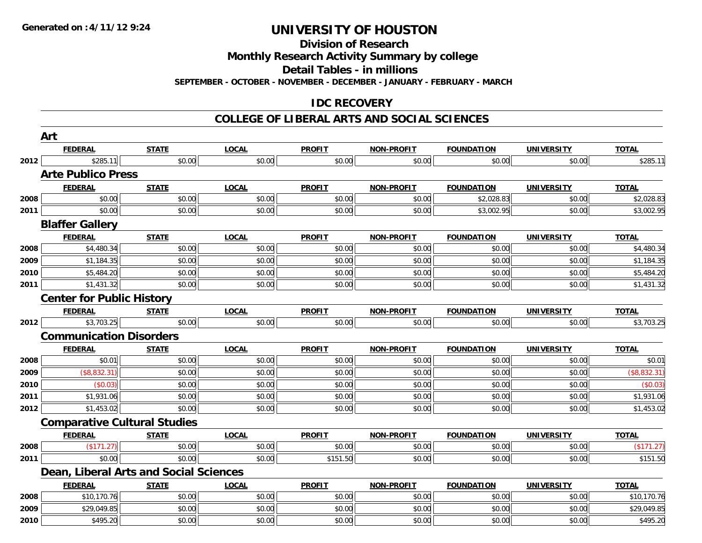#### **Division of Research**

**Monthly Research Activity Summary by college**

**Detail Tables - in millions**

**SEPTEMBER - OCTOBER - NOVEMBER - DECEMBER - JANUARY - FEBRUARY - MARCH**

### **IDC RECOVERY**

#### **COLLEGE OF LIBERAL ARTS AND SOCIAL SCIENCES**

|      | Art                              |                                        |              |               |                   |                   |                   |              |
|------|----------------------------------|----------------------------------------|--------------|---------------|-------------------|-------------------|-------------------|--------------|
|      | <b>FEDERAL</b>                   | <b>STATE</b>                           | <b>LOCAL</b> | <b>PROFIT</b> | NON-PROFIT        | <b>FOUNDATION</b> | <b>UNIVERSITY</b> | <b>TOTAL</b> |
| 2012 | \$285.11                         | \$0.00                                 | \$0.00       | \$0.00        | \$0.00            | \$0.00            | \$0.00            | \$285.11     |
|      | <b>Arte Publico Press</b>        |                                        |              |               |                   |                   |                   |              |
|      | <b>FEDERAL</b>                   | <b>STATE</b>                           | <b>LOCAL</b> | <b>PROFIT</b> | <b>NON-PROFIT</b> | <b>FOUNDATION</b> | <b>UNIVERSITY</b> | <b>TOTAL</b> |
| 2008 | \$0.00                           | \$0.00                                 | \$0.00       | \$0.00        | \$0.00            | \$2,028.83        | \$0.00            | \$2,028.83   |
| 2011 | \$0.00                           | \$0.00                                 | \$0.00       | \$0.00        | \$0.00            | \$3,002.95        | \$0.00            | \$3,002.95   |
|      | <b>Blaffer Gallery</b>           |                                        |              |               |                   |                   |                   |              |
|      | <b>FEDERAL</b>                   | <b>STATE</b>                           | <b>LOCAL</b> | <b>PROFIT</b> | NON-PROFIT        | <b>FOUNDATION</b> | <b>UNIVERSITY</b> | <b>TOTAL</b> |
| 2008 | \$4,480.34                       | \$0.00                                 | \$0.00       | \$0.00        | \$0.00            | \$0.00            | \$0.00            | \$4,480.34   |
| 2009 | \$1,184.35                       | \$0.00                                 | \$0.00       | \$0.00        | \$0.00            | \$0.00            | \$0.00            | \$1,184.35   |
| 2010 | \$5,484.20                       | \$0.00                                 | \$0.00       | \$0.00        | \$0.00            | \$0.00            | \$0.00            | \$5,484.20   |
| 2011 | \$1,431.32                       | \$0.00                                 | \$0.00       | \$0.00        | \$0.00            | \$0.00            | \$0.00            | \$1,431.32   |
|      | <b>Center for Public History</b> |                                        |              |               |                   |                   |                   |              |
|      | <b>FEDERAL</b>                   | <b>STATE</b>                           | <b>LOCAL</b> | <b>PROFIT</b> | <b>NON-PROFIT</b> | <b>FOUNDATION</b> | <b>UNIVERSITY</b> | <b>TOTAL</b> |
| 2012 | \$3,703.25                       | \$0.00                                 | \$0.00       | \$0.00        | \$0.00            | \$0.00            | \$0.00            | \$3,703.25   |
|      | <b>Communication Disorders</b>   |                                        |              |               |                   |                   |                   |              |
|      | <b>FEDERAL</b>                   | <b>STATE</b>                           | <b>LOCAL</b> | <b>PROFIT</b> | NON-PROFIT        | <b>FOUNDATION</b> | <b>UNIVERSITY</b> | <b>TOTAL</b> |
| 2008 | \$0.01                           | \$0.00                                 | \$0.00       | \$0.00        | \$0.00            | \$0.00            | \$0.00            | \$0.01       |
| 2009 | (\$8,832.31)                     | \$0.00                                 | \$0.00       | \$0.00        | \$0.00            | \$0.00            | \$0.00            | (\$8,832.31) |
| 2010 | (\$0.03)                         | \$0.00                                 | \$0.00       | \$0.00        | \$0.00            | \$0.00            | \$0.00            | (\$0.03)     |
| 2011 | \$1,931.06                       | \$0.00                                 | \$0.00       | \$0.00        | \$0.00            | \$0.00            | \$0.00            | \$1,931.06   |
| 2012 | \$1,453.02                       | \$0.00                                 | \$0.00       | \$0.00        | \$0.00            | \$0.00            | \$0.00            | \$1,453.02   |
|      |                                  | <b>Comparative Cultural Studies</b>    |              |               |                   |                   |                   |              |
|      | <b>FEDERAL</b>                   | <b>STATE</b>                           | <b>LOCAL</b> | <b>PROFIT</b> | NON-PROFIT        | <b>FOUNDATION</b> | <b>UNIVERSITY</b> | <b>TOTAL</b> |
| 2008 | (\$171.27)                       | \$0.00                                 | \$0.00       | \$0.00        | \$0.00            | \$0.00            | \$0.00            | (\$171.27)   |
| 2011 | \$0.00                           | \$0.00                                 | \$0.00       | \$151.50      | \$0.00            | \$0.00            | \$0.00            | \$151.50     |
|      |                                  | Dean, Liberal Arts and Social Sciences |              |               |                   |                   |                   |              |
|      | <b>FEDERAL</b>                   | <b>STATE</b>                           | <b>LOCAL</b> | <b>PROFIT</b> | NON-PROFIT        | <b>FOUNDATION</b> | <b>UNIVERSITY</b> | <b>TOTAL</b> |
| 2008 | \$10,170.76                      | \$0.00                                 | \$0.00       | \$0.00        | \$0.00            | \$0.00            | \$0.00            | \$10,170.76  |
| 2009 | \$29,049.85                      | \$0.00                                 | \$0.00       | \$0.00        | \$0.00            | \$0.00            | \$0.00            | \$29,049.85  |
| 2010 | \$495.20                         | \$0.00                                 | \$0.00       | \$0.00        | \$0.00            | \$0.00            | \$0.00            | \$495.20     |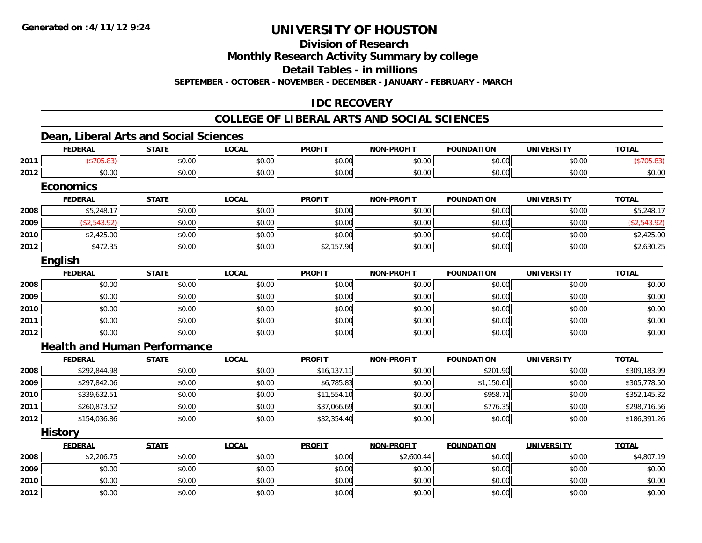**Division of Research**

**Monthly Research Activity Summary by college**

**Detail Tables - in millions**

**SEPTEMBER - OCTOBER - NOVEMBER - DECEMBER - JANUARY - FEBRUARY - MARCH**

### **IDC RECOVERY**

#### **COLLEGE OF LIBERAL ARTS AND SOCIAL SCIENCES**

### **Dean, Liberal Arts and Social Sciences**

|      | <b>FEDERAL</b>                      | <b>STATE</b> | <b>LOCAL</b> | <b>PROFIT</b> | <b>NON-PROFIT</b> | <b>FOUNDATION</b> | <b>UNIVERSITY</b> | <b>TOTAL</b> |
|------|-------------------------------------|--------------|--------------|---------------|-------------------|-------------------|-------------------|--------------|
| 2011 | (\$705.83)                          | \$0.00       | \$0.00       | \$0.00        | \$0.00            | \$0.00            | \$0.00            | (\$705.83)   |
| 2012 | \$0.00                              | \$0.00       | \$0.00       | \$0.00        | \$0.00            | \$0.00            | \$0.00            | \$0.00       |
|      | <b>Economics</b>                    |              |              |               |                   |                   |                   |              |
|      | <b>FEDERAL</b>                      | <b>STATE</b> | <b>LOCAL</b> | <b>PROFIT</b> | <b>NON-PROFIT</b> | <b>FOUNDATION</b> | <b>UNIVERSITY</b> | <b>TOTAL</b> |
| 2008 | \$5,248.17                          | \$0.00       | \$0.00       | \$0.00        | \$0.00            | \$0.00            | \$0.00            | \$5,248.17   |
| 2009 | ( \$2,543.92)                       | \$0.00       | \$0.00       | \$0.00        | \$0.00            | \$0.00            | \$0.00            | (\$2,543.92) |
| 2010 | \$2,425.00                          | \$0.00       | \$0.00       | \$0.00        | \$0.00            | \$0.00            | \$0.00            | \$2,425.00   |
| 2012 | \$472.35                            | \$0.00       | \$0.00       | \$2,157.90    | \$0.00            | \$0.00            | \$0.00            | \$2,630.25   |
|      | English                             |              |              |               |                   |                   |                   |              |
|      | <b>FEDERAL</b>                      | <b>STATE</b> | <b>LOCAL</b> | <b>PROFIT</b> | <b>NON-PROFIT</b> | <b>FOUNDATION</b> | <b>UNIVERSITY</b> | <b>TOTAL</b> |
| 2008 | \$0.00                              | \$0.00       | \$0.00       | \$0.00        | \$0.00            | \$0.00            | \$0.00            | \$0.00       |
| 2009 | \$0.00                              | \$0.00       | \$0.00       | \$0.00        | \$0.00            | \$0.00            | \$0.00            | \$0.00       |
| 2010 | \$0.00                              | \$0.00       | \$0.00       | \$0.00        | \$0.00            | \$0.00            | \$0.00            | \$0.00       |
| 2011 | \$0.00                              | \$0.00       | \$0.00       | \$0.00        | \$0.00            | \$0.00            | \$0.00            | \$0.00       |
| 2012 | \$0.00                              | \$0.00       | \$0.00       | \$0.00        | \$0.00            | \$0.00            | \$0.00            | \$0.00       |
|      | <b>Health and Human Performance</b> |              |              |               |                   |                   |                   |              |
|      | <b>FEDERAL</b>                      | <b>STATE</b> | <b>LOCAL</b> | <b>PROFIT</b> | <b>NON-PROFIT</b> | <b>FOUNDATION</b> | <b>UNIVERSITY</b> | <b>TOTAL</b> |
| 2008 | \$292,844.98                        | \$0.00       | \$0.00       | \$16,137.11   | \$0.00            | \$201.90          | \$0.00            | \$309,183.99 |
| 2009 | \$297,842.06                        | \$0.00       | \$0.00       | \$6,785.83    | \$0.00            | \$1,150.61        | \$0.00            | \$305,778.50 |
| 2010 | \$339,632.51                        | \$0.00       | \$0.00       | \$11,554.10   | \$0.00            | \$958.71          | \$0.00            | \$352,145.32 |
| 2011 | \$260,873.52                        | \$0.00       | \$0.00       | \$37,066.69   | \$0.00            | \$776.35          | \$0.00            | \$298,716.56 |
| 2012 | \$154,036.86                        | \$0.00       | \$0.00       | \$32,354.40   | \$0.00            | \$0.00            | \$0.00            | \$186,391.26 |
|      | <b>History</b>                      |              |              |               |                   |                   |                   |              |
|      | <b>FEDERAL</b>                      | <b>STATE</b> | <b>LOCAL</b> | <b>PROFIT</b> | <b>NON-PROFIT</b> | <b>FOUNDATION</b> | <b>UNIVERSITY</b> | <b>TOTAL</b> |
| 2008 | \$2,206.75                          | \$0.00       | \$0.00       | \$0.00        | \$2,600.44        | \$0.00            | \$0.00            | \$4,807.19   |
| 2009 | \$0.00                              | \$0.00       | \$0.00       | \$0.00        | \$0.00            | \$0.00            | \$0.00            | \$0.00       |
| 2010 | \$0.00                              | \$0.00       | \$0.00       | \$0.00        | \$0.00            | \$0.00            | \$0.00            | \$0.00       |
| 2012 | \$0.00                              | \$0.00       | \$0.00       | \$0.00        | \$0.00            | \$0.00            | \$0.00            | \$0.00       |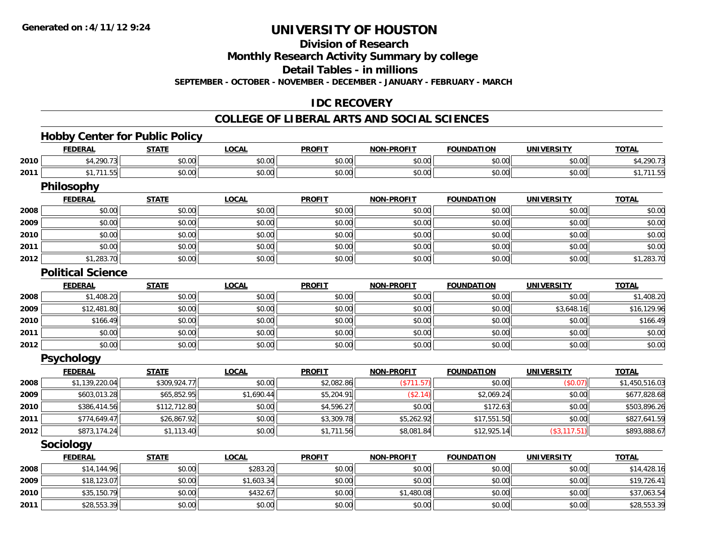### **Division of Research**

**Monthly Research Activity Summary by college**

**Detail Tables - in millions**

**SEPTEMBER - OCTOBER - NOVEMBER - DECEMBER - JANUARY - FEBRUARY - MARCH**

### **IDC RECOVERY**

#### **COLLEGE OF LIBERAL ARTS AND SOCIAL SCIENCES**

### **Hobby Center for Public Policy**

|      | <b>FEDERAL</b>           | <b>STATE</b> | <b>LOCAL</b> | <b>PROFIT</b> | <b>NON-PROFIT</b> | <b>FOUNDATION</b> | <b>UNIVERSITY</b> | <b>TOTAL</b>   |
|------|--------------------------|--------------|--------------|---------------|-------------------|-------------------|-------------------|----------------|
| 2010 | \$4,290.73               | \$0.00       | \$0.00       | \$0.00        | \$0.00            | \$0.00            | \$0.00            | \$4,290.73     |
| 2011 | \$1,711.55               | \$0.00       | \$0.00       | \$0.00        | \$0.00            | \$0.00            | \$0.00            | \$1,711.55     |
|      | Philosophy               |              |              |               |                   |                   |                   |                |
|      | <b>FEDERAL</b>           | <b>STATE</b> | <b>LOCAL</b> | <b>PROFIT</b> | <b>NON-PROFIT</b> | <b>FOUNDATION</b> | <b>UNIVERSITY</b> | <b>TOTAL</b>   |
| 2008 | \$0.00                   | \$0.00       | \$0.00       | \$0.00        | \$0.00            | \$0.00            | \$0.00            | \$0.00         |
| 2009 | \$0.00                   | \$0.00       | \$0.00       | \$0.00        | \$0.00            | \$0.00            | \$0.00            | \$0.00         |
| 2010 | \$0.00                   | \$0.00       | \$0.00       | \$0.00        | \$0.00            | \$0.00            | \$0.00            | \$0.00         |
| 2011 | \$0.00                   | \$0.00       | \$0.00       | \$0.00        | \$0.00            | \$0.00            | \$0.00            | \$0.00         |
| 2012 | \$1,283.70               | \$0.00       | \$0.00       | \$0.00        | \$0.00            | \$0.00            | \$0.00            | \$1,283.70     |
|      | <b>Political Science</b> |              |              |               |                   |                   |                   |                |
|      | <b>FEDERAL</b>           | <b>STATE</b> | <b>LOCAL</b> | <b>PROFIT</b> | <b>NON-PROFIT</b> | <b>FOUNDATION</b> | <b>UNIVERSITY</b> | <b>TOTAL</b>   |
| 2008 | \$1,408.20               | \$0.00       | \$0.00       | \$0.00        | \$0.00            | \$0.00            | \$0.00            | \$1,408.20     |
| 2009 | \$12,481.80              | \$0.00       | \$0.00       | \$0.00        | \$0.00            | \$0.00            | \$3,648.16        | \$16,129.96    |
| 2010 | \$166.49                 | \$0.00       | \$0.00       | \$0.00        | \$0.00            | \$0.00            | \$0.00            | \$166.49       |
| 2011 | \$0.00                   | \$0.00       | \$0.00       | \$0.00        | \$0.00            | \$0.00            | \$0.00            | \$0.00         |
| 2012 | \$0.00                   | \$0.00       | \$0.00       | \$0.00        | \$0.00            | \$0.00            | \$0.00            | \$0.00         |
|      | <b>Psychology</b>        |              |              |               |                   |                   |                   |                |
|      | <b>FEDERAL</b>           | <b>STATE</b> | <b>LOCAL</b> | <b>PROFIT</b> | <b>NON-PROFIT</b> | <b>FOUNDATION</b> | <b>UNIVERSITY</b> | <b>TOTAL</b>   |
| 2008 | \$1,139,220.04           | \$309,924.77 | \$0.00       | \$2,082.86    | (\$711.57)        | \$0.00            | (\$0.07)          | \$1,450,516.03 |
| 2009 | \$603,013.28             | \$65,852.95  | \$1,690.44   | \$5,204.91    | (\$2.14)          | \$2,069.24        | \$0.00            | \$677,828.68   |
| 2010 | \$386,414.56             | \$112,712.80 | \$0.00       | \$4,596.27    | \$0.00            | \$172.63          | \$0.00            | \$503,896.26   |
| 2011 | \$774,649.47             | \$26,867.92  | \$0.00       | \$3,309.78    | \$5,262.92        | \$17,551.50       | \$0.00            | \$827,641.59   |
| 2012 | \$873,174.24             | \$1,113.40   | \$0.00       | \$1,711.56    | \$8,081.84        | \$12,925.14       | (\$3,117.51)      | \$893,888.67   |
|      | Sociology                |              |              |               |                   |                   |                   |                |
|      | <b>FEDERAL</b>           | <b>STATE</b> | <b>LOCAL</b> | <b>PROFIT</b> | <b>NON-PROFIT</b> | <b>FOUNDATION</b> | <b>UNIVERSITY</b> | <b>TOTAL</b>   |
| 2008 | \$14,144.96              | \$0.00       | \$283.20     | \$0.00        | \$0.00            | \$0.00            | \$0.00            | \$14,428.16    |
| 2009 | \$18,123.07              | \$0.00       | \$1,603.34   | \$0.00        | \$0.00            | \$0.00            | \$0.00            | \$19,726.41    |
| 2010 | \$35,150.79              | \$0.00       | \$432.67     | \$0.00        | \$1,480.08        | \$0.00            | \$0.00            | \$37,063.54    |
| 2011 | \$28,553.39              | \$0.00       | \$0.00       | \$0.00        | \$0.00            | \$0.00            | \$0.00            | \$28,553.39    |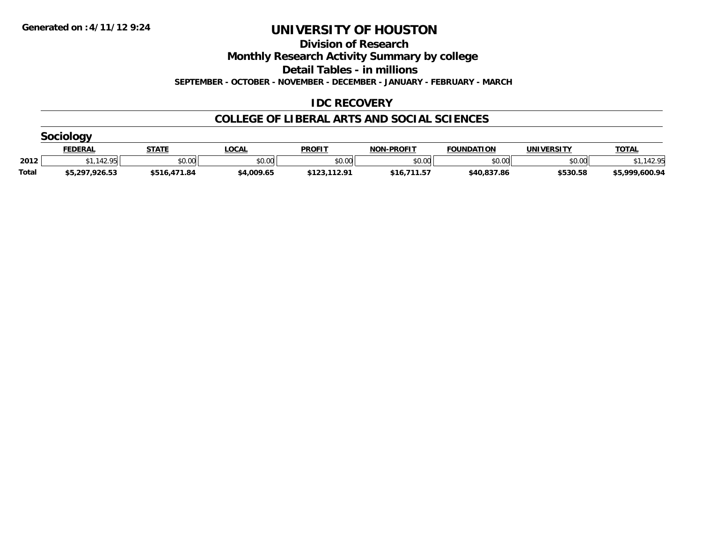**Division of Research**

**Monthly Research Activity Summary by college**

**Detail Tables - in millions**

**SEPTEMBER - OCTOBER - NOVEMBER - DECEMBER - JANUARY - FEBRUARY - MARCH**

### **IDC RECOVERY**

### **COLLEGE OF LIBERAL ARTS AND SOCIAL SCIENCES**

|       | <u>FEDERAL</u> | <b>STATI</b> | _OCAL      | <b>PROFIT</b> | <b>NON-PROFIT</b> | <b>FOUNDATION</b> | <b>UNIVERSITY</b> | <b>TOTAL</b>   |  |  |  |  |
|-------|----------------|--------------|------------|---------------|-------------------|-------------------|-------------------|----------------|--|--|--|--|
| 2012  | <b>12 QE</b>   | \$0.00       | \$0.00     | \$0.00        | \$0.00            | \$0.00            | \$0.00            | 42 OF          |  |  |  |  |
| Total | \$5,297,926.53 | \$516,471.84 | \$4,009.65 | \$123,112.91  | 711.57<br>$*16.$  | \$40,837.86       | \$530.58          | \$5,999,600.94 |  |  |  |  |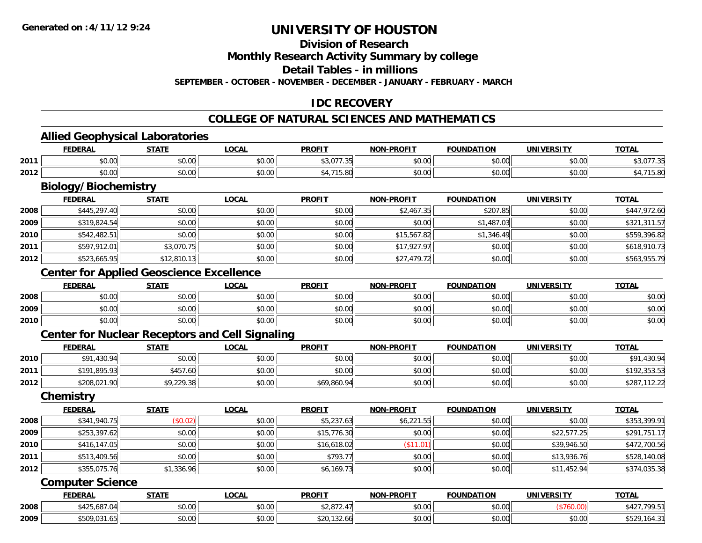### **Division of Research**

**Monthly Research Activity Summary by college**

**Detail Tables - in millions**

**SEPTEMBER - OCTOBER - NOVEMBER - DECEMBER - JANUARY - FEBRUARY - MARCH**

### **IDC RECOVERY**

#### **COLLEGE OF NATURAL SCIENCES AND MATHEMATICS**

<u> 1989 - Johann Stoff, Amerikaansk politiker († 1908)</u>

### **Allied Geophysical Laboratories**

|      | . <i>.</i>            | $- - - - -$        | $\sim$<br>.uuni | <b>PROFI</b>               | <b>.PROFIT</b><br>NON | <b>TON</b><br><b>COUND</b> | <br>JNI)       | <b>TOTAL</b> |
|------|-----------------------|--------------------|-----------------|----------------------------|-----------------------|----------------------------|----------------|--------------|
| 2011 | $\sim$ $\sim$<br>וטט. | $\sim$ 00<br>JU.UU | 0.00<br>JU.UU   | $\sim$ 0.77<br>╯<br>ו שוטי | 0000<br>vv.vv         | 0.00<br>u.uu               | 0.00<br>JU.UU  |              |
| 2012 | $\sim$ $\sim$<br>וטט. | ሶስ ሰሰ<br>JU.UU     | 0.00<br>JU.UU   |                            | 0000<br>JU.UU         | 0000<br>u.uu               | 0000<br>JU.UU. |              |

# **Biology/Biochemistry**

|      | <b>FEDERAL</b> | <u>STATE</u> | <b>LOCAL</b> | <b>PROFIT</b> | <b>NON-PROFIT</b> | <b>FOUNDATION</b> | <b>UNIVERSITY</b> | <u>TOTAL</u> |
|------|----------------|--------------|--------------|---------------|-------------------|-------------------|-------------------|--------------|
| 2008 | \$445,297.40   | \$0.00       | \$0.00       | \$0.00        | \$2,467.35        | \$207.85          | \$0.00            | \$447.972.60 |
| 2009 | \$319,824.54   | \$0.00       | \$0.00       | \$0.00        | \$0.00            | \$1,487.03        | \$0.00            | \$321,311.57 |
| 2010 | \$542,482.51   | \$0.00       | \$0.00       | \$0.00        | \$15,567.82       | \$1,346.49        | \$0.00            | \$559,396.82 |
| 2011 | \$597,912.01   | \$3,070.75   | \$0.00       | \$0.00        | \$17,927.97       | \$0.00            | \$0.00            | \$618,910.73 |
| 2012 | \$523,665.95   | \$12,810.13  | \$0.00       | \$0.00        | \$27,479.72       | \$0.00            | \$0.00            | \$563,955.79 |

### **Center for Applied Geoscience Excellence**

|      | <b>FEDERAL</b> | <b>STATE</b> | <u>_OCAL</u> | <b>PROFIT</b> | <b>NON-PROFIT</b> | <b>FOUNDATION</b> | <b>UNIVERSITY</b> | <b>TOTAL</b> |
|------|----------------|--------------|--------------|---------------|-------------------|-------------------|-------------------|--------------|
| 2008 | \$0.00         | \$0.00       | \$0.00       | \$0.00        | \$0.00            | \$0.00            | \$0.00            | \$0.00       |
| 2009 | \$0.00         | \$0.00       | \$0.00       | \$0.00        | \$0.00            | \$0.00            | \$0.00            | \$0.00       |
| 2010 | \$0.00         | \$0.00       | \$0.00       | \$0.00        | \$0.00            | \$0.00            | \$0.00            | \$0.00       |

### **Center for Nuclear Receptors and Cell Signaling**

|      | <b>FEDERAL</b>        | <b>STATE</b> | <u>LOCAL</u> | <b>PROFIT</b> | <b>NON-PROFIT</b> | <b>FOUNDATION</b> | <b>UNIVERSITY</b> | <b>TOTAL</b>    |
|------|-----------------------|--------------|--------------|---------------|-------------------|-------------------|-------------------|-----------------|
| 2010 | .430.94<br><b>¢01</b> | \$0.00       | \$0.00       | \$0.00        | \$0.00            | \$0.00            | \$0.00            | ,430.94<br>\$91 |
| 2011 | \$191,895.93          | \$457.60     | \$0.00       | \$0.00        | \$0.00            | \$0.00            | \$0.00            | \$192,353.53    |
| 2012 | \$208,021.90          | \$9,229.38   | \$0.00       | \$69,860.94   | \$0.00            | \$0.00            | \$0.00            | \$28            |

#### **Chemistry**

|      | <b>FEDERAL</b> | <b>STATE</b> | <b>LOCAL</b> | <b>PROFIT</b> | <b>NON-PROFIT</b> | <b>FOUNDATION</b> | <b>UNIVERSITY</b> | <b>TOTAL</b> |
|------|----------------|--------------|--------------|---------------|-------------------|-------------------|-------------------|--------------|
| 2008 | \$341,940.75   | (\$0.02)     | \$0.00       | \$5,237.63    | \$6,221.55        | \$0.00            | \$0.00            | \$353,399.91 |
| 2009 | \$253,397.62   | \$0.00       | \$0.00       | \$15,776.30   | \$0.00            | \$0.00            | \$22,577.25       | \$291,751.17 |
| 2010 | \$416,147.05   | \$0.00       | \$0.00       | \$16,618.02   | \$11.01           | \$0.00            | \$39,946.50       | \$472,700.56 |
| 2011 | \$513,409.56   | \$0.00       | \$0.00       | \$793.77      | \$0.00            | \$0.00            | \$13,936.76       | \$528,140.08 |
| 2012 | \$355,075.76   | \$1,336.96   | \$0.00       | \$6,169.73    | \$0.00            | \$0.00            | \$11,452.94       | \$374,035.38 |

#### **Computer Science**

|      | EEDEDAI<br>cucra                                | <b>STATI</b>    | .OCAL              | <b>PROFIT</b> | $\sim$ DDAE!"<br><b>MAN</b> | UNDATION                                      | UNIVERSIT          | <b>TOTA</b>                          |
|------|-------------------------------------------------|-----------------|--------------------|---------------|-----------------------------|-----------------------------------------------|--------------------|--------------------------------------|
| 2008 | $\sim$<br>$\sim$ $\sim$ $\sim$<br>84Z5.<br>.687 | ሖ へ<br>ט.ט      | $\sim$ 00<br>JU.UU | 92.OIL.       | $\sim$ 00<br>ູນບ.ບບ         | \$0.00                                        |                    | $\cdots$<br>700 511<br>וו כ.ץ<br>╜ℸ∠ |
| 2009 | ¢500.021<br>ാധ.<br>7.U.J<br>1.UJ                | $\sim$<br>יש.טע | $\sim$ 00<br>JU.UU | 520.132.00    | $\sim$ 00<br>JU.UU          | $\triangle$ $\triangle$ $\triangle$<br>\$0.00 | $\sim$ 00<br>JU.UU | 1 21 1<br>الد.104<br>ے ت             |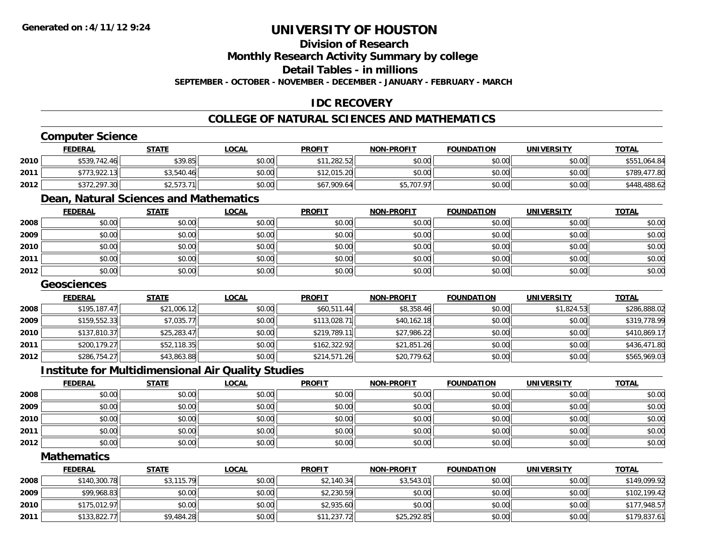### **Division of Research**

**Monthly Research Activity Summary by college**

**Detail Tables - in millions**

**SEPTEMBER - OCTOBER - NOVEMBER - DECEMBER - JANUARY - FEBRUARY - MARCH**

### **IDC RECOVERY**

### **COLLEGE OF NATURAL SCIENCES AND MATHEMATICS**

### **Computer Science**

|      | <b>FEDERAL</b> | <u>STATE</u> | <u>LOCAL</u> | <b>PROFIT</b> | <b>NON-PROFIT</b> | <b>FOUNDATION</b> | <b>UNIVERSITY</b> | <b>TOTAL</b>     |
|------|----------------|--------------|--------------|---------------|-------------------|-------------------|-------------------|------------------|
| 2010 | \$539,742.46   | \$39.85      | \$0.00       | \$11,282.52   | \$0.00            | \$0.00            | \$0.00            | \$551,064.84     |
| 2011 | \$773,922.13   | \$3,540.46   | \$0.00       | \$12,015.20   | \$0.00            | \$0.00            | \$0.00            | 477.80<br>\$789. |
| 2012 | \$372,297.30   | \$2,573.71   | \$0.00       | \$67,909.64   | \$5,707.97        | \$0.00            | \$0.00            | 3,488.62         |

# **Dean, Natural Sciences and Mathematics**

|      | <b>FEDERAL</b> | <b>STATE</b> | <b>LOCAL</b> | <b>PROFIT</b> | <b>NON-PROFIT</b> | <b>FOUNDATION</b> | <b>UNIVERSITY</b> | <b>TOTAL</b> |
|------|----------------|--------------|--------------|---------------|-------------------|-------------------|-------------------|--------------|
| 2008 | \$0.00         | \$0.00       | \$0.00       | \$0.00        | \$0.00            | \$0.00            | \$0.00            | \$0.00       |
| 2009 | \$0.00         | \$0.00       | \$0.00       | \$0.00        | \$0.00            | \$0.00            | \$0.00            | \$0.00       |
| 2010 | \$0.00         | \$0.00       | \$0.00       | \$0.00        | \$0.00            | \$0.00            | \$0.00            | \$0.00       |
| 2011 | \$0.00         | \$0.00       | \$0.00       | \$0.00        | \$0.00            | \$0.00            | \$0.00            | \$0.00       |
| 2012 | \$0.00         | \$0.00       | \$0.00       | \$0.00        | \$0.00            | \$0.00            | \$0.00            | \$0.00       |

#### **Geosciences**

|      | <b>FEDERAL</b> | <b>STATE</b> | <b>LOCAL</b> | <b>PROFIT</b> | <b>NON-PROFIT</b> | <b>FOUNDATION</b> | <b>UNIVERSITY</b> | <b>TOTAL</b> |
|------|----------------|--------------|--------------|---------------|-------------------|-------------------|-------------------|--------------|
| 2008 | \$195,187.47   | \$21,006.12  | \$0.00       | \$60,511.44   | \$8,358.46        | \$0.00            | \$1,824.53        | \$286,888.02 |
| 2009 | \$159,552.33   | \$7,035.77   | \$0.00       | \$113,028.71  | \$40,162.18       | \$0.00            | \$0.00            | \$319,778.99 |
| 2010 | \$137,810.37   | \$25,283.47  | \$0.00       | \$219,789.11  | \$27,986.22       | \$0.00            | \$0.00            | \$410,869.17 |
| 2011 | \$200,179.27   | \$52,118.35  | \$0.00       | \$162,322.92  | \$21,851.26       | \$0.00            | \$0.00            | \$436,471.80 |
| 2012 | \$286,754.27   | \$43,863.88  | \$0.00       | \$214,571.26  | \$20,779.62       | \$0.00            | \$0.00            | \$565,969.03 |

#### **Institute for Multidimensional Air Quality Studies**

|      | <u>FEDERAL</u> | <b>STATE</b> | <u>LOCAL</u> | <b>PROFIT</b> | <b>NON-PROFIT</b> | <b>FOUNDATION</b> | <b>UNIVERSITY</b> | <b>TOTAL</b> |
|------|----------------|--------------|--------------|---------------|-------------------|-------------------|-------------------|--------------|
| 2008 | \$0.00         | \$0.00       | \$0.00       | \$0.00        | \$0.00            | \$0.00            | \$0.00            | \$0.00       |
| 2009 | \$0.00         | \$0.00       | \$0.00       | \$0.00        | \$0.00            | \$0.00            | \$0.00            | \$0.00       |
| 2010 | \$0.00         | \$0.00       | \$0.00       | \$0.00        | \$0.00            | \$0.00            | \$0.00            | \$0.00       |
| 2011 | \$0.00         | \$0.00       | \$0.00       | \$0.00        | \$0.00            | \$0.00            | \$0.00            | \$0.00       |
| 2012 | \$0.00         | \$0.00       | \$0.00       | \$0.00        | \$0.00            | \$0.00            | \$0.00            | \$0.00       |

#### **Mathematics**

|      | <b>FEDERAL</b> | <b>STATE</b> | <u>LOCAL</u> | <b>PROFIT</b> | <b>NON-PROFIT</b> | <b>FOUNDATION</b> | <b>UNIVERSITY</b> | <b>TOTAL</b> |
|------|----------------|--------------|--------------|---------------|-------------------|-------------------|-------------------|--------------|
| 2008 | \$140,300.78   | \$3,115.79   | \$0.00       | \$2,140.34    | \$3,543.01        | \$0.00            | \$0.00            | \$149,099.92 |
| 2009 | \$99,968.83    | \$0.00       | \$0.00       | \$2,230.59    | \$0.00            | \$0.00            | \$0.00            | \$102,199.42 |
| 2010 | \$175,012.97   | \$0.00       | \$0.00       | \$2,935.60    | \$0.00            | \$0.00            | \$0.00            | \$177,948.57 |
| 2011 | \$133,822.77   | \$9,484.28   | \$0.00       | \$11,237.72   | \$25,292.85       | \$0.00            | \$0.00            | \$179,837.61 |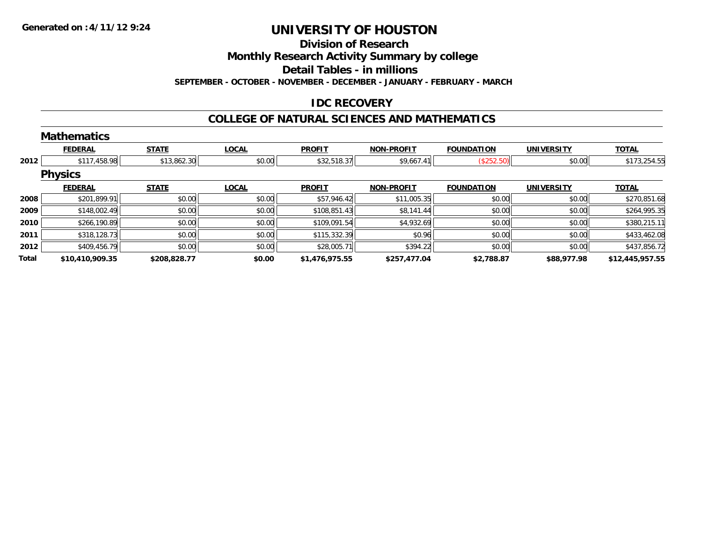#### **Division of Research**

**Monthly Research Activity Summary by college**

**Detail Tables - in millions**

**SEPTEMBER - OCTOBER - NOVEMBER - DECEMBER - JANUARY - FEBRUARY - MARCH**

### **IDC RECOVERY**

#### **COLLEGE OF NATURAL SCIENCES AND MATHEMATICS**

|       | <b>Mathematics</b> |              |              |                |                   |                   |                   |                 |
|-------|--------------------|--------------|--------------|----------------|-------------------|-------------------|-------------------|-----------------|
|       | <b>FEDERAL</b>     | <b>STATE</b> | <b>LOCAL</b> | <b>PROFIT</b>  | <b>NON-PROFIT</b> | <b>FOUNDATION</b> | <b>UNIVERSITY</b> | <b>TOTAL</b>    |
| 2012  | \$117,458.98       | \$13,862.30  | \$0.00       | \$32,518.37    | \$9,667.41        | (\$252.50)        | \$0.00            | \$173,254.55    |
|       | <b>Physics</b>     |              |              |                |                   |                   |                   |                 |
|       | <b>FEDERAL</b>     | <b>STATE</b> | <b>LOCAL</b> | <b>PROFIT</b>  | <b>NON-PROFIT</b> | <b>FOUNDATION</b> | <b>UNIVERSITY</b> | <b>TOTAL</b>    |
| 2008  | \$201,899.91       | \$0.00       | \$0.00       | \$57,946.42    | \$11,005.35       | \$0.00            | \$0.00            | \$270,851.68    |
| 2009  | \$148,002.49       | \$0.00       | \$0.00       | \$108,851.43   | \$8,141.44        | \$0.00            | \$0.00            | \$264,995.35    |
| 2010  | \$266,190.89       | \$0.00       | \$0.00       | \$109,091.54   | \$4,932.69        | \$0.00            | \$0.00            | \$380,215.11    |
| 2011  | \$318,128.73       | \$0.00       | \$0.00       | \$115,332.39   | \$0.96            | \$0.00            | \$0.00            | \$433,462.08    |
| 2012  | \$409,456.79       | \$0.00       | \$0.00       | \$28,005.71    | \$394.22          | \$0.00            | \$0.00            | \$437,856.72    |
| Total | \$10,410,909.35    | \$208,828.77 | \$0.00       | \$1,476,975.55 | \$257,477.04      | \$2,788.87        | \$88,977.98       | \$12,445,957.55 |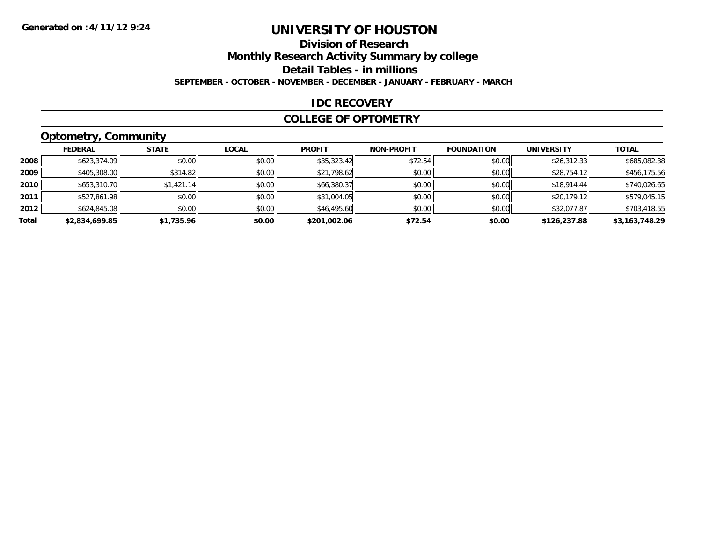# **Division of Research**

**Monthly Research Activity Summary by college**

**Detail Tables - in millions**

**SEPTEMBER - OCTOBER - NOVEMBER - DECEMBER - JANUARY - FEBRUARY - MARCH**

#### **IDC RECOVERY**

#### **COLLEGE OF OPTOMETRY**

### **Optometry, Community**

|       | .              |              |              |               |                   |                   |                   |                |
|-------|----------------|--------------|--------------|---------------|-------------------|-------------------|-------------------|----------------|
|       | <b>FEDERAL</b> | <b>STATE</b> | <b>LOCAL</b> | <b>PROFIT</b> | <b>NON-PROFIT</b> | <b>FOUNDATION</b> | <b>UNIVERSITY</b> | <b>TOTAL</b>   |
| 2008  | \$623,374.09   | \$0.00       | \$0.00       | \$35,323.42   | \$72.54           | \$0.00            | \$26,312.33       | \$685,082.38   |
| 2009  | \$405,308.00   | \$314.82     | \$0.00       | \$21,798.62   | \$0.00            | \$0.00            | \$28,754.12       | \$456,175.56   |
| 2010  | \$653,310.70   | \$1,421.14   | \$0.00       | \$66,380.37   | \$0.00            | \$0.00            | \$18,914.44       | \$740,026.65   |
| 2011  | \$527,861.98   | \$0.00       | \$0.00       | \$31,004.05   | \$0.00            | \$0.00            | \$20,179.12       | \$579,045.15   |
| 2012  | \$624,845.08   | \$0.00       | \$0.00       | \$46,495.60   | \$0.00            | \$0.00            | \$32,077.87       | \$703,418.55   |
| Total | \$2,834,699.85 | \$1,735.96   | \$0.00       | \$201,002.06  | \$72.54           | \$0.00            | \$126,237.88      | \$3,163,748.29 |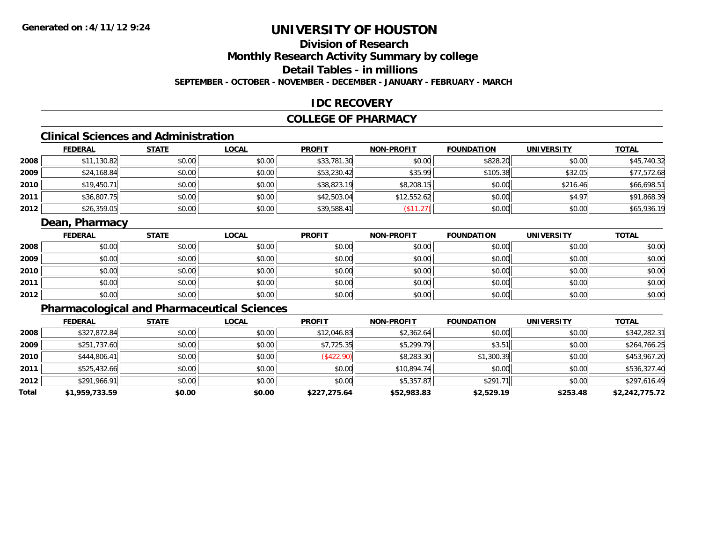# **Division of Research**

# **Monthly Research Activity Summary by college**

### **Detail Tables - in millions**

#### **SEPTEMBER - OCTOBER - NOVEMBER - DECEMBER - JANUARY - FEBRUARY - MARCH**

#### **IDC RECOVERY**

#### **COLLEGE OF PHARMACY**

### **Clinical Sciences and Administration**

|      | <b>FEDERAL</b> | <b>STATE</b> | <b>LOCAL</b> | <b>PROFIT</b> | <b>NON-PROFIT</b> | <b>FOUNDATION</b> | <b>UNIVERSITY</b> | <b>TOTAL</b> |
|------|----------------|--------------|--------------|---------------|-------------------|-------------------|-------------------|--------------|
| 2008 | \$11,130.82    | \$0.00       | \$0.00       | \$33,781.30   | \$0.00            | \$828.20          | \$0.00            | \$45,740.32  |
| 2009 | \$24,168.84    | \$0.00       | \$0.00       | \$53,230.42   | \$35.99           | \$105.38          | \$32.05           | \$77,572.68  |
| 2010 | \$19,450.71    | \$0.00       | \$0.00       | \$38,823.19   | \$8,208.15        | \$0.00            | \$216.46          | \$66,698.51  |
| 2011 | \$36,807.75    | \$0.00       | \$0.00       | \$42,503.04   | \$12,552.62       | \$0.00            | \$4.97            | \$91,868.39  |
| 2012 | \$26,359.05    | \$0.00       | \$0.00       | \$39,588.41   | $($ \$11.27)      | \$0.00            | \$0.00            | \$65,936.19  |

#### **Dean, Pharmacy**

|      | <b>FEDERAL</b> | <b>STATE</b> | <u>LOCAL</u> | <b>PROFIT</b> | <b>NON-PROFIT</b> | <b>FOUNDATION</b> | <b>UNIVERSITY</b> | <b>TOTAL</b> |
|------|----------------|--------------|--------------|---------------|-------------------|-------------------|-------------------|--------------|
| 2008 | \$0.00         | \$0.00       | \$0.00       | \$0.00        | \$0.00            | \$0.00            | \$0.00            | \$0.00       |
| 2009 | \$0.00         | \$0.00       | \$0.00       | \$0.00        | \$0.00            | \$0.00            | \$0.00            | \$0.00       |
| 2010 | \$0.00         | \$0.00       | \$0.00       | \$0.00        | \$0.00            | \$0.00            | \$0.00            | \$0.00       |
| 2011 | \$0.00         | \$0.00       | \$0.00       | \$0.00        | \$0.00            | \$0.00            | \$0.00            | \$0.00       |
| 2012 | \$0.00         | \$0.00       | \$0.00       | \$0.00        | \$0.00            | \$0.00            | \$0.00            | \$0.00       |

### **Pharmacological and Pharmaceutical Sciences**

|       | <b>FEDERAL</b> | <b>STATE</b> | <b>LOCAL</b> | <b>PROFIT</b> | <b>NON-PROFIT</b> | <b>FOUNDATION</b> | <b>UNIVERSITY</b> | <b>TOTAL</b>   |
|-------|----------------|--------------|--------------|---------------|-------------------|-------------------|-------------------|----------------|
| 2008  | \$327,872.84   | \$0.00       | \$0.00       | \$12,046.83   | \$2,362.64        | \$0.00            | \$0.00            | \$342,282.31   |
| 2009  | \$251,737.60   | \$0.00       | \$0.00       | \$7,725.35    | \$5,299.79        | \$3.51            | \$0.00            | \$264,766.25   |
| 2010  | \$444,806.41   | \$0.00       | \$0.00       | (\$422.90)    | \$8,283.30        | \$1,300.39        | \$0.00            | \$453,967.20   |
| 2011  | \$525,432.66   | \$0.00       | \$0.00       | \$0.00        | \$10,894.74       | \$0.00            | \$0.00            | \$536,327.40   |
| 2012  | \$291,966.91   | \$0.00       | \$0.00       | \$0.00        | \$5,357.87        | \$291.71          | \$0.00            | \$297,616.49   |
| Total | \$1,959,733.59 | \$0.00       | \$0.00       | \$227,275.64  | \$52,983.83       | \$2,529.19        | \$253.48          | \$2,242,775.72 |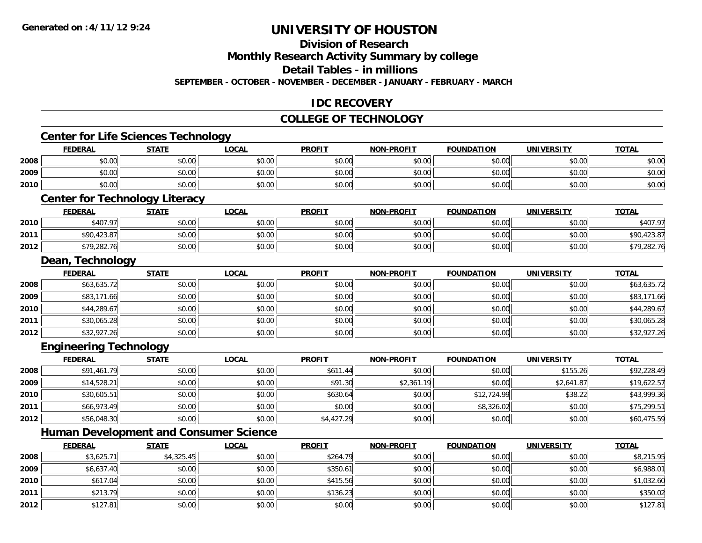**2010**

**2011**

**2012**

# **UNIVERSITY OF HOUSTON**

#### **Division of Research**

**Monthly Research Activity Summary by college**

**Detail Tables - in millions**

**SEPTEMBER - OCTOBER - NOVEMBER - DECEMBER - JANUARY - FEBRUARY - MARCH**

#### **IDC RECOVERY**

#### **COLLEGE OF TECHNOLOGY**

#### **Center for Life Sciences Technology FEDERAL STATE LOCAL PROFIT NON-PROFIT FOUNDATION UNIVERSITY TOTALTOTAL 2008**8 \$0.00 \$0.00 \$0.00 \$0.00 \$0.00 \$0.00 \$0.00 \$0.00 \$0.00 \$0.00 \$0.00 \$0.00 \$0.00 \$0.00 \$0.00 \$0.00 \$0.00 **2009** \$0.00 \$0.00 \$0.00 \$0.00 \$0.00 \$0.00 \$0.00 \$0.00 **2010** $\, \mathsf{0} \, | \qquad \qquad \mathsf{50.00} | \qquad \qquad \mathsf{50.00} | \qquad \qquad \mathsf{50.00} | \qquad \qquad \mathsf{50.00} | \qquad \qquad \mathsf{50.00} | \qquad \qquad \mathsf{50.00} | \qquad \qquad \mathsf{50.00} | \qquad \qquad \mathsf{50.00} | \qquad \qquad \mathsf{50.00} | \qquad \qquad \mathsf{50.00} | \qquad \qquad \mathsf{50.00} | \qquad \qquad \mathsf{50.00} | \qquad \q$ **Center for Technology Literacy FEDERAL STATE LOCAL PROFIT NON-PROFIT FOUNDATION UNIVERSITY TOTAL2010** $\textsf{\textbf{0}} \parallel \textsf{\textbf{0}}$   $\textsf{\textbf{0}}$   $\textsf{\textbf{0}}$   $\textsf{\textbf{0}}$   $\textsf{\textbf{0}}$   $\textsf{\textbf{0}}$   $\textsf{\textbf{0}}$   $\textsf{\textbf{0}}$   $\textsf{\textbf{0}}$   $\textsf{\textbf{0}}$   $\textsf{\textbf{0}}$   $\textsf{\textbf{0}}$   $\textsf{\textbf{0}}$   $\textsf{\textbf{0}}$   $\textsf{\textbf{0}}$   $\textsf{\textbf{0}}$   $\textsf{\textbf{0}}$   $\textsf{\text$ **2011**1 \$90,423.87 \$0.00 \$0.00 \$0.00 \$0.00 \$0.00 \$0.00 \$0.00 \$0.00 \$0.00 \$0.00 \$0.00 \$0.00 \$90,423.87 **2012**2 \$19,282.76 \$0.00 \$0.00 \$0.00 \$0.00 \$0.00 \$0.00 \$0.00 \$0.00 \$0.00 \$0.00 \$0.00 \$0.00 \$0.00 \$79,282.76 **Dean, Technology FEDERAL STATE LOCAL PROFIT NON-PROFIT FOUNDATION UNIVERSITY TOTAL2008**8 \$63,635.72 \$63,635.72 \$0.00 \$0.00 \$0.00 \$0.00 \$0.00 \$0.00 \$0.00 \$0.00 \$0.00 \$0.00 \$0.00 \$63,635.72 **2009** \$83,171.66 \$0.00 \$0.00 \$0.00 \$0.00 \$0.00 \$0.00 \$83,171.66 **2010** $\textsf{[0]} \quad \textsf{[0]} \quad \textsf{[0]} \quad \textsf{[0]} \quad \textsf{[0]} \quad \textsf{[0]} \quad \textsf{[0]} \quad \textsf{[0]} \quad \textsf{[0]} \quad \textsf{[0]} \quad \textsf{[0]} \quad \textsf{[0]} \quad \textsf{[0]} \quad \textsf{[0]} \quad \textsf{[0]} \quad \textsf{[0]} \quad \textsf{[0]} \quad \textsf{[0]} \quad \textsf{[0]} \quad \textsf{[0]} \quad \textsf{[0]} \quad \textsf{[0]} \quad \textsf{[0]} \quad \textsf{[0]} \quad \textsf{$ **2011**1 \$30,065.28 \$0.00 \$0.00 \$0.00 \$0.00 \$0.00 \$0.00 \$0.00 \$0.00 \$0.00 \$0.00 \$0.00 \$0.00 \$0.00 \$30,065.28 **2012**2 \$32,927.26 \$0.00 \$0.00 \$0.00 \$0.00 \$0.00 \$0.00 \$0.00 \$0.00 \$0.00 \$0.00 \$0.00 \$0.00 \$12,927.26 **Engineering Technology FEDERAL STATE LOCAL PROFIT NON-PROFIT FOUNDATION UNIVERSITY TOTALTOTAL 2008**8 \$91,461.79 \$0.00 \$0.00 \$0.00 \$0.00 \$0.00 \$0.00 \$611.44 \$0.00 \$0.00 \$0.00 \$0.00 \$155.26 \$155.26 \$92,228.49 **20099** \$14,528.21 \$0.00 \$0.00 \$0.00 \$0.00 \$0.00 \$91.30 \$91.30 \$2,361.19 \$2,361.19 \$2,641.87 \$19,622.57 **2010** \$30,605.51 \$0.00 \$0.00 \$630.64 \$0.00 \$12,724.99 \$38.22 \$43,999.36 **2011** \$66,973.49 \$0.00 \$0.00 \$0.00 \$0.00 \$8,326.02 \$0.00 \$75,299.51 **2012**2 \$56,048.30 \$0.00 \$0.00 \$0.00 \$0.00 \$0.00 \$1,427.29 \$4,427.29 \$0.00 \$0.00 \$0.00 \$0.00 \$0.00 \$60,475.59 **Human Development and Consumer Science FEDERAL STATE LOCAL PROFIT NON-PROFIT FOUNDATION UNIVERSITY TOTALTOTAL 2008**8 \$3,625.71 \$4,325.45 \$4,325.45 \$0.00 \$0.00 \$264.79 \$264.79 \$0.00 \$0.00 \$0.00 \$0.00 \$0.00 \$8,215.95 **2009**

**9** \$6,637.40 \$0.00 \$0.00 \$0.00 \$0.00 \$0.00 \$350.61 \$350.61 \$0.00 \$0.00 \$0.00 \$0.00 \$0.00 \$6,988.01

\$617.04 \$0.00 \$0.00 \$415.56 \$0.00 \$0.00 \$0.00 \$1,032.60

\$213.79 \$0.00 \$0.00 \$136.23 \$0.00 \$0.00 \$0.00 \$350.02

2 | \$127.81|| \$0.00|| \$0.00|| \$0.00|| \$0.00|| \$0.00|| \$0.00|| \$0.00|| \$0.00|| \$0.00|| \$127.81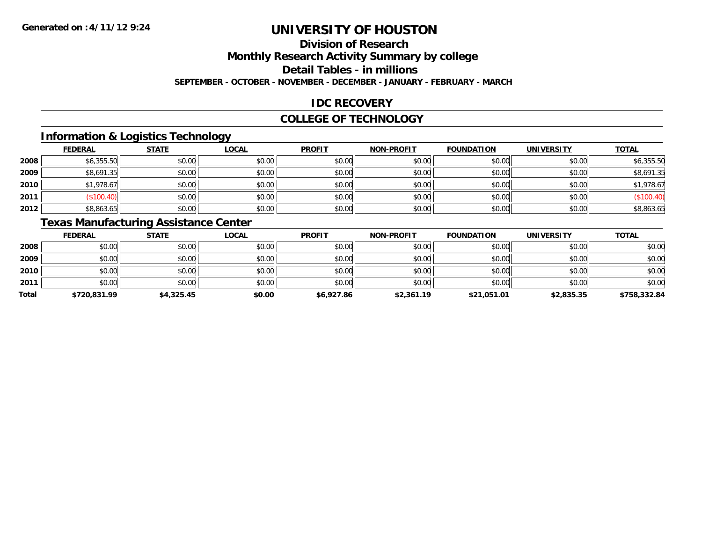# **Division of Research**

**Monthly Research Activity Summary by college**

**Detail Tables - in millions**

**SEPTEMBER - OCTOBER - NOVEMBER - DECEMBER - JANUARY - FEBRUARY - MARCH**

### **IDC RECOVERY**

#### **COLLEGE OF TECHNOLOGY**

### **Information & Logistics Technology**

|      | <b>FEDERAL</b> | <b>STATE</b> | <b>LOCAL</b> | <b>PROFIT</b> | <b>NON-PROFIT</b> | <b>FOUNDATION</b> | <b>UNIVERSITY</b> | <b>TOTAL</b> |
|------|----------------|--------------|--------------|---------------|-------------------|-------------------|-------------------|--------------|
| 2008 | \$6,355.50     | \$0.00       | \$0.00       | \$0.00        | \$0.00            | \$0.00            | \$0.00            | \$6,355.50   |
| 2009 | \$8,691.35     | \$0.00       | \$0.00       | \$0.00        | \$0.00            | \$0.00            | \$0.00            | \$8,691.35   |
| 2010 | \$1,978.67     | \$0.00       | \$0.00       | \$0.00        | \$0.00            | \$0.00            | \$0.00            | \$1,978.67   |
| 2011 | \$100.4        | \$0.00       | \$0.00       | \$0.00        | \$0.00            | \$0.00            | \$0.00            | (\$100.40)   |
| 2012 | \$8,863.65     | \$0.00       | \$0.00       | \$0.00        | \$0.00            | \$0.00            | \$0.00            | \$8,863.65   |

### **Texas Manufacturing Assistance Center**

|       | <b>FEDERAL</b> | <b>STATE</b> | <b>LOCAL</b> | <b>PROFIT</b> | <b>NON-PROFIT</b> | <b>FOUNDATION</b> | <b>UNIVERSITY</b> | <b>TOTAL</b> |
|-------|----------------|--------------|--------------|---------------|-------------------|-------------------|-------------------|--------------|
| 2008  | \$0.00         | \$0.00       | \$0.00       | \$0.00        | \$0.00            | \$0.00            | \$0.00            | \$0.00       |
| 2009  | \$0.00         | \$0.00       | \$0.00       | \$0.00        | \$0.00            | \$0.00            | \$0.00            | \$0.00       |
| 2010  | \$0.00         | \$0.00       | \$0.00       | \$0.00        | \$0.00            | \$0.00            | \$0.00            | \$0.00       |
| 2011  | \$0.00         | \$0.00       | \$0.00       | \$0.00        | \$0.00            | \$0.00            | \$0.00            | \$0.00       |
| Total | \$720,831.99   | \$4,325.45   | \$0.00       | \$6,927.86    | \$2,361.19        | \$21,051.01       | \$2,835.35        | \$758,332.84 |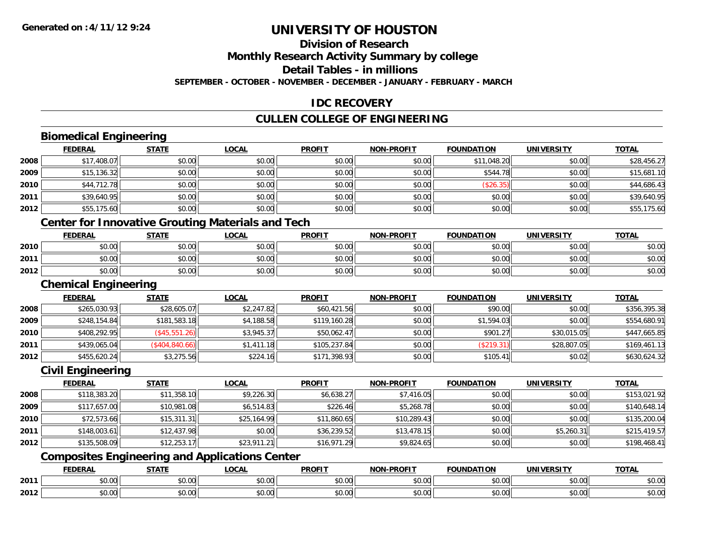### **Division of Research**

**Monthly Research Activity Summary by college**

**Detail Tables - in millions**

**SEPTEMBER - OCTOBER - NOVEMBER - DECEMBER - JANUARY - FEBRUARY - MARCH**

#### **IDC RECOVERY**

### **CULLEN COLLEGE OF ENGINEERING**

### **Biomedical Engineering**

|      | <b>FEDERAL</b> | <b>STATE</b> | <u>LOCAL</u> | <b>PROFIT</b> | <b>NON-PROFIT</b> | <b>FOUNDATION</b> | <b>UNIVERSITY</b> | <b>TOTAL</b> |
|------|----------------|--------------|--------------|---------------|-------------------|-------------------|-------------------|--------------|
| 2008 | \$17,408.07    | \$0.00       | \$0.00       | \$0.00        | \$0.00            | \$11,048.20       | \$0.00            | \$28,456.27  |
| 2009 | \$15,136.32    | \$0.00       | \$0.00       | \$0.00        | \$0.00            | \$544.78          | \$0.00            | \$15,681.10  |
| 2010 | \$44,712.78    | \$0.00       | \$0.00       | \$0.00        | \$0.00            | (\$26.35)         | \$0.00            | \$44,686.43  |
| 2011 | \$39,640.95    | \$0.00       | \$0.00       | \$0.00        | \$0.00            | \$0.00            | \$0.00            | \$39,640.95  |
| 2012 | \$55,175.60    | \$0.00       | \$0.00       | \$0.00        | \$0.00            | \$0.00            | \$0.00            | \$55,175.60  |
|      | $\sim$<br>.    | .            |              |               |                   |                   |                   |              |

#### **Center for Innovative Grouting Materials and Tech**

|      | <u>FEDERAL</u> | <b>STATE</b> | <u>LOCAL</u>  | <b>PROFIT</b> | <b>NON-PROFIT</b> | <b>FOUNDATION</b> | UNIVERSITY | <b>TOTAL</b> |
|------|----------------|--------------|---------------|---------------|-------------------|-------------------|------------|--------------|
| 2010 | \$0.00         | \$0.00       | 0000<br>JU.UU | \$0.00        | \$0.00            | \$0.00            | \$0.00     | \$0.00       |
| 2011 | \$0.00         | \$0.00       | \$0.00        | \$0.00        | \$0.00            | \$0.00            | \$0.00     | \$0.00       |
| 2012 | \$0.00         | \$0.00       | \$0.00        | \$0.00        | \$0.00            | \$0.00            | \$0.00     | \$0.00       |

#### **Chemical Engineering**

|      | <b>FEDERAL</b> | <u>STATE</u>    | <u>LOCAL</u> | <b>PROFIT</b> | <b>NON-PROFIT</b> | <b>FOUNDATION</b>         | <b>UNIVERSITY</b> | <u>TOTAL</u> |
|------|----------------|-----------------|--------------|---------------|-------------------|---------------------------|-------------------|--------------|
| 2008 | \$265,030.93   | \$28,605.07     | \$2,247.82   | \$60,421.56   | \$0.00            | \$90.00                   | \$0.00            | \$356,395.38 |
| 2009 | \$248,154.84   | \$181,583.18    | \$4,188.58   | \$119,160.28  | \$0.00            | \$1,594.03                | \$0.00            | \$554,680.91 |
| 2010 | \$408,292.95   | (\$45,551.26)   | \$3,945.37   | \$50,062.47   | \$0.00            | \$901.27                  | \$30,015.05       | \$447,665.85 |
| 2011 | \$439,065.04   | (\$404, 840.66) | \$1,411.18   | \$105,237.84  | \$0.00            | $($ \$219.31) $\parallel$ | \$28,807.05       | \$169,461.13 |
| 2012 | \$455,620.24   | \$3,275.56      | \$224.16     | \$171,398.93  | \$0.00            | \$105.41                  | \$0.02            | \$630,624.32 |

#### **Civil Engineering**

|      | <b>FEDERAL</b> | <u>STATE</u> | <u>LOCAL</u> | <b>PROFIT</b> | <b>NON-PROFIT</b> | <b>FOUNDATION</b> | <b>UNIVERSITY</b> | <b>TOTAL</b> |
|------|----------------|--------------|--------------|---------------|-------------------|-------------------|-------------------|--------------|
| 2008 | \$118,383.20   | \$11,358.10  | \$9,226.30   | \$6,638.27    | \$7,416.05        | \$0.00            | \$0.00            | \$153,021.92 |
| 2009 | \$117,657.00   | \$10,981.08  | \$6,514.83   | \$226.46      | \$5,268.78        | \$0.00            | \$0.00            | \$140,648.14 |
| 2010 | \$72,573.66    | \$15,311.31  | \$25,164.99  | \$11,860.65   | \$10,289.43       | \$0.00            | \$0.00            | \$135,200.04 |
| 2011 | \$148,003.61   | \$12,437.98  | \$0.00       | \$36,239.52   | \$13,478.15       | \$0.00            | \$5,260.31        | \$215,419.57 |
| 2012 | \$135,508.09   | \$12,253.17  | \$23,911.21  | \$16,971.29   | \$9,824.65        | \$0.00            | \$0.00            | \$198,468.41 |

### **Composites Engineering and Applications Center**

|      | <b>CENEDAI</b> | $   -$                    | $\bigcap$<br>$\cdots$ | <b>PROFIT</b> | ------<br>----                                               | <b>FAURIBATIAN</b> | UNIVERSITY             | <b>TOTAL</b> |
|------|----------------|---------------------------|-----------------------|---------------|--------------------------------------------------------------|--------------------|------------------------|--------------|
| 2011 | 0000<br>,u.uu  | 0000<br>40.0              | 0000<br>vv.vv         | 0.00<br>JU.U  | $\triangle$ $\triangle$ $\triangle$<br>$v \circ \mathcal{L}$ | 0.00<br>DU.UU      | $\sim$ $\sim$<br>JU.UU | \$0.00       |
| 2012 | \$0.00         | $\sim$<br>$\sim$<br>JU.UL | $\sim$ 00<br>vu.vu    | 0000<br>JU.UU | vv.vv                                                        | 0000<br>DU.UU      | 0000<br>JU.UU          | \$0.00       |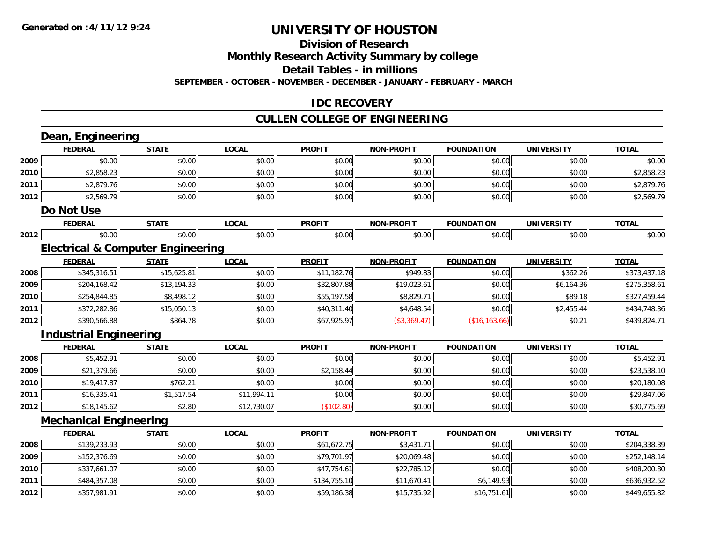#### **Division of Research**

**Monthly Research Activity Summary by college**

**Detail Tables - in millions**

**SEPTEMBER - OCTOBER - NOVEMBER - DECEMBER - JANUARY - FEBRUARY - MARCH**

#### **IDC RECOVERY**

### **CULLEN COLLEGE OF ENGINEERING**

|      | Dean, Engineering                            |              |              |               |                   |                   |                   |              |
|------|----------------------------------------------|--------------|--------------|---------------|-------------------|-------------------|-------------------|--------------|
|      | <b>FEDERAL</b>                               | <b>STATE</b> | <b>LOCAL</b> | <b>PROFIT</b> | <b>NON-PROFIT</b> | <b>FOUNDATION</b> | <b>UNIVERSITY</b> | <b>TOTAL</b> |
| 2009 | \$0.00                                       | \$0.00       | \$0.00       | \$0.00        | \$0.00            | \$0.00            | \$0.00            | \$0.00       |
| 2010 | \$2,858.23                                   | \$0.00       | \$0.00       | \$0.00        | \$0.00            | \$0.00            | \$0.00            | \$2,858.23   |
| 2011 | \$2,879.76                                   | \$0.00       | \$0.00       | \$0.00        | \$0.00            | \$0.00            | \$0.00            | \$2,879.76   |
| 2012 | \$2,569.79                                   | \$0.00       | \$0.00       | \$0.00        | \$0.00            | \$0.00            | \$0.00            | \$2,569.79   |
|      | Do Not Use                                   |              |              |               |                   |                   |                   |              |
|      | <b>FEDERAL</b>                               | <b>STATE</b> | <b>LOCAL</b> | <b>PROFIT</b> | <b>NON-PROFIT</b> | <b>FOUNDATION</b> | <b>UNIVERSITY</b> | <b>TOTAL</b> |
| 2012 | \$0.00                                       | \$0.00       | \$0.00       | \$0.00        | \$0.00            | \$0.00            | \$0.00            | \$0.00       |
|      | <b>Electrical &amp; Computer Engineering</b> |              |              |               |                   |                   |                   |              |
|      | <b>FEDERAL</b>                               | <b>STATE</b> | <b>LOCAL</b> | <b>PROFIT</b> | <b>NON-PROFIT</b> | <b>FOUNDATION</b> | <b>UNIVERSITY</b> | <b>TOTAL</b> |
| 2008 | \$345,316.51                                 | \$15,625.81  | \$0.00       | \$11,182.76   | \$949.83          | \$0.00            | \$362.26          | \$373,437.18 |
| 2009 | \$204,168.42                                 | \$13,194.33  | \$0.00       | \$32,807.88   | \$19,023.61       | \$0.00            | \$6,164.36        | \$275,358.61 |
| 2010 | \$254,844.85                                 | \$8,498.12   | \$0.00       | \$55,197.58   | \$8,829.71        | \$0.00            | \$89.18           | \$327,459.44 |
| 2011 | \$372,282.86                                 | \$15,050.13  | \$0.00       | \$40,311.40   | \$4,648.54        | \$0.00            | \$2,455.44        | \$434,748.36 |
| 2012 | \$390,566.88                                 | \$864.78     | \$0.00       | \$67,925.97   | (\$3,369.47)      | (\$16, 163.66)    | \$0.21            | \$439,824.71 |
|      | <b>Industrial Engineering</b>                |              |              |               |                   |                   |                   |              |
|      | <b>FEDERAL</b>                               | <b>STATE</b> | <b>LOCAL</b> | <b>PROFIT</b> | <b>NON-PROFIT</b> | <b>FOUNDATION</b> | <b>UNIVERSITY</b> | <b>TOTAL</b> |
| 2008 | \$5,452.91                                   | \$0.00       | \$0.00       | \$0.00        | \$0.00            | \$0.00            | \$0.00            | \$5,452.91   |
| 2009 | \$21,379.66                                  | \$0.00       | \$0.00       | \$2,158.44    | \$0.00            | \$0.00            | \$0.00            | \$23,538.10  |
| 2010 | \$19,417.87                                  | \$762.21     | \$0.00       | \$0.00        | \$0.00            | \$0.00            | \$0.00            | \$20,180.08  |
| 2011 | \$16,335.41                                  | \$1,517.54   | \$11,994.11  | \$0.00        | \$0.00            | \$0.00            | \$0.00            | \$29,847.06  |
| 2012 | \$18,145.62                                  | \$2.80       | \$12,730.07  | (\$102.80)    | \$0.00            | \$0.00            | \$0.00            | \$30,775.69  |
|      | <b>Mechanical Engineering</b>                |              |              |               |                   |                   |                   |              |
|      | <b>FEDERAL</b>                               | <b>STATE</b> | <b>LOCAL</b> | <b>PROFIT</b> | <b>NON-PROFIT</b> | <b>FOUNDATION</b> | <b>UNIVERSITY</b> | <b>TOTAL</b> |
| 2008 | \$139,233.93                                 | \$0.00       | \$0.00       | \$61,672.75   | \$3,431.71        | \$0.00            | \$0.00            | \$204,338.39 |
| 2009 | \$152,376.69                                 | \$0.00       | \$0.00       | \$79,701.97   | \$20,069.48       | \$0.00            | \$0.00            | \$252,148.14 |
| 2010 | \$337,661.07                                 | \$0.00       | \$0.00       | \$47,754.61   | \$22,785.12       | \$0.00            | \$0.00            | \$408,200.80 |
| 2011 | \$484,357.08                                 | \$0.00       | \$0.00       | \$134,755.10  | \$11,670.41       | \$6,149.93        | \$0.00            | \$636,932.52 |
| 2012 | \$357,981.91                                 | \$0.00       | \$0.00       | \$59,186.38   | \$15,735.92       | \$16,751.61       | \$0.00            | \$449,655.82 |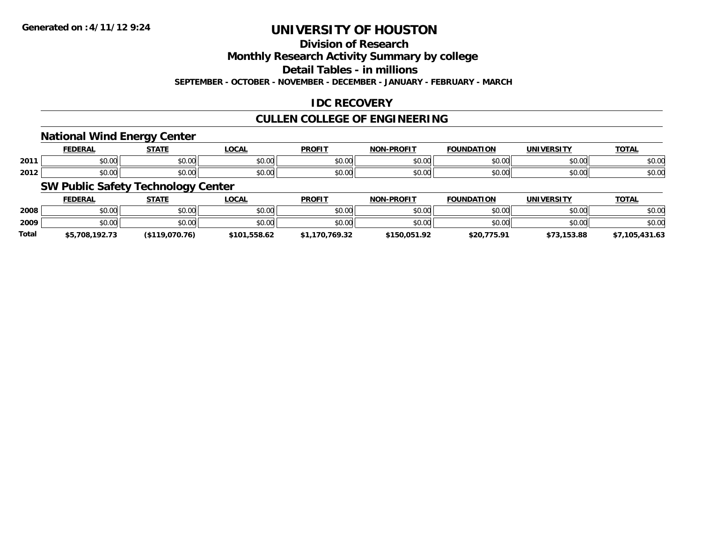### **Division of Research**

**Monthly Research Activity Summary by college**

**Detail Tables - in millions**

**SEPTEMBER - OCTOBER - NOVEMBER - DECEMBER - JANUARY - FEBRUARY - MARCH**

#### **IDC RECOVERY**

#### **CULLEN COLLEGE OF ENGINEERING**

#### **National Wind Energy Center**

|      | ------<br>. rv | $- - - - -$ | $\sim$<br>uum | <b>PROFIT</b> | <b>DDOEIT</b><br>81 A B | וסו<br>nΔ     | <b>INIVE</b><br><b>DCITY</b> | <b>TOTAL</b> |
|------|----------------|-------------|---------------|---------------|-------------------------|---------------|------------------------------|--------------|
| 2011 | $\sim$ $\sim$  | 0000        | $\sim$ $\sim$ | 0000          | $\sim$ $\sim$           | $\sim$ $\sim$ | 0.001                        | ሶስ ሰሰ        |
|      | JU.UU          | 0U.U.U.     | י טיש         | JU.UU         | וט.טי                   | טט.           | PU.UU                        | DU.UG        |
|      | $\sim$ 00      | 0000        | $\sim$ 00     | 0000          | $\sim$ $\sim$           | $\sim$ 00     | 0000                         | $\sim$ 00    |
| 2012 | vv.vv          | uu          | vv.vv         | JU.UU         | ,u.uu                   | טט.           | PU.UU                        | <b>JU.UU</b> |

#### **SW Public Safety Technology Center**

|              | <b>FEDERAL</b> | <b>STATE</b>      | <u>LOCAL</u> | <b>PROFIT</b>  | <b>NON-PROFIT</b> | <b>FOUNDATION</b> | <b>UNIVERSITY</b> | <b>TOTAL</b>   |
|--------------|----------------|-------------------|--------------|----------------|-------------------|-------------------|-------------------|----------------|
| 2008         | \$0.00         | \$0.00            | \$0.00       | \$0.00         | \$0.00            | \$0.00            | \$0.00            | \$0.00         |
| 2009         | \$0.00         | \$0.00            | \$0.00       | \$0.00         | \$0.00            | \$0.00            | \$0.00            | \$0.00         |
| <b>Total</b> | \$5,708,192.73 | $($ \$119,070,76) | \$101.558.62 | \$1,170,769.32 | \$150,051.92      | \$20,775.91       | \$73,153.88       | \$7,105,431.63 |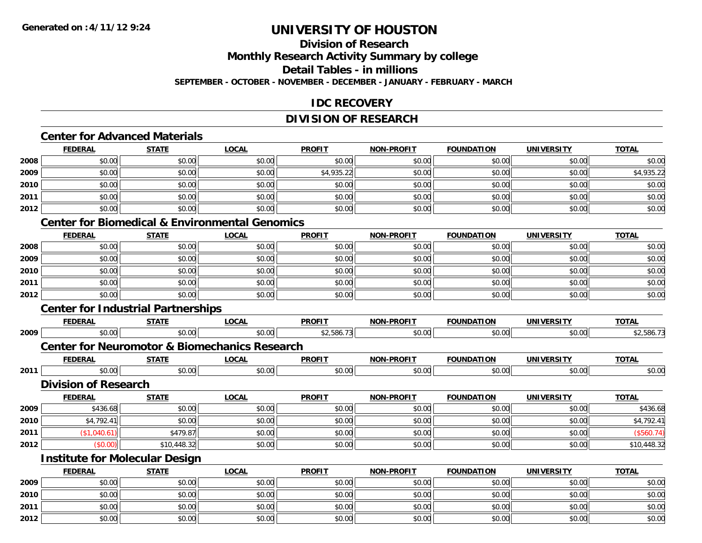# **Division of Research**

**Monthly Research Activity Summary by college**

**Detail Tables - in millions**

**SEPTEMBER - OCTOBER - NOVEMBER - DECEMBER - JANUARY - FEBRUARY - MARCH**

#### **IDC RECOVERY**

#### **DIVISION OF RESEARCH**

### **Center for Advanced Materials**

|      | <b>FEDERAL</b> | <b>STATE</b> | <b>LOCAL</b> | <b>PROFIT</b> | <b>NON-PROFIT</b> | <b>FOUNDATION</b> | <b>UNIVERSITY</b> | <b>TOTAL</b> |
|------|----------------|--------------|--------------|---------------|-------------------|-------------------|-------------------|--------------|
| 2008 | \$0.00         | \$0.00       | \$0.00       | \$0.00        | \$0.00            | \$0.00            | \$0.00            | \$0.00       |
| 2009 | \$0.00         | \$0.00       | \$0.00       | \$4,935.22    | \$0.00            | \$0.00            | \$0.00            | \$4,935.22   |
| 2010 | \$0.00         | \$0.00       | \$0.00       | \$0.00        | \$0.00            | \$0.00            | \$0.00            | \$0.00       |
| 2011 | \$0.00         | \$0.00       | \$0.00       | \$0.00        | \$0.00            | \$0.00            | \$0.00            | \$0.00       |
| 2012 | \$0.00         | \$0.00       | \$0.00       | \$0.00        | \$0.00            | \$0.00            | \$0.00            | \$0.00       |

#### **Center for Biomedical & Environmental Genomics**

|      | <u>FEDERAL</u> | <u>STATE</u> | <u>LOCAL</u> | <b>PROFIT</b> | <b>NON-PROFIT</b> | <b>FOUNDATION</b> | <b>UNIVERSITY</b> | <b>TOTAL</b> |
|------|----------------|--------------|--------------|---------------|-------------------|-------------------|-------------------|--------------|
| 2008 | \$0.00         | \$0.00       | \$0.00       | \$0.00        | \$0.00            | \$0.00            | \$0.00            | \$0.00       |
| 2009 | \$0.00         | \$0.00       | \$0.00       | \$0.00        | \$0.00            | \$0.00            | \$0.00            | \$0.00       |
| 2010 | \$0.00         | \$0.00       | \$0.00       | \$0.00        | \$0.00            | \$0.00            | \$0.00            | \$0.00       |
| 2011 | \$0.00         | \$0.00       | \$0.00       | \$0.00        | \$0.00            | \$0.00            | \$0.00            | \$0.00       |
| 2012 | \$0.00         | \$0.00       | \$0.00       | \$0.00        | \$0.00            | \$0.00            | \$0.00            | \$0.00       |

### **Center for Industrial Partnerships**

**2012**

|      | <b>FEDERAL</b>                        | <b>STATE</b> | <b>LOCAL</b>                                             | <b>PROFIT</b> | <b>NON-PROFIT</b> | <b>FOUNDATION</b> | <b>UNIVERSITY</b> | <b>TOTAL</b> |
|------|---------------------------------------|--------------|----------------------------------------------------------|---------------|-------------------|-------------------|-------------------|--------------|
| 2009 | \$0.00                                | \$0.00       | \$0.00                                                   | \$2,586.73    | \$0.00            | \$0.00            | \$0.00            | \$2,586.73   |
|      |                                       |              | <b>Center for Neuromotor &amp; Biomechanics Research</b> |               |                   |                   |                   |              |
|      | <b>FEDERAL</b>                        | <b>STATE</b> | <b>LOCAL</b>                                             | <b>PROFIT</b> | <b>NON-PROFIT</b> | <b>FOUNDATION</b> | <b>UNIVERSITY</b> | <b>TOTAL</b> |
| 2011 | \$0.00                                | \$0.00       | \$0.00                                                   | \$0.00        | \$0.00            | \$0.00            | \$0.00            | \$0.00       |
|      | <b>Division of Research</b>           |              |                                                          |               |                   |                   |                   |              |
|      | <b>FEDERAL</b>                        | <b>STATE</b> | <b>LOCAL</b>                                             | <b>PROFIT</b> | <b>NON-PROFIT</b> | <b>FOUNDATION</b> | <b>UNIVERSITY</b> | <b>TOTAL</b> |
| 2009 | \$436.68                              | \$0.00       | \$0.00                                                   | \$0.00        | \$0.00            | \$0.00            | \$0.00            | \$436.68     |
| 2010 | \$4,792.41                            | \$0.00       | \$0.00                                                   | \$0.00        | \$0.00            | \$0.00            | \$0.00            | \$4,792.41   |
| 2011 | \$1,040.61]                           | \$479.87     | \$0.00                                                   | \$0.00        | \$0.00            | \$0.00            | \$0.00            | (\$560.74)   |
| 2012 | (\$0.00)                              | \$10,448.32  | \$0.00                                                   | \$0.00        | \$0.00            | \$0.00            | \$0.00            | \$10,448.32  |
|      | <b>Institute for Molecular Design</b> |              |                                                          |               |                   |                   |                   |              |
|      | <b>FEDERAL</b>                        | <b>STATE</b> | <b>LOCAL</b>                                             | <b>PROFIT</b> | <b>NON-PROFIT</b> | <b>FOUNDATION</b> | <b>UNIVERSITY</b> | <b>TOTAL</b> |
| 2009 | \$0.00                                | \$0.00       | \$0.00                                                   | \$0.00        | \$0.00            | \$0.00            | \$0.00            | \$0.00       |
| 2010 | \$0.00                                | \$0.00       | \$0.00                                                   | \$0.00        | \$0.00            | \$0.00            | \$0.00            | \$0.00       |
| 2011 | \$0.00                                | \$0.00       | \$0.00                                                   | \$0.00        | \$0.00            | \$0.00            | \$0.00            | \$0.00       |

2 | \$0.00 \$0.00 \$0.00 \$0.00 \$0.00 \$0.00 \$0.00 \$0.00 \$0.00 \$0.00 \$0.00 \$0.00 \$0.00 \$0.00 \$0.00 \$0.00 \$0.00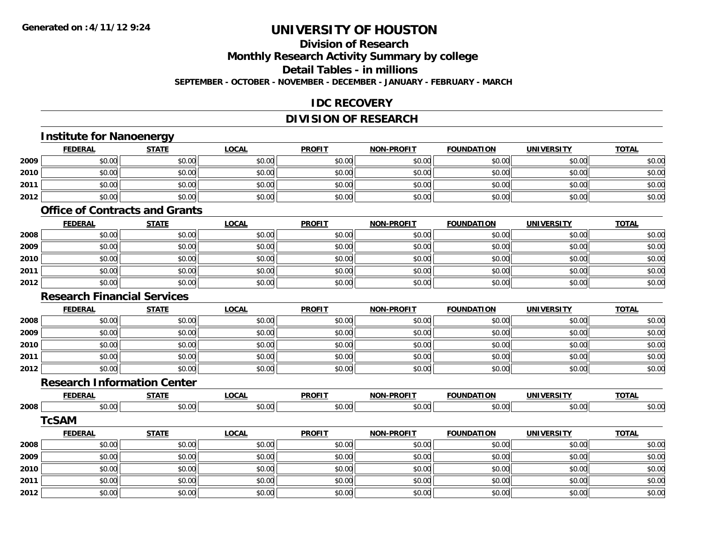# **Division of Research**

**Monthly Research Activity Summary by college**

**Detail Tables - in millions**

**SEPTEMBER - OCTOBER - NOVEMBER - DECEMBER - JANUARY - FEBRUARY - MARCH**

#### **IDC RECOVERY**

### **DIVISION OF RESEARCH**

|      | <b>Institute for Nanoenergy</b>       |              |              |               |                   |                   |                   |              |
|------|---------------------------------------|--------------|--------------|---------------|-------------------|-------------------|-------------------|--------------|
|      | <b>FEDERAL</b>                        | <b>STATE</b> | <b>LOCAL</b> | <b>PROFIT</b> | <b>NON-PROFIT</b> | <b>FOUNDATION</b> | <b>UNIVERSITY</b> | <b>TOTAL</b> |
| 2009 | \$0.00                                | \$0.00       | \$0.00       | \$0.00        | \$0.00            | \$0.00            | \$0.00            | \$0.00       |
| 2010 | \$0.00                                | \$0.00       | \$0.00       | \$0.00        | \$0.00            | \$0.00            | \$0.00            | \$0.00       |
| 2011 | \$0.00                                | \$0.00       | \$0.00       | \$0.00        | \$0.00            | \$0.00            | \$0.00            | \$0.00       |
| 2012 | \$0.00                                | \$0.00       | \$0.00       | \$0.00        | \$0.00            | \$0.00            | \$0.00            | \$0.00       |
|      | <b>Office of Contracts and Grants</b> |              |              |               |                   |                   |                   |              |
|      | <b>FEDERAL</b>                        | <b>STATE</b> | <b>LOCAL</b> | <b>PROFIT</b> | <b>NON-PROFIT</b> | <b>FOUNDATION</b> | <b>UNIVERSITY</b> | <b>TOTAL</b> |
| 2008 | \$0.00                                | \$0.00       | \$0.00       | \$0.00        | \$0.00            | \$0.00            | \$0.00            | \$0.00       |
| 2009 | \$0.00                                | \$0.00       | \$0.00       | \$0.00        | \$0.00            | \$0.00            | \$0.00            | \$0.00       |
| 2010 | \$0.00                                | \$0.00       | \$0.00       | \$0.00        | \$0.00            | \$0.00            | \$0.00            | \$0.00       |
| 2011 | \$0.00                                | \$0.00       | \$0.00       | \$0.00        | \$0.00            | \$0.00            | \$0.00            | \$0.00       |
| 2012 | \$0.00                                | \$0.00       | \$0.00       | \$0.00        | \$0.00            | \$0.00            | \$0.00            | \$0.00       |
|      | <b>Research Financial Services</b>    |              |              |               |                   |                   |                   |              |
|      | <b>FEDERAL</b>                        | <b>STATE</b> | <b>LOCAL</b> | <b>PROFIT</b> | <b>NON-PROFIT</b> | <b>FOUNDATION</b> | <b>UNIVERSITY</b> | <b>TOTAL</b> |
| 2008 | \$0.00                                | \$0.00       | \$0.00       | \$0.00        | \$0.00            | \$0.00            | \$0.00            | \$0.00       |
| 2009 | \$0.00                                | \$0.00       | \$0.00       | \$0.00        | \$0.00            | \$0.00            | \$0.00            | \$0.00       |
| 2010 | \$0.00                                | \$0.00       | \$0.00       | \$0.00        | \$0.00            | \$0.00            | \$0.00            | \$0.00       |
| 2011 | \$0.00                                | \$0.00       | \$0.00       | \$0.00        | \$0.00            | \$0.00            | \$0.00            | \$0.00       |
| 2012 | \$0.00                                | \$0.00       | \$0.00       | \$0.00        | \$0.00            | \$0.00            | \$0.00            | \$0.00       |
|      | <b>Research Information Center</b>    |              |              |               |                   |                   |                   |              |
|      | <b>FEDERAL</b>                        | <b>STATE</b> | <b>LOCAL</b> | <b>PROFIT</b> | <b>NON-PROFIT</b> | <b>FOUNDATION</b> | <b>UNIVERSITY</b> | <b>TOTAL</b> |
| 2008 | \$0.00                                | \$0.00       | \$0.00       | \$0.00        | \$0.00            | \$0.00            | \$0.00            | \$0.00       |
|      | <b>TcSAM</b>                          |              |              |               |                   |                   |                   |              |
|      | <b>FEDERAL</b>                        | <b>STATE</b> | <b>LOCAL</b> | <b>PROFIT</b> | <b>NON-PROFIT</b> | <b>FOUNDATION</b> | <b>UNIVERSITY</b> | <b>TOTAL</b> |
| 2008 | \$0.00                                | \$0.00       | \$0.00       | \$0.00        | \$0.00            | \$0.00            | \$0.00            | \$0.00       |
| 2009 | \$0.00                                | \$0.00       | \$0.00       | \$0.00        | \$0.00            | \$0.00            | \$0.00            | \$0.00       |
| 2010 | \$0.00                                | \$0.00       | \$0.00       | \$0.00        | \$0.00            | \$0.00            | \$0.00            | \$0.00       |
| 2011 | \$0.00                                | \$0.00       | \$0.00       | \$0.00        | \$0.00            | \$0.00            | \$0.00            | \$0.00       |
| 2012 | \$0.00                                | \$0.00       | \$0.00       | \$0.00        | \$0.00            | \$0.00            | \$0.00            | \$0.00       |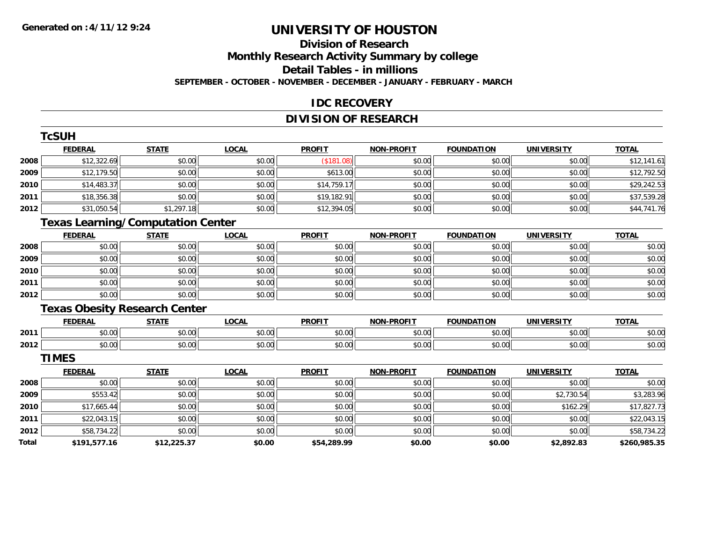### **Division of ResearchMonthly Research Activity Summary by college Detail Tables - in millions**

**SEPTEMBER - OCTOBER - NOVEMBER - DECEMBER - JANUARY - FEBRUARY - MARCH**

#### **IDC RECOVERY**

### **DIVISION OF RESEARCH**

|       | <b>TcSUH</b>                             |              |              |               |                   |                   |                   |              |
|-------|------------------------------------------|--------------|--------------|---------------|-------------------|-------------------|-------------------|--------------|
|       | <b>FEDERAL</b>                           | <b>STATE</b> | <b>LOCAL</b> | <b>PROFIT</b> | <b>NON-PROFIT</b> | <b>FOUNDATION</b> | <b>UNIVERSITY</b> | <b>TOTAL</b> |
| 2008  | \$12,322.69                              | \$0.00       | \$0.00       | (\$181.08)    | \$0.00            | \$0.00            | \$0.00            | \$12,141.61  |
| 2009  | \$12,179.50                              | \$0.00       | \$0.00       | \$613.00      | \$0.00            | \$0.00            | \$0.00            | \$12,792.50  |
| 2010  | \$14,483.37                              | \$0.00       | \$0.00       | \$14,759.17   | \$0.00            | \$0.00            | \$0.00            | \$29,242.53  |
| 2011  | \$18,356.38                              | \$0.00       | \$0.00       | \$19,182.91   | \$0.00            | \$0.00            | \$0.00            | \$37,539.28  |
| 2012  | \$31,050.54                              | \$1,297.18   | \$0.00       | \$12,394.05   | \$0.00            | \$0.00            | \$0.00            | \$44,741.76  |
|       | <b>Texas Learning/Computation Center</b> |              |              |               |                   |                   |                   |              |
|       | <b>FEDERAL</b>                           | <b>STATE</b> | <b>LOCAL</b> | <b>PROFIT</b> | <b>NON-PROFIT</b> | <b>FOUNDATION</b> | <b>UNIVERSITY</b> | <b>TOTAL</b> |
| 2008  | \$0.00                                   | \$0.00       | \$0.00       | \$0.00        | \$0.00            | \$0.00            | \$0.00            | \$0.00       |
| 2009  | \$0.00                                   | \$0.00       | \$0.00       | \$0.00        | \$0.00            | \$0.00            | \$0.00            | \$0.00       |
| 2010  | \$0.00                                   | \$0.00       | \$0.00       | \$0.00        | \$0.00            | \$0.00            | \$0.00            | \$0.00       |
| 2011  | \$0.00                                   | \$0.00       | \$0.00       | \$0.00        | \$0.00            | \$0.00            | \$0.00            | \$0.00       |
| 2012  | \$0.00                                   | \$0.00       | \$0.00       | \$0.00        | \$0.00            | \$0.00            | \$0.00            | \$0.00       |
|       | <b>Texas Obesity Research Center</b>     |              |              |               |                   |                   |                   |              |
|       | <b>FEDERAL</b>                           | <b>STATE</b> | <b>LOCAL</b> | <b>PROFIT</b> | <b>NON-PROFIT</b> | <b>FOUNDATION</b> | <b>UNIVERSITY</b> | <b>TOTAL</b> |
| 2011  | \$0.00                                   | \$0.00       | \$0.00       | \$0.00        | \$0.00            | \$0.00            | \$0.00            | \$0.00       |
| 2012  | \$0.00                                   | \$0.00       | \$0.00       | \$0.00        | \$0.00            | \$0.00            | \$0.00            | \$0.00       |
|       | <b>TIMES</b>                             |              |              |               |                   |                   |                   |              |
|       | <b>FEDERAL</b>                           | <b>STATE</b> | <b>LOCAL</b> | <b>PROFIT</b> | <b>NON-PROFIT</b> | <b>FOUNDATION</b> | <b>UNIVERSITY</b> | <b>TOTAL</b> |
| 2008  | \$0.00                                   | \$0.00       | \$0.00       | \$0.00        | \$0.00            | \$0.00            | \$0.00            | \$0.00       |
| 2009  | \$553.42                                 | \$0.00       | \$0.00       | \$0.00        | \$0.00            | \$0.00            | \$2,730.54        | \$3,283.96   |
| 2010  | \$17,665.44                              | \$0.00       | \$0.00       | \$0.00        | \$0.00            | \$0.00            | \$162.29          | \$17,827.73  |
| 2011  | \$22,043.15                              | \$0.00       | \$0.00       | \$0.00        | \$0.00            | \$0.00            | \$0.00            | \$22,043.15  |
| 2012  | \$58,734.22                              | \$0.00       | \$0.00       | \$0.00        | \$0.00            | \$0.00            | \$0.00            | \$58,734.22  |
| Total | \$191,577.16                             | \$12,225.37  | \$0.00       | \$54,289.99   | \$0.00            | \$0.00            | \$2,892.83        | \$260,985.35 |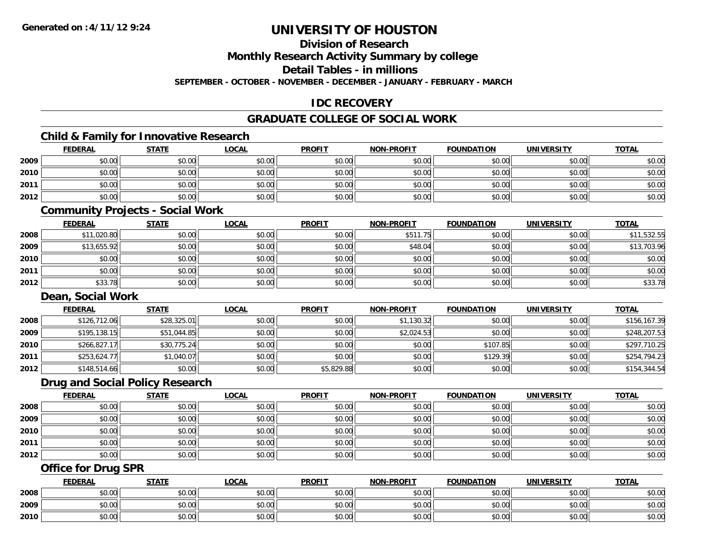#### **Division of Research**

**Monthly Research Activity Summary by college**

**Detail Tables - in millions**

**SEPTEMBER - OCTOBER - NOVEMBER - DECEMBER - JANUARY - FEBRUARY - MARCH**

#### **IDC RECOVERY**

#### **GRADUATE COLLEGE OF SOCIAL WORK**

#### **Child & Family for Innovative Research**

|      | <b>FEDERAL</b>                 | <b>STATE</b> | <b>LOCAL</b> | <b>PROFIT</b> | <b>NON-PROFIT</b> | <b>FOUNDATION</b> | <b>UNIVERSITY</b> | <b>TOTAL</b> |
|------|--------------------------------|--------------|--------------|---------------|-------------------|-------------------|-------------------|--------------|
| 2009 | \$0.00                         | \$0.00       | \$0.00       | \$0.00        | \$0.00            | \$0.00            | \$0.00            | \$0.00       |
| 2010 | \$0.00                         | \$0.00       | \$0.00       | \$0.00        | \$0.00            | \$0.00            | \$0.00            | \$0.00       |
| 2011 | \$0.00                         | \$0.00       | \$0.00       | \$0.00        | \$0.00            | \$0.00            | \$0.00            | \$0.00       |
| 2012 | \$0.00                         | \$0.00       | \$0.00       | \$0.00        | \$0.00            | \$0.00            | \$0.00            | \$0.00       |
|      | Community Projects Social Work |              |              |               |                   |                   |                   |              |

#### **Community Projects - Social Work**

|      | <u>FEDERAL</u> | <u>STATE</u> | <b>LOCAL</b> | <b>PROFIT</b> | <b>NON-PROFIT</b> | <b>FOUNDATION</b> | <b>UNIVERSITY</b> | <b>TOTAL</b> |
|------|----------------|--------------|--------------|---------------|-------------------|-------------------|-------------------|--------------|
| 2008 | \$11,020.80    | \$0.00       | \$0.00       | \$0.00        | \$511.75          | \$0.00            | \$0.00            | \$11,532.55  |
| 2009 | \$13,655.92    | \$0.00       | \$0.00       | \$0.00        | \$48.04           | \$0.00            | \$0.00            | \$13,703.96  |
| 2010 | \$0.00         | \$0.00       | \$0.00       | \$0.00        | \$0.00            | \$0.00            | \$0.00            | \$0.00       |
| 2011 | \$0.00         | \$0.00       | \$0.00       | \$0.00        | \$0.00            | \$0.00            | \$0.00            | \$0.00       |
| 2012 | \$33.78        | \$0.00       | \$0.00       | \$0.00        | \$0.00            | \$0.00            | \$0.00            | \$33.78      |

#### **Dean, Social Work**

|      | <b>FEDERAL</b> | <b>STATE</b> | <u>LOCAL</u> | <b>PROFIT</b> | <b>NON-PROFIT</b> | <b>FOUNDATION</b> | UNIVERSITY | <b>TOTAL</b> |
|------|----------------|--------------|--------------|---------------|-------------------|-------------------|------------|--------------|
| 2008 | \$126,712.06   | \$28,325.01  | \$0.00       | \$0.00        | \$1,130.32        | \$0.00            | \$0.00     | \$156,167.39 |
| 2009 | \$195,138.15   | \$51,044.85  | \$0.00       | \$0.00        | \$2,024.53        | \$0.00            | \$0.00     | \$248,207.53 |
| 2010 | \$266,827.17   | \$30,775.24  | \$0.00       | \$0.00        | \$0.00            | \$107.85          | \$0.00     | \$297,710.25 |
| 2011 | \$253,624.77   | \$1,040.07   | \$0.00       | \$0.00        | \$0.00            | \$129.39          | \$0.00     | \$254,794.23 |
| 2012 | \$148,514.66   | \$0.00       | \$0.00       | \$5,829.88    | \$0.00            | \$0.00            | \$0.00     | \$154,344.54 |

### **Drug and Social Policy Research**

|      | <b>FEDERAL</b> | <b>STATE</b> | <u>LOCAL</u> | <b>PROFIT</b> | <b>NON-PROFIT</b> | <b>FOUNDATION</b> | <b>UNIVERSITY</b> | <b>TOTAL</b> |
|------|----------------|--------------|--------------|---------------|-------------------|-------------------|-------------------|--------------|
| 2008 | \$0.00         | \$0.00       | \$0.00       | \$0.00        | \$0.00            | \$0.00            | \$0.00            | \$0.00       |
| 2009 | \$0.00         | \$0.00       | \$0.00       | \$0.00        | \$0.00            | \$0.00            | \$0.00            | \$0.00       |
| 2010 | \$0.00         | \$0.00       | \$0.00       | \$0.00        | \$0.00            | \$0.00            | \$0.00            | \$0.00       |
| 2011 | \$0.00         | \$0.00       | \$0.00       | \$0.00        | \$0.00            | \$0.00            | \$0.00            | \$0.00       |
| 2012 | \$0.00         | \$0.00       | \$0.00       | \$0.00        | \$0.00            | \$0.00            | \$0.00            | \$0.00       |

#### **Office for Drug SPR**

|      | <b>FEDERAL</b>     | <b>STATE</b> | <u>LOCAL</u>  | <b>PROFIT</b> | <b>I-PROFIT</b><br>NON- | <b>FOUNDATION</b> | <b>UNIVERSITY</b> | <b>TOTAL</b> |
|------|--------------------|--------------|---------------|---------------|-------------------------|-------------------|-------------------|--------------|
| 2008 | <b>00</b><br>JU.UU | \$0.00       | \$0.00        | \$0.00        | \$0.00                  | \$0.00            | \$0.00            | \$0.00       |
| 2009 | ሶስ ሰሰ<br>PU.UU     | \$0.00       | 0.00<br>ง∪.∪บ | \$0.00        | \$0.00                  | \$0.00            | \$0.00            | \$0.00       |
| 2010 | 0000<br>JU.UU      | \$0.00       | \$0.00        | \$0.00        | \$0.00                  | \$0.00            | \$0.00            | \$0.00       |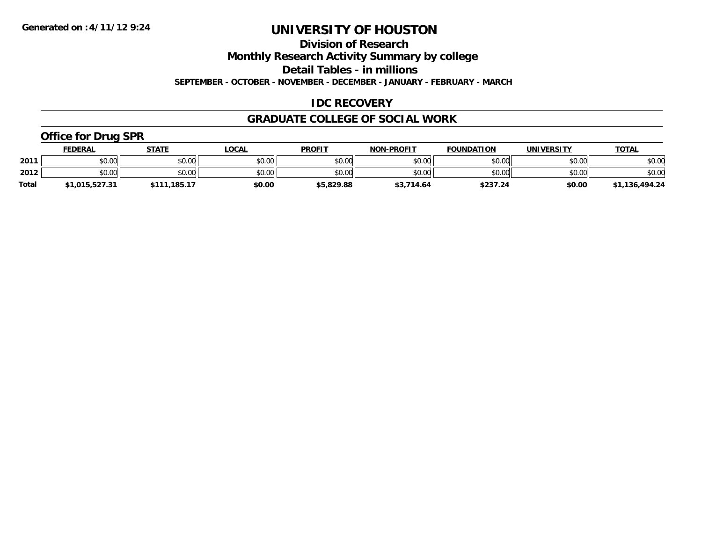**Division of Research**

**Monthly Research Activity Summary by college**

**Detail Tables - in millions**

**SEPTEMBER - OCTOBER - NOVEMBER - DECEMBER - JANUARY - FEBRUARY - MARCH**

#### **IDC RECOVERY**

#### **GRADUATE COLLEGE OF SOCIAL WORK**

#### **Office for Drug SPR**

|              | <u>FEDERAL</u> | <b>STATE</b>     | LOCAL  | <b>PROFIT</b> | <b>NON-PROFIT</b> | <b>FOUNDATION</b> | UNIVERSITY | <b>TOTAL</b>   |
|--------------|----------------|------------------|--------|---------------|-------------------|-------------------|------------|----------------|
| 2011         | \$0.00         | \$0.00           | \$0.00 | \$0.00        | \$0.00            | \$0.00            | \$0.00     | \$0.00         |
| 2012         | \$0.00         | \$0.00           | \$0.00 | \$0.00        | \$0.00            | \$0.00            | \$0.00     | \$0.00         |
| <b>Total</b> | \$1,015,527.31 | .185.17<br>\$111 | \$0.00 | \$5,829.88    | \$3,714.64        | \$237.24          | \$0.00     | \$1,136,494.24 |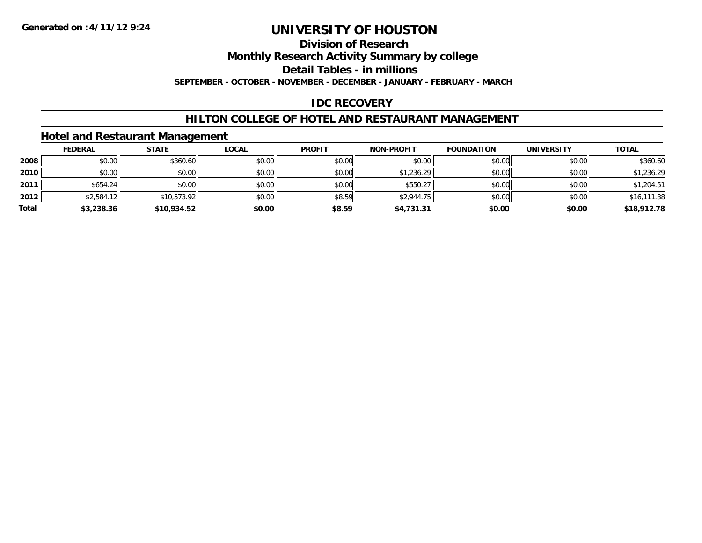### **Division of Research**

**Monthly Research Activity Summary by college**

**Detail Tables - in millions**

**SEPTEMBER - OCTOBER - NOVEMBER - DECEMBER - JANUARY - FEBRUARY - MARCH**

#### **IDC RECOVERY**

#### **HILTON COLLEGE OF HOTEL AND RESTAURANT MANAGEMENT**

#### **Hotel and Restaurant Management**

|       | <b>FEDERAL</b> | <b>STATE</b> | <u>LOCAL</u> | <b>PROFIT</b> | <b>NON-PROFIT</b> | <b>FOUNDATION</b> | <b>UNIVERSITY</b> | <b>TOTAL</b> |
|-------|----------------|--------------|--------------|---------------|-------------------|-------------------|-------------------|--------------|
| 2008  | \$0.00         | \$360.60     | \$0.00       | \$0.00        | \$0.00            | \$0.00            | \$0.00            | \$360.60     |
| 2010  | \$0.00         | \$0.00       | \$0.00       | \$0.00        | \$1,236.29        | \$0.00            | \$0.00            | \$1,236.29   |
| 2011  | \$654.24       | \$0.00       | \$0.00       | \$0.00        | \$550.27          | \$0.00            | \$0.00            | \$1,204.51   |
| 2012  | \$2,584.12     | \$10,573.92  | \$0.00       | \$8.59        | \$2,944.75        | \$0.00            | \$0.00            | \$16,111.38  |
| Total | \$3,238.36     | \$10,934.52  | \$0.00       | \$8.59        | \$4,731.31        | \$0.00            | \$0.00            | \$18,912.78  |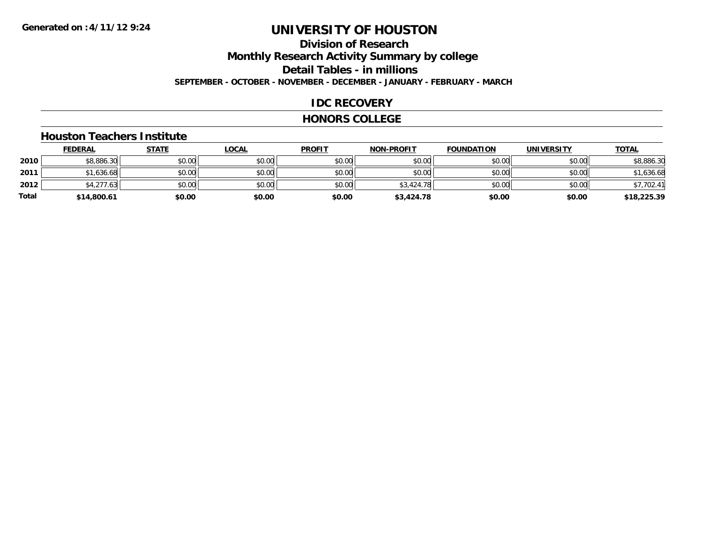### **Division of ResearchMonthly Research Activity Summary by college Detail Tables - in millions SEPTEMBER - OCTOBER - NOVEMBER - DECEMBER - JANUARY - FEBRUARY - MARCH**

#### **IDC RECOVERY**

#### **HONORS COLLEGE**

#### **Houston Teachers Institute**

|       | <b>FEDERAL</b> | <b>STATE</b> | <b>LOCAL</b> | <b>PROFIT</b> | <b>NON-PROFIT</b> | <b>FOUNDATION</b> | <b>UNIVERSITY</b> | <b>TOTAL</b> |
|-------|----------------|--------------|--------------|---------------|-------------------|-------------------|-------------------|--------------|
| 2010  | \$8,886.30     | \$0.00       | \$0.00       | \$0.00        | \$0.00            | \$0.00            | \$0.00            | \$8,886.30   |
| 2011  | \$1,636.68     | \$0.00       | \$0.00       | \$0.00        | \$0.00            | \$0.00            | \$0.00            | \$1,636.68   |
| 2012  | \$4,277.63     | \$0.00       | \$0.00       | \$0.00        | \$3,424.78        | \$0.00            | \$0.00            | \$7,702.41   |
| Total | \$14,800.61    | \$0.00       | \$0.00       | \$0.00        | \$3,424.78        | \$0.00            | \$0.00            | \$18,225.39  |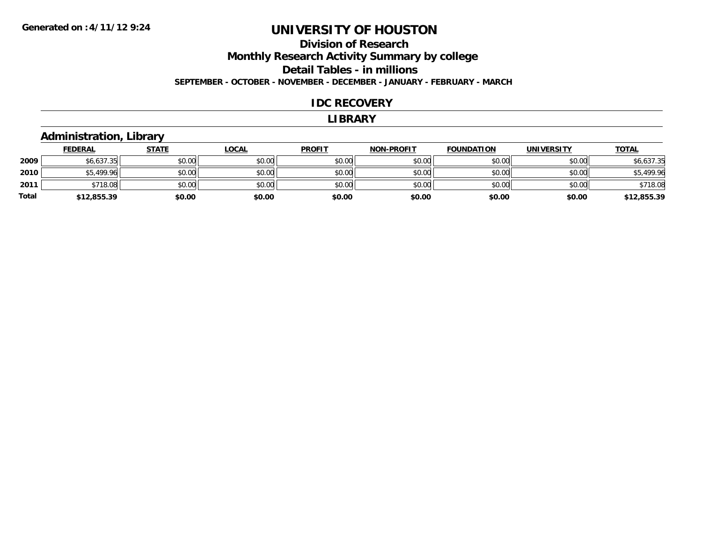#### **Division of Research Monthly Research Activity Summary by college Detail Tables - in millions SEPTEMBER - OCTOBER - NOVEMBER - DECEMBER - JANUARY - FEBRUARY - MARCH**

#### **IDC RECOVERY**

#### **LIBRARY**

#### **Administration, Library**

|       | <b>FEDERAL</b> | <u>STATE</u> | <u>LOCAL</u> | <b>PROFIT</b> | <b>NON-PROFIT</b> | <b>FOUNDATION</b> | <b>UNIVERSITY</b> | <b>TOTAL</b> |
|-------|----------------|--------------|--------------|---------------|-------------------|-------------------|-------------------|--------------|
| 2009  | \$6,637.35     | \$0.00       | \$0.00       | \$0.00        | \$0.00            | \$0.00            | \$0.00            | \$6,637.35   |
| 2010  | \$5,499.96     | \$0.00       | \$0.00       | \$0.00        | \$0.00            | \$0.00            | \$0.00            | \$5,499.96   |
| 2011  | \$718.08       | \$0.00       | \$0.00       | \$0.00        | \$0.00            | \$0.00            | \$0.00            | \$718.08     |
| Total | \$12,855.39    | \$0.00       | \$0.00       | \$0.00        | \$0.00            | \$0.00            | \$0.00            | \$12,855.39  |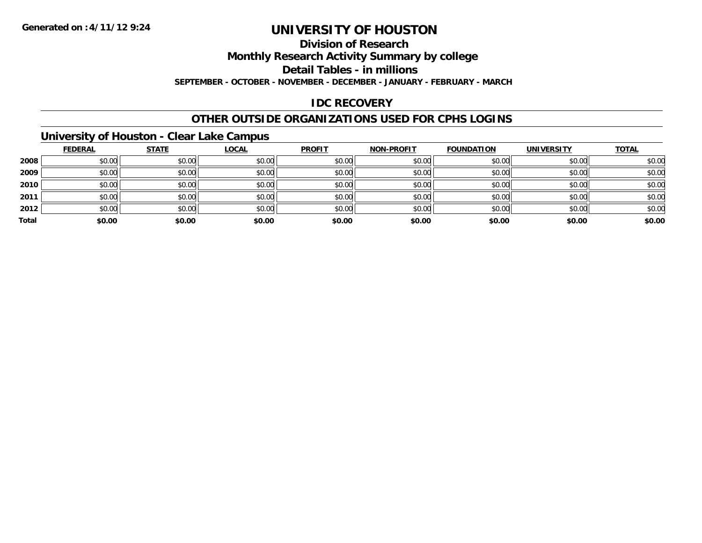### **Division of Research**

**Monthly Research Activity Summary by college**

**Detail Tables - in millions**

**SEPTEMBER - OCTOBER - NOVEMBER - DECEMBER - JANUARY - FEBRUARY - MARCH**

#### **IDC RECOVERY**

#### **OTHER OUTSIDE ORGANIZATIONS USED FOR CPHS LOGINS**

#### **University of Houston - Clear Lake Campus**

|       | <b>FEDERAL</b> | <b>STATE</b> | <b>LOCAL</b> | <b>PROFIT</b> | <b>NON-PROFIT</b> | <b>FOUNDATION</b> | <b>UNIVERSITY</b> | <b>TOTAL</b> |
|-------|----------------|--------------|--------------|---------------|-------------------|-------------------|-------------------|--------------|
| 2008  | \$0.00         | \$0.00       | \$0.00       | \$0.00        | \$0.00            | \$0.00            | \$0.00            | \$0.00       |
| 2009  | \$0.00         | \$0.00       | \$0.00       | \$0.00        | \$0.00            | \$0.00            | \$0.00            | \$0.00       |
| 2010  | \$0.00         | \$0.00       | \$0.00       | \$0.00        | \$0.00            | \$0.00            | \$0.00            | \$0.00       |
| 2011  | \$0.00         | \$0.00       | \$0.00       | \$0.00        | \$0.00            | \$0.00            | \$0.00            | \$0.00       |
| 2012  | \$0.00         | \$0.00       | \$0.00       | \$0.00        | \$0.00            | \$0.00            | \$0.00            | \$0.00       |
| Total | \$0.00         | \$0.00       | \$0.00       | \$0.00        | \$0.00            | \$0.00            | \$0.00            | \$0.00       |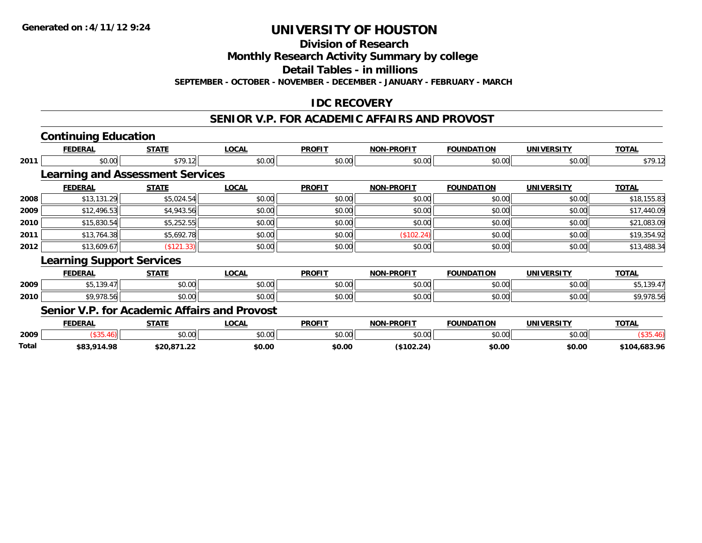**Division of Research**

**Monthly Research Activity Summary by college**

**Detail Tables - in millions**

**SEPTEMBER - OCTOBER - NOVEMBER - DECEMBER - JANUARY - FEBRUARY - MARCH**

#### **IDC RECOVERY**

### **SENIOR V.P. FOR ACADEMIC AFFAIRS AND PROVOST**

|       | <b>Continuing Education</b>                  |              |              |               |                   |                   |                   |              |
|-------|----------------------------------------------|--------------|--------------|---------------|-------------------|-------------------|-------------------|--------------|
|       | <b>FEDERAL</b>                               | <b>STATE</b> | <b>LOCAL</b> | <b>PROFIT</b> | <b>NON-PROFIT</b> | <b>FOUNDATION</b> | <b>UNIVERSITY</b> | <b>TOTAL</b> |
| 2011  | \$0.00                                       | \$79.12      | \$0.00       | \$0.00        | \$0.00            | \$0.00            | \$0.00            | \$79.12      |
|       | <b>Learning and Assessment Services</b>      |              |              |               |                   |                   |                   |              |
|       | <b>FEDERAL</b>                               | <b>STATE</b> | <b>LOCAL</b> | <b>PROFIT</b> | <b>NON-PROFIT</b> | <b>FOUNDATION</b> | <b>UNIVERSITY</b> | <b>TOTAL</b> |
| 2008  | \$13,131.29                                  | \$5,024.54   | \$0.00       | \$0.00        | \$0.00            | \$0.00            | \$0.00            | \$18,155.83  |
| 2009  | \$12,496.53                                  | \$4,943.56   | \$0.00       | \$0.00        | \$0.00            | \$0.00            | \$0.00            | \$17,440.09  |
| 2010  | \$15,830.54                                  | \$5,252.55   | \$0.00       | \$0.00        | \$0.00            | \$0.00            | \$0.00            | \$21,083.09  |
| 2011  | \$13,764.38                                  | \$5,692.78   | \$0.00       | \$0.00        | (\$102.24)        | \$0.00            | \$0.00            | \$19,354.92  |
| 2012  | \$13,609.67                                  | (\$121.33)   | \$0.00       | \$0.00        | \$0.00            | \$0.00            | \$0.00            | \$13,488.34  |
|       | <b>Learning Support Services</b>             |              |              |               |                   |                   |                   |              |
|       | <b>FEDERAL</b>                               | <b>STATE</b> | <b>LOCAL</b> | <b>PROFIT</b> | <b>NON-PROFIT</b> | <b>FOUNDATION</b> | <b>UNIVERSITY</b> | <b>TOTAL</b> |
| 2009  | \$5,139.47                                   | \$0.00       | \$0.00       | \$0.00        | \$0.00            | \$0.00            | \$0.00            | \$5,139.47   |
| 2010  | \$9,978.56                                   | \$0.00       | \$0.00       | \$0.00        | \$0.00            | \$0.00            | \$0.00            | \$9,978.56   |
|       | Senior V.P. for Academic Affairs and Provost |              |              |               |                   |                   |                   |              |
|       | <b>FEDERAL</b>                               | <b>STATE</b> | <b>LOCAL</b> | <b>PROFIT</b> | <b>NON-PROFIT</b> | <b>FOUNDATION</b> | <b>UNIVERSITY</b> | <b>TOTAL</b> |
| 2009  | (\$35.46)                                    | \$0.00       | \$0.00       | \$0.00        | \$0.00            | \$0.00            | \$0.00            | (\$35.46)    |
| Total | \$83,914.98                                  | \$20,871.22  | \$0.00       | \$0.00        | (\$102.24)        | \$0.00            | \$0.00            | \$104,683.96 |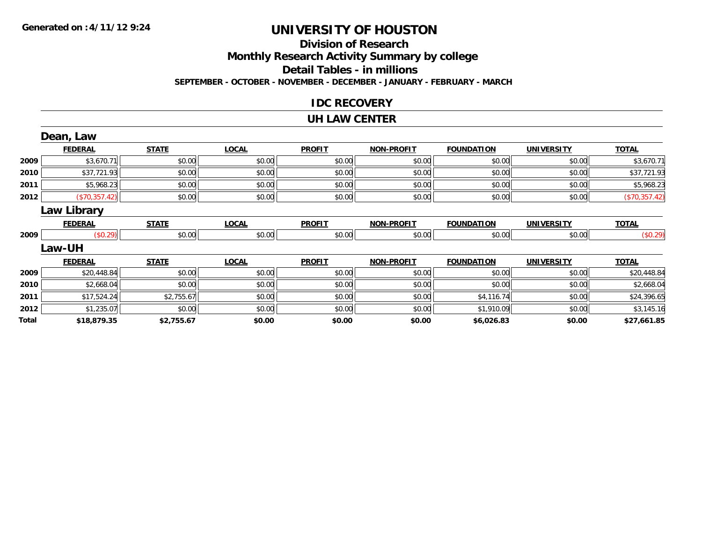#### **Division of Research Monthly Research Activity Summary by college Detail Tables - in millions SEPTEMBER - OCTOBER - NOVEMBER - DECEMBER - JANUARY - FEBRUARY - MARCH**

#### **IDC RECOVERY**

#### **UH LAW CENTER**

|       | Dean, Law      |              |              |               |                   |                   |                   |               |
|-------|----------------|--------------|--------------|---------------|-------------------|-------------------|-------------------|---------------|
|       | <b>FEDERAL</b> | <b>STATE</b> | <b>LOCAL</b> | <b>PROFIT</b> | <b>NON-PROFIT</b> | <b>FOUNDATION</b> | <b>UNIVERSITY</b> | <b>TOTAL</b>  |
| 2009  | \$3,670.71     | \$0.00       | \$0.00       | \$0.00        | \$0.00            | \$0.00            | \$0.00            | \$3,670.71    |
| 2010  | \$37,721.93    | \$0.00       | \$0.00       | \$0.00        | \$0.00            | \$0.00            | \$0.00            | \$37,721.93   |
| 2011  | \$5,968.23     | \$0.00       | \$0.00       | \$0.00        | \$0.00            | \$0.00            | \$0.00            | \$5,968.23    |
| 2012  | (\$70,357.42)  | \$0.00       | \$0.00       | \$0.00        | \$0.00            | \$0.00            | \$0.00            | (\$70,357.42) |
|       | Law Library    |              |              |               |                   |                   |                   |               |
|       | <b>FEDERAL</b> | <b>STATE</b> | <b>LOCAL</b> | <b>PROFIT</b> | <b>NON-PROFIT</b> | <b>FOUNDATION</b> | <b>UNIVERSITY</b> | <b>TOTAL</b>  |
| 2009  | (\$0.29)       | \$0.00       | \$0.00       | \$0.00        | \$0.00            | \$0.00            | \$0.00            | (\$0.29)      |
|       | <b>Law-UH</b>  |              |              |               |                   |                   |                   |               |
|       | <b>FEDERAL</b> | <b>STATE</b> | <b>LOCAL</b> | <b>PROFIT</b> | <b>NON-PROFIT</b> | <b>FOUNDATION</b> | <b>UNIVERSITY</b> | <b>TOTAL</b>  |
| 2009  | \$20,448.84    | \$0.00       | \$0.00       | \$0.00        | \$0.00            | \$0.00            | \$0.00            | \$20,448.84   |
| 2010  | \$2,668.04     | \$0.00       | \$0.00       | \$0.00        | \$0.00            | \$0.00            | \$0.00            | \$2,668.04    |
| 2011  | \$17,524.24    | \$2,755.67   | \$0.00       | \$0.00        | \$0.00            | \$4,116.74        | \$0.00            | \$24,396.65   |
| 2012  | \$1,235.07     | \$0.00       | \$0.00       | \$0.00        | \$0.00            | \$1,910.09        | \$0.00            | \$3,145.16    |
| Total | \$18,879.35    | \$2,755.67   | \$0.00       | \$0.00        | \$0.00            | \$6,026.83        | \$0.00            | \$27,661.85   |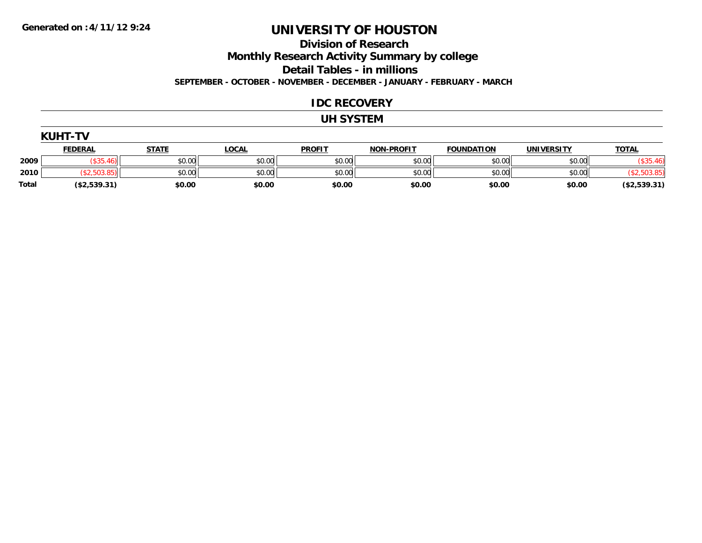### **Division of Research**

**Monthly Research Activity Summary by college**

**Detail Tables - in millions**

**SEPTEMBER - OCTOBER - NOVEMBER - DECEMBER - JANUARY - FEBRUARY - MARCH**

#### **IDC RECOVERY**

#### **UH SYSTEM**

|              | <b>KUHT-TV</b> |              |              |               |                   |                   |            |              |
|--------------|----------------|--------------|--------------|---------------|-------------------|-------------------|------------|--------------|
|              | <u>FEDERAL</u> | <b>STATE</b> | <u>LOCAL</u> | <b>PROFIT</b> | <b>NON-PROFIT</b> | <b>FOUNDATION</b> | UNIVERSITY | <b>TOTAL</b> |
| 2009         | \$35.46        | \$0.00       | \$0.00       | \$0.00        | \$0.00            | \$0.00            | \$0.00     | \$35         |
| 2010         | (\$2,503.85)   | \$0.00       | \$0.00       | \$0.00        | \$0.00            | \$0.00            | \$0.00     |              |
| <b>Total</b> | (\$2,539.31)   | \$0.00       | \$0.00       | \$0.00        | \$0.00            | \$0.00            | \$0.00     | (\$2,539.31) |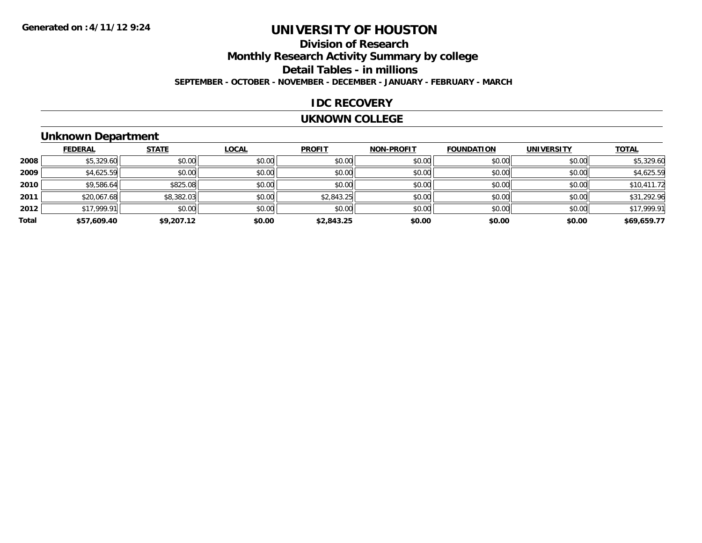### **Division of ResearchMonthly Research Activity Summary by college Detail Tables - in millions SEPTEMBER - OCTOBER - NOVEMBER - DECEMBER - JANUARY - FEBRUARY - MARCH**

#### **IDC RECOVERY**

#### **UKNOWN COLLEGE**

### **Unknown Department**

|       | <b>FEDERAL</b> | <b>STATE</b> | LOCAL  | <b>PROFIT</b> | <b>NON-PROFIT</b> | <b>FOUNDATION</b> | <b>UNIVERSITY</b> | <b>TOTAL</b> |
|-------|----------------|--------------|--------|---------------|-------------------|-------------------|-------------------|--------------|
| 2008  | \$5,329.60     | \$0.00       | \$0.00 | \$0.00        | \$0.00            | \$0.00            | \$0.00            | \$5,329.60   |
| 2009  | \$4,625.59     | \$0.00       | \$0.00 | \$0.00        | \$0.00            | \$0.00            | \$0.00            | \$4,625.59   |
| 2010  | \$9,586.64     | \$825.08     | \$0.00 | \$0.00        | \$0.00            | \$0.00            | \$0.00            | \$10,411.72  |
| 2011  | \$20,067.68    | \$8,382.03   | \$0.00 | \$2,843.25    | \$0.00            | \$0.00            | \$0.00            | \$31,292.96  |
| 2012  | \$17,999.91    | \$0.00       | \$0.00 | \$0.00        | \$0.00            | \$0.00            | \$0.00            | \$17,999.91  |
| Total | \$57,609.40    | \$9,207.12   | \$0.00 | \$2,843.25    | \$0.00            | \$0.00            | \$0.00            | \$69,659.77  |